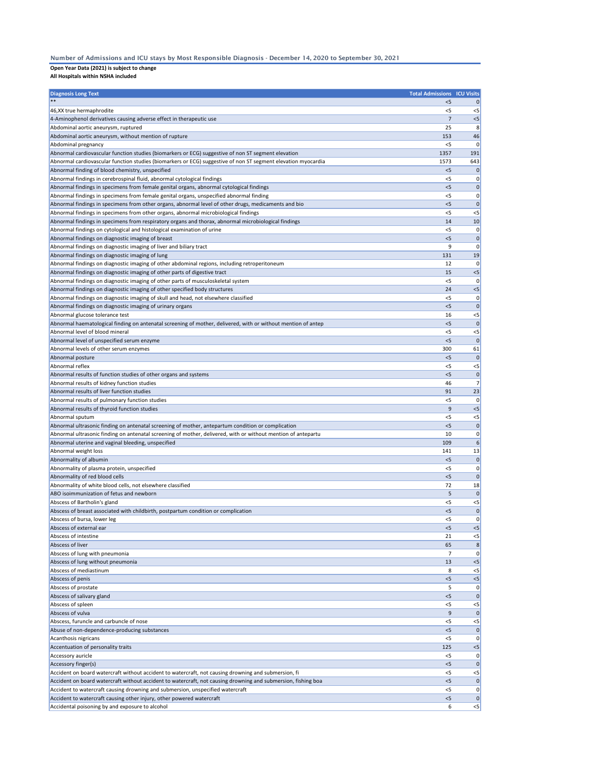## **Open Year Data (2021) is subject to change**

**All Hospitals within NSHA included**

| <b>Diagnosis Long Text</b>                                                                                                  | <b>Total Admissions ICU Visits</b> |                  |
|-----------------------------------------------------------------------------------------------------------------------------|------------------------------------|------------------|
|                                                                                                                             | $<$ 5                              | 0                |
| 46, XX true hermaphrodite                                                                                                   | $<$ 5                              | $<$ 5            |
| 4-Aminophenol derivatives causing adverse effect in therapeutic use                                                         | 7                                  | $<$ 5            |
| Abdominal aortic aneurysm, ruptured                                                                                         | 25                                 | 8                |
| Abdominal aortic aneurysm, without mention of rupture                                                                       | 153                                | 46               |
| Abdominal pregnancy                                                                                                         | $<$ 5                              | 0                |
| Abnormal cardiovascular function studies (biomarkers or ECG) suggestive of non ST segment elevation                         | 1357                               | 191              |
| Abnormal cardiovascular function studies (biomarkers or ECG) suggestive of non ST segment elevation myocardia               | 1573                               | 643              |
| Abnormal finding of blood chemistry, unspecified                                                                            | < 5                                | $\mathbf 0$      |
| Abnormal findings in cerebrospinal fluid, abnormal cytological findings                                                     | $<$ 5                              | 0                |
| Abnormal findings in specimens from female genital organs, abnormal cytological findings                                    | < 5                                | 0                |
| Abnormal findings in specimens from female genital organs, unspecified abnormal finding                                     | <5                                 | 0                |
| Abnormal findings in specimens from other organs, abnormal level of other drugs, medicaments and bio                        | < 5                                | $\mathbf 0$      |
| Abnormal findings in specimens from other organs, abnormal microbiological findings                                         | $<$ 5                              | $<$ 5            |
| Abnormal findings in specimens from respiratory organs and thorax, abnormal microbiological findings                        | 14                                 | 10               |
| Abnormal findings on cytological and histological examination of urine<br>Abnormal findings on diagnostic imaging of breast | $<$ 5<br>< 5                       | 0<br>$\mathbf 0$ |
| Abnormal findings on diagnostic imaging of liver and biliary tract                                                          | 9                                  | 0                |
| Abnormal findings on diagnostic imaging of lung                                                                             | 131                                | 19               |
| Abnormal findings on diagnostic imaging of other abdominal regions, including retroperitoneum                               | 12                                 | 0                |
| Abnormal findings on diagnostic imaging of other parts of digestive tract                                                   | 15                                 | $<$ 5            |
| Abnormal findings on diagnostic imaging of other parts of musculoskeletal system                                            | $<$ 5                              | 0                |
| Abnormal findings on diagnostic imaging of other specified body structures                                                  | 24                                 | $<$ 5            |
| Abnormal findings on diagnostic imaging of skull and head, not elsewhere classified                                         | $<$ 5                              | 0                |
| Abnormal findings on diagnostic imaging of urinary organs                                                                   | < 5                                | $\mathbf 0$      |
| Abnormal glucose tolerance test                                                                                             | 16                                 | $<$ 5            |
| Abnormal haematological finding on antenatal screening of mother, delivered, with or without mention of antep               | < 5                                | $\mathbf 0$      |
| Abnormal level of blood mineral                                                                                             | $<$ 5                              | $<$ 5            |
| Abnormal level of unspecified serum enzyme                                                                                  | < 5                                | $\mathbf 0$      |
| Abnormal levels of other serum enzymes                                                                                      | 300                                | 61               |
| Abnormal posture                                                                                                            | $<$ 5                              | $\mathbf 0$      |
| Abnormal reflex                                                                                                             | $<$ 5                              | $<$ 5            |
| Abnormal results of function studies of other organs and systems                                                            | $<$ 5                              | 0                |
| Abnormal results of kidney function studies                                                                                 | 46                                 | 7                |
| Abnormal results of liver function studies                                                                                  | 91                                 | 23               |
| Abnormal results of pulmonary function studies                                                                              | <5                                 | 0                |
| Abnormal results of thyroid function studies                                                                                | 9                                  | $<$ 5            |
| Abnormal sputum                                                                                                             | $<$ 5                              | $<$ 5            |
| Abnormal ultrasonic finding on antenatal screening of mother, antepartum condition or complication                          | $<$ 5                              | $\mathbf 0$      |
| Abnormal ultrasonic finding on antenatal screening of mother, delivered, with or without mention of antepartu               | 10                                 | 0                |
| Abnormal uterine and vaginal bleeding, unspecified                                                                          | 109                                | 6                |
| Abnormal weight loss                                                                                                        | 141                                | 13               |
| Abnormality of albumin                                                                                                      | $<$ 5                              | 0                |
| Abnormality of plasma protein, unspecified                                                                                  | <5                                 | 0                |
| Abnormality of red blood cells                                                                                              | $<$ 5                              | $\mathbf{0}$     |
| Abnormality of white blood cells, not elsewhere classified                                                                  | 72                                 | 18               |
| ABO isoimmunization of fetus and newborn                                                                                    | 5                                  | $\mathbf 0$      |
| Abscess of Bartholin's gland                                                                                                | $<$ 5                              | $<$ 5            |
| Abscess of breast associated with childbirth, postpartum condition or complication                                          | $<$ 5                              | $\mathbf 0$      |
| Abscess of bursa, lower leg                                                                                                 | <5                                 | 0                |
| Abscess of external ear                                                                                                     | < 5                                | $<$ 5            |
| Abscess of intestine                                                                                                        | 21                                 | $<$ 5            |
| Abscess of liver                                                                                                            | 65                                 | 8                |
| Abscess of lung with pneumonia                                                                                              | 7<br>13                            | 0                |
| Abscess of lung without pneumonia<br>Abscess of mediastinum                                                                 |                                    | $<$ 5            |
| Abscess of penis                                                                                                            | 8<br>< 5                           | $<$ 5<br>$<$ 5   |
| Abscess of prostate                                                                                                         | 5                                  | 0                |
| Abscess of salivary gland                                                                                                   | $<$ 5                              | 0                |
| Abscess of spleen                                                                                                           | $<$ 5                              | $<$ 5            |
| Abscess of vulva                                                                                                            | 9                                  | $\mathbf{0}$     |
| Abscess, furuncle and carbuncle of nose                                                                                     | <5                                 | $<$ 5            |
| Abuse of non-dependence-producing substances                                                                                | < 5                                | $\mathbf 0$      |
| Acanthosis nigricans                                                                                                        | <5                                 | 0                |
| Accentuation of personality traits                                                                                          | 125                                | $<$ 5            |
| Accessory auricle                                                                                                           | <5                                 | 0                |
| Accessory finger(s)                                                                                                         | < 5                                | $\mathbf 0$      |
| Accident on board watercraft without accident to watercraft, not causing drowning and submersion, fi                        | $<$ 5                              | $<$ 5            |
| Accident on board watercraft without accident to watercraft, not causing drowning and submersion, fishing boa               | < 5                                | $\mathbf 0$      |
| Accident to watercraft causing drowning and submersion, unspecified watercraft                                              | $<$ 5                              | 0                |
| Accident to watercraft causing other injury, other powered watercraft                                                       | <5                                 | $\mathbf 0$      |
| Accidental poisoning by and exposure to alcohol                                                                             | 6                                  | $<$ 5            |

## Number of Admissions and ICU stays by Most Responsible Diagnosis - December 14, 2020 to September 30, 2021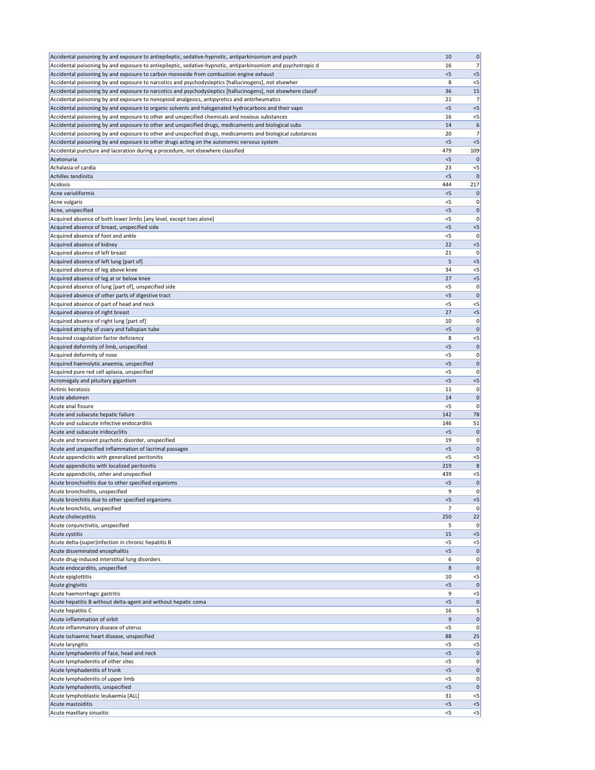| Accidental poisoning by and exposure to antiepileptic, sedative-hypnotic, antiparkinsonism and psych          | 10          | 0                    |
|---------------------------------------------------------------------------------------------------------------|-------------|----------------------|
| Accidental poisoning by and exposure to antiepileptic, sedative-hypnotic, antiparkinsonism and psychotropic d | 16          | 7                    |
| Accidental poisoning by and exposure to carbon monoxide from combustion engine exhaust                        | < 5         | $< 5$                |
| Accidental poisoning by and exposure to narcotics and psychodysleptics [hallucinogens], not elsewher          | 8           | $< 5$                |
| Accidental poisoning by and exposure to narcotics and psychodysleptics [hallucinogens], not elsewhere classif | 36          | 15                   |
| Accidental poisoning by and exposure to nonopioid analgesics, antipyretics and antirheumatics                 | 21          | 7                    |
| Accidental poisoning by and exposure to organic solvents and halogenated hydrocarbons and their vapo          | < 5         | < 5                  |
| Accidental poisoning by and exposure to other and unspecified chemicals and noxious substances                | 16          | $< 5$                |
| Accidental poisoning by and exposure to other and unspecified drugs, medicaments and biological subs          | 14          | 6                    |
| Accidental poisoning by and exposure to other and unspecified drugs, medicaments and biological substances    | 20          | 7                    |
| Accidental poisoning by and exposure to other drugs acting on the autonomic nervous system                    | < 5         | < 5                  |
| Accidental puncture and laceration during a procedure, not elsewhere classified                               | 479         | 109                  |
| Acetonuria                                                                                                    | $<$ 5       | $\mathbf 0$          |
| Achalasia of cardia                                                                                           | 23          | $< 5$                |
| Achilles tendinitis                                                                                           | $<$ 5       | $\mathbf 0$          |
| Acidosis                                                                                                      | 444         | 217                  |
| Acne varioliformis                                                                                            | < 5         | $\mathbf 0$          |
| Acne vulgaris                                                                                                 | $<$ 5       | 0                    |
| Acne, unspecified                                                                                             | $<$ 5       | 0                    |
| Acquired absence of both lower limbs [any level, except toes alone]                                           | <5          | 0                    |
| Acquired absence of breast, unspecified side                                                                  | < 5         | $< 5$                |
| Acquired absence of foot and ankle                                                                            | $<$ 5<br>22 | 0<br>$< 5$           |
| Acquired absence of kidney<br>Acquired absence of left breast                                                 | 21          | 0                    |
| Acquired absence of left lung [part of]                                                                       | 5           | < 5                  |
| Acquired absence of leg above knee                                                                            | 34          | $<$ 5                |
| Acquired absence of leg at or below knee                                                                      | 27          | $< 5$                |
| Acquired absence of lung [part of], unspecified side                                                          | $<$ 5       | 0                    |
| Acquired absence of other parts of digestive tract                                                            | $<$ 5       | $\mathbf 0$          |
| Acquired absence of part of head and neck                                                                     | <5          | $<$ 5                |
| Acquired absence of right breast                                                                              | 27          | $< 5$                |
| Acquired absence of right lung [part of]                                                                      | 10          | 0                    |
| Acquired atrophy of ovary and fallopian tube                                                                  | 5           | 0                    |
| Acquired coagulation factor deficiency                                                                        | 8           | $< 5$                |
| Acquired deformity of limb, unspecified                                                                       | < 5         | $\mathbf 0$          |
| Acquired deformity of nose                                                                                    | $<$ 5       | 0                    |
| Acquired haemolytic anaemia, unspecified                                                                      | < 5         | $\mathbf{0}$         |
| Acquired pure red cell aplasia, unspecified                                                                   | $<$ 5       | 0                    |
| Acromegaly and pituitary gigantism                                                                            | < 5         | $<$ 5                |
| Actinic keratosis                                                                                             | 11          | 0                    |
| Acute abdomen                                                                                                 | 14          | $\mathbf 0$          |
| Acute anal fissure                                                                                            | <5          | 0                    |
| Acute and subacute hepatic failure                                                                            | 142         | 78                   |
| Acute and subacute infective endocarditis                                                                     | 146         | 51                   |
| Acute and subacute iridocyclitis                                                                              | $<$ 5       | $\mathbf 0$          |
| Acute and transient psychotic disorder, unspecified                                                           | 19          | 0                    |
| Acute and unspecified inflammation of lacrimal passages                                                       | < 5         | $\mathbf 0$          |
| Acute appendicitis with generalized peritonitis                                                               | $<$ 5       | $<$ 5                |
| Acute appendicitis with localized peritonitis                                                                 | 219         | 8                    |
| Acute appendicitis, other and unspecified                                                                     | 439         | $< 5$                |
| Acute bronchiolitis due to other specified organisms                                                          | $<$ 5       | $\mathbf 0$          |
| Acute bronchiolitis, unspecified                                                                              | 9           | 0                    |
| Acute bronchitis due to other specified organisms                                                             | $<$ 5       | $<$ 5                |
| Acute bronchitis, unspecified                                                                                 | 7           | 0                    |
| Acute cholecystitis                                                                                           | 250         | 22                   |
| Acute conjunctivitis, unspecified                                                                             | 5           | 0                    |
| Acute cystitis                                                                                                | 15          | $< 5$                |
| Acute delta-(super)infection in chronic hepatitis B<br>Acute disseminated encephalitis                        | <5<br>< 5   | $<$ 5<br>$\mathbf 0$ |
| Acute drug-induced interstitial lung disorders                                                                | 6           | 0                    |
| Acute endocarditis, unspecified                                                                               | 8           | $\mathbf 0$          |
| Acute epiglottitis                                                                                            | 10          | $<$ 5                |
| Acute gingivitis                                                                                              | 5           | $\pmb{0}$            |
| Acute haemorrhagic gastritis                                                                                  | 9           | $<$ 5                |
| Acute hepatitis B without delta-agent and without hepatic coma                                                | < 5         | $\mathbf 0$          |
| Acute hepatitis C                                                                                             | 16          | 5                    |
| Acute inflammation of orbit                                                                                   | 9           | 0                    |
| Acute inflammatory disease of uterus                                                                          | < 5         | 0                    |
| Acute ischaemic heart disease, unspecified                                                                    | 88          | 25                   |
| Acute laryngitis                                                                                              | <5          | $<$ 5                |
| Acute lymphadenitis of face, head and neck                                                                    | $<$ 5       | 0                    |
| Acute lymphadenitis of other sites                                                                            | $<$ 5       | 0                    |
| Acute lymphadenitis of trunk                                                                                  | $<$ 5       | 0                    |
| Acute lymphadenitis of upper limb                                                                             | $<$ 5       | 0                    |
| Acute lymphadenitis, unspecified                                                                              | < 5         | $\mathbf{0}$         |
| Acute lymphoblastic leukaemia [ALL]                                                                           | 31          | $<$ 5                |
| Acute mastoiditis                                                                                             | < 5         | $<$ 5                |
| Acute maxillary sinusitis                                                                                     | $<$ 5       | < 5                  |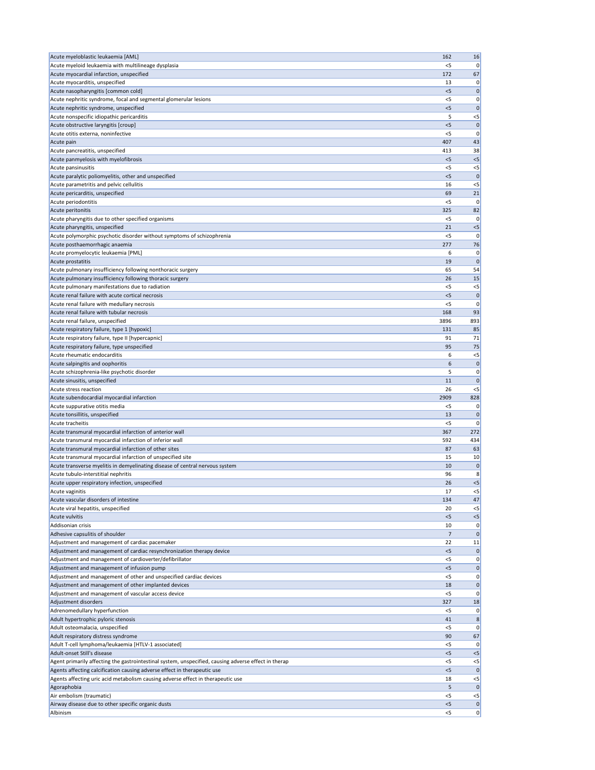| Acute myeloblastic leukaemia [AML]                                                                                                                                               | 162            | 16                  |
|----------------------------------------------------------------------------------------------------------------------------------------------------------------------------------|----------------|---------------------|
| Acute myeloid leukaemia with multilineage dysplasia                                                                                                                              | $<$ 5          | 0                   |
| Acute myocardial infarction, unspecified                                                                                                                                         | 172            | 67                  |
| Acute myocarditis, unspecified                                                                                                                                                   | 13             | 0                   |
| Acute nasopharyngitis [common cold]<br>Acute nephritic syndrome, focal and segmental glomerular lesions                                                                          | < 5<br>< 5     | 0<br>0              |
| Acute nephritic syndrome, unspecified                                                                                                                                            | $<$ 5          | 0                   |
| Acute nonspecific idiopathic pericarditis                                                                                                                                        | 5              | $<$ 5               |
| Acute obstructive laryngitis [croup]                                                                                                                                             | $<$ 5          | $\mathbf 0$         |
| Acute otitis externa, noninfective                                                                                                                                               | <5             | C                   |
| Acute pain                                                                                                                                                                       | 407            | 43                  |
| Acute pancreatitis, unspecified                                                                                                                                                  | 413            | 38                  |
| Acute panmyelosis with myelofibrosis                                                                                                                                             | $<$ 5          | $<$ 5               |
| Acute pansinusitis                                                                                                                                                               | $<$ 5<br>$<$ 5 | $<$ 5<br>C          |
| Acute paralytic poliomyelitis, other and unspecified<br>Acute parametritis and pelvic cellulitis                                                                                 | 16             | $<$ 5               |
| Acute pericarditis, unspecified                                                                                                                                                  | 69             | 21                  |
| Acute periodontitis                                                                                                                                                              | <5             | 0                   |
| Acute peritonitis                                                                                                                                                                | 325            | 82                  |
| Acute pharyngitis due to other specified organisms                                                                                                                               | <5             | 0                   |
| Acute pharyngitis, unspecified                                                                                                                                                   | 21             | $<$ 5               |
| Acute polymorphic psychotic disorder without symptoms of schizophrenia                                                                                                           | $<$ 5          | 0                   |
| Acute posthaemorrhagic anaemia                                                                                                                                                   | 277            | 76                  |
| Acute promyelocytic leukaemia [PML]                                                                                                                                              | 6<br>19        | 0<br>C              |
| Acute prostatitis<br>Acute pulmonary insufficiency following nonthoracic surgery                                                                                                 | 65             | 54                  |
| Acute pulmonary insufficiency following thoracic surgery                                                                                                                         | 26             | 15                  |
| Acute pulmonary manifestations due to radiation                                                                                                                                  | $<$ 5          | $<$ 5               |
| Acute renal failure with acute cortical necrosis                                                                                                                                 | $<$ 5          | 0                   |
| Acute renal failure with medullary necrosis                                                                                                                                      | <5             | C                   |
| Acute renal failure with tubular necrosis                                                                                                                                        | 168            | 93                  |
| Acute renal failure, unspecified                                                                                                                                                 | 3896           | 893                 |
| Acute respiratory failure, type 1 [hypoxic]                                                                                                                                      | 131            | 85                  |
| Acute respiratory failure, type II [hypercapnic]                                                                                                                                 | 91             | 71                  |
| Acute respiratory failure, type unspecified<br>Acute rheumatic endocarditis                                                                                                      | 95<br>6        | 75<br>$<$ 5         |
| Acute salpingitis and oophoritis                                                                                                                                                 | 6              | 0                   |
| Acute schizophrenia-like psychotic disorder                                                                                                                                      | 5              | 0                   |
|                                                                                                                                                                                  |                |                     |
| Acute sinusitis, unspecified                                                                                                                                                     | 11             | 0                   |
| Acute stress reaction                                                                                                                                                            | 26             | $<$ 5               |
| Acute subendocardial myocardial infarction                                                                                                                                       | 2909           | 828                 |
| Acute suppurative otitis media                                                                                                                                                   | $<$ 5          | C                   |
| Acute tonsillitis, unspecified                                                                                                                                                   | 13             | 0                   |
| Acute tracheitis                                                                                                                                                                 | <5             | 0                   |
| Acute transmural myocardial infarction of anterior wall                                                                                                                          | 367            | 272                 |
| Acute transmural myocardial infarction of inferior wall<br>Acute transmural myocardial infarction of other sites                                                                 | 592<br>87      | 434<br>63           |
| Acute transmural myocardial infarction of unspecified site                                                                                                                       | 15             | 10                  |
| Acute transverse myelitis in demyelinating disease of central nervous system                                                                                                     | 10             | 0                   |
| Acute tubulo-interstitial nephritis                                                                                                                                              | 96             | 8                   |
| Acute upper respiratory infection, unspecified                                                                                                                                   | 26             | $<$ 5               |
| Acute vaginitis                                                                                                                                                                  | 17             | $<$ 5               |
| Acute vascular disorders of intestine                                                                                                                                            | 134            | 47                  |
| Acute viral hepatitis, unspecified                                                                                                                                               | 20             | $<$ 5               |
| Acute vulvitis<br>Addisonian crisis                                                                                                                                              | $<$ 5<br>10    | $<$ 5<br>0          |
| Adhesive capsulitis of shoulder                                                                                                                                                  | $\overline{7}$ | $\mathbf 0$         |
| Adjustment and management of cardiac pacemaker                                                                                                                                   | 22             | 11                  |
| Adjustment and management of cardiac resynchronization therapy device                                                                                                            | $<$ 5          | 0                   |
| Adjustment and management of cardioverter/defibrillator                                                                                                                          | <5             | 0                   |
| Adjustment and management of infusion pump                                                                                                                                       | $<$ 5          | 0                   |
| Adjustment and management of other and unspecified cardiac devices                                                                                                               | <5             | 0                   |
| Adjustment and management of other implanted devices                                                                                                                             | 18             | $\boldsymbol{0}$    |
| Adjustment and management of vascular access device<br>Adjustment disorders                                                                                                      | $<$ 5<br>327   | 0<br>18             |
| Adrenomedullary hyperfunction                                                                                                                                                    | $<$ 5          | 0                   |
| Adult hypertrophic pyloric stenosis                                                                                                                                              | 41             | 8                   |
| Adult osteomalacia, unspecified                                                                                                                                                  | $<$ 5          | 0                   |
| Adult respiratory distress syndrome                                                                                                                                              | 90             | 67                  |
| Adult T-cell lymphoma/leukaemia [HTLV-1 associated]                                                                                                                              | $<$ 5          | 0                   |
| Adult-onset Still's disease                                                                                                                                                      | $<$ 5          | $<$ 5               |
| Agent primarily affecting the gastrointestinal system, unspecified, causing adverse effect in therap<br>Agents affecting calcification causing adverse effect in therapeutic use | $<$ 5<br>$<$ 5 | $<$ 5<br>$\Omega$   |
| Agents affecting uric acid metabolism causing adverse effect in therapeutic use                                                                                                  | 18             | $<$ 5               |
| Agoraphobia                                                                                                                                                                      | 5              | $\mathbf 0$         |
| Air embolism (traumatic)                                                                                                                                                         | <5             | $<$ 5               |
| Airway disease due to other specific organic dusts<br>Albinism                                                                                                                   | < 5<br>$<$ 5   | 0<br>$\overline{0}$ |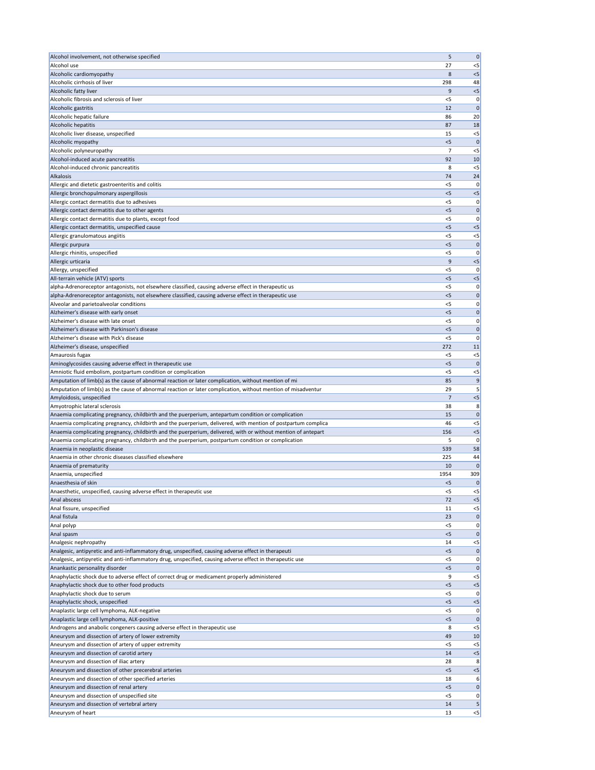| Alcohol involvement, not otherwise specified                                                                                             | 5              | $\pmb{0}$            |
|------------------------------------------------------------------------------------------------------------------------------------------|----------------|----------------------|
| Alcohol use                                                                                                                              | 27             | $<$ 5                |
| Alcoholic cardiomyopathy<br>Alcoholic cirrhosis of liver                                                                                 | 8<br>298       | $<$ 5<br>48          |
| Alcoholic fatty liver                                                                                                                    | 9              | $<$ 5                |
| Alcoholic fibrosis and sclerosis of liver                                                                                                | $<$ 5          | 0                    |
| Alcoholic gastritis                                                                                                                      | 12             | $\Omega$             |
| Alcoholic hepatic failure                                                                                                                | 86             | 20                   |
| Alcoholic hepatitis                                                                                                                      | 87             | 18                   |
| Alcoholic liver disease, unspecified<br>Alcoholic myopathy                                                                               | 15<br>$<$ 5    | $<$ 5<br>$\mathbf 0$ |
| Alcoholic polyneuropathy                                                                                                                 | 7              | $<$ 5                |
| Alcohol-induced acute pancreatitis                                                                                                       | 92             | 10                   |
| Alcohol-induced chronic pancreatitis                                                                                                     | 8              | $<$ 5                |
| Alkalosis                                                                                                                                | 74             | 24                   |
| Allergic and dietetic gastroenteritis and colitis                                                                                        | $<$ 5          | $\Omega$             |
| Allergic bronchopulmonary aspergillosis<br>Allergic contact dermatitis due to adhesives                                                  | < 5<br>$<$ 5   | $<$ 5<br>0           |
| Allergic contact dermatitis due to other agents                                                                                          | < 5            | $\mathbf 0$          |
| Allergic contact dermatitis due to plants, except food                                                                                   | <5             | 0                    |
| Allergic contact dermatitis, unspecified cause                                                                                           | < 5            | $<$ 5                |
| Allergic granulomatous angiitis                                                                                                          | <5             | $<$ 5                |
| Allergic purpura                                                                                                                         | < 5            | 0                    |
| Allergic rhinitis, unspecified                                                                                                           | $<$ 5          | 0                    |
| Allergic urticaria                                                                                                                       | 9              | $<$ 5                |
| Allergy, unspecified                                                                                                                     | $<$ 5          | 0                    |
| All-terrain vehicle (ATV) sports<br>alpha-Adrenoreceptor antagonists, not elsewhere classified, causing adverse effect in therapeutic us | $<$ 5<br>$<$ 5 | $<$ 5<br>0           |
| alpha-Adrenoreceptor antagonists, not elsewhere classified, causing adverse effect in therapeutic use                                    | < 5            | $\mathbf 0$          |
| Alveolar and parietoalveolar conditions                                                                                                  | <5             | 0                    |
| Alzheimer's disease with early onset                                                                                                     | < 5            | $\mathbf 0$          |
| Alzheimer's disease with late onset                                                                                                      | $<$ 5          | 0                    |
| Alzheimer's disease with Parkinson's disease                                                                                             | $<$ 5          | 0                    |
| Alzheimer's disease with Pick's disease                                                                                                  | $<$ 5          | 0                    |
| Alzheimer's disease, unspecified                                                                                                         | 272            | 11                   |
| Amaurosis fugax                                                                                                                          | $<$ 5          | $<$ 5<br>$\Omega$    |
| Aminoglycosides causing adverse effect in therapeutic use<br>Amniotic fluid embolism, postpartum condition or complication               | < 5<br>$<$ 5   | $<$ 5                |
| Amputation of limb(s) as the cause of abnormal reaction or later complication, without mention of mi                                     | 85             | 9                    |
| Amputation of limb(s) as the cause of abnormal reaction or later complication, without mention of misadventur                            | 29             | 5                    |
| Amyloidosis, unspecified                                                                                                                 | $\overline{7}$ | $<$ 5                |
| Amyotrophic lateral sclerosis                                                                                                            | 38             | 8                    |
| Anaemia complicating pregnancy, childbirth and the puerperium, antepartum condition or complication                                      | 15             | $\mathbf 0$          |
| Anaemia complicating pregnancy, childbirth and the puerperium, delivered, with mention of postpartum complica                            |                |                      |
|                                                                                                                                          | 46             | $<$ 5                |
| Anaemia complicating pregnancy, childbirth and the puerperium, delivered, with or without mention of antepart                            | 156            | $<$ 5                |
| Anaemia complicating pregnancy, childbirth and the puerperium, postpartum condition or complication                                      | 5              | 0                    |
| Anaemia in neoplastic disease                                                                                                            | 539            | 58                   |
| Anaemia in other chronic diseases classified elsewhere                                                                                   | 225<br>10      | 44<br>$\Omega$       |
| Anaemia of prematurity<br>Anaemia, unspecified                                                                                           | 1954           | 309                  |
| Anaesthesia of skin                                                                                                                      | < 5            | $\mathbf 0$          |
| Anaesthetic, unspecified, causing adverse effect in therapeutic use                                                                      | $<$ 5          | $<$ 5                |
| Anal abscess                                                                                                                             | 72             | $<$ 5                |
| Anal fissure, unspecified                                                                                                                | 11             | $<$ 5                |
| Anal fistula                                                                                                                             | 23             | $\mathbf 0$          |
| Anal polyp                                                                                                                               | $<$ 5          | 0                    |
| Anal spasm                                                                                                                               | < 5<br>14      | $\Omega$             |
| Analgesic nephropathy<br>Analgesic, antipyretic and anti-inflammatory drug, unspecified, causing adverse effect in therapeuti            | < 5            | $<$ 5<br>$\mathbf 0$ |
| Analgesic, antipyretic and anti-inflammatory drug, unspecified, causing adverse effect in therapeutic use                                | $<$ 5          | 0                    |
| Anankastic personality disorder                                                                                                          | $<$ 5          | 0                    |
| Anaphylactic shock due to adverse effect of correct drug or medicament properly administered                                             | 9              | $<$ 5                |
| Anaphylactic shock due to other food products                                                                                            | < 5            | $<$ 5                |
| Anaphylactic shock due to serum                                                                                                          | $<$ 5          | 0                    |
| Anaphylactic shock, unspecified                                                                                                          | < 5            | $<$ 5                |
| Anaplastic large cell lymphoma, ALK-negative                                                                                             | $<$ 5          | 0<br>$\Omega$        |
| Anaplastic large cell lymphoma, ALK-positive<br>Androgens and anabolic congeners causing adverse effect in therapeutic use               | < 5<br>8       | $<$ 5                |
| Aneurysm and dissection of artery of lower extremity                                                                                     | 49             | 10                   |
| Aneurysm and dissection of artery of upper extremity                                                                                     | $<$ 5          | $<$ 5                |
| Aneurysm and dissection of carotid artery                                                                                                | 14             | < 5                  |
| Aneurysm and dissection of iliac artery                                                                                                  | 28             | 8                    |
| Aneurysm and dissection of other precerebral arteries                                                                                    | < 5            | < 5                  |
| Aneurysm and dissection of other specified arteries                                                                                      | 18             | 6                    |
| Aneurysm and dissection of renal artery                                                                                                  | < 5<br><5      | 0                    |
| Aneurysm and dissection of unspecified site<br>Aneurysm and dissection of vertebral artery                                               | 14             |                      |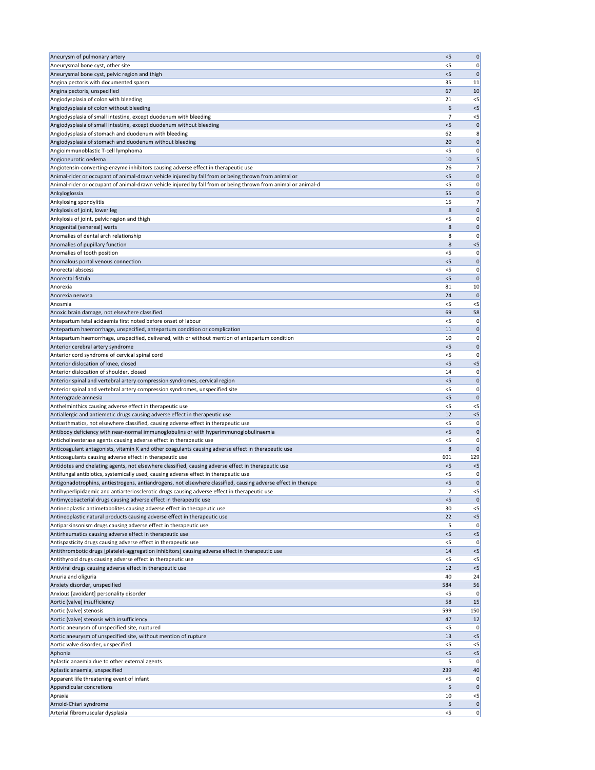| Aneurysm of pulmonary artery                                                                                                                                                                                          | < 5            | $\pmb{0}$              |
|-----------------------------------------------------------------------------------------------------------------------------------------------------------------------------------------------------------------------|----------------|------------------------|
| Aneurysmal bone cyst, other site                                                                                                                                                                                      | <5             | 0                      |
| Aneurysmal bone cyst, pelvic region and thigh                                                                                                                                                                         | $<$ 5          | 0                      |
| Angina pectoris with documented spasm                                                                                                                                                                                 | 35             | 11                     |
| Angina pectoris, unspecified                                                                                                                                                                                          | 67             | 10                     |
| Angiodysplasia of colon with bleeding                                                                                                                                                                                 | 21             | $<$ 5                  |
| Angiodysplasia of colon without bleeding                                                                                                                                                                              | 6              | $<$ 5                  |
| Angiodysplasia of small intestine, except duodenum with bleeding                                                                                                                                                      | $\overline{7}$ | $<$ 5                  |
| Angiodysplasia of small intestine, except duodenum without bleeding                                                                                                                                                   | < 5            | 0                      |
| Angiodysplasia of stomach and duodenum with bleeding                                                                                                                                                                  | 62             | 8                      |
| Angiodysplasia of stomach and duodenum without bleeding                                                                                                                                                               | 20             | $\mathbf 0$            |
| Angioimmunoblastic T-cell lymphoma                                                                                                                                                                                    | $<$ 5          | 0                      |
| Angioneurotic oedema                                                                                                                                                                                                  | 10             | 5                      |
| Angiotensin-converting-enzyme inhibitors causing adverse effect in therapeutic use                                                                                                                                    | 26             | 7                      |
| Animal-rider or occupant of animal-drawn vehicle injured by fall from or being thrown from animal or<br>Animal-rider or occupant of animal-drawn vehicle injured by fall from or being thrown from animal or animal-d | $<$ 5<br>$<$ 5 | 0                      |
| Ankyloglossia                                                                                                                                                                                                         | 55             | 0<br>0                 |
| Ankylosing spondylitis                                                                                                                                                                                                | 15             | 7 <sup>1</sup>         |
| Ankylosis of joint, lower leg                                                                                                                                                                                         | 8              | $\mathbf 0$            |
| Ankylosis of joint, pelvic region and thigh                                                                                                                                                                           | <5             | 0                      |
| Anogenital (venereal) warts                                                                                                                                                                                           | 8              | $\mathbf 0$            |
| Anomalies of dental arch relationship                                                                                                                                                                                 | 8              | 0                      |
| Anomalies of pupillary function                                                                                                                                                                                       | 8              | $<$ 5                  |
| Anomalies of tooth position                                                                                                                                                                                           | <5             | 0                      |
| Anomalous portal venous connection                                                                                                                                                                                    | $<$ 5          | $\mathbf{0}$           |
| Anorectal abscess                                                                                                                                                                                                     | <5             | 0                      |
| Anorectal fistula                                                                                                                                                                                                     | < 5            | $\mathbf 0$            |
| Anorexia                                                                                                                                                                                                              | 81             | 10                     |
| Anorexia nervosa                                                                                                                                                                                                      | 24             | $\mathbf 0$            |
| Anosmia                                                                                                                                                                                                               | <5             | $< 5$                  |
| Anoxic brain damage, not elsewhere classified                                                                                                                                                                         | 69             | 58                     |
| Antepartum fetal acidaemia first noted before onset of labour                                                                                                                                                         | < 5            | 0                      |
| Antepartum haemorrhage, unspecified, antepartum condition or complication                                                                                                                                             | 11             | 0                      |
| Antepartum haemorrhage, unspecified, delivered, with or without mention of antepartum condition                                                                                                                       | 10             | 0                      |
| Anterior cerebral artery syndrome                                                                                                                                                                                     | $<$ 5          | 0                      |
| Anterior cord syndrome of cervical spinal cord                                                                                                                                                                        | $<$ 5          | 0                      |
| Anterior dislocation of knee, closed                                                                                                                                                                                  | $<$ 5          | $< 5$                  |
| Anterior dislocation of shoulder, closed                                                                                                                                                                              | 14             | 0                      |
| Anterior spinal and vertebral artery compression syndromes, cervical region                                                                                                                                           | < 5            | 0                      |
| Anterior spinal and vertebral artery compression syndromes, unspecified site                                                                                                                                          | $<$ 5          | 0                      |
| Anterograde amnesia                                                                                                                                                                                                   | < 5            | 0                      |
| Anthelminthics causing adverse effect in therapeutic use                                                                                                                                                              | $<$ 5          | $<$ 5                  |
| Antiallergic and antiemetic drugs causing adverse effect in therapeutic use                                                                                                                                           | 12             | $<$ 5                  |
| Antiasthmatics, not elsewhere classified, causing adverse effect in therapeutic use                                                                                                                                   | $<$ 5          | 0                      |
| Antibody deficiency with near-normal immunoglobulins or with hyperimmunoglobulinaemia                                                                                                                                 | < 5            | 0                      |
| Anticholinesterase agents causing adverse effect in therapeutic use                                                                                                                                                   | $<$ 5          | 0                      |
| Anticoagulant antagonists, vitamin K and other coagulants causing adverse effect in therapeutic use                                                                                                                   | 8              | $\mathbf 0$            |
| Anticoagulants causing adverse effect in therapeutic use                                                                                                                                                              | 601<br>< 5     | 129                    |
| Antidotes and chelating agents, not elsewhere classified, causing adverse effect in therapeutic use<br>Antifungal antibiotics, systemically used, causing adverse effect in therapeutic use                           | <5             | $<$ 5<br>0             |
| Antigonadotrophins, antiestrogens, antiandrogens, not elsewhere classified, causing adverse effect in therape                                                                                                         | $<$ 5          | 0                      |
| Antihyperlipidaemic and antiarteriosclerotic drugs causing adverse effect in therapeutic use                                                                                                                          | 7              | $< 5$                  |
| Antimycobacterial drugs causing adverse effect in therapeutic use                                                                                                                                                     | $<$ 5          | 0                      |
| Antineoplastic antimetabolites causing adverse effect in therapeutic use                                                                                                                                              | 30             | $< 5$                  |
| Antineoplastic natural products causing adverse effect in therapeutic use                                                                                                                                             | 22             | $< 5$                  |
| Antiparkinsonism drugs causing adverse effect in therapeutic use                                                                                                                                                      | 5              | 0                      |
| Antirheumatics causing adverse effect in therapeutic use                                                                                                                                                              | < 5            | $<$ 5                  |
| Antispasticity drugs causing adverse effect in therapeutic use                                                                                                                                                        |                | 0                      |
|                                                                                                                                                                                                                       | $<$ 5          | $<$ 5                  |
| Antithrombotic drugs [platelet-aggregation inhibitors] causing adverse effect in therapeutic use                                                                                                                      | 14             |                        |
| Antithyroid drugs causing adverse effect in therapeutic use                                                                                                                                                           | <5             | $<$ 5                  |
| Antiviral drugs causing adverse effect in therapeutic use                                                                                                                                                             | 12             | $< 5$                  |
| Anuria and oliguria                                                                                                                                                                                                   | 40             | 24                     |
| Anxiety disorder, unspecified                                                                                                                                                                                         | 584            | 56                     |
| Anxious [avoidant] personality disorder                                                                                                                                                                               | $<$ 5          | 0                      |
| Aortic (valve) insufficiency                                                                                                                                                                                          | 58             | 15                     |
| Aortic (valve) stenosis                                                                                                                                                                                               | 599            |                        |
| Aortic (valve) stenosis with insufficiency                                                                                                                                                                            | 47             | 12                     |
| Aortic aneurysm of unspecified site, ruptured                                                                                                                                                                         | $<$ 5          | 0                      |
| Aortic aneurysm of unspecified site, without mention of rupture                                                                                                                                                       | 13             | $<$ 5                  |
| Aortic valve disorder, unspecified                                                                                                                                                                                    | $<$ 5          | $<$ 5                  |
| Aphonia                                                                                                                                                                                                               | $<$ 5          | $<$ 5                  |
| Aplastic anaemia due to other external agents                                                                                                                                                                         | 5              | 150<br> 0              |
| Aplastic anaemia, unspecified                                                                                                                                                                                         | 239            | 40                     |
| Apparent life threatening event of infant                                                                                                                                                                             | $<$ 5          |                        |
| Appendicular concretions                                                                                                                                                                                              | 5              |                        |
| Apraxia                                                                                                                                                                                                               | 10             | $<$ 5                  |
| Arnold-Chiari syndrome<br>Arterial fibromuscular dysplasia                                                                                                                                                            | 5<br>$<$ 5     | 0 <br> 0 <br> 0 <br> 0 |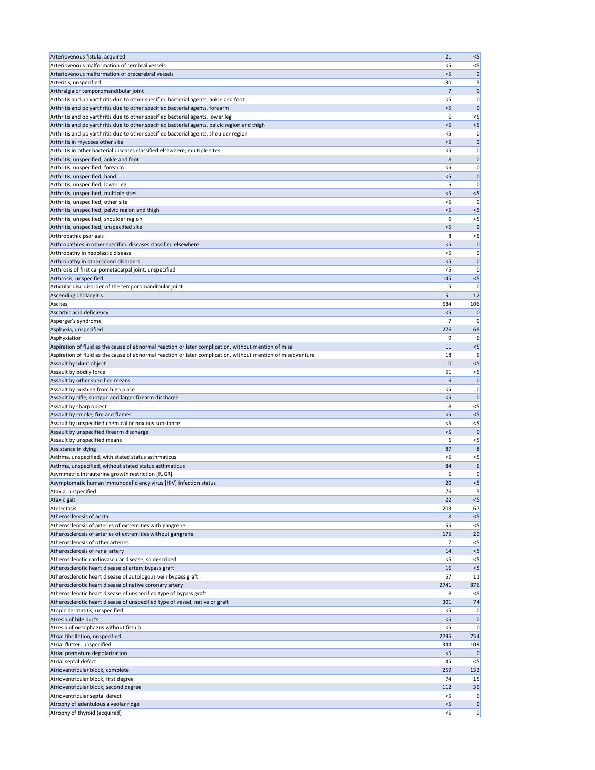| Arteriovenous fistula, acquired                                                                                                                                | 21             | $<$ 5                |
|----------------------------------------------------------------------------------------------------------------------------------------------------------------|----------------|----------------------|
| Arteriovenous malformation of cerebral vessels                                                                                                                 | $<$ 5          | $<$ 5                |
| Arteriovenous malformation of precerebral vessels                                                                                                              | $<$ 5          | 0                    |
| Arteritis, unspecified                                                                                                                                         | 30             | 5                    |
| Arthralgia of temporomandibular joint                                                                                                                          | 7              | $\mathbf 0$          |
| Arthritis and polyarthritis due to other specified bacterial agents, ankle and foot                                                                            | $<$ 5          | 0                    |
| Arthritis and polyarthritis due to other specified bacterial agents, forearm<br>Arthritis and polyarthritis due to other specified bacterial agents, lower leg | < 5<br>6       | $\mathbf 0$<br>$<$ 5 |
| Arthritis and polyarthritis due to other specified bacterial agents, pelvic region and thigh                                                                   | < 5            | $<$ 5                |
| Arthritis and polyarthritis due to other specified bacterial agents, shoulder region                                                                           | $<$ 5          | 0                    |
| Arthritis in mycoses other site                                                                                                                                | < 5            | $\mathbf 0$          |
| Arthritis in other bacterial diseases classified elsewhere, multiple sites                                                                                     | $<$ 5          | 0                    |
| Arthritis, unspecified, ankle and foot                                                                                                                         | 8              | 0                    |
| Arthritis, unspecified, forearm                                                                                                                                | $<$ 5          | 0                    |
| Arthritis, unspecified, hand                                                                                                                                   | $<$ 5          | 0                    |
| Arthritis, unspecified, lower leg                                                                                                                              | 5              | 0                    |
| Arthritis, unspecified, multiple sites                                                                                                                         | < 5            | $<$ 5                |
| Arthritis, unspecified, other site                                                                                                                             | $<$ 5          | 0                    |
| Arthritis, unspecified, pelvic region and thigh                                                                                                                | $<$ 5          | $<$ 5                |
| Arthritis, unspecified, shoulder region                                                                                                                        | 6              | $<$ 5                |
| Arthritis, unspecified, unspecified site                                                                                                                       | < 5            | $\mathbf 0$          |
| Arthropathic psoriasis                                                                                                                                         | 8<br>< 5       | $<$ 5<br>$\mathbf 0$ |
| Arthropathies in other specified diseases classified elsewhere<br>Arthropathy in neoplastic disease                                                            | $<$ 5          | 0                    |
| Arthropathy in other blood disorders                                                                                                                           | < 5            | 0                    |
| Arthrosis of first carpometacarpal joint, unspecified                                                                                                          | $<$ 5          | 0                    |
| Arthrosis, unspecified                                                                                                                                         | 145            | $<$ 5                |
| Articular disc disorder of the temporomandibular joint                                                                                                         | 5              | 0                    |
| Ascending cholangitis                                                                                                                                          | 51             | 12                   |
| <b>Ascites</b>                                                                                                                                                 | 584            | 106                  |
| Ascorbic acid deficiency                                                                                                                                       | $<$ 5          | 0                    |
| Asperger's syndrome                                                                                                                                            | $\overline{7}$ | 0                    |
| Asphyxia, unspecified                                                                                                                                          | 276            | 68                   |
| Asphyxiation                                                                                                                                                   | 9              | 6                    |
| Aspiration of fluid as the cause of abnormal reaction or later complication, without mention of misa                                                           | 11             | $<$ 5                |
| Aspiration of fluid as the cause of abnormal reaction or later complication, without mention of misadventure                                                   | 18             | 6                    |
| Assault by blunt object                                                                                                                                        | 10             | $<$ 5                |
| Assault by bodily force<br>Assault by other specified means                                                                                                    | 51<br>6        | $<$ 5<br>$\mathbf 0$ |
| Assault by pushing from high place                                                                                                                             | <5             | 0                    |
| Assault by rifle, shotgun and larger firearm discharge                                                                                                         | $<$ 5          | 0                    |
| Assault by sharp object                                                                                                                                        | 18             | $<$ 5                |
| Assault by smoke, fire and flames                                                                                                                              | $<$ 5          | $<$ 5                |
| Assault by unspecified chemical or noxious substance                                                                                                           | $<$ 5          | $<$ 5                |
| Assault by unspecified firearm discharge                                                                                                                       | < 5            | $\mathbf 0$          |
| Assault by unspecified means                                                                                                                                   | 6              | $<$ 5                |
| Assistance in dying                                                                                                                                            | 87             | 8                    |
| Asthma, unspecified, with stated status asthmaticus                                                                                                            | <5             | $<$ 5                |
| Asthma, unspecified, without stated status asthmaticus                                                                                                         | 84             | 6                    |
| Asymmetric intrauterine growth restriction [IUGR]                                                                                                              | 6              | 0                    |
| Asymptomatic human immunodeficiency virus [HIV] infection status                                                                                               | 20             | $<$ 5                |
| Ataxia, unspecified                                                                                                                                            | 76             |                      |
| Ataxic gait<br>Atelectasis                                                                                                                                     | 22             | $<$ 5                |
| Atherosclerosis of aorta                                                                                                                                       | 203<br>8       | 67<br>$<$ 5          |
| Atherosclerosis of arteries of extremities with gangrene                                                                                                       | 55             | $<$ 5                |
| Atherosclerosis of arteries of extremities without gangrene                                                                                                    | 175            | 20                   |
| Atherosclerosis of other arteries                                                                                                                              | 7              | $<$ 5                |
| Atherosclerosis of renal artery                                                                                                                                | 14             | $<$ 5                |
| Atherosclerotic cardiovascular disease, so described                                                                                                           | $<$ 5          | $<$ 5                |
| Atherosclerotic heart disease of artery bypass graft                                                                                                           | 16             | $<$ 5                |
| Atherosclerotic heart disease of autologous vein bypass graft                                                                                                  | 57             | 11                   |
| Atherosclerotic heart disease of native coronary artery                                                                                                        | 2741           | 876                  |
| Atherosclerotic heart disease of unspecified type of bypass graft                                                                                              | 8              | $<$ 5                |
| Atherosclerotic heart disease of unspecified type of vessel, native or graft                                                                                   | 301            | 74                   |
| Atopic dermatitis, unspecified                                                                                                                                 | $<$ 5          | 0                    |
| Atresia of bile ducts                                                                                                                                          |                | $\mathbf 0$          |
|                                                                                                                                                                | < 5            |                      |
| Atresia of oesophagus without fistula                                                                                                                          | $<$ 5          | 0                    |
| Atrial fibrillation, unspecified                                                                                                                               | 2795           | 754                  |
| Atrial flutter, unspecified                                                                                                                                    | 344            | 109                  |
| Atrial premature depolarization                                                                                                                                | $<$ 5<br>45    | $<$ 5                |
| Atrial septal defect<br>Atrioventricular block, complete                                                                                                       | 259            | 132                  |
| Atrioventricular block, first degree                                                                                                                           | 74             | 15                   |
| Atrioventricular block, second degree                                                                                                                          | 112            | 30                   |
| Atrioventricular septal defect                                                                                                                                 | $<$ 5          | 0                    |
| Atrophy of edentulous alveolar ridge                                                                                                                           | < 5            | $\mathbf 0$          |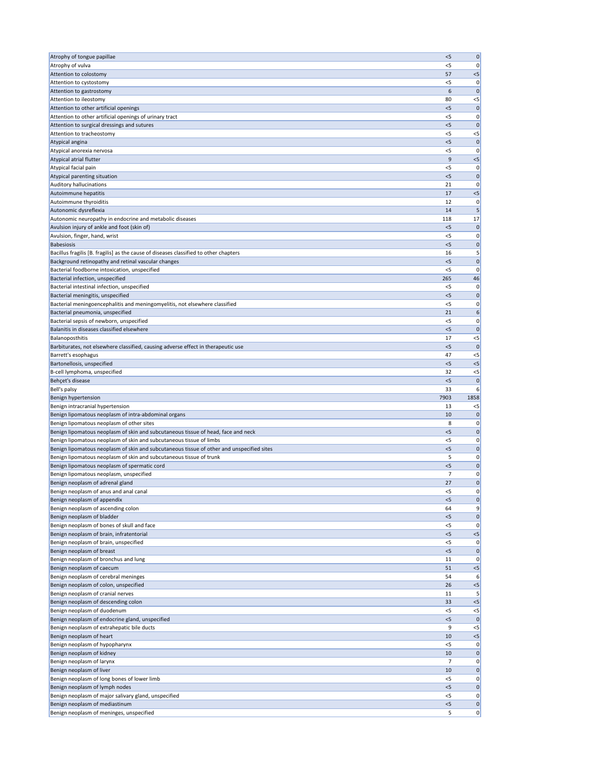| Atrophy of tongue papillae                                                                | < 5        | $\mathbf 0$       |
|-------------------------------------------------------------------------------------------|------------|-------------------|
| Atrophy of vulva                                                                          | <5         | 0                 |
| Attention to colostomy                                                                    | 57         | $<$ 5             |
| Attention to cystostomy                                                                   | $<$ 5      | 0                 |
| Attention to gastrostomy                                                                  | 6          | $\Omega$          |
| Attention to ileostomy                                                                    | 80         | $<$ 5             |
| Attention to other artificial openings                                                    | $<$ 5      | 0                 |
| Attention to other artificial openings of urinary tract                                   | $<$ 5      | 0                 |
| Attention to surgical dressings and sutures                                               | < 5        | $\mathbf 0$       |
| Attention to tracheostomy                                                                 | <5         | $<$ 5             |
| Atypical angina                                                                           | < 5        | $\mathbf 0$       |
| Atypical anorexia nervosa                                                                 | $<$ 5      | 0                 |
| Atypical atrial flutter                                                                   | 9          | $<$ 5             |
| Atypical facial pain                                                                      | $<$ 5      | 0                 |
| Atypical parenting situation                                                              | $<$ 5      | $\mathbf 0$       |
| <b>Auditory hallucinations</b>                                                            | 21         | 0                 |
| Autoimmune hepatitis                                                                      | 17         | $<$ 5             |
| Autoimmune thyroiditis                                                                    | 12         | 0                 |
| Autonomic dysreflexia                                                                     | 14         |                   |
| Autonomic neuropathy in endocrine and metabolic diseases                                  | 118        | 17                |
| Avulsion injury of ankle and foot (skin of)                                               | < 5        | $\mathbf 0$       |
| Avulsion, finger, hand, wrist                                                             | $<$ 5      | 0                 |
| <b>Babesiosis</b>                                                                         | $<$ 5      | 0                 |
| Bacillus fragilis [B. fragilis] as the cause of diseases classified to other chapters     | 16         | 5                 |
| Background retinopathy and retinal vascular changes                                       | $<$ 5      | $\mathbf 0$       |
| Bacterial foodborne intoxication, unspecified                                             | $<$ 5      | 0                 |
| Bacterial infection, unspecified                                                          | 265        | 46                |
| Bacterial intestinal infection, unspecified                                               | <5         | 0                 |
| Bacterial meningitis, unspecified                                                         | < 5        | $\mathbf 0$       |
| Bacterial meningoencephalitis and meningomyelitis, not elsewhere classified               | <5         | 0                 |
| Bacterial pneumonia, unspecified                                                          | 21         | 6                 |
| Bacterial sepsis of newborn, unspecified                                                  | $<$ 5      | 0                 |
| Balanitis in diseases classified elsewhere                                                | $<$ 5      | 0                 |
| Balanoposthitis                                                                           | 17         | $<$ 5             |
| Barbiturates, not elsewhere classified, causing adverse effect in therapeutic use         | $<$ 5      | $\Omega$          |
| Barrett's esophagus                                                                       | 47         | $<$ 5             |
| Bartonellosis, unspecified                                                                | < 5        | $<$ 5             |
| B-cell lymphoma, unspecified                                                              | 32         |                   |
|                                                                                           |            | $<$ 5             |
| Behçet's disease                                                                          | $<$ 5      | $\Omega$          |
| Bell's palsy                                                                              | 33         | 6                 |
| Benign hypertension                                                                       | 7903       | 1858              |
| Benign intracranial hypertension                                                          | -13        | $<$ 5             |
| Benign lipomatous neoplasm of intra-abdominal organs                                      | 10         | $\Omega$          |
| Benign lipomatous neoplasm of other sites                                                 | 8          | 0                 |
| Benign lipomatous neoplasm of skin and subcutaneous tissue of head, face and neck         | $<$ 5      | $\mathbf 0$       |
| Benign lipomatous neoplasm of skin and subcutaneous tissue of limbs                       | $<$ 5      | 0                 |
| Benign lipomatous neoplasm of skin and subcutaneous tissue of other and unspecified sites | $<$ 5      | 0                 |
| Benign lipomatous neoplasm of skin and subcutaneous tissue of trunk                       | 5          | 0                 |
| Benign lipomatous neoplasm of spermatic cord                                              | $<$ 5      | $\mathbf 0$       |
| Benign lipomatous neoplasm, unspecified                                                   | 7          | 0                 |
| Benign neoplasm of adrenal gland                                                          | 27         | 0                 |
| Benign neoplasm of anus and anal canal                                                    | $<$ 5      | 0                 |
| Benign neoplasm of appendix                                                               | $<$ 5      | $\mathbf 0$       |
| Benign neoplasm of ascending colon                                                        | 64         | 9                 |
| Benign neoplasm of bladder                                                                | $<$ 5      | 0                 |
| Benign neoplasm of bones of skull and face                                                | <5         | 0                 |
| Benign neoplasm of brain, infratentorial                                                  | < 5        | $<$ 5             |
| Benign neoplasm of brain, unspecified                                                     | <5         | 0                 |
| Benign neoplasm of breast                                                                 | < 5        | 0                 |
| Benign neoplasm of bronchus and lung                                                      | 11         | 0                 |
| Benign neoplasm of caecum                                                                 | 51         | $<$ 5             |
| Benign neoplasm of cerebral meninges                                                      | 54         | 6                 |
| Benign neoplasm of colon, unspecified                                                     | 26         | $<$ 5             |
| Benign neoplasm of cranial nerves                                                         | 11         | 5                 |
| Benign neoplasm of descending colon                                                       | 33         | $<$ 5             |
| Benign neoplasm of duodenum                                                               | $<$ 5      | $<$ 5             |
| Benign neoplasm of endocrine gland, unspecified                                           | < 5        | $\Omega$          |
| Benign neoplasm of extrahepatic bile ducts                                                | 9          | $<$ 5             |
| Benign neoplasm of heart                                                                  | 10         | $<$ 5             |
| Benign neoplasm of hypopharynx                                                            | $<$ 5      | 0                 |
| Benign neoplasm of kidney                                                                 | 10         | 0                 |
| Benign neoplasm of larynx                                                                 | 7          | 0                 |
| Benign neoplasm of liver                                                                  | 10         | 0                 |
| Benign neoplasm of long bones of lower limb                                               | $<$ 5      | 0                 |
| Benign neoplasm of lymph nodes                                                            | $<$ 5      | $\mathbf 0$       |
| Benign neoplasm of major salivary gland, unspecified                                      | $<$ 5      | 0                 |
| Benign neoplasm of mediastinum<br>Benign neoplasm of meninges, unspecified                | $<$ 5<br>5 | $\mathbf 0$<br> 0 |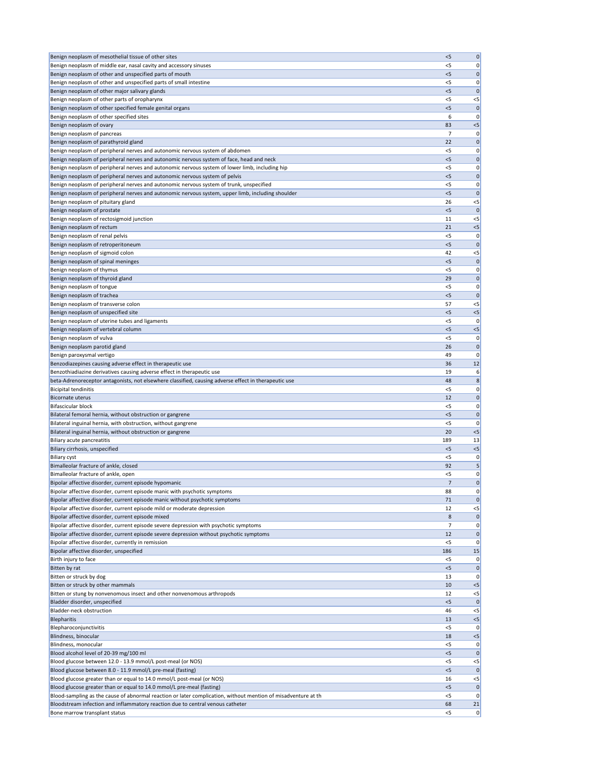| Benign neoplasm of mesothelial tissue of other sites                                                          | $<$ 5 | 0            |
|---------------------------------------------------------------------------------------------------------------|-------|--------------|
| Benign neoplasm of middle ear, nasal cavity and accessory sinuses                                             | $<$ 5 | 0            |
| Benign neoplasm of other and unspecified parts of mouth                                                       | $<$ 5 | 0            |
| Benign neoplasm of other and unspecified parts of small intestine                                             | $<$ 5 | 0            |
| Benign neoplasm of other major salivary glands                                                                | $<$ 5 | 0            |
| Benign neoplasm of other parts of oropharynx                                                                  | < 5   |              |
|                                                                                                               |       | $<$ 5        |
| Benign neoplasm of other specified female genital organs                                                      | $<$ 5 | $\mathbf 0$  |
| Benign neoplasm of other specified sites                                                                      | 6     | 0            |
| Benign neoplasm of ovary                                                                                      | 83    | $< 5$        |
| Benign neoplasm of pancreas                                                                                   | 7     | 0            |
|                                                                                                               | 22    |              |
| Benign neoplasm of parathyroid gland                                                                          |       | 0            |
| Benign neoplasm of peripheral nerves and autonomic nervous system of abdomen                                  | $<$ 5 | 0            |
| Benign neoplasm of peripheral nerves and autonomic nervous system of face, head and neck                      | $<$ 5 | 0            |
| Benign neoplasm of peripheral nerves and autonomic nervous system of lower limb, including hip                | $<$ 5 | 0            |
| Benign neoplasm of peripheral nerves and autonomic nervous system of pelvis                                   | $<$ 5 | 0            |
|                                                                                                               |       |              |
| Benign neoplasm of peripheral nerves and autonomic nervous system of trunk, unspecified                       | < 5   | 0            |
| Benign neoplasm of peripheral nerves and autonomic nervous system, upper limb, including shoulder             | $<$ 5 | 0            |
| Benign neoplasm of pituitary gland                                                                            | 26    | $<$ 5        |
| Benign neoplasm of prostate                                                                                   | $<$ 5 | $\mathbf{0}$ |
| Benign neoplasm of rectosigmoid junction                                                                      | 11    | $<$ 5        |
|                                                                                                               |       |              |
| Benign neoplasm of rectum                                                                                     | 21    | $< 5$        |
| Benign neoplasm of renal pelvis                                                                               | $<$ 5 | 0            |
| Benign neoplasm of retroperitoneum                                                                            | $<$ 5 | 0            |
| Benign neoplasm of sigmoid colon                                                                              | 42    | $< 5$        |
|                                                                                                               |       |              |
| Benign neoplasm of spinal meninges                                                                            | $<$ 5 | 0            |
| Benign neoplasm of thymus                                                                                     | $<$ 5 | 0            |
| Benign neoplasm of thyroid gland                                                                              | 29    | 0            |
| Benign neoplasm of tongue                                                                                     | $<$ 5 | 0            |
| Benign neoplasm of trachea                                                                                    | $<$ 5 | $\mathbf 0$  |
|                                                                                                               |       |              |
| Benign neoplasm of transverse colon                                                                           | 57    | $<$ 5        |
| Benign neoplasm of unspecified site                                                                           | $<$ 5 | $< 5$        |
| Benign neoplasm of uterine tubes and ligaments                                                                | <5    | 0            |
| Benign neoplasm of vertebral column                                                                           | $<$ 5 | $<$ 5        |
| Benign neoplasm of vulva                                                                                      | <5    | 0            |
|                                                                                                               |       |              |
| Benign neoplasm parotid gland                                                                                 | 26    | 0            |
| Benign paroxysmal vertigo                                                                                     | 49    | 0            |
| Benzodiazepines causing adverse effect in therapeutic use                                                     | 36    | 12           |
| Benzothiadiazine derivatives causing adverse effect in therapeutic use                                        | 19    | 6            |
|                                                                                                               | 48    |              |
| beta-Adrenoreceptor antagonists, not elsewhere classified, causing adverse effect in therapeutic use          |       | 8            |
| <b>Bicipital tendinitis</b>                                                                                   | $<$ 5 | 0            |
| <b>Bicornate uterus</b>                                                                                       | 12    | 0            |
| Bifascicular block                                                                                            | <5    | 0            |
| Bilateral femoral hernia, without obstruction or gangrene                                                     | $<$ 5 | 0            |
|                                                                                                               |       |              |
| Bilateral inguinal hernia, with obstruction, without gangrene                                                 | <5    | 0            |
| Bilateral inguinal hernia, without obstruction or gangrene                                                    | 20    | $< 5$        |
| <b>Biliary acute pancreatitis</b>                                                                             | 189   | 13           |
| Biliary cirrhosis, unspecified                                                                                | $<$ 5 | $< 5$        |
| <b>Biliary cyst</b>                                                                                           | $<$ 5 | 0            |
|                                                                                                               |       |              |
| Bimalleolar fracture of ankle, closed                                                                         | 92    | 5            |
| Bimalleolar fracture of ankle, open                                                                           | <5    | 0            |
| Bipolar affective disorder, current episode hypomanic                                                         | 7     | 0            |
| Bipolar affective disorder, current episode manic with psychotic symptoms                                     | 88    | 0            |
| Bipolar affective disorder, current episode manic without psychotic symptoms                                  | 71    | 0            |
|                                                                                                               |       |              |
| Bipolar affective disorder, current episode mild or moderate depression                                       | 12    | $<$ 5        |
| Bipolar affective disorder, current episode mixed                                                             | 8     | 0            |
| Bipolar affective disorder, current episode severe depression with psychotic symptoms                         | 7     | 0            |
| Bipolar affective disorder, current episode severe depression without psychotic symptoms                      | 12    | 0            |
| Bipolar affective disorder, currently in remission                                                            | <5    | 0            |
|                                                                                                               | 186   | 15           |
| Bipolar affective disorder, unspecified                                                                       |       |              |
| Birth injury to face                                                                                          | <5    | 0            |
| Bitten by rat                                                                                                 | $<$ 5 | 0            |
| Bitten or struck by dog                                                                                       | 13    | 0            |
| Bitten or struck by other mammals                                                                             | 10    | $< 5$        |
|                                                                                                               |       |              |
| Bitten or stung by nonvenomous insect and other nonvenomous arthropods                                        | 12    | $< 5$        |
| Bladder disorder, unspecified                                                                                 | < 5   | $\mathbf 0$  |
| <b>Bladder-neck obstruction</b>                                                                               | 46    | $< 5$        |
| Blepharitis                                                                                                   | 13    | $< 5$        |
| Blepharoconjunctivitis                                                                                        | $<$ 5 | 0            |
|                                                                                                               |       |              |
| Blindness, binocular                                                                                          | 18    | $< 5$        |
| Blindness, monocular                                                                                          | $<$ 5 | 0            |
| Blood alcohol level of 20-39 mg/100 ml                                                                        | $<$ 5 | 0            |
| Blood glucose between 12.0 - 13.9 mmol/L post-meal (or NOS)                                                   | $<$ 5 | $<$ 5        |
|                                                                                                               |       |              |
| Blood glucose between 8.0 - 11.9 mmol/L pre-meal (fasting)                                                    | $<$ 5 | $\mathbf{0}$ |
| Blood glucose greater than or equal to 14.0 mmol/L post-meal (or NOS)                                         | 16    | $<$ 5        |
| Blood glucose greater than or equal to 14.0 mmol/L pre-meal (fasting)                                         | < 5   | $\mathbf{0}$ |
| Blood-sampling as the cause of abnormal reaction or later complication, without mention of misadventure at th | $<$ 5 | 0            |
| Bloodstream infection and inflammatory reaction due to central venous catheter                                | 68    | 21           |
|                                                                                                               | $<$ 5 | 0            |
| Bone marrow transplant status                                                                                 |       |              |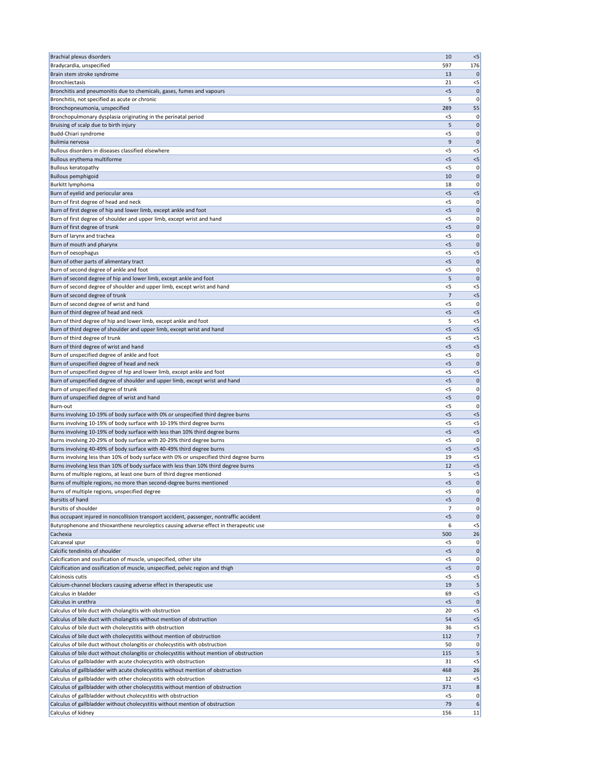| <b>Brachial plexus disorders</b>                                                                                                                      | 10             | $< 5$                 |
|-------------------------------------------------------------------------------------------------------------------------------------------------------|----------------|-----------------------|
| Bradycardia, unspecified                                                                                                                              | 597            | 176                   |
| Brain stem stroke syndrome<br><b>Bronchiectasis</b>                                                                                                   | 13<br>21       | $\mathbf 0$           |
| Bronchitis and pneumonitis due to chemicals, gases, fumes and vapours                                                                                 | $<$ 5          | $<$ 5<br>$\mathbf{0}$ |
| Bronchitis, not specified as acute or chronic                                                                                                         | 5              | 0                     |
| Bronchopneumonia, unspecified                                                                                                                         | 289            | 55                    |
| Bronchopulmonary dysplasia originating in the perinatal period                                                                                        | $<$ 5          | 0                     |
| Bruising of scalp due to birth injury                                                                                                                 | 5              | $\mathbf{0}$          |
| Budd-Chiari syndrome                                                                                                                                  | <5             | 0                     |
| Bulimia nervosa                                                                                                                                       | 9              | $\mathbf{0}$          |
| Bullous disorders in diseases classified elsewhere                                                                                                    | $<$ 5          | $< 5$                 |
| Bullous erythema multiforme                                                                                                                           | $<$ 5          | < 5                   |
| <b>Bullous keratopathy</b><br><b>Bullous pemphigoid</b>                                                                                               | $<$ 5<br>10    | 0<br>$\mathbf 0$      |
| Burkitt lymphoma                                                                                                                                      | 18             | 0                     |
| Burn of eyelid and periocular area                                                                                                                    | $<$ 5          | $< 5$                 |
| Burn of first degree of head and neck                                                                                                                 | $<$ 5          | 0                     |
| Burn of first degree of hip and lower limb, except ankle and foot                                                                                     | < 5            | $\mathbf 0$           |
| Burn of first degree of shoulder and upper limb, except wrist and hand                                                                                | $<$ 5          | 0                     |
| Burn of first degree of trunk                                                                                                                         | < 5            | $\mathbf{0}$          |
| Burn of larynx and trachea                                                                                                                            | $<$ 5          | 0                     |
| Burn of mouth and pharynx<br>Burn of oesophagus                                                                                                       | $<$ 5<br>$<$ 5 | $\mathbf 0$<br>$<$ 5  |
| Burn of other parts of alimentary tract                                                                                                               | $<$ 5          | $\mathbf{0}$          |
| Burn of second degree of ankle and foot                                                                                                               | $<$ 5          | 0                     |
| Burn of second degree of hip and lower limb, except ankle and foot                                                                                    | 5              | $\mathbf{0}$          |
| Burn of second degree of shoulder and upper limb, except wrist and hand                                                                               | $<$ 5          | $<$ 5                 |
| Burn of second degree of trunk                                                                                                                        | $\overline{7}$ | $<$ 5                 |
| Burn of second degree of wrist and hand                                                                                                               | <5             | 0                     |
| Burn of third degree of head and neck                                                                                                                 | $<$ 5          | $<$ 5                 |
| Burn of third degree of hip and lower limb, except ankle and foot                                                                                     | 5              | $<$ 5                 |
| Burn of third degree of shoulder and upper limb, except wrist and hand                                                                                | $<$ 5          | $<$ 5                 |
| Burn of third degree of trunk<br>Burn of third degree of wrist and hand                                                                               | $<$ 5<br>< 5   | $<$ 5<br>$< 5$        |
| Burn of unspecified degree of ankle and foot                                                                                                          | $<$ 5          | 0                     |
| Burn of unspecified degree of head and neck                                                                                                           | < 5            | $\mathbf 0$           |
| Burn of unspecified degree of hip and lower limb, except ankle and foot                                                                               | $<$ 5          | $<$ 5                 |
| Burn of unspecified degree of shoulder and upper limb, except wrist and hand                                                                          | < 5            | $\mathbf 0$           |
| Burn of unspecified degree of trunk                                                                                                                   | $<$ 5          | 0                     |
| Burn of unspecified degree of wrist and hand                                                                                                          | $<$ 5          | $\mathbf 0$           |
| Burn-out                                                                                                                                              | $<$ 5          | 0                     |
| Burns involving 10-19% of body surface with 0% or unspecified third degree burns                                                                      | $<$ 5          | $<$ 5                 |
| Burns involving 10-19% of body surface with 10-19% third degree burns<br>Burns involving 10-19% of body surface with less than 10% third degree burns | $<$ 5<br>$<$ 5 | $<$ 5<br>$< 5$        |
| Burns involving 20-29% of body surface with 20-29% third degree burns                                                                                 | $<$ 5          | 0                     |
| Burns involving 40-49% of body surface with 40-49% third degree burns                                                                                 | < 5            | $<$ 5                 |
| Burns involving less than 10% of body surface with 0% or unspecified third degree burns                                                               | 19             | $<$ 5                 |
| Burns involving less than 10% of body surface with less than 10% third degree burns                                                                   | 12             | $< 5$                 |
| Burns of multiple regions, at least one burn of third degree mentioned                                                                                | 5              | $<$ 5                 |
| Burns of multiple regions, no more than second-degree burns mentioned                                                                                 | $<$ 5          | $\mathbf 0$           |
| Burns of multiple regions, unspecified degree                                                                                                         | $<$ 5          | 0                     |
| <b>Bursitis of hand</b><br>Bursitis of shoulder                                                                                                       | $<$ 5<br>7     | $\mathbf 0$<br>0      |
| Bus occupant injured in noncollision transport accident, passenger, nontraffic accident                                                               | < 5            | $\mathbf 0$           |
| Butyrophenone and thioxanthene neuroleptics causing adverse effect in therapeutic use                                                                 | 6              | $<$ 5                 |
| Cachexia                                                                                                                                              | 500            | 26                    |
| Calcaneal spur                                                                                                                                        | <5             | 0                     |
| Calcific tendinitis of shoulder                                                                                                                       | $<$ 5          | $\mathbf 0$           |
| Calcification and ossification of muscle, unspecified, other site                                                                                     | $<$ 5          | 0                     |
| Calcification and ossification of muscle, unspecified, pelvic region and thigh                                                                        | $<$ 5          | 0                     |
| Calcinosis cutis<br>Calcium-channel blockers causing adverse effect in therapeutic use                                                                | $<$ 5          | $<$ 5                 |
| Calculus in bladder                                                                                                                                   | 19<br>69       | $\mathsf{P}$<br>$<$ 5 |
| Calculus in urethra                                                                                                                                   | $<$ 5          | $\mathbf{0}$          |
| Calculus of bile duct with cholangitis with obstruction                                                                                               | 20             | $<$ 5                 |
| Calculus of bile duct with cholangitis without mention of obstruction                                                                                 | 54             | $<$ 5                 |
| Calculus of bile duct with cholecystitis with obstruction                                                                                             | 36             | $<$ 5                 |
| Calculus of bile duct with cholecystitis without mention of obstruction                                                                               | 112            | 7 <sup>1</sup>        |
| Calculus of bile duct without cholangitis or cholecystitis with obstruction                                                                           | 50             | 0                     |
| Calculus of bile duct without cholangitis or cholecystitis without mention of obstruction                                                             | 115            | 5                     |
| Calculus of gallbladder with acute cholecystitis with obstruction                                                                                     | 31             | $<$ 5                 |
| Calculus of gallbladder with acute cholecystitis without mention of obstruction<br>Calculus of gallbladder with other cholecystitis with obstruction  | 468<br>12      | 26<br>$<$ 5           |
| Calculus of gallbladder with other cholecystitis without mention of obstruction                                                                       | 371            | 8                     |
| Calculus of gallbladder without cholecystitis with obstruction                                                                                        | $<$ 5          | 0                     |
| Calculus of gallbladder without cholecystitis without mention of obstruction                                                                          | 79             | $\boldsymbol{6}$      |
| Calculus of kidney                                                                                                                                    | 156            | 11                    |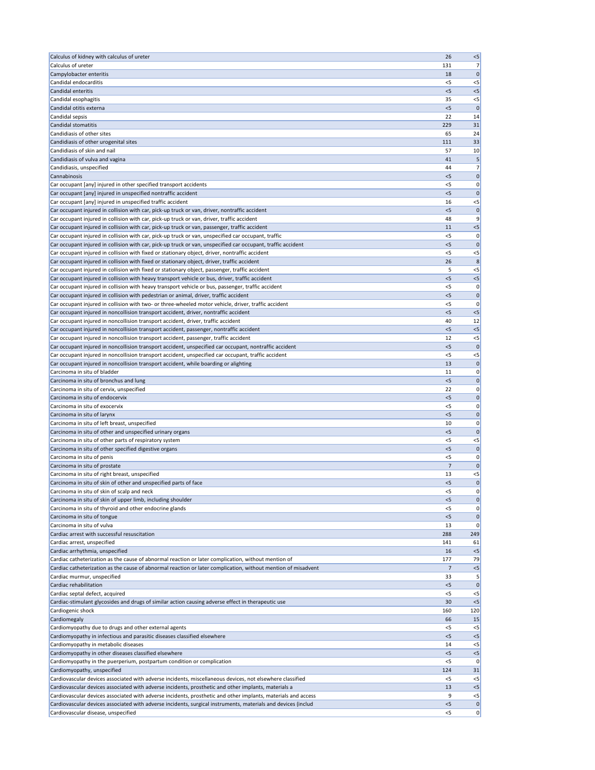| Calculus of kidney with calculus of ureter                                                                                                                                                  | 26             | $<$ 5                |
|---------------------------------------------------------------------------------------------------------------------------------------------------------------------------------------------|----------------|----------------------|
| Calculus of ureter                                                                                                                                                                          | 131            | 7                    |
| Campylobacter enteritis                                                                                                                                                                     | 18             | $\mathbf 0$          |
| Candidal endocarditis                                                                                                                                                                       | <5             | $<$ 5                |
| Candidal enteritis                                                                                                                                                                          | < 5            | $<$ 5                |
| Candidal esophagitis                                                                                                                                                                        | 35             | $<$ 5                |
| Candidal otitis externa                                                                                                                                                                     | $<$ 5          | C                    |
| Candidal sepsis<br>Candidal stomatitis                                                                                                                                                      | 22<br>229      | 14<br>31             |
| Candidiasis of other sites                                                                                                                                                                  | 65             | 24                   |
| Candidiasis of other urogenital sites                                                                                                                                                       | 111            | 33                   |
| Candidiasis of skin and nail                                                                                                                                                                | 57             | 10                   |
| Candidiasis of vulva and vagina                                                                                                                                                             | 41             | 5                    |
| Candidiasis, unspecified                                                                                                                                                                    | 44             | 7 <sup>1</sup>       |
| Cannabinosis                                                                                                                                                                                | < 5            | 0                    |
| Car occupant [any] injured in other specified transport accidents                                                                                                                           | $<$ 5          | 0                    |
| Car occupant [any] injured in unspecified nontraffic accident                                                                                                                               | $<$ 5          | $\Omega$             |
| Car occupant [any] injured in unspecified traffic accident                                                                                                                                  | 16             | $<$ 5                |
| Car occupant injured in collision with car, pick-up truck or van, driver, nontraffic accident                                                                                               | $<$ 5          | 0                    |
| Car occupant injured in collision with car, pick-up truck or van, driver, traffic accident                                                                                                  | 48             |                      |
| Car occupant injured in collision with car, pick-up truck or van, passenger, traffic accident                                                                                               | 11             | $<$ 5                |
| Car occupant injured in collision with car, pick-up truck or van, unspecified car occupant, traffic                                                                                         | $<$ 5          | 0                    |
| Car occupant injured in collision with car, pick-up truck or van, unspecified car occupant, traffic accident                                                                                | < 5            | 0                    |
| Car occupant injured in collision with fixed or stationary object, driver, nontraffic accident                                                                                              | $<$ 5          | $<$ 5                |
| Car occupant injured in collision with fixed or stationary object, driver, traffic accident                                                                                                 | 26             | 8                    |
| Car occupant injured in collision with fixed or stationary object, passenger, traffic accident                                                                                              | 5              | $<$ 5                |
| Car occupant injured in collision with heavy transport vehicle or bus, driver, traffic accident                                                                                             | $<$ 5          | $<$ 5                |
| Car occupant injured in collision with heavy transport vehicle or bus, passenger, traffic accident<br>Car occupant injured in collision with pedestrian or animal, driver, traffic accident | $<$ 5<br>$<$ 5 | 0<br>0               |
| Car occupant injured in collision with two- or three-wheeled motor vehicle, driver, traffic accident                                                                                        | <5             | 0                    |
| Car occupant injured in noncollision transport accident, driver, nontraffic accident                                                                                                        | $<$ 5          | $<$ 5                |
| Car occupant injured in noncollision transport accident, driver, traffic accident                                                                                                           | 40             | 12                   |
| Car occupant injured in noncollision transport accident, passenger, nontraffic accident                                                                                                     | $<$ 5          | $<$ 5                |
| Car occupant injured in noncollision transport accident, passenger, traffic accident                                                                                                        | 12             | $<$ 5                |
| Car occupant injured in noncollision transport accident, unspecified car occupant, nontraffic accident                                                                                      | < 5            | C                    |
| Car occupant injured in noncollision transport accident, unspecified car occupant, traffic accident                                                                                         | $<$ 5          | $<$ 5                |
| Car occupant injured in noncollision transport accident, while boarding or alighting                                                                                                        | 13             | 0                    |
| Carcinoma in situ of bladder                                                                                                                                                                | 11             | 0                    |
| Carcinoma in situ of bronchus and lung                                                                                                                                                      | < 5            | 0                    |
| Carcinoma in situ of cervix, unspecified                                                                                                                                                    | 22             | 0                    |
| Carcinoma in situ of endocervix                                                                                                                                                             | $<$ 5          | $\mathbf 0$          |
| Carcinoma in situ of exocervix                                                                                                                                                              | <5             | 0                    |
| Carcinoma in situ of larynx                                                                                                                                                                 | $<$ 5          | 0                    |
| Carcinoma in situ of left breast, unspecified                                                                                                                                               | 10             | 0                    |
| Carcinoma in situ of other and unspecified urinary organs                                                                                                                                   | $<$ 5          | $\Omega$             |
| Carcinoma in situ of other parts of respiratory system                                                                                                                                      | $<$ 5          | $<$ 5                |
| Carcinoma in situ of other specified digestive organs                                                                                                                                       | < 5            | 0                    |
| Carcinoma in situ of penis                                                                                                                                                                  | $<$ 5          | 0                    |
| Carcinoma in situ of prostate                                                                                                                                                               | $\overline{7}$ | 0                    |
| Carcinoma in situ of right breast, unspecified<br>Carcinoma in situ of skin of other and unspecified parts of face                                                                          | 13<br>$<$ 5    | $<$ 5<br>$\mathbf 0$ |
| Carcinoma in situ of skin of scalp and neck                                                                                                                                                 | $<$ 5          | 0                    |
| Carcinoma in situ of skin of upper limb, including shoulder                                                                                                                                 | $<$ 5          | 0                    |
| Carcinoma in situ of thyroid and other endocrine glands                                                                                                                                     | $<$ 5          | 0                    |
| Carcinoma in situ of tongue                                                                                                                                                                 | $<$ 5          | 0                    |
| Carcinoma in situ of vulva                                                                                                                                                                  | 13             | $\mathbf 0$          |
| Cardiac arrest with successful resuscitation                                                                                                                                                | 288            | 249                  |
| Cardiac arrest, unspecified                                                                                                                                                                 | 141            | 61                   |
| Cardiac arrhythmia, unspecified                                                                                                                                                             | 16             | $<$ 5                |
| Cardiac catheterization as the cause of abnormal reaction or later complication, without mention of                                                                                         | 177            | 79                   |
| Cardiac catheterization as the cause of abnormal reaction or later complication, without mention of misadvent                                                                               | 7              | $<$ 5                |
| Cardiac murmur, unspecified                                                                                                                                                                 | 33             | 5                    |
| Cardiac rehabilitation                                                                                                                                                                      | $5$            | $\mathbf 0$          |
| Cardiac septal defect, acquired                                                                                                                                                             | $<$ 5          | $<$ 5                |
| Cardiac-stimulant glycosides and drugs of similar action causing adverse effect in therapeutic use                                                                                          | 30             | < 5                  |
| Cardiogenic shock                                                                                                                                                                           | 160            | 120                  |
| Cardiomegaly                                                                                                                                                                                | 66             | 15                   |
| Cardiomyopathy due to drugs and other external agents                                                                                                                                       | <5             | $<$ 5                |
| Cardiomyopathy in infectious and parasitic diseases classified elsewhere                                                                                                                    | < 5            | $<$ 5                |
| Cardiomyopathy in metabolic diseases<br>Cardiomyopathy in other diseases classified elsewhere                                                                                               | 14<br>< 5      | $<$ 5<br>$<$ 5       |
| Cardiomyopathy in the puerperium, postpartum condition or complication                                                                                                                      | $<$ 5          | 0                    |
| Cardiomyopathy, unspecified                                                                                                                                                                 | 124            | 31                   |
| Cardiovascular devices associated with adverse incidents, miscellaneous devices, not elsewhere classified                                                                                   | $<$ 5          | $<$ 5                |
| Cardiovascular devices associated with adverse incidents, prosthetic and other implants, materials a                                                                                        | 13             | < 5                  |
| Cardiovascular devices associated with adverse incidents, prosthetic and other implants, materials and access                                                                               | 9              | $<$ 5                |
| Cardiovascular devices associated with adverse incidents, surgical instruments, materials and devices (includ                                                                               | $<$ 5          | 0                    |
| Cardiovascular disease, unspecified                                                                                                                                                         | $<$ 5          | 0                    |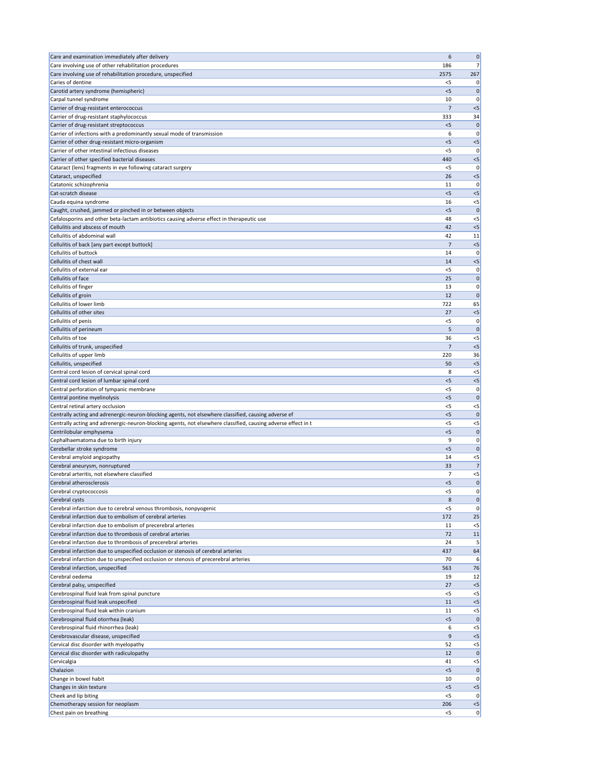| Care and examination immediately after delivery                                                                                | 6              | $\mathbf 0$          |
|--------------------------------------------------------------------------------------------------------------------------------|----------------|----------------------|
| Care involving use of other rehabilitation procedures                                                                          | 186            | 7 <sup>1</sup>       |
| Care involving use of rehabilitation procedure, unspecified<br>Caries of dentine                                               | 2575<br><5     | 267<br>0             |
| Carotid artery syndrome (hemispheric)                                                                                          | $<$ 5          | $\mathbf 0$          |
| Carpal tunnel syndrome                                                                                                         | 10             | 0                    |
| Carrier of drug-resistant enterococcus                                                                                         | 7              | $< 5$                |
| Carrier of drug-resistant staphylococcus                                                                                       | 333            | 34                   |
| Carrier of drug-resistant streptococcus                                                                                        | < 5            | $\mathbf 0$          |
| Carrier of infections with a predominantly sexual mode of transmission<br>Carrier of other drug-resistant micro-organism       | 6<br>$<$ 5     | 0<br>$< 5$           |
| Carrier of other intestinal infectious diseases                                                                                | $<$ 5          | 0                    |
| Carrier of other specified bacterial diseases                                                                                  | 440            | $<$ 5                |
| Cataract (lens) fragments in eye following cataract surgery                                                                    | $<$ 5          | 0                    |
| Cataract, unspecified                                                                                                          | 26             | $<$ 5                |
| Catatonic schizophrenia                                                                                                        | 11             | 0                    |
| Cat-scratch disease<br>Cauda equina syndrome                                                                                   | $<$ 5<br>16    | < 5<br>$<$ 5         |
| Caught, crushed, jammed or pinched in or between objects                                                                       | < 5            | $\mathbf{0}$         |
| Cefalosporins and other beta-lactam antibiotics causing adverse effect in therapeutic use                                      | 48             | $<$ 5                |
| Cellulitis and abscess of mouth                                                                                                | 42             | $<$ 5                |
| Cellulitis of abdominal wall                                                                                                   | 42             | 11                   |
| Cellulitis of back [any part except buttock]                                                                                   | 7              | $<$ 5                |
| Cellulitis of buttock<br>Cellulitis of chest wall                                                                              | 14<br>14       | 0<br>$<$ 5           |
| Cellulitis of external ear                                                                                                     | $<$ 5          | 0                    |
| Cellulitis of face                                                                                                             | 25             | $\mathbf 0$          |
| Cellulitis of finger                                                                                                           | 13             | 0                    |
| Cellulitis of groin                                                                                                            | 12             | $\mathbf{0}$         |
| Cellulitis of lower limb                                                                                                       | 722            | 65                   |
| Cellulitis of other sites                                                                                                      | 27             | $<$ 5                |
| Cellulitis of penis<br>Cellulitis of perineum                                                                                  | <5<br>5        | 0<br>$\mathbf 0$     |
| Cellulitis of toe                                                                                                              | 36             | $< 5$                |
| Cellulitis of trunk, unspecified                                                                                               | 7              | < 5                  |
| Cellulitis of upper limb                                                                                                       | 220            | 36                   |
| Cellulitis, unspecified                                                                                                        | 50             | < 5                  |
| Central cord lesion of cervical spinal cord                                                                                    | 8              | $<$ 5                |
| Central cord lesion of lumbar spinal cord<br>Central perforation of tympanic membrane                                          | $<$ 5<br>$<$ 5 | $< 5$<br>0           |
| Central pontine myelinolysis                                                                                                   | $<$ 5          | $\mathbf 0$          |
| Central retinal artery occlusion                                                                                               | <5             | $<$ 5                |
| Centrally acting and adrenergic-neuron-blocking agents, not elsewhere classified, causing adverse ef                           | $<$ 5          | $\mathbf{0}$         |
| Centrally acting and adrenergic-neuron-blocking agents, not elsewhere classified, causing adverse effect in t                  | $<$ 5          | $<$ 5                |
| Centrilobular emphysema                                                                                                        | < 5            | $\mathbf 0$          |
| Cephalhaematoma due to birth injury                                                                                            | 9<br>< 5       | 0                    |
| Cerebellar stroke syndrome<br>Cerebral amyloid angiopathy                                                                      | 14             | $\mathbf 0$<br>$<$ 5 |
| Cerebral aneurysm, nonruptured                                                                                                 | 33             | 7                    |
| Cerebral arteritis, not elsewhere classified                                                                                   | 7              | $< 5$                |
| Cerebral atherosclerosis                                                                                                       | < 5            | $\mathbf 0$          |
| Cerebral cryptococcosis                                                                                                        | < 5            | 0                    |
| Cerebral cysts                                                                                                                 | 8              | $\mathbf 0$          |
| Cerebral infarction due to cerebral venous thrombosis, nonpyogenic<br>Cerebral infarction due to embolism of cerebral arteries | $<$ 5<br>172   | 0<br>25              |
| Cerebral infarction due to embolism of precerebral arteries                                                                    | 11             | $<$ 5                |
| Cerebral infarction due to thrombosis of cerebral arteries                                                                     | 72             | 11                   |
| Cerebral infarction due to thrombosis of precerebral arteries                                                                  | 24             | 5                    |
| Cerebral infarction due to unspecified occlusion or stenosis of cerebral arteries                                              | 437            | 64                   |
| Cerebral infarction due to unspecified occlusion or stenosis of precerebral arteries                                           | 70             | 6                    |
| Cerebral infarction, unspecified<br>Cerebral oedema                                                                            | 563<br>19      | 76<br>12             |
| Cerebral palsy, unspecified                                                                                                    | 27             | $< 5$                |
| Cerebrospinal fluid leak from spinal puncture                                                                                  | $<$ 5          | $<$ 5                |
| Cerebrospinal fluid leak unspecified                                                                                           | 11             | $<$ 5                |
| Cerebrospinal fluid leak within cranium                                                                                        | 11             | $<$ 5                |
| Cerebrospinal fluid otorrhea (leak)                                                                                            | < 5            | $\mathbf{0}$         |
| Cerebrospinal fluid rhinorrhea (leak)                                                                                          | 6              | $<$ 5                |
| Cerebrovascular disease, unspecified<br>Cervical disc disorder with myelopathy                                                 | 9<br>52        | $< 5$<br>$<$ 5       |
| Cervical disc disorder with radiculopathy                                                                                      | 12             | 0                    |
| Cervicalgia                                                                                                                    | 41             | $<$ 5                |
| Chalazion                                                                                                                      | < 5            | $\mathbf 0$          |
| Change in bowel habit                                                                                                          | 10             | 0                    |
| Changes in skin texture                                                                                                        | < 5            | $< 5$                |
| Cheek and lip biting<br>Chemotherapy session for neoplasm                                                                      | $<$ 5<br>206   | 0 <br>$<$ 5          |
| Chest pain on breathing                                                                                                        | $<$ 5          | 0                    |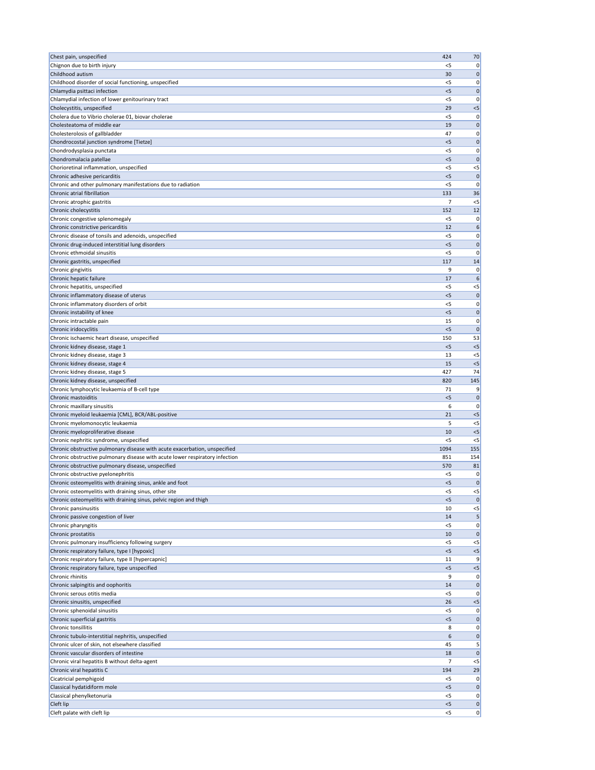| Chest pain, unspecified                                                                             | 424            | 70               |
|-----------------------------------------------------------------------------------------------------|----------------|------------------|
| Chignon due to birth injury                                                                         | $<$ 5          | 0                |
| Childhood autism                                                                                    | 30             | 0                |
| Childhood disorder of social functioning, unspecified                                               | $<$ 5          | 0<br>$\Omega$    |
| Chlamydia psittaci infection<br>Chlamydial infection of lower genitourinary tract                   | $<$ 5<br>$<$ 5 | 0                |
| Cholecystitis, unspecified                                                                          | 29             | $<$ 5            |
| Cholera due to Vibrio cholerae 01, biovar cholerae                                                  | $<$ 5          | 0                |
| Cholesteatoma of middle ear                                                                         | 19             | $\mathbf 0$      |
| Cholesterolosis of gallbladder                                                                      | 47             | 0                |
| Chondrocostal junction syndrome [Tietze]                                                            | < 5            | $\mathbf 0$      |
| Chondrodysplasia punctata<br>Chondromalacia patellae                                                | $<$ 5<br>$<$ 5 | 0<br>$\mathbf 0$ |
| Chorioretinal inflammation, unspecified                                                             | $<$ 5          | $<$ 5            |
| Chronic adhesive pericarditis                                                                       | $<$ 5          | $\Omega$         |
| Chronic and other pulmonary manifestations due to radiation                                         | $<$ 5          | $\Omega$         |
| Chronic atrial fibrillation                                                                         | 133            | 36               |
| Chronic atrophic gastritis                                                                          | 7              | $<$ 5            |
| Chronic cholecystitis                                                                               | 152            | 12               |
| Chronic congestive splenomegaly<br>Chronic constrictive pericarditis                                | $<$ 5<br>12    | 0<br>6           |
| Chronic disease of tonsils and adenoids, unspecified                                                | $<$ 5          | 0                |
| Chronic drug-induced interstitial lung disorders                                                    | < 5            | 0                |
| Chronic ethmoidal sinusitis                                                                         | $<$ 5          | $\Omega$         |
| Chronic gastritis, unspecified                                                                      | 117            | 14               |
| Chronic gingivitis                                                                                  | 9              | 0                |
| Chronic hepatic failure                                                                             | 17             | 6                |
| Chronic hepatitis, unspecified                                                                      | $<$ 5          | $<$ 5            |
| Chronic inflammatory disease of uterus<br>Chronic inflammatory disorders of orbit                   | < 5<br><5      | $\mathbf 0$<br>0 |
| Chronic instability of knee                                                                         | $<$ 5          | 0                |
| Chronic intractable pain                                                                            | 15             | 0                |
| Chronic iridocyclitis                                                                               | $<$ 5          | $\Omega$         |
| Chronic ischaemic heart disease, unspecified                                                        | 150            | 53               |
| Chronic kidney disease, stage 1                                                                     | < 5            | $<$ 5            |
| Chronic kidney disease, stage 3                                                                     | 13             | $<$ 5            |
| Chronic kidney disease, stage 4                                                                     | 15             | $<$ 5            |
| Chronic kidney disease, stage 5                                                                     | 427            | 74               |
| Chronic kidney disease, unspecified<br>Chronic lymphocytic leukaemia of B-cell type                 | 820<br>71      | 145<br>9         |
| Chronic mastoiditis                                                                                 | < 5            | 0                |
| Chronic maxillary sinusitis                                                                         | 6              | 0                |
| Chronic myeloid leukaemia [CML], BCR/ABL-positive                                                   | 21             | $<$ 5            |
| Chronic myelomonocytic leukaemia                                                                    | 5              | $<$ 5            |
| Chronic myeloproliferative disease                                                                  | 10             | $<$ 5            |
| Chronic nephritic syndrome, unspecified                                                             | $<$ 5          | $<$ 5            |
| Chronic obstructive pulmonary disease with acute exacerbation, unspecified                          | 1094           | 155              |
| Chronic obstructive pulmonary disease with acute lower respiratory infection                        | 851            | 154              |
| Chronic obstructive pulmonary disease, unspecified<br>Chronic obstructive pyelonephritis            | 570<br>$<$ 5   | 81<br>0          |
| Chronic osteomyelitis with draining sinus, ankle and foot                                           | $<$ 5          | $\mathbf 0$      |
| Chronic osteomyelitis with draining sinus, other site                                               | $<$ 5          | $<$ 5            |
| Chronic osteomyelitis with draining sinus, pelvic region and thigh                                  | $<$ 5          |                  |
| Chronic pansinusitis                                                                                | 10             | $<$ 5            |
| Chronic passive congestion of liver                                                                 | 14             | 5                |
| Chronic pharyngitis                                                                                 | $<$ 5          | 0                |
| Chronic prostatitis                                                                                 | 10             | $\mathbf 0$      |
| Chronic pulmonary insufficiency following surgery                                                   | <5<br>< 5      | $<$ 5            |
| Chronic respiratory failure, type I [hypoxic]<br>Chronic respiratory failure, type II [hypercapnic] | 11             | $<$ 5<br>9       |
| Chronic respiratory failure, type unspecified                                                       | < 5            | $<$ 5            |
| Chronic rhinitis                                                                                    | 9              | 0                |
| Chronic salpingitis and oophoritis                                                                  | 14             | 0                |
| Chronic serous otitis media                                                                         | $<$ 5          | 0                |
| Chronic sinusitis, unspecified                                                                      | 26             | $<$ 5            |
| Chronic sphenoidal sinusitis                                                                        | <5             | 0                |
| Chronic superficial gastritis                                                                       | < 5            | $\Omega$         |
| Chronic tonsillitis<br>Chronic tubulo-interstitial nephritis, unspecified                           | 8<br>6         | 0<br>0           |
| Chronic ulcer of skin, not elsewhere classified                                                     | 45             |                  |
| Chronic vascular disorders of intestine                                                             | 18             |                  |
| Chronic viral hepatitis B without delta-agent                                                       | 7              | $<$ 5            |
| Chronic viral hepatitis C                                                                           | 194            | 29               |
| Cicatricial pemphigoid                                                                              | $<$ 5          | 0                |
| Classical hydatidiform mole                                                                         | < 5            | 0                |
| Classical phenylketonuria                                                                           |                |                  |
|                                                                                                     | <5             | 0                |
| Cleft lip<br>Cleft palate with cleft lip                                                            | < 5<br>$<$ 5   | 0<br>0           |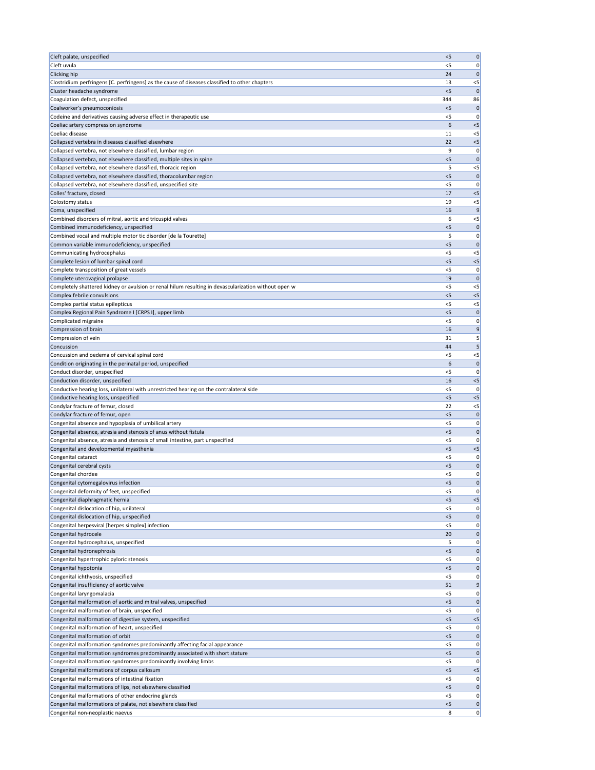| Cleft palate, unspecified                                                                                                              | < 5          | 0                 |
|----------------------------------------------------------------------------------------------------------------------------------------|--------------|-------------------|
| Cleft uvula                                                                                                                            | $<$ 5        | 0                 |
| <b>Clicking hip</b>                                                                                                                    | 24           | 0                 |
| Clostridium perfringens [C. perfringens] as the cause of diseases classified to other chapters                                         | 13           | $<$ 5             |
| Cluster headache syndrome<br>Coagulation defect, unspecified                                                                           | $<$ 5<br>344 | $\Omega$<br>86    |
| Coalworker's pneumoconiosis                                                                                                            | < 5          | 0                 |
| Codeine and derivatives causing adverse effect in therapeutic use                                                                      | <5           | 0                 |
| Coeliac artery compression syndrome                                                                                                    | 6            | $<$ 5             |
| Coeliac disease                                                                                                                        | 11           | $<$ 5             |
| Collapsed vertebra in diseases classified elsewhere                                                                                    | 22           | $<$ 5             |
| Collapsed vertebra, not elsewhere classified, lumbar region                                                                            | 9            | 0                 |
| Collapsed vertebra, not elsewhere classified, multiple sites in spine<br>Collapsed vertebra, not elsewhere classified, thoracic region | < 5<br>5     | 0<br>$<$ 5        |
| Collapsed vertebra, not elsewhere classified, thoracolumbar region                                                                     | < 5          | $\Omega$          |
| Collapsed vertebra, not elsewhere classified, unspecified site                                                                         | $<$ 5        | 0                 |
| Colles' fracture, closed                                                                                                               | 17           | $<$ 5             |
| Colostomy status                                                                                                                       | 19           | $<$ 5             |
| Coma, unspecified                                                                                                                      | 16           | 9                 |
| Combined disorders of mitral, aortic and tricuspid valves                                                                              | 6            | $<$ 5             |
| Combined immunodeficiency, unspecified<br>Combined vocal and multiple motor tic disorder [de la Tourette]                              | < 5<br>5     | 0<br>0            |
| Common variable immunodeficiency, unspecified                                                                                          | < 5          | $\mathbf 0$       |
| Communicating hydrocephalus                                                                                                            | $<$ 5        | $<$ 5             |
| Complete lesion of lumbar spinal cord                                                                                                  | < 5          | $<$ 5             |
| Complete transposition of great vessels                                                                                                | $<$ 5        | 0                 |
| Complete uterovaginal prolapse                                                                                                         | 19           | $\mathbf 0$       |
| Completely shattered kidney or avulsion or renal hilum resulting in devascularization without open w                                   | <5<br>< 5    | $<$ 5             |
| Complex febrile convulsions<br>Complex partial status epilepticus                                                                      | <5           | $<$ 5<br>$<$ 5    |
| Complex Regional Pain Syndrome I [CRPS I], upper limb                                                                                  | $<$ 5        | 0                 |
| Complicated migraine                                                                                                                   | $<$ 5        | 0                 |
| Compression of brain                                                                                                                   | 16           |                   |
| Compression of vein                                                                                                                    | 31           |                   |
| Concussion                                                                                                                             | 44           |                   |
| Concussion and oedema of cervical spinal cord<br>Condition originating in the perinatal period, unspecified                            | $<$ 5<br>6   | $<$ 5<br>$\Omega$ |
| Conduct disorder, unspecified                                                                                                          | <5           | n                 |
| Conduction disorder, unspecified                                                                                                       | 16           | $<$ 5             |
| Conductive hearing loss, unilateral with unrestricted hearing on the contralateral side                                                | <5           |                   |
| Conductive hearing loss, unspecified                                                                                                   | $<$ 5        | $<$ 5             |
| Condylar fracture of femur, closed                                                                                                     | 22           | $<$ 5             |
| Condylar fracture of femur, open                                                                                                       | $<$ 5        |                   |
| Congenital absence and hypoplasia of umbilical artery<br>Congenital absence, atresia and stenosis of anus without fistula              | $<$ 5<br>< 5 | 0<br>$\mathbf 0$  |
| Congenital absence, atresia and stenosis of small intestine, part unspecified                                                          | $<$ 5        | 0                 |
| Congenital and developmental myasthenia                                                                                                | $<$ 5        | $<$ 5             |
| Congenital cataract                                                                                                                    | <5           | 0                 |
| Congenital cerebral cysts                                                                                                              | $<$ 5        | $\mathbf 0$       |
| Congenital chordee                                                                                                                     | <5           | 0                 |
| Congenital cytomegalovirus infection<br>Congenital deformity of feet, unspecified                                                      | < 5<br>$<$ 5 | $\mathbf 0$<br>0  |
| Congenital diaphragmatic hernia                                                                                                        | < 5          | $<$ 5             |
| Congenital dislocation of hip, unilateral                                                                                              | $<$ 5        | 0                 |
| Congenital dislocation of hip, unspecified                                                                                             | < 5          | $\mathbf 0$       |
| Congenital herpesviral [herpes simplex] infection                                                                                      | $<$ 5        | 0                 |
| Congenital hydrocele                                                                                                                   | 20           | $\mathbf 0$       |
| Congenital hydrocephalus, unspecified<br>Congenital hydronephrosis                                                                     | 5<br>$<$ 5   | 0<br>$\mathbf 0$  |
| Congenital hypertrophic pyloric stenosis                                                                                               | $<$ 5        | 0                 |
| Congenital hypotonia                                                                                                                   | < 5          | $\mathbf 0$       |
| Congenital ichthyosis, unspecified                                                                                                     | <5           | 0                 |
| Congenital insufficiency of aortic valve                                                                                               | 51           |                   |
| Congenital laryngomalacia                                                                                                              | $<$ 5        | 0                 |
| Congenital malformation of aortic and mitral valves, unspecified                                                                       | < 5          | $\mathbf 0$       |
| Congenital malformation of brain, unspecified<br>Congenital malformation of digestive system, unspecified                              | <5<br>< 5    | O<br>$<$ 5        |
| Congenital malformation of heart, unspecified                                                                                          | $<$ 5        | 0                 |
| Congenital malformation of orbit                                                                                                       | < 5          | 0                 |
| Congenital malformation syndromes predominantly affecting facial appearance                                                            | $<$ 5        | 0                 |
| Congenital malformation syndromes predominantly associated with short stature                                                          | < 5          | $\Omega$          |
| Congenital malformation syndromes predominantly involving limbs                                                                        | $<$ 5        | 0                 |
| Congenital malformations of corpus callosum                                                                                            | $<$ 5        | $<$ 5             |
| Congenital malformations of intestinal fixation<br>Congenital malformations of lips, not elsewhere classified                          | $<$ 5        | 0<br>$\mathbf 0$  |
| Congenital malformations of other endocrine glands                                                                                     | < 5<br>$<$ 5 | 0                 |
| Congenital malformations of palate, not elsewhere classified                                                                           | < 5          | 0                 |
| Congenital non-neoplastic naevus                                                                                                       | 8            | $\pmb{0}$         |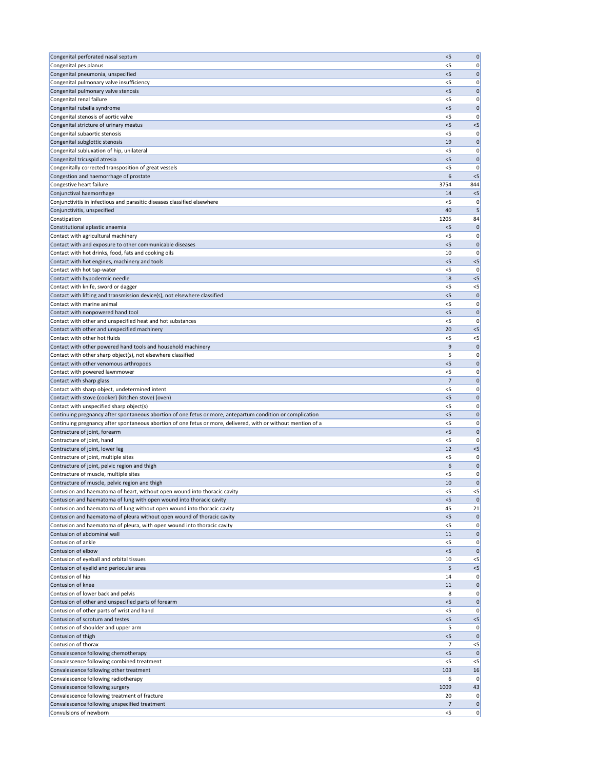| Congenital perforated nasal septum                                                                                                                     | $<$ 5          | $\mathbf 0$      |
|--------------------------------------------------------------------------------------------------------------------------------------------------------|----------------|------------------|
| Congenital pes planus                                                                                                                                  | $<$ 5          | 0                |
| Congenital pneumonia, unspecified                                                                                                                      | < 5            | 0                |
| Congenital pulmonary valve insufficiency                                                                                                               | $<$ 5          | 0                |
| Congenital pulmonary valve stenosis                                                                                                                    | < 5            | 0                |
| Congenital renal failure                                                                                                                               | $<$ 5          | 0                |
| Congenital rubella syndrome<br>Congenital stenosis of aortic valve                                                                                     | $<$ 5<br><5    | $\mathbf 0$<br>0 |
| Congenital stricture of urinary meatus                                                                                                                 | $<$ 5          | $<$ 5            |
| Congenital subaortic stenosis                                                                                                                          | <5             | 0                |
| Congenital subglottic stenosis                                                                                                                         | 19             | 0                |
| Congenital subluxation of hip, unilateral                                                                                                              | <5             | 0                |
| Congenital tricuspid atresia                                                                                                                           | < 5            | 0                |
| Congenitally corrected transposition of great vessels                                                                                                  | < 5            | 0                |
| Congestion and haemorrhage of prostate                                                                                                                 | 6              | $<$ 5            |
| Congestive heart failure                                                                                                                               | 3754           | 844              |
| Conjunctival haemorrhage                                                                                                                               | 14             | $<$ 5            |
| Conjunctivitis in infectious and parasitic diseases classified elsewhere                                                                               | $<$ 5          | 0                |
| Conjunctivitis, unspecified                                                                                                                            | 40             | 5                |
| Constipation                                                                                                                                           | 1205           | 84               |
| Constitutional aplastic anaemia                                                                                                                        | $<$ 5          | 0                |
| Contact with agricultural machinery                                                                                                                    | <5<br>< 5      | 0                |
| Contact with and exposure to other communicable diseases<br>Contact with hot drinks, food, fats and cooking oils                                       | 10             | 0<br>0           |
| Contact with hot engines, machinery and tools                                                                                                          | $<$ 5          | $<$ 5            |
| Contact with hot tap-water                                                                                                                             | <5             | 0                |
| Contact with hypodermic needle                                                                                                                         | 18             | $<$ 5            |
| Contact with knife, sword or dagger                                                                                                                    | $<$ 5          | $<$ 5            |
| Contact with lifting and transmission device(s), not elsewhere classified                                                                              | < 5            | $\mathbf 0$      |
| Contact with marine animal                                                                                                                             | <5             | 0                |
| Contact with nonpowered hand tool                                                                                                                      | $<$ 5          | $\mathbf 0$      |
| Contact with other and unspecified heat and hot substances                                                                                             | $<$ 5          | 0                |
| Contact with other and unspecified machinery                                                                                                           | 20             | $<$ 5            |
| Contact with other hot fluids                                                                                                                          | $<$ 5          | $<$ 5            |
| Contact with other powered hand tools and household machinery                                                                                          | 9              | $\Omega$         |
| Contact with other sharp object(s), not elsewhere classified                                                                                           | 5              | 0                |
| Contact with other venomous arthropods                                                                                                                 | $<$ 5          | 0                |
| Contact with powered lawnmower                                                                                                                         | <5             | 0                |
| Contact with sharp glass                                                                                                                               | 7              | 0                |
| Contact with sharp object, undetermined intent                                                                                                         | <5             | 0                |
| Contact with stove (cooker) (kitchen stove) (oven)                                                                                                     | < 5            | 0                |
| Contact with unspecified sharp object(s)<br>Continuing pregnancy after spontaneous abortion of one fetus or more, antepartum condition or complication | $<$ 5<br>< 5   | 0<br>0           |
| Continuing pregnancy after spontaneous abortion of one fetus or more, delivered, with or without mention of a                                          | $<$ 5          | 0                |
| Contracture of joint, forearm                                                                                                                          | $<$ 5          | 0                |
| Contracture of joint, hand                                                                                                                             | $<$ 5          | 0                |
| Contracture of joint, lower leg                                                                                                                        | 12             | $<$ 5            |
| Contracture of joint, multiple sites                                                                                                                   | <5             | 0                |
| Contracture of joint, pelvic region and thigh                                                                                                          | 6              | 0                |
| Contracture of muscle, multiple sites                                                                                                                  | $<$ 5          | 0                |
| Contracture of muscle, pelvic region and thigh                                                                                                         | 10             | 0                |
| Contusion and haematoma of heart, without open wound into thoracic cavity                                                                              | $<$ 5          | $<$ 5            |
| Contusion and haematoma of lung with open wound into thoracic cavity                                                                                   | $<$ 5          |                  |
| Contusion and haematoma of lung without open wound into thoracic cavity                                                                                | 45             | 21               |
| Contusion and haematoma of pleura without open wound of thoracic cavity                                                                                | $<$ 5          | $\mathbf 0$      |
| Contusion and haematoma of pleura, with open wound into thoracic cavity                                                                                | $<$ 5          | 0                |
| Contusion of abdominal wall                                                                                                                            | 11             | 0                |
| Contusion of ankle<br>Contusion of elbow                                                                                                               | <5             | 0                |
| Contusion of eyeball and orbital tissues                                                                                                               | $<$ 5<br>10    | 0<br>$<$ 5       |
| Contusion of eyelid and periocular area                                                                                                                | 5              | $<$ 5            |
| Contusion of hip                                                                                                                                       | 14             | 0                |
| Contusion of knee                                                                                                                                      | 11             | $\mathbf 0$      |
| Contusion of lower back and pelvis                                                                                                                     | 8              | 0                |
| Contusion of other and unspecified parts of forearm                                                                                                    | $<$ 5          | 0                |
| Contusion of other parts of wrist and hand                                                                                                             | <5             | 0                |
| Contusion of scrotum and testes                                                                                                                        | < 5            | $<$ 5            |
| Contusion of shoulder and upper arm                                                                                                                    | 5              | 0                |
| Contusion of thigh                                                                                                                                     | $<$ 5          | 0                |
| Contusion of thorax                                                                                                                                    | $\overline{7}$ | $<$ 5            |
| Convalescence following chemotherapy                                                                                                                   | < 5            |                  |
| Convalescence following combined treatment                                                                                                             | < 5            | $<$ 5            |
| Convalescence following other treatment                                                                                                                | 103            | 16               |
| Convalescence following radiotherapy                                                                                                                   | 6              | 0                |
| Convalescence following surgery<br>Convalescence following treatment of fracture                                                                       | 1009<br>20     | 43<br>0          |
| Convalescence following unspecified treatment                                                                                                          | 7              | 0                |
| Convulsions of newborn                                                                                                                                 | $<$ 5          | 0                |
|                                                                                                                                                        |                |                  |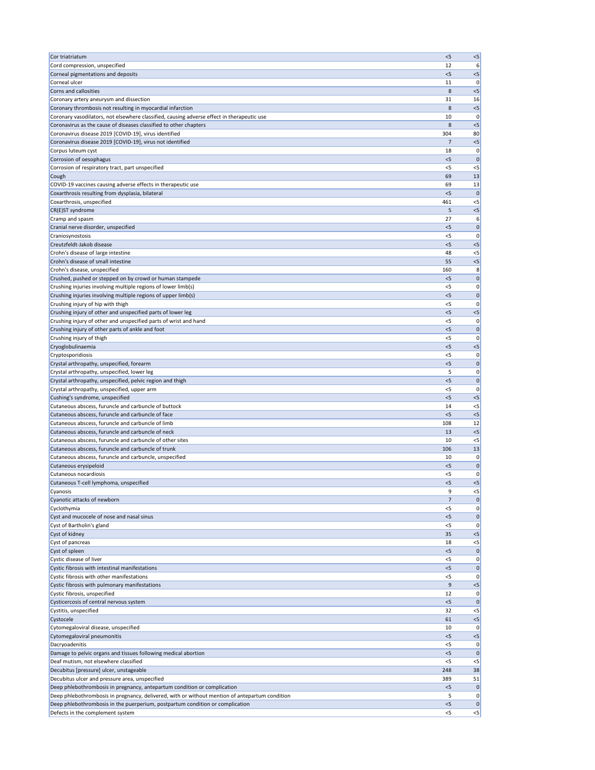| Cor triatriatum                                                                                        | < 5            | $<$ 5       |
|--------------------------------------------------------------------------------------------------------|----------------|-------------|
| Cord compression, unspecified                                                                          | 12             | 6           |
| Corneal pigmentations and deposits                                                                     | < 5            | $<$ 5       |
| Corneal ulcer                                                                                          | 11             | 0           |
| Corns and callosities                                                                                  | 8              | $<$ 5       |
| Coronary artery aneurysm and dissection                                                                | 31             | 16          |
| Coronary thrombosis not resulting in myocardial infarction                                             | 8              | $<$ 5       |
| Coronary vasodilators, not elsewhere classified, causing adverse effect in therapeutic use             | 10             | 0           |
| Coronavirus as the cause of diseases classified to other chapters                                      | 8              | $<$ 5       |
| Coronavirus disease 2019 [COVID-19], virus identified                                                  | 304<br>7       | 80          |
| Coronavirus disease 2019 [COVID-19], virus not identified<br>Corpus luteum cyst                        | 18             | $<$ 5<br>0  |
| Corrosion of oesophagus                                                                                | $<$ 5          | $\mathbf 0$ |
| Corrosion of respiratory tract, part unspecified                                                       | $<$ 5          | $<$ 5       |
| Cough                                                                                                  | 69             | 13          |
| COVID-19 vaccines causing adverse effects in therapeutic use                                           | 69             | 13          |
| Coxarthrosis resulting from dysplasia, bilateral                                                       | < 5            | $\mathbf 0$ |
| Coxarthrosis, unspecified                                                                              | 461            | $<$ 5       |
| CR(E)ST syndrome                                                                                       | 5              | $<$ 5       |
| Cramp and spasm                                                                                        | 27             | 6           |
| Cranial nerve disorder, unspecified                                                                    | $<$ 5          | 0           |
| Craniosynostosis                                                                                       | < 5            | 0           |
| Creutzfeldt-Jakob disease                                                                              | $<$ 5          | $<$ 5       |
| Crohn's disease of large intestine                                                                     | 48             | $<$ 5       |
| Crohn's disease of small intestine                                                                     | 55             | $<$ 5       |
| Crohn's disease, unspecified                                                                           | 160            | 8           |
| Crushed, pushed or stepped on by crowd or human stampede                                               | < 5            | $\mathbf 0$ |
| Crushing injuries involving multiple regions of lower limb(s)                                          | $<$ 5          | 0           |
| Crushing injuries involving multiple regions of upper limb(s)                                          | < 5            | 0           |
| Crushing injury of hip with thigh                                                                      | $<$ 5          | 0           |
| Crushing injury of other and unspecified parts of lower leg                                            | < 5            | $<$ 5       |
| Crushing injury of other and unspecified parts of wrist and hand                                       | $<$ 5          | 0           |
| Crushing injury of other parts of ankle and foot                                                       | $<$ 5          | 0           |
| Crushing injury of thigh                                                                               | $<$ 5          | 0           |
| Cryoglobulinaemia                                                                                      | $<$ 5          | $< 5$       |
| Cryptosporidiosis                                                                                      | < 5            | 0           |
| Crystal arthropathy, unspecified, forearm                                                              | $<$ 5          | 0           |
| Crystal arthropathy, unspecified, lower leg                                                            | 5              | 0           |
| Crystal arthropathy, unspecified, pelvic region and thigh                                              | < 5            | $\mathbf 0$ |
| Crystal arthropathy, unspecified, upper arm                                                            | <5             | 0           |
| Cushing's syndrome, unspecified                                                                        | < 5            | $<$ 5       |
| Cutaneous abscess, furuncle and carbuncle of buttock                                                   | 14             | $<$ 5       |
| Cutaneous abscess, furuncle and carbuncle of face                                                      | $<$ 5          | $<$ 5       |
| Cutaneous abscess, furuncle and carbuncle of limb<br>Cutaneous abscess, furuncle and carbuncle of neck | 108<br>13      | 12<br>$<$ 5 |
| Cutaneous abscess, furuncle and carbuncle of other sites                                               | 10             | $<$ 5       |
| Cutaneous abscess, furuncle and carbuncle of trunk                                                     | 106            | 13          |
| Cutaneous abscess, furuncle and carbuncle, unspecified                                                 | 10             | U           |
| Cutaneous erysipeloid                                                                                  | < 5            | 0           |
| Cutaneous nocardiosis                                                                                  | <5             | 0           |
| Cutaneous T-cell lymphoma, unspecified                                                                 | < 5            | $<$ 5       |
| Cyanosis                                                                                               | 9              | $<$ 5       |
| Cyanotic attacks of newborn                                                                            | $\overline{7}$ | $\Omega$    |
| Cyclothymia                                                                                            | $<$ 5          | 0           |
| Cyst and mucocele of nose and nasal sinus                                                              | < 5            | 0           |
| Cyst of Bartholin's gland                                                                              | < 5            | 0           |
| Cyst of kidney                                                                                         | 35             | $< 5$       |
| Cyst of pancreas                                                                                       | 18             | $<$ 5       |
| Cyst of spleen                                                                                         | < 5            | $\mathbf 0$ |
| Cystic disease of liver                                                                                | < 5            | 0           |
| Cystic fibrosis with intestinal manifestations                                                         | < 5            | 0           |
| Cystic fibrosis with other manifestations                                                              | $<$ 5          | 0           |
| Cystic fibrosis with pulmonary manifestations                                                          | 9              | $< 5$       |
| Cystic fibrosis, unspecified                                                                           | 12             | 0           |
| Cysticercosis of central nervous system                                                                | < 5            | $\mathbf 0$ |
| Cystitis, unspecified                                                                                  | 32             | $<$ 5       |
| Cystocele                                                                                              | 61             | $<$ 5       |
| Cytomegaloviral disease, unspecified                                                                   | 10             | 0           |
| Cytomegaloviral pneumonitis                                                                            | < 5            | $<$ 5       |
| Dacryoadenitis                                                                                         | $<$ 5          | U           |
| Damage to pelvic organs and tissues following medical abortion                                         | < 5            | 0           |
| Deaf mutism, not elsewhere classified<br>Decubitus [pressure] ulcer, unstageable                       | < 5            | $<$ 5<br>38 |
| Decubitus ulcer and pressure area, unspecified                                                         | 248<br>389     | 51          |
| Deep phlebothrombosis in pregnancy, antepartum condition or complication                               | $< 5$          | 0           |
| Deep phlebothrombosis in pregnancy, delivered, with or without mention of antepartum condition         | 5              | 0           |
| Deep phlebothrombosis in the puerperium, postpartum condition or complication                          | $<$ 5          | 0           |
| Defects in the complement system                                                                       | $<$ 5          | < 5         |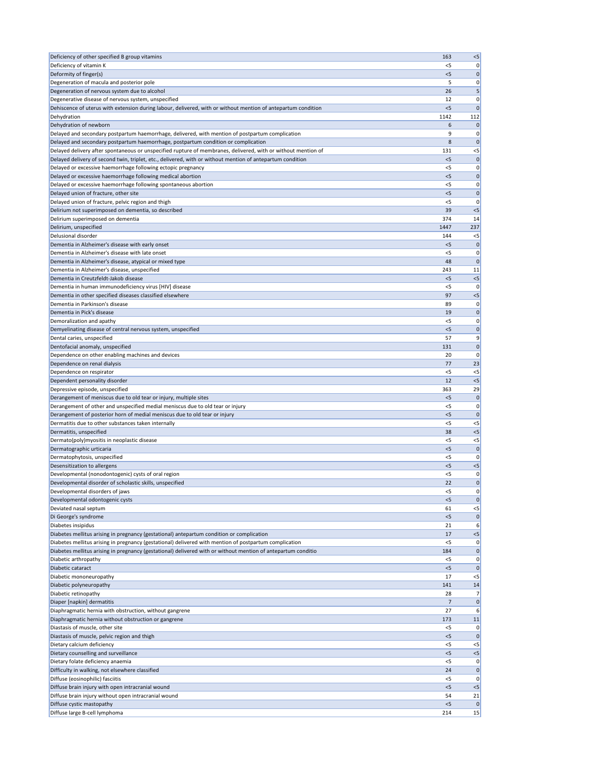| Deficiency of other specified B group vitamins                                                                                                                                         | 163            | $<$ 5                            |
|----------------------------------------------------------------------------------------------------------------------------------------------------------------------------------------|----------------|----------------------------------|
| Deficiency of vitamin K                                                                                                                                                                | < 5            | 0                                |
| Deformity of finger(s)                                                                                                                                                                 | < 5            | $\vert 0 \vert$                  |
| Degeneration of macula and posterior pole                                                                                                                                              | 5              | $\overline{0}$                   |
| Degeneration of nervous system due to alcohol                                                                                                                                          | 26             | 5                                |
| Degenerative disease of nervous system, unspecified                                                                                                                                    | 12             | $\overline{0}$                   |
| Dehiscence of uterus with extension during labour, delivered, with or without mention of antepartum condition                                                                          | < 5            | $\overline{0}$                   |
| Dehydration                                                                                                                                                                            | 1142           | 112                              |
| Dehydration of newborn                                                                                                                                                                 | 6<br>9         | $\overline{0}$                   |
| Delayed and secondary postpartum haemorrhage, delivered, with mention of postpartum complication<br>Delayed and secondary postpartum haemorrhage, postpartum condition or complication | 8              | $\overline{0}$<br>$\overline{0}$ |
| Delayed delivery after spontaneous or unspecified rupture of membranes, delivered, with or without mention of                                                                          | 131            | $<$ 5                            |
| Delayed delivery of second twin, triplet, etc., delivered, with or without mention of antepartum condition                                                                             | $<$ 5          | $\overline{0}$                   |
| Delayed or excessive haemorrhage following ectopic pregnancy                                                                                                                           | $<$ 5          | 0                                |
| Delayed or excessive haemorrhage following medical abortion                                                                                                                            | $<$ 5          | $\overline{0}$                   |
| Delayed or excessive haemorrhage following spontaneous abortion                                                                                                                        | $<$ 5          | 0                                |
| Delayed union of fracture, other site                                                                                                                                                  | < 5            | $\overline{0}$                   |
| Delayed union of fracture, pelvic region and thigh                                                                                                                                     | $<$ 5          | $\overline{0}$                   |
| Delirium not superimposed on dementia, so described                                                                                                                                    | 39             | $< 5$                            |
| Delirium superimposed on dementia                                                                                                                                                      | 374            | 14                               |
| Delirium, unspecified                                                                                                                                                                  | 1447           | 237                              |
| Delusional disorder                                                                                                                                                                    | 144            | $<$ 5                            |
| Dementia in Alzheimer's disease with early onset                                                                                                                                       | < 5            | $\overline{0}$                   |
| Dementia in Alzheimer's disease with late onset                                                                                                                                        | $<$ 5          | 0                                |
| Dementia in Alzheimer's disease, atypical or mixed type                                                                                                                                | 48             | $\mathbf 0$                      |
| Dementia in Alzheimer's disease, unspecified                                                                                                                                           | 243            | 11                               |
| Dementia in Creutzfeldt-Jakob disease                                                                                                                                                  | < 5            | $< 5$                            |
| Dementia in human immunodeficiency virus [HIV] disease                                                                                                                                 | $<$ 5          | $\overline{0}$                   |
| Dementia in other specified diseases classified elsewhere                                                                                                                              | 97             | $< 5$                            |
| Dementia in Parkinson's disease                                                                                                                                                        | 89             | $\overline{0}$                   |
| Dementia in Pick's disease                                                                                                                                                             | 19             | $\overline{0}$                   |
| Demoralization and apathy                                                                                                                                                              | $<$ 5          | $\overline{0}$                   |
| Demyelinating disease of central nervous system, unspecified                                                                                                                           | $<$ 5          | 0                                |
| Dental caries, unspecified                                                                                                                                                             | 57             | 9                                |
| Dentofacial anomaly, unspecified                                                                                                                                                       | 131            | $\overline{0}$                   |
| Dependence on other enabling machines and devices                                                                                                                                      | 20             | $\overline{0}$                   |
| Dependence on renal dialysis                                                                                                                                                           | 77             | 23                               |
| Dependence on respirator                                                                                                                                                               | $<$ 5          | $<$ 5                            |
|                                                                                                                                                                                        |                |                                  |
| Dependent personality disorder                                                                                                                                                         | 12             | $<$ 5                            |
| Depressive episode, unspecified                                                                                                                                                        | 363            | 29                               |
| Derangement of meniscus due to old tear or injury, multiple sites                                                                                                                      | $<$ 5          |                                  |
| Derangement of other and unspecified medial meniscus due to old tear or injury                                                                                                         | < 5            | $\overline{0}$<br>$\overline{0}$ |
| Derangement of posterior horn of medial meniscus due to old tear or injury                                                                                                             | $<$ 5          | $\overline{0}$                   |
| Dermatitis due to other substances taken internally                                                                                                                                    | $<$ 5          | $<$ 5                            |
| Dermatitis, unspecified                                                                                                                                                                | 38             | $< 5$                            |
| Dermato(poly)myositis in neoplastic disease                                                                                                                                            | $<$ 5          | $<$ 5                            |
| Dermatographic urticaria                                                                                                                                                               | $<$ 5          | $\overline{0}$                   |
| Dermatophytosis, unspecified                                                                                                                                                           | $<$ 5          | $\overline{0}$                   |
| Desensitization to allergens                                                                                                                                                           | $<$ 5<br>< 5   | $<$ 5<br> 0                      |
| Developmental (nonodontogenic) cysts of oral region                                                                                                                                    | 22             | $\overline{0}$                   |
| Developmental disorder of scholastic skills, unspecified                                                                                                                               | $<$ 5          | $\overline{0}$                   |
| Developmental disorders of jaws<br>Developmental odontogenic cysts                                                                                                                     | $<$ 5          | $\overline{0}$                   |
| Deviated nasal septum                                                                                                                                                                  | 61             | $<$ 5                            |
| Di George's syndrome                                                                                                                                                                   | < 5            | 0                                |
| Diabetes insipidus                                                                                                                                                                     | 21             | 6                                |
| Diabetes mellitus arising in pregnancy (gestational) antepartum condition or complication                                                                                              | 17             | $< 5$                            |
| Diabetes mellitus arising in pregnancy (gestational) delivered with mention of postpartum complication                                                                                 | $<$ 5          | $\overline{0}$                   |
| Diabetes mellitus arising in pregnancy (gestational) delivered with or without mention of antepartum conditio                                                                          | 184            | $\vert 0 \vert$                  |
| Diabetic arthropathy                                                                                                                                                                   | $<$ 5          | 0                                |
| Diabetic cataract                                                                                                                                                                      | $<$ 5          | $\overline{0}$                   |
| Diabetic mononeuropathy                                                                                                                                                                | 17             | $<$ 5                            |
| Diabetic polyneuropathy                                                                                                                                                                | 141            | 14                               |
| Diabetic retinopathy                                                                                                                                                                   | 28             | $\overline{7}$                   |
| Diaper [napkin] dermatitis                                                                                                                                                             | $\overline{7}$ |                                  |
| Diaphragmatic hernia with obstruction, without gangrene                                                                                                                                | 27             | $\overline{0}$<br>6              |
| Diaphragmatic hernia without obstruction or gangrene                                                                                                                                   | 173            | 11                               |
| Diastasis of muscle, other site                                                                                                                                                        | $<$ 5          | $\overline{0}$                   |
| Diastasis of muscle, pelvic region and thigh                                                                                                                                           | $<$ 5          | $\overline{0}$                   |
| Dietary calcium deficiency                                                                                                                                                             | $<$ 5          | $< 5$                            |
| Dietary counselling and surveillance                                                                                                                                                   | < 5            | $< 5$                            |
| Dietary folate deficiency anaemia                                                                                                                                                      | $<$ 5          | 0                                |
| Difficulty in walking, not elsewhere classified                                                                                                                                        | 24             | $\overline{0}$                   |
| Diffuse (eosinophilic) fasciitis                                                                                                                                                       | $<$ 5          | $\overline{0}$                   |
| Diffuse brain injury with open intracranial wound                                                                                                                                      | $<$ 5          | $< 5$                            |
| Diffuse brain injury without open intracranial wound<br>Diffuse cystic mastopathy                                                                                                      | 54<br>< 5      | 21<br>$\overline{0}$             |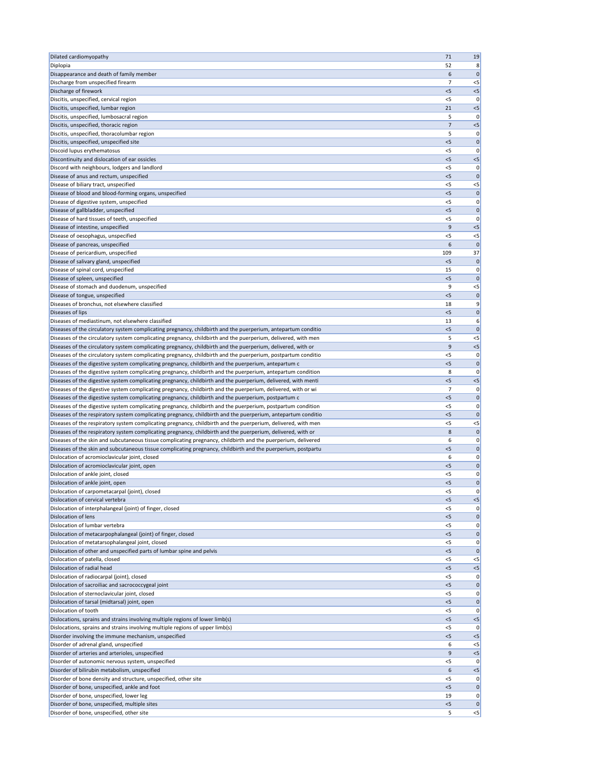| Dilated cardiomyopathy                                                                                        | 71             | 19                    |
|---------------------------------------------------------------------------------------------------------------|----------------|-----------------------|
| Diplopia                                                                                                      | 52             | 8                     |
| Disappearance and death of family member                                                                      | 6              | $\mathbf 0$           |
| Discharge from unspecified firearm                                                                            | $\overline{7}$ | $<$ 5                 |
| Discharge of firework                                                                                         | < 5            | $<$ 5                 |
| Discitis, unspecified, cervical region                                                                        | $<$ 5          | $\mathbf 0$           |
| Discitis, unspecified, lumbar region                                                                          | 21             | $<$ 5                 |
| Discitis, unspecified, lumbosacral region                                                                     | 5              | 0                     |
| Discitis, unspecified, thoracic region                                                                        | $\overline{7}$ | $<$ 5                 |
| Discitis, unspecified, thoracolumbar region                                                                   | 5              | 0                     |
| Discitis, unspecified, unspecified site                                                                       | < 5            | 0                     |
| Discoid lupus erythematosus                                                                                   | $<$ 5          | 0                     |
| Discontinuity and dislocation of ear ossicles                                                                 | < 5            | $<$ 5                 |
| Discord with neighbours, lodgers and landlord                                                                 | $<$ 5          | $\mathbf 0$           |
| Disease of anus and rectum, unspecified                                                                       | < 5            | $\Omega$              |
| Disease of biliary tract, unspecified                                                                         | $<$ 5          | $<$ 5                 |
| Disease of blood and blood-forming organs, unspecified                                                        | < 5            | 0                     |
| Disease of digestive system, unspecified                                                                      | $<$ 5          | 0                     |
| Disease of gallbladder, unspecified                                                                           | < 5            | $\mathbf 0$           |
| Disease of hard tissues of teeth, unspecified                                                                 | $<$ 5          | $\Omega$              |
| Disease of intestine, unspecified                                                                             | 9              | $<$ 5                 |
| Disease of oesophagus, unspecified                                                                            | $<$ 5          | $<$ 5<br>$\mathbf{0}$ |
| Disease of pancreas, unspecified<br>Disease of pericardium, unspecified                                       | 6<br>109       | 37                    |
|                                                                                                               | <5             | 0                     |
| Disease of salivary gland, unspecified<br>Disease of spinal cord, unspecified                                 | 15             | 0                     |
| Disease of spleen, unspecified                                                                                | < 5            | $\mathbf 0$           |
| Disease of stomach and duodenum, unspecified                                                                  | 9              | $<$ 5                 |
| Disease of tongue, unspecified                                                                                | < 5            | $\mathbf 0$           |
| Diseases of bronchus, not elsewhere classified                                                                | 18             | 9                     |
| Diseases of lips                                                                                              | $<$ 5          | 0                     |
| Diseases of mediastinum, not elsewhere classified                                                             | 13             | 6                     |
| Diseases of the circulatory system complicating pregnancy, childbirth and the puerperium, antepartum conditio | $<$ 5          | 0                     |
| Diseases of the circulatory system complicating pregnancy, childbirth and the puerperium, delivered, with men | 5              | $<$ 5                 |
| Diseases of the circulatory system complicating pregnancy, childbirth and the puerperium, delivered, with or  | 9              | $<$ 5                 |
| Diseases of the circulatory system complicating pregnancy, childbirth and the puerperium, postpartum conditio | $<$ 5          | 0                     |
| Diseases of the digestive system complicating pregnancy, childbirth and the puerperium, antepartum c          | < 5            | $\mathbf 0$           |
| Diseases of the digestive system complicating pregnancy, childbirth and the puerperium, antepartum condition  | 8              | 0                     |
| Diseases of the digestive system complicating pregnancy, childbirth and the puerperium, delivered, with menti | $<$ 5          | $<$ 5                 |
| Diseases of the digestive system complicating pregnancy, childbirth and the puerperium, delivered, with or wi | $\overline{7}$ |                       |
| Diseases of the digestive system complicating pregnancy, childbirth and the puerperium, postpartum c          | < 5            | 0                     |
| Diseases of the digestive system complicating pregnancy, childbirth and the puerperium, postpartum condition  | $<$ 5          | 0                     |
| Diseases of the respiratory system complicating pregnancy, childbirth and the puerperium, antepartum conditio | < 5            |                       |
| Diseases of the respiratory system complicating pregnancy, childbirth and the puerperium, delivered, with men | $<$ 5          | $<$ 5                 |
| Diseases of the respiratory system complicating pregnancy, childbirth and the puerperium, delivered, with or  | 8              | 0                     |
| Diseases of the skin and subcutaneous tissue complicating pregnancy, childbirth and the puerperium, delivered | 6              | 0                     |
| Diseases of the skin and subcutaneous tissue complicating pregnancy, childbirth and the puerperium, postpartu | < 5            | $\mathbf 0$           |
| Dislocation of acromioclavicular joint, closed                                                                | 6              |                       |
| Dislocation of acromioclavicular joint, open                                                                  | < 5            | 0                     |
| Dislocation of ankle joint, closed                                                                            | $<$ 5          | 0                     |
| Dislocation of ankle joint, open                                                                              | < 5            | 0                     |
| Dislocation of carpometacarpal (joint), closed                                                                | $<$ 5          | 0                     |
| Dislocation of cervical vertebra                                                                              | $<$ 5          | $<$ 5                 |
| Dislocation of interphalangeal (joint) of finger, closed                                                      | $<$ 5          | 0                     |
| Dislocation of lens                                                                                           | < 5            | 0                     |
| Dislocation of lumbar vertebra                                                                                | $<$ 5          | 0                     |
| Dislocation of metacarpophalangeal (joint) of finger, closed                                                  | $<$ 5          | 0                     |
| Dislocation of metatarsophalangeal joint, closed                                                              | $<$ 5          | 0                     |
| Dislocation of other and unspecified parts of lumbar spine and pelvis                                         | $<$ 5          | 0                     |
| Dislocation of patella, closed                                                                                | $<$ 5          | $<$ 5                 |
| Dislocation of radial head                                                                                    | < 5            | $<$ 5                 |
| Dislocation of radiocarpal (joint), closed                                                                    | $<$ 5          | 0                     |
| Dislocation of sacroiliac and sacrococcygeal joint                                                            | $5$            |                       |
| Dislocation of sternoclavicular joint, closed<br>Dislocation of tarsal (midtarsal) joint, open                | <5<br>$<$ 5    | 0<br>$\mathbf 0$      |
| Dislocation of tooth                                                                                          | $<$ 5          | O                     |
| Dislocations, sprains and strains involving multiple regions of lower limb(s)                                 | < 5            | $<$ 5                 |
| Dislocations, sprains and strains involving multiple regions of upper limb(s)                                 | $<$ 5          |                       |
| Disorder involving the immune mechanism, unspecified                                                          | < 5            | $<$ 5                 |
| Disorder of adrenal gland, unspecified                                                                        | 6              | $<$ 5                 |
| Disorder of arteries and arterioles, unspecified                                                              | 9              | $<$ 5                 |
| Disorder of autonomic nervous system, unspecified                                                             | $<$ 5          | 0                     |
| Disorder of bilirubin metabolism, unspecified                                                                 | 6              | $<$ 5                 |
| Disorder of bone density and structure, unspecified, other site                                               | $<$ 5          | 0                     |
| Disorder of bone, unspecified, ankle and foot                                                                 | < 5            | 0                     |
| Disorder of bone, unspecified, lower leg                                                                      | 19             | 0                     |
| Disorder of bone, unspecified, multiple sites                                                                 | $<$ 5          | 0                     |
| Disorder of bone, unspecified, other site                                                                     | 5              | $<$ 5                 |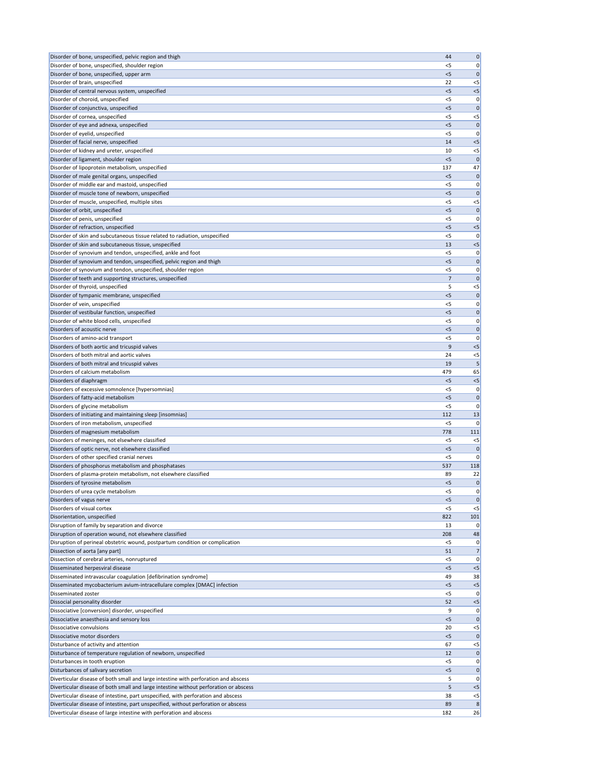| Disorder of bone, unspecified, pelvic region and thigh                                                                                                      | 44             | $\boldsymbol{0}$      |
|-------------------------------------------------------------------------------------------------------------------------------------------------------------|----------------|-----------------------|
| Disorder of bone, unspecified, shoulder region                                                                                                              | $<$ 5          | 0                     |
| Disorder of bone, unspecified, upper arm                                                                                                                    | < 5            | $\mathbf 0$           |
| Disorder of brain, unspecified                                                                                                                              | 22             | $<$ 5                 |
| Disorder of central nervous system, unspecified                                                                                                             | < 5            | $<$ 5                 |
| Disorder of choroid, unspecified                                                                                                                            | $<$ 5          | 0                     |
| Disorder of conjunctiva, unspecified                                                                                                                        | < 5            | $\Omega$              |
| Disorder of cornea, unspecified                                                                                                                             | $<$ 5<br>$<$ 5 | $<$ 5<br>$\mathsf{C}$ |
| Disorder of eye and adnexa, unspecified<br>Disorder of eyelid, unspecified                                                                                  | <5             | 0                     |
| Disorder of facial nerve, unspecified                                                                                                                       | 14             | $<$ 5                 |
| Disorder of kidney and ureter, unspecified                                                                                                                  | 10             | $<$ 5                 |
| Disorder of ligament, shoulder region                                                                                                                       | $<$ 5          | $\mathbf 0$           |
| Disorder of lipoprotein metabolism, unspecified                                                                                                             | 137            | 47                    |
| Disorder of male genital organs, unspecified                                                                                                                | $<$ 5          | 0                     |
| Disorder of middle ear and mastoid, unspecified                                                                                                             | <5             | 0                     |
| Disorder of muscle tone of newborn, unspecified                                                                                                             | $<$ 5          | $\Omega$              |
| Disorder of muscle, unspecified, multiple sites                                                                                                             | $<$ 5          | $<$ 5                 |
| Disorder of orbit, unspecified                                                                                                                              | $<$ 5          | $\Omega$              |
| Disorder of penis, unspecified                                                                                                                              | $<$ 5          | 0                     |
| Disorder of refraction, unspecified                                                                                                                         | $<$ 5          | $<$ 5                 |
| Disorder of skin and subcutaneous tissue related to radiation, unspecified                                                                                  | <5             | C                     |
| Disorder of skin and subcutaneous tissue, unspecified                                                                                                       | 13             | $<$ 5                 |
| Disorder of synovium and tendon, unspecified, ankle and foot                                                                                                | $<$ 5          | 0                     |
| Disorder of synovium and tendon, unspecified, pelvic region and thigh<br>Disorder of synovium and tendon, unspecified, shoulder region                      | < 5<br>$<$ 5   | 0<br>0                |
| Disorder of teeth and supporting structures, unspecified                                                                                                    | 7              | $\Omega$              |
| Disorder of thyroid, unspecified                                                                                                                            | 5              | $<$ 5                 |
| Disorder of tympanic membrane, unspecified                                                                                                                  | $<$ 5          | $\mathbf 0$           |
| Disorder of vein, unspecified                                                                                                                               | <5             | 0                     |
| Disorder of vestibular function, unspecified                                                                                                                | $<$ 5          | $\mathbf 0$           |
| Disorder of white blood cells, unspecified                                                                                                                  | $<$ 5          | 0                     |
| Disorders of acoustic nerve                                                                                                                                 | $<$ 5          | 0                     |
| Disorders of amino-acid transport                                                                                                                           | $<$ 5          | 0                     |
| Disorders of both aortic and tricuspid valves                                                                                                               | 9              | $<$ 5                 |
| Disorders of both mitral and aortic valves                                                                                                                  | 24             | $<$ 5                 |
| Disorders of both mitral and tricuspid valves                                                                                                               | 19             |                       |
| Disorders of calcium metabolism                                                                                                                             | 479            | 65                    |
| Disorders of diaphragm                                                                                                                                      | $<$ 5          | $<$ 5                 |
| Disorders of excessive somnolence [hypersomnias]                                                                                                            | <5             | 0                     |
| Disorders of fatty-acid metabolism                                                                                                                          | < 5            | $\mathbf 0$           |
| Disorders of glycine metabolism                                                                                                                             | $<$ 5          | 0                     |
| Disorders of initiating and maintaining sleep [insomnias]                                                                                                   | 112            | 13                    |
| Disorders of iron metabolism, unspecified                                                                                                                   | $<$ 5          | 0                     |
| Disorders of magnesium metabolism<br>Disorders of meninges, not elsewhere classified                                                                        | 778<br>$<$ 5   | 111<br>$<$ 5          |
| Disorders of optic nerve, not elsewhere classified                                                                                                          | < 5            | $\mathbf 0$           |
| Disorders of other specified cranial nerves                                                                                                                 | <5             | 0                     |
| Disorders of phosphorus metabolism and phosphatases                                                                                                         | 537            | 118                   |
| Disorders of plasma-protein metabolism, not elsewhere classified                                                                                            | 89             | 22                    |
| Disorders of tyrosine metabolism                                                                                                                            | < 5            | $\mathbf 0$           |
| Disorders of urea cycle metabolism                                                                                                                          | <5             | 0                     |
| Disorders of vagus nerve                                                                                                                                    | $<$ 5          | 0                     |
| Disorders of visual cortex                                                                                                                                  | $<$ 5          | $<$ 5                 |
| Disorientation, unspecified                                                                                                                                 | 822            | 101                   |
| Disruption of family by separation and divorce                                                                                                              | 13             | 0                     |
| Disruption of operation wound, not elsewhere classified                                                                                                     | 208            | 48                    |
| Disruption of perineal obstetric wound, postpartum condition or complication                                                                                | $<$ 5          | 0                     |
| Dissection of aorta [any part]                                                                                                                              | 51             | $\overline{7}$        |
| Dissection of cerebral arteries, nonruptured                                                                                                                | $<$ 5          | 0                     |
| Disseminated herpesviral disease<br>Disseminated intravascular coagulation [defibrination syndrome]                                                         | $<$ 5<br>49    | $<$ 5<br>38           |
| Disseminated mycobacterium avium-intracellulare complex [DMAC] infection                                                                                    | < 5            | $<$ 5                 |
| Disseminated zoster                                                                                                                                         | < 5            | 0                     |
| Dissocial personality disorder                                                                                                                              | 52             | < 5                   |
| Dissociative [conversion] disorder, unspecified                                                                                                             | 9              | 0                     |
| Dissociative anaesthesia and sensory loss                                                                                                                   | $<$ 5          | 0                     |
| Dissociative convulsions                                                                                                                                    | 20             | $<$ 5                 |
| Dissociative motor disorders                                                                                                                                | $<$ 5          | 0                     |
| Disturbance of activity and attention                                                                                                                       | 67             | $<$ 5                 |
| Disturbance of temperature regulation of newborn, unspecified                                                                                               | 12             | 0                     |
| Disturbances in tooth eruption                                                                                                                              | $<$ 5          | 0                     |
| Disturbances of salivary secretion                                                                                                                          |                | 0                     |
| Diverticular disease of both small and large intestine with perforation and abscess                                                                         | $<$ 5          |                       |
|                                                                                                                                                             | 5              | 0                     |
| Diverticular disease of both small and large intestine without perforation or abscess                                                                       | 5              | $<$ 5                 |
| Diverticular disease of intestine, part unspecified, with perforation and abscess                                                                           | 38             | $<$ 5                 |
| Diverticular disease of intestine, part unspecified, without perforation or abscess<br>Diverticular disease of large intestine with perforation and abscess | 89<br>182      | 8<br>26               |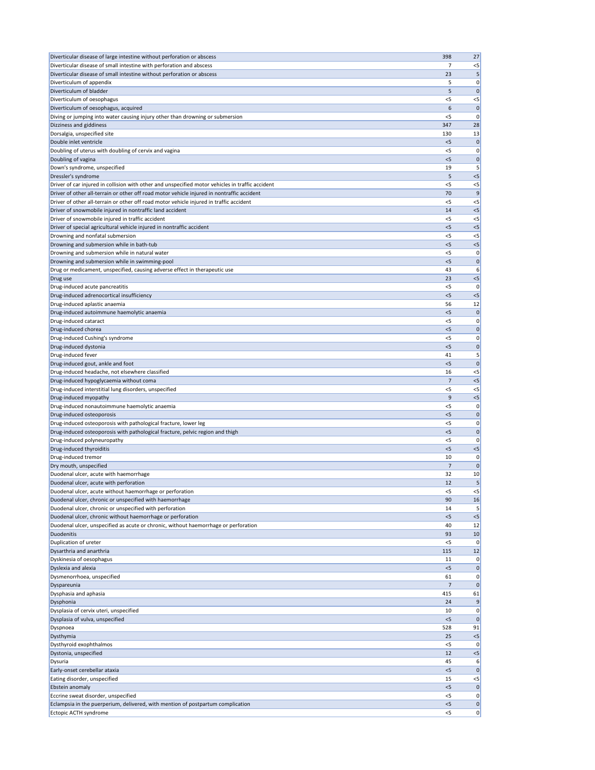| Diverticular disease of large intestine without perforation or abscess                                                    | 398         | 27                |
|---------------------------------------------------------------------------------------------------------------------------|-------------|-------------------|
| Diverticular disease of small intestine with perforation and abscess                                                      | 7           | $<$ 5             |
| Diverticular disease of small intestine without perforation or abscess                                                    | 23          | 5                 |
| Diverticulum of appendix                                                                                                  | 5           | 0                 |
| Diverticulum of bladder                                                                                                   | 5           | $\mathbf 0$       |
| Diverticulum of oesophagus                                                                                                | $<$ 5<br>6  | $<$ 5             |
| Diverticulum of oesophagus, acquired<br>Diving or jumping into water causing injury other than drowning or submersion     | $<$ 5       | $\mathbf 0$<br>0  |
| Dizziness and giddiness                                                                                                   | 347         | 28                |
| Dorsalgia, unspecified site                                                                                               | 130         | 13                |
| Double inlet ventricle                                                                                                    | $<$ 5       | $\mathbf 0$       |
| Doubling of uterus with doubling of cervix and vagina                                                                     | <5          | 0                 |
| Doubling of vagina                                                                                                        | < 5         | $\mathbf 0$       |
| Down's syndrome, unspecified                                                                                              | 19          | 5                 |
| Dressler's syndrome                                                                                                       | 5           | $<$ 5             |
| Driver of car injured in collision with other and unspecified motor vehicles in traffic accident                          | $<$ 5       | $<$ 5             |
| Driver of other all-terrain or other off road motor vehicle injured in nontraffic accident                                | 70          | 9                 |
| Driver of other all-terrain or other off road motor vehicle injured in traffic accident                                   | $<$ 5       | $<$ 5             |
| Driver of snowmobile injured in nontraffic land accident                                                                  | 14          | $<$ 5             |
| Driver of snowmobile injured in traffic accident<br>Driver of special agricultural vehicle injured in nontraffic accident | <5<br>$<$ 5 | $<$ 5<br>$<$ 5    |
| Drowning and nonfatal submersion                                                                                          | < 5         | $<$ 5             |
| Drowning and submersion while in bath-tub                                                                                 | < 5         | $< 5$             |
| Drowning and submersion while in natural water                                                                            | < 5         | 0                 |
| Drowning and submersion while in swimming-pool                                                                            | $<$ 5       | $\mathbf 0$       |
| Drug or medicament, unspecified, causing adverse effect in therapeutic use                                                | 43          | 6                 |
| Drug use                                                                                                                  | 23          | $<$ 5             |
| Drug-induced acute pancreatitis                                                                                           | $<$ 5       | 0                 |
| Drug-induced adrenocortical insufficiency                                                                                 | < 5         | $< 5$             |
| Drug-induced aplastic anaemia                                                                                             | 56          | 12                |
| Drug-induced autoimmune haemolytic anaemia                                                                                | $<$ 5       | $\mathbf 0$       |
| Drug-induced cataract                                                                                                     | $<$ 5       | 0                 |
| Drug-induced chorea                                                                                                       | $<$ 5       | $\mathbf 0$       |
| Drug-induced Cushing's syndrome                                                                                           | < 5         | 0                 |
| Drug-induced dystonia                                                                                                     | < 5<br>41   | $\mathbf 0$       |
| Drug-induced fever<br>Drug-induced gout, ankle and foot                                                                   | < 5         | 5<br>$\mathbf 0$  |
| Drug-induced headache, not elsewhere classified                                                                           | 16          | $<$ 5             |
| Drug-induced hypoglycaemia without coma                                                                                   | 7           | $< 5$             |
| Drug-induced interstitial lung disorders, unspecified                                                                     | $<$ 5       | $<$ 5             |
| Drug-induced myopathy                                                                                                     | 9           | $<$ 5             |
| Drug-induced nonautoimmune haemolytic anaemia                                                                             | $<$ 5       | 0                 |
| Drug-induced osteoporosis                                                                                                 | < 5         | $\mathbf 0$       |
| Drug-induced osteoporosis with pathological fracture, lower leg                                                           | $<$ 5       | 0                 |
| Drug-induced osteoporosis with pathological fracture, pelvic region and thigh                                             | < 5         | $\mathbf 0$       |
| Drug-induced polyneuropathy                                                                                               | $<$ 5       | 0                 |
| Drug-induced thyroiditis                                                                                                  | < 5         | $< 5$             |
| Drug-induced tremor                                                                                                       | 10          | 0                 |
| Dry mouth, unspecified<br>Duodenal ulcer, acute with haemorrhage                                                          | 7<br>32     | $\mathbf 0$<br>10 |
| Duodenal ulcer, acute with perforation                                                                                    | 12          | 5                 |
| Duodenal ulcer, acute without haemorrhage or perforation                                                                  | $<$ 5       | $<$ 5             |
| Duodenal ulcer, chronic or unspecified with haemorrhage                                                                   | 90          | 16                |
| Duodenal ulcer, chronic or unspecified with perforation                                                                   | 14          | 5                 |
| Duodenal ulcer, chronic without haemorrhage or perforation                                                                | < 5         | $<$ 5             |
| Duodenal ulcer, unspecified as acute or chronic, without haemorrhage or perforation                                       | 40          | 12                |
| Duodenitis                                                                                                                | 93          | 10                |
| Duplication of ureter                                                                                                     | <5          | 0                 |
| Dysarthria and anarthria                                                                                                  | 115         | 12                |
| Dyskinesia of oesophagus                                                                                                  | 11          | 0                 |
| Dyslexia and alexia                                                                                                       | $<$ 5       | $\mathbf 0$       |
| Dysmenorrhoea, unspecified                                                                                                | 61          | 0                 |
| Dyspareunia                                                                                                               |             | 0                 |
| Dysphasia and aphasia<br>Dysphonia                                                                                        | 415<br>24   | 61<br>9           |
| Dysplasia of cervix uteri, unspecified                                                                                    | 10          | 0                 |
| Dysplasia of vulva, unspecified                                                                                           | < 5         | $\mathbf 0$       |
| Dyspnoea                                                                                                                  | 528         | 91                |
| Dysthymia                                                                                                                 | 25          | $< 5$             |
| Dysthyroid exophthalmos                                                                                                   | < 5         | 0                 |
| Dystonia, unspecified                                                                                                     | 12          | $<$ 5             |
| Dysuria                                                                                                                   | 45          | 6                 |
| Early-onset cerebellar ataxia                                                                                             | < 5         | $\mathbf 0$       |
| Eating disorder, unspecified                                                                                              | 15          | $< 5$             |
| Ebstein anomaly                                                                                                           | < 5         | 0                 |
| Eccrine sweat disorder, unspecified                                                                                       | $<$ 5       | 0                 |
| Eclampsia in the puerperium, delivered, with mention of postpartum complication                                           | < 5         | 0                 |
| Ectopic ACTH syndrome                                                                                                     | $<$ 5       | 0                 |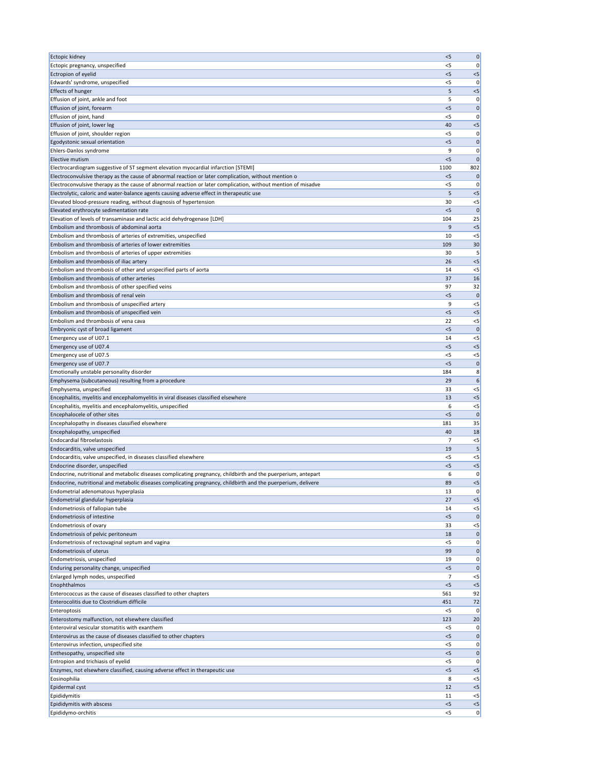| Ectopic kidney                                                                                                                                                                             | < 5            | $\pmb{0}$          |
|--------------------------------------------------------------------------------------------------------------------------------------------------------------------------------------------|----------------|--------------------|
| Ectopic pregnancy, unspecified                                                                                                                                                             | $<$ 5          | 0                  |
| Ectropion of eyelid                                                                                                                                                                        | < 5            | $<$ 5              |
| Edwards' syndrome, unspecified                                                                                                                                                             | <5             | 0                  |
| <b>Effects of hunger</b><br>Effusion of joint, ankle and foot                                                                                                                              | 5<br>5         | $< 5$<br>0         |
| Effusion of joint, forearm                                                                                                                                                                 | < 5            | $\mathbf 0$        |
| Effusion of joint, hand                                                                                                                                                                    | < 5            | 0                  |
| Effusion of joint, lower leg                                                                                                                                                               | 40             | $<$ 5              |
| Effusion of joint, shoulder region                                                                                                                                                         | $<$ 5          | 0                  |
| Egodystonic sexual orientation                                                                                                                                                             | < 5            | $\mathbf 0$        |
| Ehlers-Danlos syndrome                                                                                                                                                                     | 9              | 0                  |
| Elective mutism                                                                                                                                                                            | < 5            | $\mathbf 0$        |
| Electrocardiogram suggestive of ST segment elevation myocardial infarction [STEMI]<br>Electroconvulsive therapy as the cause of abnormal reaction or later complication, without mention o | 1100<br>$<$ 5  | 802<br>$\mathbf 0$ |
| Electroconvulsive therapy as the cause of abnormal reaction or later complication, without mention of misadve                                                                              | $<$ 5          | 0                  |
| Electrolytic, caloric and water-balance agents causing adverse effect in therapeutic use                                                                                                   | 5              | < 5                |
| Elevated blood-pressure reading, without diagnosis of hypertension                                                                                                                         | 30             | $< 5$              |
| Elevated erythrocyte sedimentation rate                                                                                                                                                    | < 5            | $\mathbf 0$        |
| Elevation of levels of transaminase and lactic acid dehydrogenase [LDH]                                                                                                                    | 104            | 25                 |
| Embolism and thrombosis of abdominal aorta                                                                                                                                                 | 9              | $< 5$              |
| Embolism and thrombosis of arteries of extremities, unspecified                                                                                                                            | 10             | $<$ 5              |
| Embolism and thrombosis of arteries of lower extremities                                                                                                                                   | 109            | 30                 |
| Embolism and thrombosis of arteries of upper extremities<br>Embolism and thrombosis of iliac artery                                                                                        | 30<br>26       | 5<br>$<$ 5         |
| Embolism and thrombosis of other and unspecified parts of aorta                                                                                                                            | 14             | $<$ 5              |
| Embolism and thrombosis of other arteries                                                                                                                                                  | 37             | 16                 |
| Embolism and thrombosis of other specified veins                                                                                                                                           | 97             | 32                 |
| Embolism and thrombosis of renal vein                                                                                                                                                      | $<$ 5          | $\mathbf{0}$       |
| Embolism and thrombosis of unspecified artery                                                                                                                                              | 9              | $<$ 5              |
| Embolism and thrombosis of unspecified vein                                                                                                                                                | $<$ 5          | $<$ 5              |
| Embolism and thrombosis of vena cava                                                                                                                                                       | 22             | $<$ 5              |
| Embryonic cyst of broad ligament                                                                                                                                                           | < 5            | $\mathbf{0}$       |
| Emergency use of U07.1<br>Emergency use of U07.4                                                                                                                                           | 14<br>$<$ 5    | $<$ 5<br>$<$ 5     |
| Emergency use of U07.5                                                                                                                                                                     | $<$ 5          | $<$ 5              |
| Emergency use of U07.7                                                                                                                                                                     | $<$ 5          | $\mathbf 0$        |
| Emotionally unstable personality disorder                                                                                                                                                  | 184            | 8                  |
| Emphysema (subcutaneous) resulting from a procedure                                                                                                                                        | 29             | 6                  |
| Emphysema, unspecified                                                                                                                                                                     | 33             | $<$ 5              |
| Encephalitis, myelitis and encephalomyelitis in viral diseases classified elsewhere                                                                                                        | 13             | $<$ 5              |
| Encephalitis, myelitis and encephalomyelitis, unspecified                                                                                                                                  | 6              | $<$ 5              |
| Encephalocele of other sites                                                                                                                                                               | $<$ 5          | $\mathbf 0$        |
| Encephalopathy in diseases classified elsewhere<br>Encephalopathy, unspecified                                                                                                             | 181<br>40      | 35<br>18           |
| <b>Endocardial fibroelastosis</b>                                                                                                                                                          | 7              | $< 5$              |
| Endocarditis, valve unspecified                                                                                                                                                            | 19             | 5                  |
| Endocarditis, valve unspecified, in diseases classified elsewhere                                                                                                                          | $<$ 5          | $<$ 5              |
| Endocrine disorder, unspecified                                                                                                                                                            | < 5            | $< 5$              |
| Endocrine, nutritional and metabolic diseases complicating pregnancy, childbirth and the puerperium, antepart                                                                              | 6              | 0                  |
| Endocrine, nutritional and metabolic diseases complicating pregnancy, childbirth and the puerperium, delivere                                                                              | 89             | < 5                |
| Endometrial adenomatous hyperplasia                                                                                                                                                        | 13             | 0                  |
| Endometrial glandular hyperplasia<br>Endometriosis of fallopian tube                                                                                                                       | 27<br>14       | $<$ 5<br>$<$ 5     |
| <b>Endometriosis of intestine</b>                                                                                                                                                          | $<$ 5          | $\mathbf 0$        |
| Endometriosis of ovary                                                                                                                                                                     | 33             | $<$ 5              |
| Endometriosis of pelvic peritoneum                                                                                                                                                         | 18             | $\mathbf 0$        |
| Endometriosis of rectovaginal septum and vagina                                                                                                                                            | $<$ 5          | 0                  |
| <b>Endometriosis of uterus</b>                                                                                                                                                             | 99             | $\mathbf 0$        |
| Endometriosis, unspecified                                                                                                                                                                 | 19             | 0                  |
| Enduring personality change, unspecified                                                                                                                                                   | < 5            | $\mathbf 0$        |
| Enlarged lymph nodes, unspecified                                                                                                                                                          | 7<br>< 5       | $<$ 5              |
| Enophthalmos<br>Enterococcus as the cause of diseases classified to other chapters                                                                                                         | 561            | $<$ 5<br>92        |
| Enterocolitis due to Clostridium difficile                                                                                                                                                 | 451            | 72                 |
| Enteroptosis                                                                                                                                                                               | $<$ 5          | 0                  |
| Enterostomy malfunction, not elsewhere classified                                                                                                                                          | 123            | 20                 |
| Enteroviral vesicular stomatitis with exanthem                                                                                                                                             | $<$ 5          | 0                  |
| Enterovirus as the cause of diseases classified to other chapters                                                                                                                          | $<$ 5          | $\mathbf 0$        |
| Enterovirus infection, unspecified site                                                                                                                                                    | <5             | 0                  |
| Enthesopathy, unspecified site                                                                                                                                                             | $<$ 5          | 0                  |
| Entropion and trichiasis of eyelid<br>Enzymes, not elsewhere classified, causing adverse effect in therapeutic use                                                                         | $<$ 5<br>$<$ 5 | 0 <br>$<$ 5        |
| Eosinophilia                                                                                                                                                                               | 8              | $<$ 5              |
| Epidermal cyst                                                                                                                                                                             | 12             | $< 5$              |
| Epididymitis                                                                                                                                                                               | 11             | $<$ 5              |
| Epididymitis with abscess                                                                                                                                                                  | < 5            | $<$ 5              |
| Epididymo-orchitis                                                                                                                                                                         | $<$ 5          | 0                  |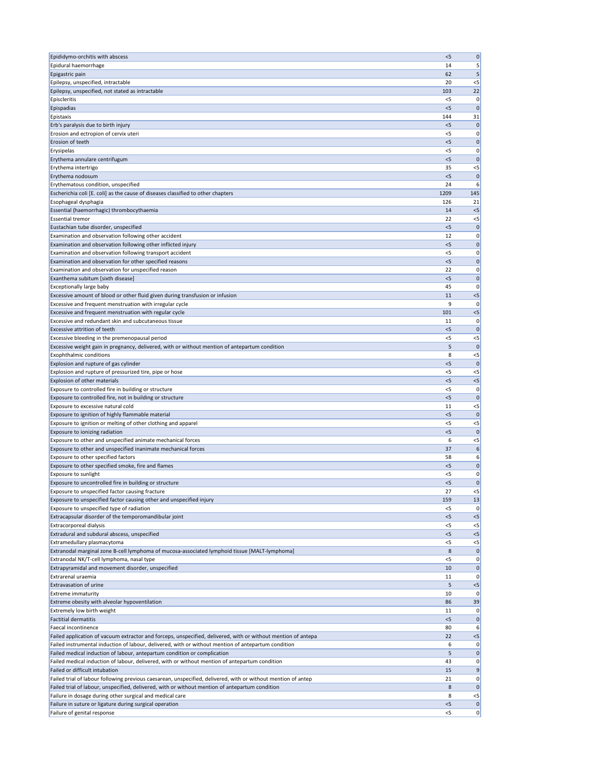| Epididymo-orchitis with abscess                                                                                                                                                                                  | < 5            | $\mathbf 0$          |
|------------------------------------------------------------------------------------------------------------------------------------------------------------------------------------------------------------------|----------------|----------------------|
| Epidural haemorrhage                                                                                                                                                                                             | 14             | 5                    |
| Epigastric pain                                                                                                                                                                                                  | 62             | 5                    |
| Epilepsy, unspecified, intractable                                                                                                                                                                               | 20             | $<$ 5                |
| Epilepsy, unspecified, not stated as intractable                                                                                                                                                                 | 103            | 22                   |
| Episcleritis                                                                                                                                                                                                     | $<$ 5          | 0                    |
| Epispadias                                                                                                                                                                                                       | $<$ 5          | $\mathbf{0}$         |
| Epistaxis                                                                                                                                                                                                        | 144            | 31                   |
| Erb's paralysis due to birth injury<br>Erosion and ectropion of cervix uteri                                                                                                                                     | $<$ 5<br>$<$ 5 | $\mathbf 0$<br> 0    |
| Erosion of teeth                                                                                                                                                                                                 | < 5            | $\mathbf 0$          |
| Erysipelas                                                                                                                                                                                                       | <5             | 0                    |
| Erythema annulare centrifugum                                                                                                                                                                                    | $<$ 5          | $\mathbf 0$          |
| Erythema intertrigo                                                                                                                                                                                              | 35             | $<$ 5                |
| Erythema nodosum                                                                                                                                                                                                 | $<$ 5          | $\mathbf 0$          |
| Erythematous condition, unspecified                                                                                                                                                                              | 24             | 6                    |
| Escherichia coli [E. coli] as the cause of diseases classified to other chapters                                                                                                                                 | 1209           | 145                  |
| Esophageal dysphagia                                                                                                                                                                                             | 126            | 21                   |
| Essential (haemorrhagic) thrombocythaemia                                                                                                                                                                        | 14             | $<$ 5                |
| <b>Essential tremor</b>                                                                                                                                                                                          | 22             | $<$ 5                |
| Eustachian tube disorder, unspecified                                                                                                                                                                            | < 5            | $\mathbf 0$          |
| Examination and observation following other accident                                                                                                                                                             | 12             | 0                    |
| Examination and observation following other inflicted injury                                                                                                                                                     | $<$ 5          | 0                    |
| Examination and observation following transport accident                                                                                                                                                         | <5             | 0                    |
| Examination and observation for other specified reasons                                                                                                                                                          | $<$ 5          | 0                    |
| Examination and observation for unspecified reason                                                                                                                                                               | 22             | 0                    |
| Exanthema subitum [sixth disease]                                                                                                                                                                                | $<$ 5          | $\mathbf 0$          |
| <b>Exceptionally large baby</b>                                                                                                                                                                                  | 45             | 0                    |
| Excessive amount of blood or other fluid given during transfusion or infusion                                                                                                                                    | 11             | < 5                  |
| Excessive and frequent menstruation with irregular cycle                                                                                                                                                         | 9              | 0                    |
| Excessive and frequent menstruation with regular cycle                                                                                                                                                           | 101            | < 5                  |
| Excessive and redundant skin and subcutaneous tissue                                                                                                                                                             | 11             | 0                    |
| Excessive attrition of teeth<br>Excessive bleeding in the premenopausal period                                                                                                                                   | $<$ 5<br>< 5   | 0                    |
| Excessive weight gain in pregnancy, delivered, with or without mention of antepartum condition                                                                                                                   | 5              | $< 5$<br>$\mathbf 0$ |
| <b>Exophthalmic conditions</b>                                                                                                                                                                                   | 8              | $<$ 5                |
| Explosion and rupture of gas cylinder                                                                                                                                                                            | < 5            | $\mathbf{0}$         |
| Explosion and rupture of pressurized tire, pipe or hose                                                                                                                                                          | $<$ 5          | $<$ 5                |
| Explosion of other materials                                                                                                                                                                                     | < 5            | $< 5$                |
| Exposure to controlled fire in building or structure                                                                                                                                                             | <5             | 0                    |
| Exposure to controlled fire, not in building or structure                                                                                                                                                        | $<$ 5          | $\mathbf 0$          |
| Exposure to excessive natural cold                                                                                                                                                                               | 11             | $<$ 5                |
| Exposure to ignition of highly flammable material                                                                                                                                                                | $<$ 5          | $\mathbf 0$          |
| Exposure to ignition or melting of other clothing and apparel                                                                                                                                                    | <5             | $<$ 5                |
| Exposure to ionizing radiation                                                                                                                                                                                   | < 5            | $\mathbf 0$          |
| Exposure to other and unspecified animate mechanical forces                                                                                                                                                      | 6              | $<$ 5                |
| Exposure to other and unspecified inanimate mechanical forces                                                                                                                                                    | 37             | 6                    |
| Exposure to other specified factors                                                                                                                                                                              | 58             | 6                    |
| Exposure to other specified smoke, fire and flames                                                                                                                                                               | < 5            | $\mathbf 0$          |
| Exposure to sunlight                                                                                                                                                                                             | <5             | 0                    |
| Exposure to uncontrolled fire in building or structure                                                                                                                                                           | $<$ 5          | $\mathbf 0$          |
| Exposure to unspecified factor causing fracture                                                                                                                                                                  | 27             | $<$ 5                |
| Exposure to unspecified factor causing other and unspecified injury                                                                                                                                              | 159            | 13                   |
| Exposure to unspecified type of radiation                                                                                                                                                                        | <5<br>$<$ 5    | 0<br>$< 5$           |
| Extracapsular disorder of the temporomandibular joint<br>Extracorporeal dialysis                                                                                                                                 | $<$ 5          | $<$ 5                |
| Extradural and subdural abscess, unspecified                                                                                                                                                                     | < 5            | $< 5$                |
| Extramedullary plasmacytoma                                                                                                                                                                                      | <5             | $<$ 5                |
| Extranodal marginal zone B-cell lymphoma of mucosa-associated lymphoid tissue [MALT-lymphoma]                                                                                                                    | 8              | $\mathbf 0$          |
| Extranodal NK/T-cell lymphoma, nasal type                                                                                                                                                                        | <5             | 0                    |
| Extrapyramidal and movement disorder, unspecified                                                                                                                                                                | 10             | $\mathbf 0$          |
| Extrarenal uraemia                                                                                                                                                                                               | 11             | 0                    |
| Extravasation of urine                                                                                                                                                                                           | 5              | $<$ 5                |
| <b>Extreme immaturity</b>                                                                                                                                                                                        | 10             | 0                    |
| Extreme obesity with alveolar hypoventilation                                                                                                                                                                    | 86             | 39                   |
| Extremely low birth weight                                                                                                                                                                                       | 11             | 0                    |
| <b>Factitial dermatitis</b>                                                                                                                                                                                      | $<$ 5          | 0                    |
| Faecal incontinence                                                                                                                                                                                              | 80             | 6                    |
| Failed application of vacuum extractor and forceps, unspecified, delivered, with or without mention of antepa                                                                                                    | 22             | $< 5$                |
| Failed instrumental induction of labour, delivered, with or without mention of antepartum condition                                                                                                              | 6              | 0                    |
| Failed medical induction of labour, antepartum condition or complication                                                                                                                                         | 5              | 0                    |
| Failed medical induction of labour, delivered, with or without mention of antepartum condition                                                                                                                   | 43             | 0                    |
| Failed or difficult intubation                                                                                                                                                                                   | 15             | 9                    |
| Failed trial of labour following previous caesarean, unspecified, delivered, with or without mention of antep<br>Failed trial of labour, unspecified, delivered, with or without mention of antepartum condition | 21<br>8        | 0<br>$\mathbf 0$     |
| Failure in dosage during other surgical and medical care                                                                                                                                                         | 8              | $<$ 5                |
| Failure in suture or ligature during surgical operation                                                                                                                                                          | < 5            | 0                    |
| Failure of genital response                                                                                                                                                                                      | $<$ 5          | 0                    |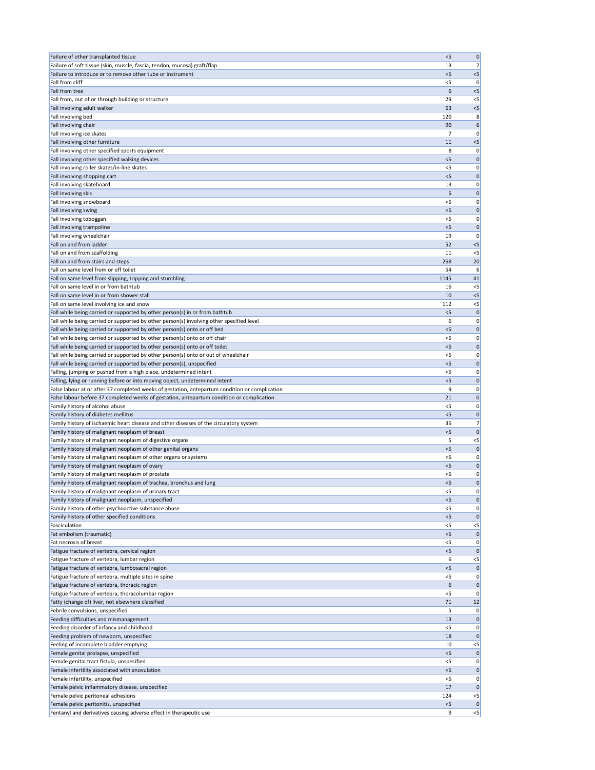| Failure of other transplanted tissue                                                                                                                        | < 5          | $\mathbf 0$      |
|-------------------------------------------------------------------------------------------------------------------------------------------------------------|--------------|------------------|
| Failure of soft tissue (skin, muscle, fascia, tendon, mucosa) graft/flap                                                                                    | 13           | 7 <sup>1</sup>   |
| Failure to introduce or to remove other tube or instrument                                                                                                  | $<$ 5        | < 5              |
| Fall from cliff                                                                                                                                             | <5           | 0                |
| Fall from tree                                                                                                                                              | 6            | $<$ 5            |
| Fall from, out of or through building or structure                                                                                                          | 29           | $<$ 5            |
| Fall involving adult walker<br>Fall involving bed                                                                                                           | 63<br>120    | < 5              |
| Fall involving chair                                                                                                                                        | 90           | 8<br>6           |
| Fall involving ice skates                                                                                                                                   | 7            | 0                |
| Fall involving other furniture                                                                                                                              | 11           | $<$ 5            |
| Fall involving other specified sports equipment                                                                                                             | 8            | 0                |
| Fall involving other specified walking devices                                                                                                              | $<$ 5        | $\mathbf 0$      |
| Fall involving roller skates/in-line skates                                                                                                                 | <5           | 0                |
| Fall involving shopping cart                                                                                                                                | $<$ 5        | $\mathbf 0$      |
| Fall involving skateboard                                                                                                                                   | 13           | 0                |
| Fall involving skis                                                                                                                                         | 5            | $\mathbf 0$      |
| Fall involving snowboard                                                                                                                                    | $<$ 5        | 0                |
| Fall involving swing                                                                                                                                        | < 5          | $\mathbf 0$      |
| Fall involving toboggan                                                                                                                                     | <5           | 0                |
| Fall involving trampoline<br>Fall involving wheelchair                                                                                                      | < 5<br>19    | $\mathbf 0$<br>0 |
| Fall on and from ladder                                                                                                                                     | 52           | $<$ 5            |
| Fall on and from scaffolding                                                                                                                                | 11           | $<$ 5            |
| Fall on and from stairs and steps                                                                                                                           | 268          | 20               |
| Fall on same level from or off toilet                                                                                                                       | 54           | 6                |
| Fall on same level from slipping, tripping and stumbling                                                                                                    | 1145         | 41               |
| Fall on same level in or from bathtub                                                                                                                       | 16           | $<$ 5            |
| Fall on same level in or from shower stall                                                                                                                  | 10           | $<$ 5            |
| Fall on same level involving ice and snow                                                                                                                   | 112          | $<$ 5            |
| Fall while being carried or supported by other person(s) in or from bathtub                                                                                 | $<$ 5        | $\mathbf{0}$     |
| Fall while being carried or supported by other person(s) involving other specified level                                                                    | 6            | 0                |
| Fall while being carried or supported by other person(s) onto or off bed                                                                                    | < 5          | 0                |
| Fall while being carried or supported by other person(s) onto or off chair                                                                                  | $<$ 5        | 0                |
| Fall while being carried or supported by other person(s) onto or off toilet                                                                                 | < 5          | 0                |
| Fall while being carried or supported by other person(s) onto or out of wheelchair<br>Fall while being carried or supported by other person(s), unspecified | $<$ 5<br>< 5 | 0<br>$\mathbf 0$ |
| Falling, jumping or pushed from a high place, undetermined intent                                                                                           | $<$ 5        | 0                |
| Falling, lying or running before or into moving object, undetermined intent                                                                                 | < 5          | 0                |
| False labour at or after 37 completed weeks of gestation, antepartum condition or complication                                                              | 9            | 0                |
| False labour before 37 completed weeks of gestation, antepartum condition or complication                                                                   | 21           | $\mathbf 0$      |
| Family history of alcohol abuse                                                                                                                             | < 5          | 0                |
| Family history of diabetes mellitus                                                                                                                         | < 5          | 0                |
| Family history of ischaemic heart disease and other diseases of the circulatory system                                                                      | 35           | 7                |
| Family history of malignant neoplasm of breast                                                                                                              | < 5          | $\mathbf 0$      |
| Family history of malignant neoplasm of digestive organs                                                                                                    | 5            | $< 5$            |
| Family history of malignant neoplasm of other genital organs                                                                                                | < 5          | $\mathbf 0$      |
| Family history of malignant neoplasm of other organs or systems                                                                                             | $<$ 5        | 0                |
| Family history of malignant neoplasm of ovary                                                                                                               | < 5<br>$<$ 5 | 0                |
| Family history of malignant neoplasm of prostate<br>Family history of malignant neoplasm of trachea, bronchus and lung                                      | < 5          | 0 <br> 0         |
| Family history of malignant neoplasm of urinary tract                                                                                                       | $<$ 5        | 0                |
| Family history of malignant neoplasm, unspecified                                                                                                           | < 5          | $\mathbf 0$      |
| Family history of other psychoactive substance abuse                                                                                                        | < 5          | 0                |
| Family history of other specified conditions                                                                                                                | $<$ 5        | $\mathbf 0$      |
| Fasciculation                                                                                                                                               | $<$ 5        | $<$ 5            |
| Fat embolism (traumatic)                                                                                                                                    | < 5          | $\mathbf 0$      |
| Fat necrosis of breast                                                                                                                                      | $<$ 5        | 0                |
| Fatigue fracture of vertebra, cervical region                                                                                                               | < 5          | $\mathbf 0$      |
| Fatigue fracture of vertebra, lumbar region                                                                                                                 | 6            | $<$ 5            |
| Fatigue fracture of vertebra, lumbosacral region                                                                                                            | < 5          | $\mathbf 0$      |
| Fatigue fracture of vertebra, multiple sites in spine                                                                                                       | $<$ 5        | 0                |
| Fatigue fracture of vertebra, thoracic region                                                                                                               | 6            | $\pmb{0}$        |
| Fatigue fracture of vertebra, thoracolumbar region                                                                                                          | $<$ 5        | 0                |
| Fatty (change of) liver, not elsewhere classified<br>Febrile convulsions, unspecified                                                                       | 71<br>5      | 12<br> 0         |
| Feeding difficulties and mismanagement                                                                                                                      | 13           | 0                |
| Feeding disorder of infancy and childhood                                                                                                                   | $<$ 5        | 0                |
| Feeding problem of newborn, unspecified                                                                                                                     | 18           | $\mathbf 0$      |
| Feeling of incomplete bladder emptying                                                                                                                      | 10           | $<$ 5            |
| Female genital prolapse, unspecified                                                                                                                        | $<$ 5        | 0                |
| Female genital tract fistula, unspecified                                                                                                                   | $<$ 5        | 0                |
| Female infertility associated with anovulation                                                                                                              | < 5          | $\mathbf 0$      |
| Female infertility, unspecified                                                                                                                             | $<$ 5        | 0                |
| Female pelvic inflammatory disease, unspecified                                                                                                             | 17           | $\mathbf 0$      |
| Female pelvic peritoneal adhesions                                                                                                                          | 124          | $<$ 5            |
| Female pelvic peritonitis, unspecified                                                                                                                      | < 5          | $\mathbf 0$      |
| Fentanyl and derivatives causing adverse effect in therapeutic use                                                                                          | 9            | < 5              |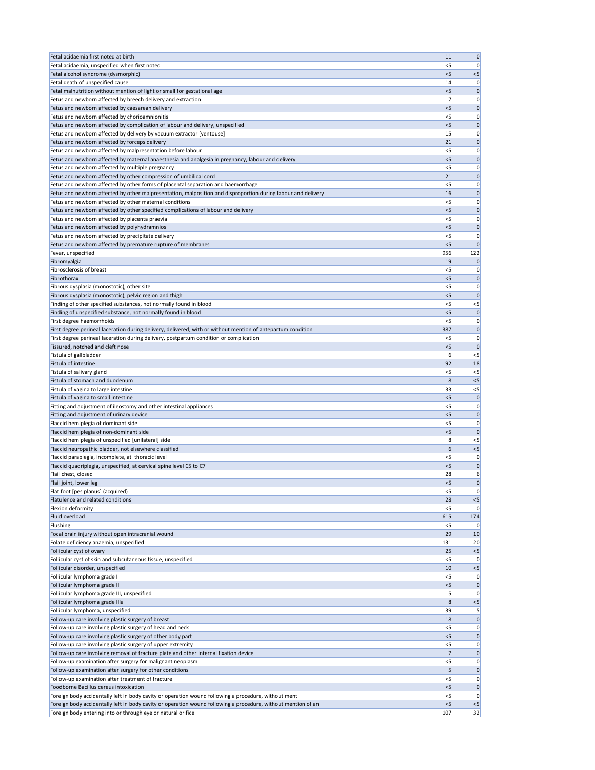| Fetal acidaemia first noted at birth                                                                                                                    | 11             | $\pmb{0}$        |
|---------------------------------------------------------------------------------------------------------------------------------------------------------|----------------|------------------|
| Fetal acidaemia, unspecified when first noted                                                                                                           | <5             | 0                |
| Fetal alcohol syndrome (dysmorphic)                                                                                                                     | $<$ 5          | $< 5$            |
| Fetal death of unspecified cause                                                                                                                        | 14             | 0                |
| Fetal malnutrition without mention of light or small for gestational age                                                                                | $<$ 5          | 0                |
| Fetus and newborn affected by breech delivery and extraction                                                                                            | 7              | 0                |
| Fetus and newborn affected by caesarean delivery                                                                                                        | $<$ 5          | $\mathbf 0$      |
| Fetus and newborn affected by chorioamnionitis                                                                                                          | $<$ 5<br>< 5   | 0                |
| Fetus and newborn affected by complication of labour and delivery, unspecified<br>Fetus and newborn affected by delivery by vacuum extractor [ventouse] | 15             | $\mathbf 0$<br>0 |
| Fetus and newborn affected by forceps delivery                                                                                                          | 21             | $\mathbf 0$      |
| Fetus and newborn affected by malpresentation before labour                                                                                             | <5             | 0                |
| Fetus and newborn affected by maternal anaesthesia and analgesia in pregnancy, labour and delivery                                                      | $<$ 5          | $\mathbf 0$      |
| Fetus and newborn affected by multiple pregnancy                                                                                                        | <5             | 0                |
| Fetus and newborn affected by other compression of umbilical cord                                                                                       | 21             | $\mathbf 0$      |
| Fetus and newborn affected by other forms of placental separation and haemorrhage                                                                       | < 5            | 0                |
| Fetus and newborn affected by other malpresentation, malposition and disproportion during labour and delivery                                           | 16             | $\mathbf 0$      |
| Fetus and newborn affected by other maternal conditions                                                                                                 | $<$ 5          | 0                |
| Fetus and newborn affected by other specified complications of labour and delivery                                                                      | < 5            | $\mathbf 0$      |
| Fetus and newborn affected by placenta praevia                                                                                                          | <5             | 0                |
| Fetus and newborn affected by polyhydramnios                                                                                                            | $<$ 5          | $\mathbf 0$      |
| Fetus and newborn affected by precipitate delivery                                                                                                      | <5             | 0                |
| Fetus and newborn affected by premature rupture of membranes                                                                                            | $<$ 5          | $\mathbf 0$      |
| Fever, unspecified                                                                                                                                      | 956            | 122              |
| Fibromyalgia                                                                                                                                            | 19             | $\mathbf{0}$     |
| <b>Fibrosclerosis of breast</b>                                                                                                                         | $<$ 5          | 0                |
| Fibrothorax                                                                                                                                             | $<$ 5          | $\mathbf 0$      |
| Fibrous dysplasia (monostotic), other site                                                                                                              | $<$ 5          | 0                |
| Fibrous dysplasia (monostotic), pelvic region and thigh                                                                                                 | < 5            | $\mathbf 0$      |
| Finding of other specified substances, not normally found in blood                                                                                      | <5             | $< 5$            |
| Finding of unspecified substance, not normally found in blood                                                                                           | $<$ 5          | $\mathbf 0$      |
| First degree haemorrhoids                                                                                                                               | < 5            | 0                |
| First degree perineal laceration during delivery, delivered, with or without mention of antepartum condition                                            | 387            | $\mathbf{0}$     |
| First degree perineal laceration during delivery, postpartum condition or complication                                                                  | <5             | 0                |
| Fissured, notched and cleft nose                                                                                                                        | $<$ 5          | $\mathbf{0}$     |
| Fistula of gallbladder                                                                                                                                  | 6              | $<$ 5            |
| Fistula of intestine                                                                                                                                    | 92             | 18               |
| Fistula of salivary gland                                                                                                                               | <5             | $<$ 5            |
| Fistula of stomach and duodenum                                                                                                                         | 8              | < 5              |
| Fistula of vagina to large intestine                                                                                                                    | 33             | $<$ 5            |
| Fistula of vagina to small intestine<br>Fitting and adjustment of ileostomy and other intestinal appliances                                             | $<$ 5<br><5    | $\mathbf 0$<br>0 |
| Fitting and adjustment of urinary device                                                                                                                | $<$ 5          | $\mathbf 0$      |
| Flaccid hemiplegia of dominant side                                                                                                                     | <5             | 0                |
| Flaccid hemiplegia of non-dominant side                                                                                                                 | $<$ 5          | $\mathbf{0}$     |
| Flaccid hemiplegia of unspecified [unilateral] side                                                                                                     | 8              | $<$ 5            |
| Flaccid neuropathic bladder, not elsewhere classified                                                                                                   | 6              | $< 5$            |
| Flaccid paraplegia, incomplete, at thoracic level                                                                                                       | <5             | 0                |
| Flaccid quadriplegia, unspecified, at cervical spine level C5 to C7                                                                                     | < 5            | $\mathbf 0$      |
| Flail chest, closed                                                                                                                                     | 28             | 6                |
| Flail joint, lower leg                                                                                                                                  | $<$ 5          | $\mathbf 0$      |
| Flat foot [pes planus] (acquired)                                                                                                                       | <5             | 0                |
| Flatulence and related conditions                                                                                                                       | 28             | < 5              |
| Flexion deformity                                                                                                                                       | $<$ 5          | 0                |
| <b>Fluid overload</b>                                                                                                                                   | 615            | 174              |
| Flushing                                                                                                                                                | $<$ 5          | 0                |
| Focal brain injury without open intracranial wound                                                                                                      | 29             | 10               |
| Folate deficiency anaemia, unspecified                                                                                                                  | 131            | 20               |
| Follicular cyst of ovary                                                                                                                                | 25             | $<$ 5            |
| Follicular cyst of skin and subcutaneous tissue, unspecified                                                                                            | <5             | 0                |
| Follicular disorder, unspecified                                                                                                                        | 10             | $<$ 5            |
| Follicular lymphoma grade I                                                                                                                             | <5             | 0                |
| Follicular lymphoma grade II                                                                                                                            | <5             | $\bf{0}$         |
| Follicular lymphoma grade III, unspecified                                                                                                              | 5              | 0                |
| Follicular lymphoma grade IIIa                                                                                                                          | 8              | $< 5$            |
| Follicular lymphoma, unspecified                                                                                                                        | 39             | $\vert 5 \vert$  |
| Follow-up care involving plastic surgery of breast                                                                                                      | 18             | 0                |
| Follow-up care involving plastic surgery of head and neck<br>Follow-up care involving plastic surgery of other body part                                | $<$ 5<br>$<$ 5 | 0 <br> 0         |
| Follow-up care involving plastic surgery of upper extremity                                                                                             | $<$ 5          | 0                |
| Follow-up care involving removal of fracture plate and other internal fixation device                                                                   | 7              | 0                |
| Follow-up examination after surgery for malignant neoplasm                                                                                              | $<$ 5          | 0                |
| Follow-up examination after surgery for other conditions                                                                                                | 5              | 0                |
| Follow-up examination after treatment of fracture                                                                                                       | $<$ 5          | 0                |
| Foodborne Bacillus cereus intoxication                                                                                                                  | $<$ 5          | 0                |
| Foreign body accidentally left in body cavity or operation wound following a procedure, without ment                                                    | <5             | 0                |
| Foreign body accidentally left in body cavity or operation wound following a procedure, without mention of an                                           | < 5            | < 5              |
| Foreign body entering into or through eye or natural orifice                                                                                            | 107            | 32               |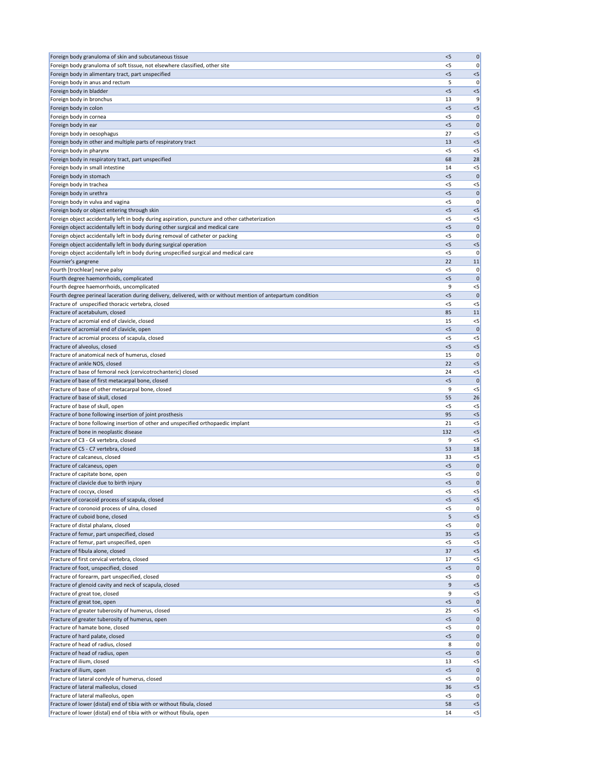| Foreign body granuloma of skin and subcutaneous tissue                                                                                         | $<$ 5          | 0                    |
|------------------------------------------------------------------------------------------------------------------------------------------------|----------------|----------------------|
| Foreign body granuloma of soft tissue, not elsewhere classified, other site                                                                    | $<$ 5          | 0                    |
| Foreign body in alimentary tract, part unspecified                                                                                             | < 5            | $< 5$                |
| Foreign body in anus and rectum                                                                                                                | 5              | 0                    |
| Foreign body in bladder                                                                                                                        | < 5            | $< 5$                |
| Foreign body in bronchus                                                                                                                       | 13             | 9                    |
| Foreign body in colon                                                                                                                          | $<$ 5          | $< 5$                |
| Foreign body in cornea                                                                                                                         | $<$ 5          | 0                    |
| Foreign body in ear                                                                                                                            | $<$ 5          | $\mathbf{0}$         |
| Foreign body in oesophagus                                                                                                                     | 27             | $<$ 5                |
| Foreign body in other and multiple parts of respiratory tract                                                                                  | 13             | $< 5$                |
| Foreign body in pharynx                                                                                                                        | $<$ 5          | $<$ 5                |
| Foreign body in respiratory tract, part unspecified                                                                                            | 68             | 28                   |
| Foreign body in small intestine                                                                                                                | 14             | $<$ 5                |
| Foreign body in stomach                                                                                                                        | $<$ 5          | $\mathbf 0$          |
| Foreign body in trachea                                                                                                                        | $<$ 5          | $< 5$                |
| Foreign body in urethra                                                                                                                        | $<$ 5          | $\pmb{0}$            |
| Foreign body in vulva and vagina                                                                                                               | $<$ 5<br>< 5   | 0<br>$< 5$           |
| Foreign body or object entering through skin<br>Foreign object accidentally left in body during aspiration, puncture and other catheterization | $<$ 5          | $< 5$                |
| Foreign object accidentally left in body during other surgical and medical care                                                                | < 5            | $\mathbf 0$          |
| Foreign object accidentally left in body during removal of catheter or packing                                                                 | <5             | 0                    |
| Foreign object accidentally left in body during surgical operation                                                                             | < 5            | $< 5$                |
| Foreign object accidentally left in body during unspecified surgical and medical care                                                          | <5             | 0                    |
| Fournier's gangrene                                                                                                                            | 22             | 11                   |
| Fourth [trochlear] nerve palsy                                                                                                                 | < 5            | 0                    |
| Fourth degree haemorrhoids, complicated                                                                                                        | < 5            | $\mathbf 0$          |
| Fourth degree haemorrhoids, uncomplicated                                                                                                      | 9              | $<$ 5                |
| Fourth degree perineal laceration during delivery, delivered, with or without mention of antepartum condition                                  | < 5            | $\mathbf{0}$         |
| Fracture of unspecified thoracic vertebra, closed                                                                                              | $<$ 5          | $<$ 5                |
| Fracture of acetabulum, closed                                                                                                                 | 85             | 11                   |
| Fracture of acromial end of clavicle, closed                                                                                                   | 15             | $<$ 5                |
| Fracture of acromial end of clavicle, open                                                                                                     | < 5            | $\mathbf 0$          |
| Fracture of acromial process of scapula, closed                                                                                                | < 5            | $<$ 5                |
| Fracture of alveolus, closed                                                                                                                   | $<$ 5          | $< 5$                |
| Fracture of anatomical neck of humerus, closed                                                                                                 | 15             | 0                    |
| Fracture of ankle NOS, closed                                                                                                                  | 22             | $< 5$                |
| Fracture of base of femoral neck (cervicotrochanteric) closed                                                                                  | 24             | $<$ 5                |
| Fracture of base of first metacarpal bone, closed                                                                                              | $<$ 5          | $\mathbf{0}$         |
| Fracture of base of other metacarpal bone, closed                                                                                              | 9              | $<$ 5                |
| Fracture of base of skull, closed                                                                                                              | 55             | 26                   |
| Fracture of base of skull, open                                                                                                                | $<$ 5          | $<$ 5                |
| Fracture of bone following insertion of joint prosthesis                                                                                       | 95             | < 5                  |
| Fracture of bone following insertion of other and unspecified orthopaedic implant                                                              | 21             | $< 5$                |
| Fracture of bone in neoplastic disease                                                                                                         | 132            | < 5                  |
| Fracture of C3 - C4 vertebra, closed                                                                                                           | 9              | $< 5$                |
| Fracture of C5 - C7 vertebra, closed                                                                                                           | 53             | 18                   |
| Fracture of calcaneus, closed                                                                                                                  | 33             | $<$ 5                |
| Fracture of calcaneus, open                                                                                                                    | < 5            | $\mathbf 0$          |
| Fracture of capitate bone, open<br>Fracture of clavicle due to birth injury                                                                    | $<$ 5<br>$<$ 5 | 0                    |
| Fracture of coccyx, closed                                                                                                                     | < 5            | $\mathbf 0$<br>$<$ 5 |
| Fracture of coracoid process of scapula, closed                                                                                                | $<$ 5          | $< 5$                |
| Fracture of coronoid process of ulna, closed                                                                                                   | $<$ 5          | 0                    |
| Fracture of cuboid bone, closed                                                                                                                | 5              | $< 5$                |
| Fracture of distal phalanx, closed                                                                                                             | $<$ 5          | 0                    |
| Fracture of femur, part unspecified, closed                                                                                                    | 35             | $< 5$                |
| Fracture of femur, part unspecified, open                                                                                                      | $<$ 5          | $<$ 5                |
| Fracture of fibula alone, closed                                                                                                               | 37             | $<$ 5                |
| Fracture of first cervical vertebra, closed                                                                                                    | 17             | $<$ 5                |
| Fracture of foot, unspecified, closed                                                                                                          | $<$ 5          | $\mathbf 0$          |
| Fracture of forearm, part unspecified, closed                                                                                                  | <5             | 0                    |
| Fracture of glenoid cavity and neck of scapula, closed                                                                                         | 9              | $<$ 5                |
| Fracture of great toe, closed                                                                                                                  | 9              | $<$ 5                |
| Fracture of great toe, open                                                                                                                    | < 5            | $\mathbf{0}$         |
| Fracture of greater tuberosity of humerus, closed                                                                                              | 25             | $<$ 5                |
| Fracture of greater tuberosity of humerus, open                                                                                                | < 5            | 0                    |
| Fracture of hamate bone, closed                                                                                                                | $<$ 5          | 0                    |
| Fracture of hard palate, closed                                                                                                                | $<$ 5          | 0                    |
| Fracture of head of radius, closed                                                                                                             | 8              | 0                    |
| Fracture of head of radius, open                                                                                                               | < 5            | 0                    |
| Fracture of ilium, closed                                                                                                                      | 13             | $< 5$                |
| Fracture of ilium, open                                                                                                                        | $<$ 5          | 0                    |
| Fracture of lateral condyle of humerus, closed                                                                                                 | $<$ 5          | 0                    |
| Fracture of lateral malleolus, closed                                                                                                          | 36             | $< 5$                |
| Fracture of lateral malleolus, open                                                                                                            | $<$ 5          | 0                    |
| Fracture of lower (distal) end of tibia with or without fibula, closed                                                                         | 58             | $<$ 5                |
| Fracture of lower (distal) end of tibia with or without fibula, open                                                                           | 14             | $\leq$               |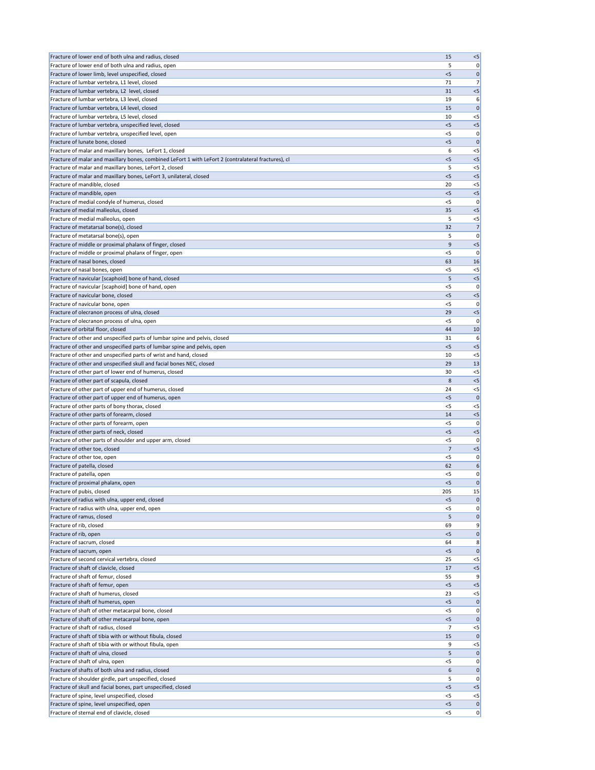| Fracture of lower end of both ulna and radius, closed                                                | 15                      | $< 5$          |
|------------------------------------------------------------------------------------------------------|-------------------------|----------------|
| Fracture of lower end of both ulna and radius, open                                                  | 5                       | 0              |
| Fracture of lower limb, level unspecified, closed                                                    | < 5                     | 0              |
| Fracture of lumbar vertebra, L1 level, closed                                                        | 71                      | 7              |
| Fracture of lumbar vertebra, L2 level, closed                                                        | 31                      | $< 5$          |
| Fracture of lumbar vertebra, L3 level, closed                                                        | 19                      | 6              |
| Fracture of lumbar vertebra, L4 level, closed                                                        | 15                      | $\mathbf 0$    |
| Fracture of lumbar vertebra, L5 level, closed                                                        | 10                      | $<$ 5          |
| Fracture of lumbar vertebra, unspecified level, closed                                               | $<$ 5                   | $< 5$          |
| Fracture of lumbar vertebra, unspecified level, open                                                 | <5                      | 0              |
| Fracture of lunate bone, closed                                                                      | < 5                     | $\mathbf 0$    |
| Fracture of malar and maxillary bones, LeFort 1, closed                                              | 6                       | $<$ 5          |
| Fracture of malar and maxillary bones, combined LeFort 1 with LeFort 2 (contralateral fractures), cl | $<$ 5                   | $< 5$          |
| Fracture of malar and maxillary bones, LeFort 2, closed                                              | 5                       | $<$ 5          |
| Fracture of malar and maxillary bones, LeFort 3, unilateral, closed                                  | < 5                     | $<$ 5          |
| Fracture of mandible, closed                                                                         | 20<br>< 5               | $<$ 5<br>$< 5$ |
| Fracture of mandible, open<br>Fracture of medial condyle of humerus, closed                          | $<$ 5                   | 0              |
| Fracture of medial malleolus, closed                                                                 | 35                      | $< 5$          |
| Fracture of medial malleolus, open                                                                   | 5                       | $<$ 5          |
| Fracture of metatarsal bone(s), closed                                                               | 32                      | 7              |
| Fracture of metatarsal bone(s), open                                                                 | 5                       | 0              |
| Fracture of middle or proximal phalanx of finger, closed                                             | 9                       | $< 5$          |
| Fracture of middle or proximal phalanx of finger, open                                               | < 5                     | 0              |
| Fracture of nasal bones, closed                                                                      | 63                      | 16             |
| Fracture of nasal bones, open                                                                        | < 5                     | $<$ 5          |
| Fracture of navicular [scaphoid] bone of hand, closed                                                | 5                       | < 5            |
| Fracture of navicular [scaphoid] bone of hand, open                                                  | $<$ 5                   | 0              |
| Fracture of navicular bone, closed                                                                   | < 5                     | $< 5$          |
| Fracture of navicular bone, open                                                                     | <5                      | 0              |
| Fracture of olecranon process of ulna, closed                                                        | 29                      | < 5            |
| Fracture of olecranon process of ulna, open                                                          | $<$ 5                   | 0              |
| Fracture of orbital floor, closed                                                                    | 44                      | 10             |
| Fracture of other and unspecified parts of lumbar spine and pelvis, closed                           | 31                      | 6              |
| Fracture of other and unspecified parts of lumbar spine and pelvis, open                             | $<$ 5                   | < 5            |
| Fracture of other and unspecified parts of wrist and hand, closed                                    | 10                      | $<$ 5          |
| Fracture of other and unspecified skull and facial bones NEC, closed                                 | 29                      | 13             |
| Fracture of other part of lower end of humerus, closed                                               | 30                      | $<$ 5          |
| Fracture of other part of scapula, closed                                                            | 8                       | < 5            |
| Fracture of other part of upper end of humerus, closed                                               | 24                      | $<$ 5          |
| Fracture of other part of upper end of humerus, open                                                 | $<$ 5                   | $\mathbf 0$    |
| Fracture of other parts of bony thorax, closed                                                       | $<$ 5                   | $<$ 5          |
| Fracture of other parts of forearm, closed                                                           | 14                      | $<$ 5          |
| Fracture of other parts of forearm, open                                                             | < 5                     | 0              |
| Fracture of other parts of neck, closed                                                              | < 5                     | $< 5$          |
| Fracture of other parts of shoulder and upper arm, closed<br>Fracture of other toe, closed           | $<$ 5<br>$\overline{7}$ | 0<br>$< 5$     |
| Fracture of other toe, open                                                                          | <5                      | 0              |
| Fracture of patella, closed                                                                          | 62                      | 6              |
| Fracture of patella, open                                                                            | <5                      | 0              |
| Fracture of proximal phalanx, open                                                                   | $<$ 5                   | $\mathbf 0$    |
| Fracture of pubis, closed                                                                            | 205                     | 15             |
| Fracture of radius with ulna, upper end, closed                                                      | $<$ 5                   | $\mathbf{0}$   |
| Fracture of radius with ulna, upper end, open                                                        | < 5                     | 0              |
| Fracture of ramus, closed                                                                            | 5                       | $\mathbf 0$    |
| Fracture of rib, closed                                                                              | 69                      | 9              |
| Fracture of rib, open                                                                                | < 5                     | $\mathbf 0$    |
| Fracture of sacrum, closed                                                                           | 64                      | 8              |
| Fracture of sacrum, open                                                                             | $<$ 5                   | $\mathbf{0}$   |
| Fracture of second cervical vertebra, closed                                                         | 25                      | $<$ 5          |
| Fracture of shaft of clavicle, closed                                                                | 17                      | $< 5$          |
| Fracture of shaft of femur, closed                                                                   | 55                      | 9              |
| Fracture of shaft of femur, open                                                                     | $<$ 5                   | $<5$           |
| Fracture of shaft of humerus, closed                                                                 | 23                      | $<$ 5          |
| Fracture of shaft of humerus, open                                                                   | < 5                     | 0              |
| Fracture of shaft of other metacarpal bone, closed                                                   | $<$ 5                   | 0              |
| Fracture of shaft of other metacarpal bone, open                                                     | $<$ 5                   | $\mathbf 0$    |
| Fracture of shaft of radius, closed                                                                  | 7                       | $<$ 5          |
| Fracture of shaft of tibia with or without fibula, closed                                            | 15                      | 0              |
| Fracture of shaft of tibia with or without fibula, open                                              | 9                       | $<$ 5          |
| Fracture of shaft of ulna, closed                                                                    | 5                       | 0              |
| Fracture of shaft of ulna, open<br>Fracture of shafts of both ulna and radius, closed                | < 5                     | 0              |
| Fracture of shoulder girdle, part unspecified, closed                                                | 6                       | $\mathbf 0$    |
| Fracture of skull and facial bones, part unspecified, closed                                         | 5<br>$<$ 5              | 0<br>$<$ 5     |
| Fracture of spine, level unspecified, closed                                                         | $<$ 5                   | $<$ 5          |
| Fracture of spine, level unspecified, open                                                           | < 5                     | 0              |
| Fracture of sternal end of clavicle, closed                                                          | $<$ 5                   | 0              |
|                                                                                                      |                         |                |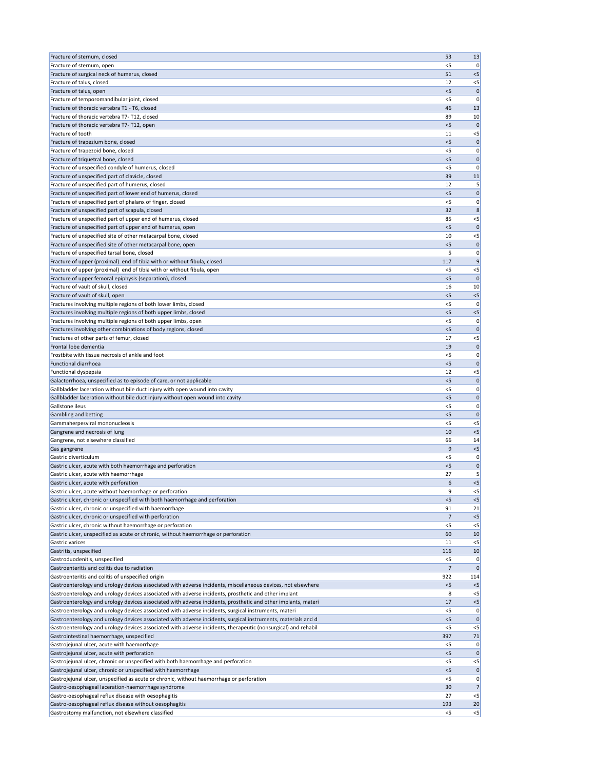| Fracture of sternum, closed                                                                                   | 53           | 13          |
|---------------------------------------------------------------------------------------------------------------|--------------|-------------|
| Fracture of sternum, open                                                                                     | $<$ 5        | 0           |
| Fracture of surgical neck of humerus, closed                                                                  | 51           | $<$ 5       |
| Fracture of talus, closed                                                                                     | 12           | $<$ 5       |
| Fracture of talus, open                                                                                       | $<$ 5        | $\Omega$    |
| Fracture of temporomandibular joint, closed                                                                   | $<$ 5        | $\Omega$    |
| Fracture of thoracic vertebra T1 - T6, closed                                                                 | 46           | 13          |
| Fracture of thoracic vertebra T7-T12, closed                                                                  | 89           | 10          |
| Fracture of thoracic vertebra T7-T12, open                                                                    | < 5          | $\Omega$    |
| Fracture of tooth                                                                                             | 11           | $<$ 5       |
| Fracture of trapezium bone, closed                                                                            | < 5<br>$<$ 5 | $\mathbf 0$ |
| Fracture of trapezoid bone, closed<br>Fracture of triquetral bone, closed                                     | < 5          | 0           |
| Fracture of unspecified condyle of humerus, closed                                                            | $<$ 5        | 0<br>0      |
| Fracture of unspecified part of clavicle, closed                                                              | 39           | 11          |
| Fracture of unspecified part of humerus, closed                                                               | 12           | 5           |
| Fracture of unspecified part of lower end of humerus, closed                                                  | < 5          | $\mathbf 0$ |
| Fracture of unspecified part of phalanx of finger, closed                                                     | $<$ 5        | 0           |
| Fracture of unspecified part of scapula, closed                                                               | 32           | 8           |
| Fracture of unspecified part of upper end of humerus, closed                                                  | 85           | $<$ 5       |
| Fracture of unspecified part of upper end of humerus, open                                                    | < 5          | $\Omega$    |
| Fracture of unspecified site of other metacarpal bone, closed                                                 | 10           | $<$ 5       |
| Fracture of unspecified site of other metacarpal bone, open                                                   | < 5          | $\mathbf 0$ |
| Fracture of unspecified tarsal bone, closed                                                                   | 5            | 0           |
| Fracture of upper (proximal) end of tibia with or without fibula, closed                                      | 117          | q           |
| Fracture of upper (proximal) end of tibia with or without fibula, open                                        | $<$ 5        | $<$ 5       |
| Fracture of upper femoral epiphysis (separation), closed                                                      | < 5          | $\Omega$    |
| Fracture of vault of skull, closed                                                                            | 16           | 10          |
| Fracture of vault of skull, open                                                                              | < 5          | $<$ 5       |
| Fractures involving multiple regions of both lower limbs, closed                                              | <5           | 0           |
| Fractures involving multiple regions of both upper limbs, closed                                              | < 5          | $<$ 5       |
| Fractures involving multiple regions of both upper limbs, open                                                | $<$ 5        | 0           |
| Fractures involving other combinations of body regions, closed                                                | $<$ 5        | $\Omega$    |
| Fractures of other parts of femur, closed                                                                     | 17           | $<$ 5       |
| Frontal lobe dementia                                                                                         | 19           |             |
| Frostbite with tissue necrosis of ankle and foot                                                              | <5           | 0           |
| <b>Functional diarrhoea</b>                                                                                   | < 5          | $\Omega$    |
| Functional dyspepsia                                                                                          | 12           | <5          |
| Galactorrhoea, unspecified as to episode of care, or not applicable                                           | < 5          | $\mathbf 0$ |
| Gallbladder laceration without bile duct injury with open wound into cavity                                   | <5           | 0           |
| Gallbladder laceration without bile duct injury without open wound into cavity                                | $<$ 5        | $\mathbf 0$ |
| Gallstone ileus                                                                                               | <5           | 0           |
| Gambling and betting                                                                                          | $<$ 5        | O           |
| Gammaherpesviral mononucleosis                                                                                | $<$ 5        | $<$ 5       |
| Gangrene and necrosis of lung                                                                                 | 10           | $<$ 5       |
| Gangrene, not elsewhere classified                                                                            | 66           | 14          |
| Gas gangrene                                                                                                  | 9            | $<$ 5       |
| Gastric diverticulum                                                                                          | <5           | 0           |
| Gastric ulcer, acute with both haemorrhage and perforation                                                    | $<$ 5        | 0           |
| Gastric ulcer, acute with haemorrhage                                                                         | 27           | $<$ 5       |
| Gastric ulcer, acute with perforation<br>Gastric ulcer, acute without haemorrhage or perforation              | 6<br>9       | $<$ 5       |
| Gastric ulcer, chronic or unspecified with both haemorrhage and perforation                                   | < 5          | $<$ 5       |
| Gastric ulcer, chronic or unspecified with haemorrhage                                                        | 91           | 21          |
| Gastric ulcer, chronic or unspecified with perforation                                                        | 7            | $<$ 5       |
| Gastric ulcer, chronic without haemorrhage or perforation                                                     | <5           | $<$ 5       |
| Gastric ulcer, unspecified as acute or chronic, without haemorrhage or perforation                            | 60           | 10          |
| Gastric varices                                                                                               | 11           | $<$ 5       |
| Gastritis, unspecified                                                                                        | 116          | 10          |
| Gastroduodenitis, unspecified                                                                                 | <5           | 0           |
| Gastroenteritis and colitis due to radiation                                                                  | 7            | $\Omega$    |
| Gastroenteritis and colitis of unspecified origin                                                             | 922          | 114         |
| Gastroenterology and urology devices associated with adverse incidents, miscellaneous devices, not elsewhere  | <5           | $<$ 5       |
| Gastroenterology and urology devices associated with adverse incidents, prosthetic and other implant          | 8            | $<$ 5       |
| Gastroenterology and urology devices associated with adverse incidents, prosthetic and other implants, materi | 17           | $<$ 5       |
| Gastroenterology and urology devices associated with adverse incidents, surgical instruments, materi          | <5           |             |
| Gastroenterology and urology devices associated with adverse incidents, surgical instruments, materials and d | < 5          | 0           |
| Gastroenterology and urology devices associated with adverse incidents, therapeutic (nonsurgical) and rehabil | $<$ 5        | $<$ 5       |
| Gastrointestinal haemorrhage, unspecified                                                                     | 397          | 71          |
| Gastrojejunal ulcer, acute with haemorrhage                                                                   | $<$ 5        | 0           |
| Gastrojejunal ulcer, acute with perforation                                                                   | <5           |             |
| Gastrojejunal ulcer, chronic or unspecified with both haemorrhage and perforation                             | $<$ 5        | $<$ 5       |
| Gastrojejunal ulcer, chronic or unspecified with haemorrhage                                                  | $<$ 5        | 0           |
| Gastrojejunal ulcer, unspecified as acute or chronic, without haemorrhage or perforation                      | $<$ 5        | 0           |
| Gastro-oesophageal laceration-haemorrhage syndrome                                                            | 30           | 7           |
| Gastro-oesophageal reflux disease with oesophagitis                                                           | 27           | $<$ 5       |
| Gastro-oesophageal reflux disease without oesophagitis                                                        | 193          | 20          |
| Gastrostomy malfunction, not elsewhere classified                                                             | $<$ 5        | $<$ 5       |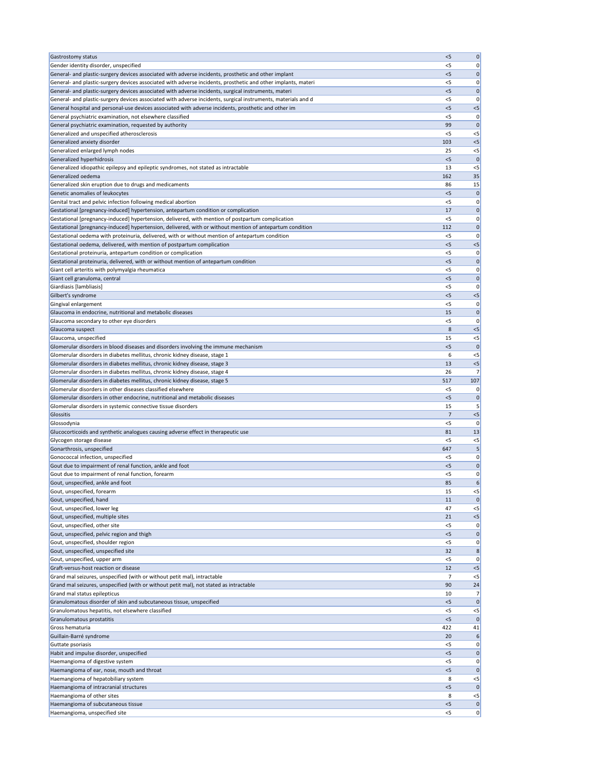| <b>Gastrostomy status</b>                                                                                                                                                                                             | $<$ 5          | 0                 |
|-----------------------------------------------------------------------------------------------------------------------------------------------------------------------------------------------------------------------|----------------|-------------------|
| Gender identity disorder, unspecified                                                                                                                                                                                 | $<$ 5          | 0                 |
| General- and plastic-surgery devices associated with adverse incidents, prosthetic and other implant<br>General- and plastic-surgery devices associated with adverse incidents, prosthetic and other implants, materi | $<$ 5<br>$<$ 5 | 0<br>0            |
| General- and plastic-surgery devices associated with adverse incidents, surgical instruments, materi                                                                                                                  | < 5            | $\mathbf 0$       |
| General- and plastic-surgery devices associated with adverse incidents, surgical instruments, materials and d                                                                                                         | $<$ 5          | 0                 |
| General hospital and personal-use devices associated with adverse incidents, prosthetic and other im                                                                                                                  | < 5            | $<$ 5             |
| General psychiatric examination, not elsewhere classified                                                                                                                                                             | $<$ 5          | 0                 |
| General psychiatric examination, requested by authority                                                                                                                                                               | 99<br>$<$ 5    | $\mathbf 0$       |
| Generalized and unspecified atherosclerosis<br>Generalized anxiety disorder                                                                                                                                           | 103            | $<$ 5<br>$<$ 5    |
| Generalized enlarged lymph nodes                                                                                                                                                                                      | 25             | $<$ 5             |
| Generalized hyperhidrosis                                                                                                                                                                                             | < 5            | $\overline{0}$    |
| Generalized idiopathic epilepsy and epileptic syndromes, not stated as intractable                                                                                                                                    | 13             | $<$ 5             |
| Generalized oedema                                                                                                                                                                                                    | 162            | 35                |
| Generalized skin eruption due to drugs and medicaments<br>Genetic anomalies of leukocytes                                                                                                                             | 86<br>< 5      | 15<br>$\mathbf 0$ |
| Genital tract and pelvic infection following medical abortion                                                                                                                                                         | $<$ 5          | 0                 |
| Gestational [pregnancy-induced] hypertension, antepartum condition or complication                                                                                                                                    | 17             | $\mathbf 0$       |
| Gestational [pregnancy-induced] hypertension, delivered, with mention of postpartum complication                                                                                                                      | $<$ 5          | 0                 |
| Gestational [pregnancy-induced] hypertension, delivered, with or without mention of antepartum condition                                                                                                              | 112            | 0                 |
| Gestational oedema with proteinuria, delivered, with or without mention of antepartum condition                                                                                                                       | $<$ 5          | 0                 |
| Gestational oedema, delivered, with mention of postpartum complication<br>Gestational proteinuria, antepartum condition or complication                                                                               | < 5<br>$<$ 5   | $<$ 5<br>0        |
| Gestational proteinuria, delivered, with or without mention of antepartum condition                                                                                                                                   | < 5            | $\mathbf 0$       |
| Giant cell arteritis with polymyalgia rheumatica                                                                                                                                                                      | <5             | 0                 |
| Giant cell granuloma, central                                                                                                                                                                                         | $<$ 5          | 0                 |
| Giardiasis [lambliasis]                                                                                                                                                                                               | $<$ 5          | 0                 |
| Gilbert's syndrome                                                                                                                                                                                                    | < 5            | $<$ 5             |
| Gingival enlargement                                                                                                                                                                                                  | <5<br>15       | 0                 |
| Glaucoma in endocrine, nutritional and metabolic diseases<br>Glaucoma secondary to other eye disorders                                                                                                                | $<$ 5          | 0<br>0            |
| Glaucoma suspect                                                                                                                                                                                                      | 8              | $<$ 5             |
| Glaucoma, unspecified                                                                                                                                                                                                 | 15             | $<$ 5             |
| Glomerular disorders in blood diseases and disorders involving the immune mechanism                                                                                                                                   | $<$ 5          |                   |
| Glomerular disorders in diabetes mellitus, chronic kidney disease, stage 1                                                                                                                                            | 6              | $<$ 5             |
| Glomerular disorders in diabetes mellitus, chronic kidney disease, stage 3<br>Glomerular disorders in diabetes mellitus, chronic kidney disease, stage 4                                                              | 13<br>26       | $<$ 5             |
| Glomerular disorders in diabetes mellitus, chronic kidney disease, stage 5                                                                                                                                            | 517            | 107               |
| Glomerular disorders in other diseases classified elsewhere                                                                                                                                                           | <5             |                   |
| Glomerular disorders in other endocrine, nutritional and metabolic diseases                                                                                                                                           | $<$ 5          | $\mathbf 0$       |
| Glomerular disorders in systemic connective tissue disorders                                                                                                                                                          | 15             |                   |
| Glossitis                                                                                                                                                                                                             | 7              | $<$ 5             |
| Glossodynia<br>Glucocorticoids and synthetic analogues causing adverse effect in therapeutic use                                                                                                                      | $<$ 5<br>81    | O<br>13           |
| Glycogen storage disease                                                                                                                                                                                              | $<$ 5          | $<$ 5             |
| Gonarthrosis, unspecified                                                                                                                                                                                             | 647            |                   |
| Gonococcal infection, unspecified                                                                                                                                                                                     | <5             | 0                 |
| Gout due to impairment of renal function, ankle and foot                                                                                                                                                              | $<$ 5          | 0                 |
| Gout due to impairment of renal function, forearm<br>Gout, unspecified, ankle and foot                                                                                                                                | <5<br>85       | 0<br>6            |
| Gout, unspecified, forearm                                                                                                                                                                                            | 15             | $<$ 5             |
| Gout, unspecified, hand                                                                                                                                                                                               | 11             |                   |
| Gout, unspecified, lower leg                                                                                                                                                                                          | 47             | <5                |
| Gout, unspecified, multiple sites                                                                                                                                                                                     | 21             | $<$ 5             |
| Gout, unspecified, other site                                                                                                                                                                                         | <5             | 0                 |
| Gout, unspecified, pelvic region and thigh<br>Gout, unspecified, shoulder region                                                                                                                                      | < 5<br><5      | $\mathbf 0$<br>0  |
| Gout, unspecified, unspecified site                                                                                                                                                                                   | 32             | 8                 |
| Gout, unspecified, upper arm                                                                                                                                                                                          | <5             | 0                 |
| Graft-versus-host reaction or disease                                                                                                                                                                                 | 12             | <5                |
| Grand mal seizures, unspecified (with or without petit mal), intractable                                                                                                                                              | 7              | $<$ 5             |
| Grand mal seizures, unspecified (with or without petit mal), not stated as intractable                                                                                                                                | 90             | 24                |
| Grand mal status epilepticus<br>Granulomatous disorder of skin and subcutaneous tissue, unspecified                                                                                                                   | 10<br>< 5      | 7<br>$\mathbf 0$  |
| Granulomatous hepatitis, not elsewhere classified                                                                                                                                                                     | <5             | $<$ 5             |
| Granulomatous prostatitis                                                                                                                                                                                             | < 5            | 0                 |
| Gross hematuria                                                                                                                                                                                                       | 422            | 41                |
| Guillain-Barré syndrome                                                                                                                                                                                               |                | 6                 |
| Guttate psoriasis                                                                                                                                                                                                     | 20             |                   |
|                                                                                                                                                                                                                       | $<$ 5          | 0                 |
| Habit and impulse disorder, unspecified<br>Haemangioma of digestive system                                                                                                                                            | $<$ 5<br>$<$ 5 | 0<br>0            |
| Haemangioma of ear, nose, mouth and throat                                                                                                                                                                            | < 5            | $\Omega$          |
| Haemangioma of hepatobiliary system                                                                                                                                                                                   | 8              | $<$ 5             |
| Haemangioma of intracranial structures                                                                                                                                                                                | $<$ 5          | $\Omega$          |
| Haemangioma of other sites                                                                                                                                                                                            | 8              | $<$ 5             |
| Haemangioma of subcutaneous tissue<br>Haemangioma, unspecified site                                                                                                                                                   | < 5<br>$<$ 5   | $\mathbf 0$<br>0  |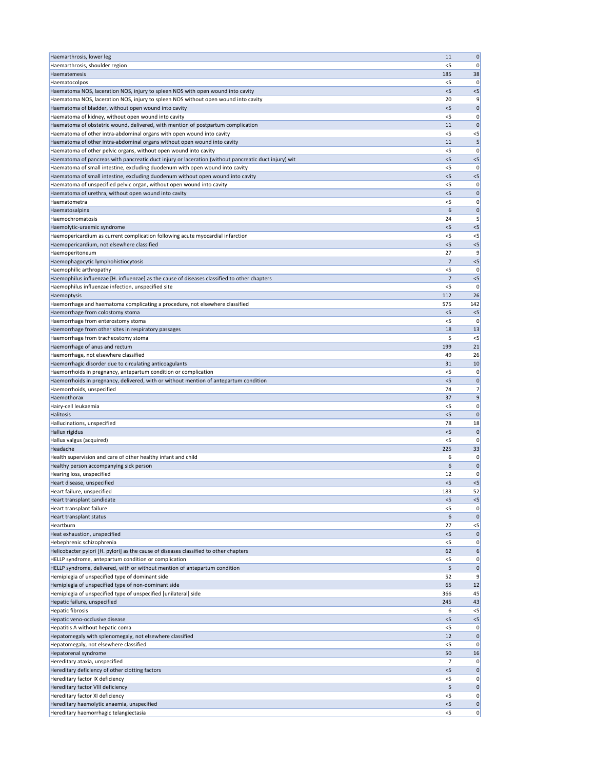| Haemarthrosis, lower leg                                                                                                                          | 11          | 0            |
|---------------------------------------------------------------------------------------------------------------------------------------------------|-------------|--------------|
| Haemarthrosis, shoulder region                                                                                                                    | <5          | 0            |
| <b>Haematemesis</b>                                                                                                                               | 185         | 38           |
| Haematocolpos                                                                                                                                     | $<$ 5       | 0            |
| Haematoma NOS, laceration NOS, injury to spleen NOS with open wound into cavity                                                                   | $<$ 5       | $<$ 5        |
| Haematoma NOS, laceration NOS, injury to spleen NOS without open wound into cavity                                                                | 20          | 9            |
| Haematoma of bladder, without open wound into cavity                                                                                              | $<$ 5       | 0            |
| Haematoma of kidney, without open wound into cavity                                                                                               | $<$ 5       | 0            |
| Haematoma of obstetric wound, delivered, with mention of postpartum complication                                                                  | 11          | $\mathbf 0$  |
| Haematoma of other intra-abdominal organs with open wound into cavity<br>Haematoma of other intra-abdominal organs without open wound into cavity | $<$ 5<br>11 | $<$ 5<br>5   |
| Haematoma of other pelvic organs, without open wound into cavity                                                                                  | $<$ 5       | 0            |
| Haematoma of pancreas with pancreatic duct injury or laceration (without pancreatic duct injury) wit                                              | $<$ 5       | $<$ 5        |
| Haematoma of small intestine, excluding duodenum with open wound into cavity                                                                      | < 5         | 0            |
| Haematoma of small intestine, excluding duodenum without open wound into cavity                                                                   | $<$ 5       | $< 5$        |
| Haematoma of unspecified pelvic organ, without open wound into cavity                                                                             | $<$ 5       | 0            |
| Haematoma of urethra, without open wound into cavity                                                                                              | < 5         | 0            |
| Haematometra                                                                                                                                      | $<$ 5       | 0            |
| Haematosalpinx                                                                                                                                    | 6           | 0            |
| Haemochromatosis                                                                                                                                  | 24          | 5            |
| Haemolytic-uraemic syndrome                                                                                                                       | $<$ 5       | $<$ 5        |
| Haemopericardium as current complication following acute myocardial infarction                                                                    | <5          | $<$ 5        |
| Haemopericardium, not elsewhere classified                                                                                                        | < 5         | $<$ 5        |
| Haemoperitoneum                                                                                                                                   | 27          | 9            |
| Haemophagocytic lymphohistiocytosis                                                                                                               | 7           | $< 5$        |
| Haemophilic arthropathy                                                                                                                           | $<$ 5       | 0            |
| Haemophilus influenzae [H. influenzae] as the cause of diseases classified to other chapters                                                      | 7           | $<$ 5        |
| Haemophilus influenzae infection, unspecified site                                                                                                | $<$ 5       | 0            |
| Haemoptysis                                                                                                                                       | 112         | 26           |
| Haemorrhage and haematoma complicating a procedure, not elsewhere classified                                                                      | 575         | 142          |
| Haemorrhage from colostomy stoma                                                                                                                  | $<$ 5       | < 5          |
| Haemorrhage from enterostomy stoma                                                                                                                | $<$ 5       | 0            |
| Haemorrhage from other sites in respiratory passages                                                                                              | 18          | 13           |
| Haemorrhage from tracheostomy stoma                                                                                                               | 5           | $<$ 5        |
| Haemorrhage of anus and rectum                                                                                                                    | 199         | 21           |
| Haemorrhage, not elsewhere classified                                                                                                             | 49          | 26           |
| Haemorrhagic disorder due to circulating anticoagulants                                                                                           | 31          | 10           |
| Haemorrhoids in pregnancy, antepartum condition or complication                                                                                   | <5          | 0            |
| Haemorrhoids in pregnancy, delivered, with or without mention of antepartum condition<br>Haemorrhoids, unspecified                                | < 5<br>74   | 0            |
| Haemothorax                                                                                                                                       | 37          | 7 <br>9      |
| Hairy-cell leukaemia                                                                                                                              | $<$ 5       | 0            |
| <b>Halitosis</b>                                                                                                                                  | <5          | $\mathbf{0}$ |
| Hallucinations, unspecified                                                                                                                       | 78          | 18           |
| Hallux rigidus                                                                                                                                    | $<$ 5       | 0            |
| Hallux valgus (acquired)                                                                                                                          | $<$ 5       | 0            |
| Headache                                                                                                                                          | 225         | 33           |
| Health supervision and care of other healthy infant and child                                                                                     | 6           | 0            |
| Healthy person accompanying sick person                                                                                                           | 6           | 0            |
| Hearing loss, unspecified                                                                                                                         | 12          | 0            |
| Heart disease, unspecified                                                                                                                        | < 5         | $<$ 5        |
| Heart failure, unspecified                                                                                                                        | 183         | 52           |
| Heart transplant candidate                                                                                                                        | $<$ 5       | $< 5$        |
| Heart transplant failure                                                                                                                          | $<$ 5       | 0            |
| Heart transplant status                                                                                                                           | 6           | $\mathbf 0$  |
| Heartburn                                                                                                                                         | 27          | $<$ 5        |
| Heat exhaustion, unspecified                                                                                                                      | < 5         | $\mathbf 0$  |
| Hebephrenic schizophrenia                                                                                                                         | <5          | 0            |
| Helicobacter pylori [H. pylori] as the cause of diseases classified to other chapters                                                             | 62          | 6            |
| HELLP syndrome, antepartum condition or complication                                                                                              | $<$ 5       | 0            |
| HELLP syndrome, delivered, with or without mention of antepartum condition                                                                        | 5           | 0            |
| Hemiplegia of unspecified type of dominant side                                                                                                   | 52          | 9            |
| Hemiplegia of unspecified type of non-dominant side                                                                                               | 65          | 12           |
| Hemiplegia of unspecified type of unspecified [unilateral] side<br>Hepatic failure, unspecified                                                   | 366<br>245  | 45           |
| Hepatic fibrosis                                                                                                                                  | 6           | 43<br>$<$ 5  |
| Hepatic veno-occlusive disease                                                                                                                    | < 5         | $< 5$        |
| Hepatitis A without hepatic coma                                                                                                                  | $<$ 5       | 0            |
| Hepatomegaly with splenomegaly, not elsewhere classified                                                                                          |             | 0            |
| Hepatomegaly, not elsewhere classified                                                                                                            | 12          |              |
| Hepatorenal syndrome                                                                                                                              | $<$ 5       | 0            |
|                                                                                                                                                   | 50          |              |
| Hereditary ataxia, unspecified                                                                                                                    | 7           | 16<br> 0     |
| Hereditary deficiency of other clotting factors                                                                                                   | $<$ 5       | 0            |
| Hereditary factor IX deficiency                                                                                                                   | $<$ 5       |              |
| Hereditary factor VIII deficiency                                                                                                                 | 5           | 0 <br> 0     |
| Hereditary factor XI deficiency                                                                                                                   | $<$ 5       |              |
| Hereditary haemolytic anaemia, unspecified                                                                                                        | $<$ 5       | 0 <br> 0     |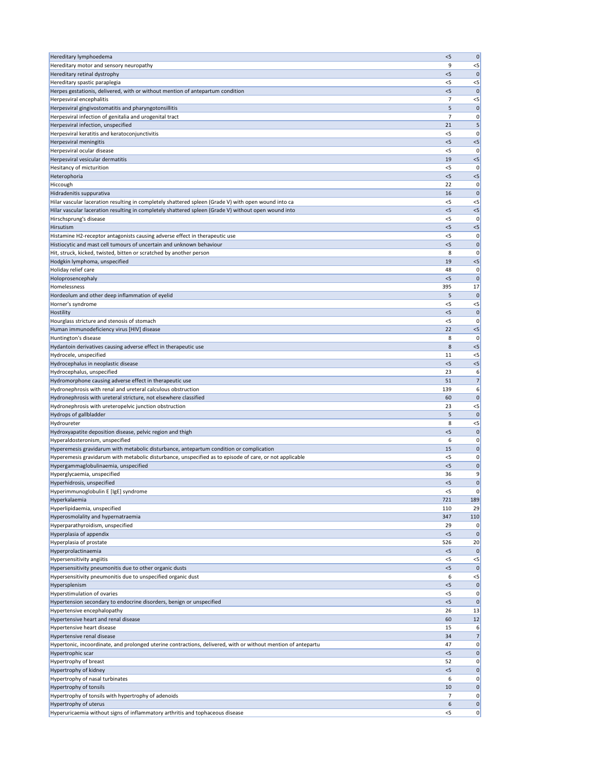| Hereditary lymphoedema                                                                                        | < 5            | $\pmb{0}$      |
|---------------------------------------------------------------------------------------------------------------|----------------|----------------|
| Hereditary motor and sensory neuropathy                                                                       | 9              | $< 5$          |
| Hereditary retinal dystrophy                                                                                  | $<$ 5          | 0              |
| Hereditary spastic paraplegia                                                                                 | $<$ 5          | $<$ 5          |
| Herpes gestationis, delivered, with or without mention of antepartum condition                                | $<$ 5          | 0              |
| Herpesviral encephalitis                                                                                      | 7              | $< 5$          |
| Herpesviral gingivostomatitis and pharyngotonsillitis                                                         | 5              | $\mathbf 0$    |
| Herpesviral infection of genitalia and urogenital tract                                                       | $\overline{7}$ | 0              |
| Herpesviral infection, unspecified                                                                            | 21             | 5              |
| Herpesviral keratitis and keratoconjunctivitis                                                                | <5             | 0              |
| Herpesviral meningitis                                                                                        | < 5            | $<$ 5          |
| Herpesviral ocular disease                                                                                    | $<$ 5          | 0              |
| Herpesviral vesicular dermatitis                                                                              | 19             | $<$ 5          |
| Hesitancy of micturition                                                                                      | < 5            | 0              |
| Heterophoria                                                                                                  | $<$ 5          | $<$ 5          |
| Hiccough                                                                                                      | 22             | 0              |
| Hidradenitis suppurativa                                                                                      | 16             | 0              |
| Hilar vascular laceration resulting in completely shattered spleen (Grade V) with open wound into ca          | $<$ 5          | $< 5$          |
| Hilar vascular laceration resulting in completely shattered spleen (Grade V) without open wound into          | $<$ 5          | $< 5$          |
| Hirschsprung's disease                                                                                        | <5             | 0              |
| Hirsutism                                                                                                     | < 5            | $< 5$          |
| Histamine H2-receptor antagonists causing adverse effect in therapeutic use                                   | <5             | 0              |
| Histiocytic and mast cell tumours of uncertain and unknown behaviour                                          | $<$ 5          | 0              |
| Hit, struck, kicked, twisted, bitten or scratched by another person                                           | 8              | 0              |
| Hodgkin lymphoma, unspecified                                                                                 | 19             | $< 5$          |
| Holiday relief care                                                                                           | 48             | 0              |
| Holoprosencephaly                                                                                             | < 5            | 0              |
| Homelessness                                                                                                  | 395            | 17             |
| Hordeolum and other deep inflammation of eyelid                                                               | 5              | $\mathbf 0$    |
| Horner's syndrome                                                                                             | <5             | $< 5$          |
| Hostility                                                                                                     | $<$ 5          | $\mathbf 0$    |
| Hourglass stricture and stenosis of stomach                                                                   | $<$ 5          | 0              |
| Human immunodeficiency virus [HIV] disease                                                                    | 22             | $<$ 5          |
| Huntington's disease                                                                                          | 8              | 0              |
| Hydantoin derivatives causing adverse effect in therapeutic use                                               | 8              | $< 5$          |
| Hydrocele, unspecified                                                                                        | 11             | $< 5$          |
| Hydrocephalus in neoplastic disease                                                                           | $<$ 5          | $< 5$          |
| Hydrocephalus, unspecified                                                                                    | 23             | 6              |
| Hydromorphone causing adverse effect in therapeutic use                                                       | 51             | 7              |
| Hydronephrosis with renal and ureteral calculous obstruction                                                  | 139            | 6              |
| Hydronephrosis with ureteral stricture, not elsewhere classified                                              | 60             | 0              |
| Hydronephrosis with ureteropelvic junction obstruction                                                        | 23             | $< 5$          |
| Hydrops of gallbladder                                                                                        | 5              | 0              |
| Hydroureter                                                                                                   | 8              | $< 5$          |
| Hydroxyapatite deposition disease, pelvic region and thigh                                                    | $<$ 5          | $\mathbf 0$    |
| Hyperaldosteronism, unspecified                                                                               | 6              | 0              |
| Hyperemesis gravidarum with metabolic disturbance, antepartum condition or complication                       | 15             | $\mathbf 0$    |
| Hyperemesis gravidarum with metabolic disturbance, unspecified as to episode of care, or not applicable       | $<$ 5          | 0              |
| Hypergammaglobulinaemia, unspecified                                                                          | < 5            | 0              |
| Hyperglycaemia, unspecified                                                                                   | 36             | 9              |
| Hyperhidrosis, unspecified                                                                                    | $<$ 5          | 0              |
| Hyperimmunoglobulin E [IgE] syndrome                                                                          | <5             | 0              |
| Hyperkalaemia                                                                                                 | 721            | 189            |
| Hyperlipidaemia, unspecified                                                                                  | 110            | 29             |
| Hyperosmolality and hypernatraemia                                                                            | 347            | 110            |
| Hyperparathyroidism, unspecified                                                                              | 29             | 0              |
| Hyperplasia of appendix                                                                                       | < 5            | $\mathbf 0$    |
| Hyperplasia of prostate                                                                                       | 526            | 20             |
| Hyperprolactinaemia                                                                                           | $<$ 5          | 0              |
| Hypersensitivity angiitis                                                                                     | <5             | $<$ 5          |
| Hypersensitivity pneumonitis due to other organic dusts                                                       | $<$ 5          | 0              |
| Hypersensitivity pneumonitis due to unspecified organic dust                                                  | 6              | $<$ 5          |
| Hypersplenism                                                                                                 | <5             | $\pmb{0}$      |
| <b>Hyperstimulation of ovaries</b>                                                                            | $<$ 5          | 0              |
| Hypertension secondary to endocrine disorders, benign or unspecified                                          | < 5            | $\mathbf 0$    |
| Hypertensive encephalopathy                                                                                   | 26             | 13             |
| Hypertensive heart and renal disease                                                                          | 60             | 12             |
| Hypertensive heart disease                                                                                    | 15             | 6              |
| Hypertensive renal disease                                                                                    | 34             | 7 <sup>1</sup> |
| Hypertonic, incoordinate, and prolonged uterine contractions, delivered, with or without mention of antepartu | 47             | 0              |
| Hypertrophic scar                                                                                             | $<$ 5          | 0              |
| Hypertrophy of breast                                                                                         | 52             | 0              |
| <b>Hypertrophy of kidney</b>                                                                                  | $<$ 5          | 0              |
| Hypertrophy of nasal turbinates                                                                               | 6              | 0              |
| Hypertrophy of tonsils                                                                                        | 10             | 0              |
| Hypertrophy of tonsils with hypertrophy of adenoids                                                           | 7              | 0              |
| Hypertrophy of uterus                                                                                         | 6              | 0              |
| Hyperuricaemia without signs of inflammatory arthritis and tophaceous disease                                 | $<$ 5          | 0              |
|                                                                                                               |                |                |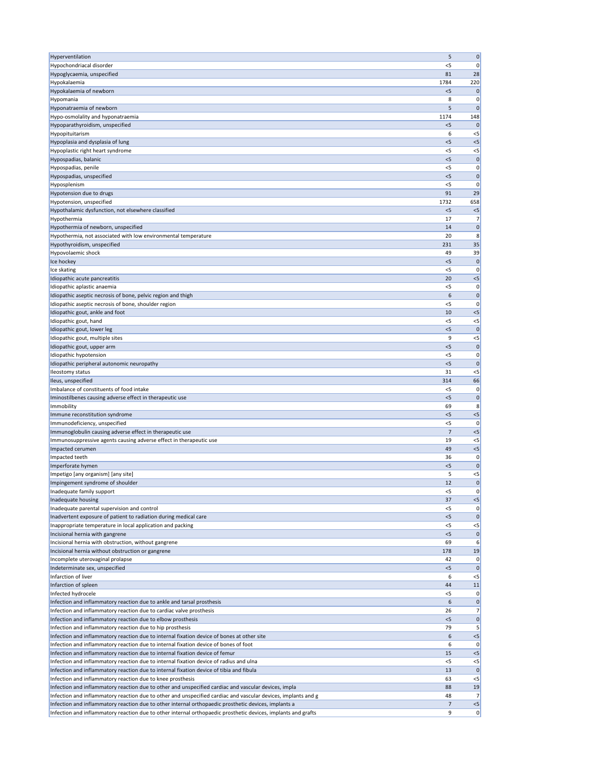| Hyperventilation                                                                                                                                                       | 5                    | $\pmb{0}$            |
|------------------------------------------------------------------------------------------------------------------------------------------------------------------------|----------------------|----------------------|
| Hypochondriacal disorder                                                                                                                                               | $<$ 5                | 0                    |
| Hypoglycaemia, unspecified                                                                                                                                             | 81                   | 28                   |
| Hypokalaemia                                                                                                                                                           | 1784                 | 220                  |
| Hypokalaemia of newborn                                                                                                                                                | < 5                  | 0                    |
| Hypomania                                                                                                                                                              | 8                    | 0<br>$\Omega$        |
| Hyponatraemia of newborn<br>Hypo-osmolality and hyponatraemia                                                                                                          | 5<br>1174            | 148                  |
| Hypoparathyroidism, unspecified                                                                                                                                        | $<$ 5                |                      |
| Hypopituitarism                                                                                                                                                        | 6                    | $<$ 5                |
| Hypoplasia and dysplasia of lung                                                                                                                                       | < 5                  | $<$ 5                |
| Hypoplastic right heart syndrome                                                                                                                                       | $<$ 5                | $<$ 5                |
| Hypospadias, balanic                                                                                                                                                   | $<$ 5                | $\mathbf 0$          |
| Hypospadias, penile                                                                                                                                                    | <5                   | 0                    |
| Hypospadias, unspecified                                                                                                                                               | $<$ 5                | 0                    |
| Hyposplenism                                                                                                                                                           | <5                   | $\Omega$             |
| Hypotension due to drugs                                                                                                                                               | 91                   | 29                   |
| Hypotension, unspecified                                                                                                                                               | 1732<br>< 5          | 658                  |
| Hypothalamic dysfunction, not elsewhere classified<br>Hypothermia                                                                                                      | 17                   | $<$ 5<br>7           |
| Hypothermia of newborn, unspecified                                                                                                                                    | 14                   | 0                    |
| Hypothermia, not associated with low environmental temperature                                                                                                         | 20                   | 8                    |
| Hypothyroidism, unspecified                                                                                                                                            | 231                  | 35                   |
| Hypovolaemic shock                                                                                                                                                     | 49                   | 39                   |
| Ice hockey                                                                                                                                                             | $<$ 5                | $\mathbf 0$          |
| Ice skating                                                                                                                                                            | $<$ 5                | 0                    |
| Idiopathic acute pancreatitis                                                                                                                                          | 20                   | $<$ 5                |
| Idiopathic aplastic anaemia                                                                                                                                            | $<$ 5                | 0                    |
| Idiopathic aseptic necrosis of bone, pelvic region and thigh                                                                                                           | 6                    | $\mathbf 0$          |
| Idiopathic aseptic necrosis of bone, shoulder region                                                                                                                   | <5                   | 0                    |
| Idiopathic gout, ankle and foot                                                                                                                                        | 10                   | $<$ 5                |
| Idiopathic gout, hand<br>Idiopathic gout, lower leg                                                                                                                    | $<$ 5<br>< 5         | $<$ 5<br>$\mathbf 0$ |
| Idiopathic gout, multiple sites                                                                                                                                        | 9                    | $<$ 5                |
| Idiopathic gout, upper arm                                                                                                                                             | < 5                  | 0                    |
| Idiopathic hypotension                                                                                                                                                 | $<$ 5                | 0                    |
| Idiopathic peripheral autonomic neuropathy                                                                                                                             | $<$ 5                | $\mathbf 0$          |
| Ileostomy status                                                                                                                                                       | 31                   | $<$ 5                |
| Ileus, unspecified                                                                                                                                                     | 314                  | 66                   |
| Imbalance of constituents of food intake                                                                                                                               | $<$ 5                | 0                    |
| Iminostilbenes causing adverse effect in therapeutic use                                                                                                               | < 5                  | 0                    |
| Immobility                                                                                                                                                             | 69                   | 8                    |
| Immune reconstitution syndrome                                                                                                                                         | $<$ 5                | $<$ 5                |
| Immunodeficiency, unspecified                                                                                                                                          | $<$ 5                | 0                    |
| Immunoglobulin causing adverse effect in therapeutic use<br>Immunosuppressive agents causing adverse effect in therapeutic use                                         | $\overline{7}$<br>19 | $<$ 5<br>$<$ 5       |
| Impacted cerumen                                                                                                                                                       | 49                   | $<$ 5                |
| Impacted teeth                                                                                                                                                         | 36                   | 0                    |
| Imperforate hymen                                                                                                                                                      | $<$ 5                | $\mathbf 0$          |
| Impetigo [any organism] [any site]                                                                                                                                     | 5                    | $<$ 5                |
| Impingement syndrome of shoulder                                                                                                                                       | 12                   | $\mathbf 0$          |
| Inadequate family support                                                                                                                                              | <5                   | 0                    |
| Inadequate housing                                                                                                                                                     | 37                   | $<$ 5                |
| Inadequate parental supervision and control                                                                                                                            | $<$ 5                | 0                    |
| Inadvertent exposure of patient to radiation during medical care                                                                                                       | $<$ 5                | $\Omega$             |
| Inappropriate temperature in local application and packing                                                                                                             | $<$ 5                | $<$ 5                |
| Incisional hernia with gangrene                                                                                                                                        | < 5                  | $\mathbf 0$          |
| Incisional hernia with obstruction, without gangrene<br>Incisional hernia without obstruction or gangrene                                                              | 69<br>178            | 6<br>19              |
| Incomplete uterovaginal prolapse                                                                                                                                       | 42                   | 0                    |
| Indeterminate sex, unspecified                                                                                                                                         | < 5                  | 0                    |
| Infarction of liver                                                                                                                                                    | 6                    | $<$ 5                |
| Infarction of spleen                                                                                                                                                   | 44                   | 11                   |
| Infected hydrocele                                                                                                                                                     | $<$ 5                | 0                    |
| Infection and inflammatory reaction due to ankle and tarsal prosthesis                                                                                                 | 6                    | 0                    |
| Infection and inflammatory reaction due to cardiac valve prosthesis                                                                                                    | 26                   | 7                    |
| Infection and inflammatory reaction due to elbow prosthesis                                                                                                            | $<$ 5                | 0                    |
| Infection and inflammatory reaction due to hip prosthesis                                                                                                              | 79                   | 5                    |
| Infection and inflammatory reaction due to internal fixation device of bones at other site                                                                             | 6                    | $<$ 5                |
| Infection and inflammatory reaction due to internal fixation device of bones of foot                                                                                   | 6                    | 0                    |
| Infection and inflammatory reaction due to internal fixation device of femur<br>Infection and inflammatory reaction due to internal fixation device of radius and ulna | 15<br>$<$ 5          | $<$ 5<br>$<$ 5       |
| Infection and inflammatory reaction due to internal fixation device of tibia and fibula                                                                                | 13                   | 0                    |
| Infection and inflammatory reaction due to knee prosthesis                                                                                                             | 63                   | $<$ 5                |
| Infection and inflammatory reaction due to other and unspecified cardiac and vascular devices, impla                                                                   | 88                   | 19                   |
| Infection and inflammatory reaction due to other and unspecified cardiac and vascular devices, implants and g                                                          | 48                   | 7                    |
| Infection and inflammatory reaction due to other internal orthopaedic prosthetic devices, implants a                                                                   | 7                    | $<$ 5                |
| Infection and inflammatory reaction due to other internal orthopaedic prosthetic devices, implants and grafts                                                          | 9                    | 0                    |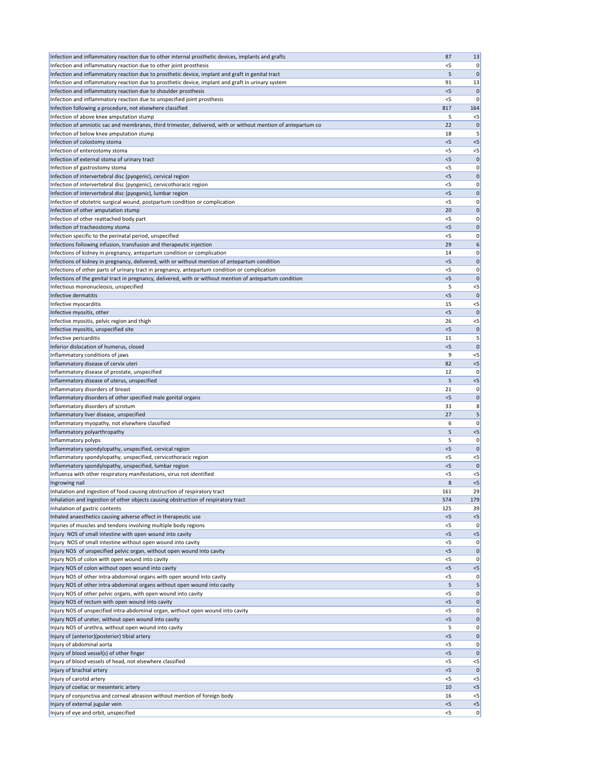| Infection and inflammatory reaction due to other internal prosthetic devices, implants and grafts                                   | 87             | 13                   |
|-------------------------------------------------------------------------------------------------------------------------------------|----------------|----------------------|
| Infection and inflammatory reaction due to other joint prosthesis                                                                   | <5             | 0                    |
| Infection and inflammatory reaction due to prosthetic device, implant and graft in genital tract                                    | 5              | 0                    |
| Infection and inflammatory reaction due to prosthetic device, implant and graft in urinary system                                   | 91             | 13                   |
| Infection and inflammatory reaction due to shoulder prosthesis                                                                      | $<$ 5          | $\mathbf{0}$         |
| Infection and inflammatory reaction due to unspecified joint prosthesis                                                             | <5             | 0                    |
| Infection following a procedure, not elsewhere classified                                                                           | 817            | 164                  |
| Infection of above knee amputation stump                                                                                            | 5              | $<$ 5                |
| Infection of amniotic sac and membranes, third trimester, delivered, with or without mention of antepartum co                       | 22             | $\mathbf 0$          |
| Infection of below knee amputation stump                                                                                            | 18             | 5                    |
| Infection of colostomy stoma                                                                                                        | $<$ 5          | $< 5$                |
| Infection of enterostomy stoma                                                                                                      | <5             | $<$ 5                |
| Infection of external stoma of urinary tract                                                                                        | $<$ 5          | $\mathbf 0$          |
| Infection of gastrostomy stoma                                                                                                      | < 5            | 0                    |
| Infection of intervertebral disc (pyogenic), cervical region<br>Infection of intervertebral disc (pyogenic), cervicothoracic region | $<$ 5          | $\mathbf 0$          |
| Infection of intervertebral disc (pyogenic), lumbar region                                                                          | <5<br>< 5      | 0<br> 0              |
| Infection of obstetric surgical wound, postpartum condition or complication                                                         | $<$ 5          | 0                    |
| Infection of other amputation stump                                                                                                 | 20             | $\mathbf 0$          |
| Infection of other reattached body part                                                                                             | <5             | 0                    |
| Infection of tracheostomy stoma                                                                                                     | $<$ 5          | 0                    |
| Infection specific to the perinatal period, unspecified                                                                             | $<$ 5          | 0                    |
| Infections following infusion, transfusion and therapeutic injection                                                                | 29             | $\boldsymbol{6}$     |
| Infections of kidney in pregnancy, antepartum condition or complication                                                             | 14             | 0                    |
| Infections of kidney in pregnancy, delivered, with or without mention of antepartum condition                                       | $<$ 5          | $\mathbf 0$          |
| Infections of other parts of urinary tract in pregnancy, antepartum condition or complication                                       | $<$ 5          | 0                    |
| Infections of the genital tract in pregnancy, delivered, with or without mention of antepartum condition                            | < 5            | $\mathbf 0$          |
| Infectious mononucleosis, unspecified                                                                                               | 5              | $<$ 5                |
| Infective dermatitis                                                                                                                | < 5            | $\mathbf 0$          |
| Infective myocarditis                                                                                                               | 15             | $<$ 5                |
| Infective myositis, other                                                                                                           | $<$ 5          | $\mathbf 0$          |
| Infective myositis, pelvic region and thigh                                                                                         | 26             | $< 5$                |
| Infective myositis, unspecified site                                                                                                | $<$ 5          | $\mathbf{0}$         |
| Infective pericarditis                                                                                                              | 11             | 5                    |
| Inferior dislocation of humerus, closed                                                                                             | $<$ 5          | $\mathbf 0$          |
| Inflammatory conditions of jaws                                                                                                     | 9              | $<$ 5                |
| Inflammatory disease of cervix uteri                                                                                                | 82             | $< 5$                |
| Inflammatory disease of prostate, unspecified                                                                                       | 12             | 0                    |
| Inflammatory disease of uterus, unspecified                                                                                         | 5              | $<$ 5                |
| Inflammatory disorders of breast                                                                                                    | 21             | 0                    |
| Inflammatory disorders of other specified male genital organs                                                                       | $<$ 5          | 0                    |
| Inflammatory disorders of scrotum                                                                                                   | 33             | 8                    |
| Inflammatory liver disease, unspecified                                                                                             | 27             | 5                    |
| Inflammatory myopathy, not elsewhere classified                                                                                     | 6              | 0                    |
| Inflammatory polyarthropathy                                                                                                        | 5              | $< 5$                |
| Inflammatory polyps                                                                                                                 | 5<br>< 5       | 0                    |
| Inflammatory spondylopathy, unspecified, cervical region                                                                            |                | $\mathbf 0$          |
| Inflammatory spondylopathy, unspecified, cervicothoracic region                                                                     | <5             | $<$ 5                |
| Inflammatory spondylopathy, unspecified, lumbar region<br>Influenza with other respiratory manifestations, virus not identified     | $<$ 5<br>< 5   | $\mathbf 0$<br>$<$ 5 |
| Ingrowing nail                                                                                                                      | 8              | $<$ 5                |
| Inhalation and ingestion of food causing obstruction of respiratory tract                                                           | 161            | 29                   |
| Inhalation and ingestion of other objects causing obstruction of respiratory tract                                                  | 574            | 179                  |
| Inhalation of gastric contents                                                                                                      | 125            | 39                   |
| Inhaled anaesthetics causing adverse effect in therapeutic use                                                                      | < 5            | $<$ 5                |
| Injuries of muscles and tendons involving multiple body regions                                                                     | <5             | 0                    |
| Injury NOS of small intestine with open wound into cavity                                                                           | < 5            | $< 5$                |
| Injury NOS of small intestine without open wound into cavity                                                                        | <5             | 0                    |
| Injury NOS of unspecified pelvic organ, without open wound into cavity                                                              | $<$ 5          | $\mathbf 0$          |
| Injury NOS of colon with open wound into cavity                                                                                     | $<$ 5          | 0                    |
| Injury NOS of colon without open wound into cavity                                                                                  | < 5            | $< 5$                |
| Injury NOS of other intra-abdominal organs with open wound into cavity                                                              | $<$ 5          | 0                    |
| Injury NOS of other intra-abdominal organs without open wound into cavity                                                           |                | 5 <sup>2</sup>       |
| Injury NOS of other pelvic organs, with open wound into cavity                                                                      | $<$ 5          | 0                    |
| Injury NOS of rectum with open wound into cavity                                                                                    | < 5            | 0                    |
| Injury NOS of unspecified intra-abdominal organ, without open wound into cavity                                                     | <5             | 0                    |
| Injury NOS of ureter, without open wound into cavity                                                                                | < 5            | 0                    |
| Injury NOS of urethra, without open wound into cavity                                                                               | 5              | 0                    |
| Injury of (anterior)(posterior) tibial artery                                                                                       | $<$ 5          | 0                    |
| Injury of abdominal aorta                                                                                                           | <5             | 0                    |
| Injury of blood vessel(s) of other finger                                                                                           | < 5            | $\mathbf{0}$         |
| Injury of blood vessels of head, not elsewhere classified                                                                           | $<$ 5          | $<$ 5                |
| Injury of brachial artery                                                                                                           | < 5            | $\mathbf{0}$         |
| Injury of carotid artery                                                                                                            | $<$ 5          | $<$ 5                |
| Injury of coeliac or mesenteric artery                                                                                              | 10             | $<$ 5                |
| Injury of conjunctiva and corneal abrasion without mention of foreign body                                                          | 16             | $<$ 5                |
|                                                                                                                                     |                |                      |
| Injury of external jugular vein<br>Injury of eye and orbit, unspecified                                                             | $<$ 5<br>$<$ 5 | $< 5$<br> 0          |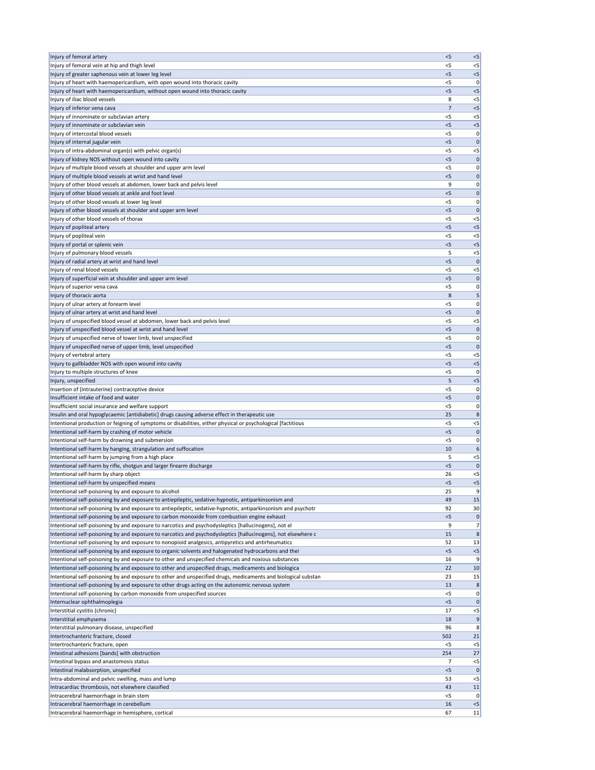| Injury of femoral artery                                                                                                                                                                                              | < 5          | < 5                  |
|-----------------------------------------------------------------------------------------------------------------------------------------------------------------------------------------------------------------------|--------------|----------------------|
| Injury of femoral vein at hip and thigh level                                                                                                                                                                         | <5           | $< 5$                |
| Injury of greater saphenous vein at lower leg level                                                                                                                                                                   | $<$ 5        | $<$ 5                |
| Injury of heart with haemopericardium, with open wound into thoracic cavity                                                                                                                                           | $<$ 5        | 0                    |
| Injury of heart with haemopericardium, without open wound into thoracic cavity<br>Injury of iliac blood vessels                                                                                                       | $<$ 5<br>8   | $<$ 5<br>$<$ 5       |
| Injury of inferior vena cava                                                                                                                                                                                          | 7            | $<$ 5                |
| Injury of innominate or subclavian artery                                                                                                                                                                             | $<$ 5        | $<$ 5                |
| Injury of innominate or subclavian vein                                                                                                                                                                               | < 5          | $<$ 5                |
| Injury of intercostal blood vessels                                                                                                                                                                                   | <5           | 0                    |
| Injury of internal jugular vein                                                                                                                                                                                       | < 5          | $\mathbf 0$          |
| Injury of intra-abdominal organ(s) with pelvic organ(s)                                                                                                                                                               | <5           | $< 5$                |
| Injury of kidney NOS without open wound into cavity                                                                                                                                                                   | $<$ 5        | 0                    |
| Injury of multiple blood vessels at shoulder and upper arm level<br>Injury of multiple blood vessels at wrist and hand level                                                                                          | < 5<br>$<$ 5 | 0<br>0               |
| Injury of other blood vessels at abdomen, lower back and pelvis level                                                                                                                                                 | 9            | 0                    |
| Injury of other blood vessels at ankle and foot level                                                                                                                                                                 | < 5          | 0                    |
| Injury of other blood vessels at lower leg level                                                                                                                                                                      | $<$ 5        | 0                    |
| Injury of other blood vessels at shoulder and upper arm level                                                                                                                                                         | < 5          | $\mathbf 0$          |
| Injury of other blood vessels of thorax                                                                                                                                                                               | <5           | $<$ 5                |
| Injury of popliteal artery                                                                                                                                                                                            | < 5          | $<$ 5                |
| Injury of popliteal vein                                                                                                                                                                                              | <5           | $<$ 5                |
| Injury of portal or splenic vein                                                                                                                                                                                      | $<$ 5        | $<$ 5                |
| Injury of pulmonary blood vessels<br>Injury of radial artery at wrist and hand level                                                                                                                                  | 5<br>< 5     | $<$ 5<br>$\mathbf 0$ |
| Injury of renal blood vessels                                                                                                                                                                                         | $<$ 5        | $<$ 5                |
| Injury of superficial vein at shoulder and upper arm level                                                                                                                                                            | < 5          | $\mathbf 0$          |
| Injury of superior vena cava                                                                                                                                                                                          | $<$ 5        | 0                    |
| Injury of thoracic aorta                                                                                                                                                                                              | 8            | 5                    |
| Injury of ulnar artery at forearm level                                                                                                                                                                               | <5           | 0                    |
| Injury of ulnar artery at wrist and hand level                                                                                                                                                                        | $<$ 5        | 0                    |
| Injury of unspecified blood vessel at abdomen, lower back and pelvis level                                                                                                                                            | $<$ 5        | $< 5$                |
| Injury of unspecified blood vessel at wrist and hand level                                                                                                                                                            | $<$ 5        | 0                    |
| Injury of unspecified nerve of lower limb, level unspecified<br>Injury of unspecified nerve of upper limb, level unspecified                                                                                          | < 5<br>< 5   | 0 <br>$\mathbf 0$    |
| Injury of vertebral artery                                                                                                                                                                                            | $<$ 5        | $<$ 5                |
| Injury to gallbladder NOS with open wound into cavity                                                                                                                                                                 | < 5          | $< 5$                |
| Injury to multiple structures of knee                                                                                                                                                                                 | $<$ 5        | 0                    |
| Injury, unspecified                                                                                                                                                                                                   | 5            | $<$ 5                |
| Insertion of (intrauterine) contraceptive device                                                                                                                                                                      | $<$ 5        | 0                    |
| Insufficient intake of food and water                                                                                                                                                                                 | < 5          | 0                    |
| Insufficient social insurance and welfare support                                                                                                                                                                     | $<$ 5        | 0                    |
| Insulin and oral hypoglycaemic [antidiabetic] drugs causing adverse effect in therapeutic use                                                                                                                         | 25<br>$<$ 5  | 8                    |
| Intentional production or feigning of symptoms or disabilities, either physical or psychological [factitious<br>Intentional self-harm by crashing of motor vehicle                                                    | $<$ 5        | $<$ 5<br>0           |
| Intentional self-harm by drowning and submersion                                                                                                                                                                      | $<$ 5        | 0                    |
| Intentional self-harm by hanging, strangulation and suffocation                                                                                                                                                       | 10           | 6                    |
| Intentional self-harm by jumping from a high place                                                                                                                                                                    | 5            | $<$ 5                |
| Intentional self-harm by rifle, shotgun and larger firearm discharge                                                                                                                                                  | < 5          | $\mathbf 0$          |
| Intentional self-harm by sharp object                                                                                                                                                                                 | 26           | $<$ 5                |
| Intentional self-harm by unspecified means                                                                                                                                                                            | $<$ 5        | $< 5$                |
| Intentional self-poisoning by and exposure to alcohol                                                                                                                                                                 | 25           | 9                    |
| Intentional self-poisoning by and exposure to antiepileptic, sedative-hypnotic, antiparkinsonism and<br>Intentional self-poisoning by and exposure to antiepileptic, sedative-hypnotic, antiparkinsonism and psychotr | 49<br>92     | 15<br>30             |
| Intentional self-poisoning by and exposure to carbon monoxide from combustion engine exhaust                                                                                                                          | < 5          | $\mathbf 0$          |
| Intentional self-poisoning by and exposure to narcotics and psychodysleptics [hallucinogens], not el                                                                                                                  | 9            | 7                    |
| Intentional self-poisoning by and exposure to narcotics and psychodysleptics [hallucinogens], not elsewhere c                                                                                                         | 15           | 8                    |
| Intentional self-poisoning by and exposure to nonopioid analgesics, antipyretics and antirheumatics                                                                                                                   | 52           | 13                   |
| Intentional self-poisoning by and exposure to organic solvents and halogenated hydrocarbons and thei                                                                                                                  | < 5          | $<5$                 |
| Intentional self-poisoning by and exposure to other and unspecified chemicals and noxious substances                                                                                                                  | 16           | 9                    |
| Intentional self-poisoning by and exposure to other and unspecified drugs, medicaments and biologica                                                                                                                  | 22           | 10                   |
| Intentional self-poisoning by and exposure to other and unspecified drugs, medicaments and biological substan<br>Intentional self-poisoning by and exposure to other drugs acting on the autonomic nervous system     | 23<br>13     | 15<br>$\bf 8$        |
| Intentional self-poisoning by carbon monoxide from unspecified sources                                                                                                                                                | $<$ 5        | 0                    |
| Internuclear ophthalmoplegia                                                                                                                                                                                          | < 5          | $\mathbf{0}$         |
| Interstitial cystitis (chronic)                                                                                                                                                                                       | 17           | $<$ 5                |
| Interstitial emphysema                                                                                                                                                                                                | 18           | 9                    |
| Interstitial pulmonary disease, unspecified                                                                                                                                                                           | 96           | 8                    |
| Intertrochanteric fracture, closed                                                                                                                                                                                    | 502          | 21                   |
| Intertrochanteric fracture, open                                                                                                                                                                                      | $<$ 5        | $< 5$                |
| Intestinal adhesions [bands] with obstruction<br>Intestinal bypass and anastomosis status                                                                                                                             | 254<br>7     | 27<br>$\leq$         |
| Intestinal malabsorption, unspecified                                                                                                                                                                                 | $<$ 5        | $\mathbf{0}$         |
| Intra-abdominal and pelvic swelling, mass and lump                                                                                                                                                                    | 53           | $<$ 5                |
| Intracardiac thrombosis, not elsewhere classified                                                                                                                                                                     | 43           | 11                   |
| Intracerebral haemorrhage in brain stem                                                                                                                                                                               | $<$ 5        | 0                    |
| Intracerebral haemorrhage in cerebellum                                                                                                                                                                               | 16           | $<$ 5                |
| Intracerebral haemorrhage in hemisphere, cortical                                                                                                                                                                     | 67           | 11                   |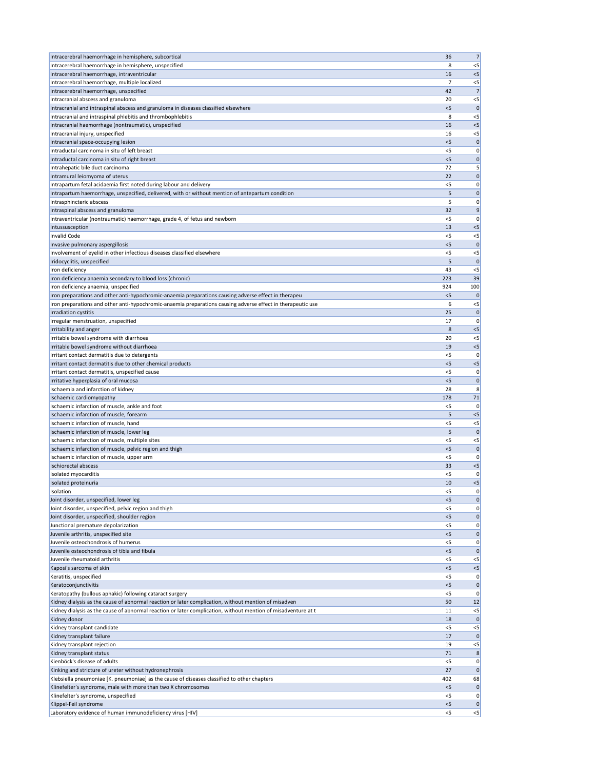| Intracerebral haemorrhage in hemisphere, subcortical                                                          | 36         | 7                    |
|---------------------------------------------------------------------------------------------------------------|------------|----------------------|
| Intracerebral haemorrhage in hemisphere, unspecified                                                          | 8          | $< 5$                |
| Intracerebral haemorrhage, intraventricular                                                                   | 16         | < 5                  |
| Intracerebral haemorrhage, multiple localized                                                                 | 7          | $< 5$                |
| Intracerebral haemorrhage, unspecified                                                                        | 42         | 7                    |
| Intracranial abscess and granuloma                                                                            | 20         | $< 5$                |
| Intracranial and intraspinal abscess and granuloma in diseases classified elsewhere                           | $<$ 5      | 0                    |
| Intracranial and intraspinal phlebitis and thrombophlebitis                                                   | 8          | $<$ 5                |
| Intracranial haemorrhage (nontraumatic), unspecified                                                          | 16         | $< 5$                |
| Intracranial injury, unspecified                                                                              | 16         | $< 5$                |
| Intracranial space-occupying lesion                                                                           | < 5        | 0                    |
| Intraductal carcinoma in situ of left breast                                                                  | $<$ 5      | 0                    |
| Intraductal carcinoma in situ of right breast                                                                 | $<$ 5      | 0                    |
| Intrahepatic bile duct carcinoma                                                                              | 72         | 5                    |
| Intramural leiomyoma of uterus                                                                                | 22         | $\mathbf 0$          |
| Intrapartum fetal acidaemia first noted during labour and delivery                                            | $<$ 5      | 0                    |
| Intrapartum haemorrhage, unspecified, delivered, with or without mention of antepartum condition              | 5          | 0                    |
| Intrasphincteric abscess                                                                                      | 5          | 0                    |
| Intraspinal abscess and granuloma                                                                             | 32         | 9                    |
| Intraventricular (nontraumatic) haemorrhage, grade 4, of fetus and newborn                                    | <5         | 0                    |
| Intussusception                                                                                               | 13         | $< 5$                |
| <b>Invalid Code</b>                                                                                           | $<$ 5      | $< 5$                |
| Invasive pulmonary aspergillosis                                                                              | $<$ 5      | $\mathbf 0$          |
| Involvement of eyelid in other infectious diseases classified elsewhere                                       | < 5        | $< 5$                |
| Iridocyclitis, unspecified                                                                                    | 5          | $\Omega$             |
| Iron deficiency                                                                                               | 43         | $<$ 5                |
| Iron deficiency anaemia secondary to blood loss (chronic)                                                     | 223        | 39                   |
| Iron deficiency anaemia, unspecified                                                                          | 924        | 100                  |
| Iron preparations and other anti-hypochromic-anaemia preparations causing adverse effect in therapeu          | < 5        | $\mathbf 0$          |
| Iron preparations and other anti-hypochromic-anaemia preparations causing adverse effect in therapeutic use   | 6          | $< 5$                |
| Irradiation cystitis                                                                                          | 25         | 0                    |
| Irregular menstruation, unspecified                                                                           | 17         | 0                    |
| Irritability and anger                                                                                        | 8          | $<$ 5                |
| Irritable bowel syndrome with diarrhoea                                                                       | 20         | $<$ 5                |
| Irritable bowel syndrome without diarrhoea                                                                    | 19         | $<$ 5                |
| Irritant contact dermatitis due to detergents                                                                 | $<$ 5      | 0                    |
| Irritant contact dermatitis due to other chemical products                                                    | < 5        | $<$ 5                |
| Irritant contact dermatitis, unspecified cause                                                                | <5         | 0                    |
| Irritative hyperplasia of oral mucosa                                                                         | < 5        | 0                    |
| Ischaemia and infarction of kidney                                                                            | 28         | 8                    |
| Ischaemic cardiomyopathy                                                                                      | 178        | 71                   |
| Ischaemic infarction of muscle, ankle and foot                                                                | <5         | 0                    |
| Ischaemic infarction of muscle, forearm                                                                       | 5          | < 5                  |
| Ischaemic infarction of muscle, hand                                                                          | $<$ 5      | $< 5$                |
| Ischaemic infarction of muscle, lower leg<br>Ischaemic infarction of muscle, multiple sites                   | 5<br>$<$ 5 | $\mathbf 0$<br>$<$ 5 |
| Ischaemic infarction of muscle, pelvic region and thigh                                                       | < 5        | $\mathbf 0$          |
|                                                                                                               | <5         | 0                    |
| Ischaemic infarction of muscle, upper arm<br><b>Ischiorectal abscess</b>                                      | 33         | $<$ 5                |
| Isolated myocarditis                                                                                          | <5         | 0                    |
| Isolated proteinuria                                                                                          | 10         | $<$ 5                |
| Isolation                                                                                                     | <5         | 0                    |
| Joint disorder, unspecified, lower leg                                                                        | $<$ 5      | $\mathbf 0$          |
| Joint disorder, unspecified, pelvic region and thigh                                                          | $<$ 5      | 0                    |
| Joint disorder, unspecified, shoulder region                                                                  | < 5        | $\mathbf 0$          |
| Junctional premature depolarization                                                                           | $<$ 5      | 0                    |
| Juvenile arthritis, unspecified site                                                                          | < 5        | $\mathbf 0$          |
| Juvenile osteochondrosis of humerus                                                                           | <5         | 0                    |
| Juvenile osteochondrosis of tibia and fibula                                                                  | $<$ 5      | 0                    |
| Juvenile rheumatoid arthritis                                                                                 | $<$ 5      | $<$ 5                |
| Kaposi's sarcoma of skin                                                                                      | < 5        | $<$ 5                |
| Keratitis, unspecified                                                                                        | <5         | 0                    |
| Keratoconjunctivitis                                                                                          | <5         | 0                    |
| Keratopathy (bullous aphakic) following cataract surgery                                                      | $<$ 5      | 0                    |
| Kidney dialysis as the cause of abnormal reaction or later complication, without mention of misadven          | 50         | 12                   |
| Kidney dialysis as the cause of abnormal reaction or later complication, without mention of misadventure at t | 11         | $<$ 5                |
| Kidney donor                                                                                                  | 18         | $\mathbf 0$          |
| Kidney transplant candidate                                                                                   | $<$ 5      | $< 5$                |
| Kidney transplant failure                                                                                     | 17         | 0                    |
| Kidney transplant rejection                                                                                   | 19         | $<$ 5                |
| Kidney transplant status                                                                                      | 71         | 8                    |
| Kienböck's disease of adults                                                                                  | $<$ 5      | 0                    |
| Kinking and stricture of ureter without hydronephrosis                                                        | 27         | $\mathbf 0$          |
| Klebsiella pneumoniae [K. pneumoniae] as the cause of diseases classified to other chapters                   |            | 68                   |
|                                                                                                               | 402        |                      |
| Klinefelter's syndrome, male with more than two X chromosomes                                                 | $<$ 5      |                      |
| Klinefelter's syndrome, unspecified                                                                           | $<$ 5      |                      |
| Klippel-Feil syndrome                                                                                         | $<$ 5      | 0 <br> 0 <br> 0      |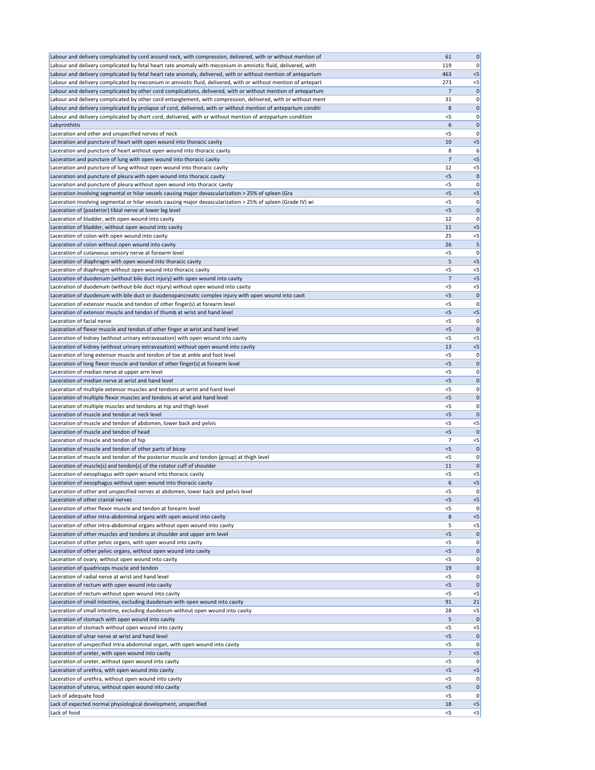| Labour and delivery complicated by cord around neck, with compression, delivered, with or without mention of                                                                                                          | 61             | $\boldsymbol{0}$ |
|-----------------------------------------------------------------------------------------------------------------------------------------------------------------------------------------------------------------------|----------------|------------------|
| Labour and delivery complicated by fetal heart rate anomaly with meconium in amniotic fluid, delivered, with                                                                                                          | 119            | 0                |
| Labour and delivery complicated by fetal heart rate anomaly, delivered, with or without mention of antepartum                                                                                                         | 463            | $<$ 5            |
| Labour and delivery complicated by meconium in amniotic fluid, delivered, with or without mention of antepart                                                                                                         | 273            | $<$ 5            |
| Labour and delivery complicated by other cord complications, delivered, with or without mention of antepartum                                                                                                         | 7              | 0                |
| Labour and delivery complicated by other cord entanglement, with compression, delivered, with or without ment                                                                                                         | 31             | 0                |
| Labour and delivery complicated by prolapse of cord, delivered, with or without mention of antepartum conditi                                                                                                         | 8              | 0                |
| Labour and delivery complicated by short cord, delivered, with or without mention of antepartum condition                                                                                                             | $<$ 5          | 0                |
| Labyrinthitis                                                                                                                                                                                                         | 6              | 0                |
| Laceration and other and unspecified nerves of neck                                                                                                                                                                   | $<$ 5          | 0                |
| Laceration and puncture of heart with open wound into thoracic cavity                                                                                                                                                 | 10             | $<$ 5            |
| Laceration and puncture of heart without open wound into thoracic cavity                                                                                                                                              | 8              | 6                |
| Laceration and puncture of lung with open wound into thoracic cavity                                                                                                                                                  | 7              | $<$ 5            |
| Laceration and puncture of lung without open wound into thoracic cavity                                                                                                                                               | 12             | $<$ 5            |
| Laceration and puncture of pleura with open wound into thoracic cavity                                                                                                                                                | < 5            | 0                |
| Laceration and puncture of pleura without open wound into thoracic cavity                                                                                                                                             | $<$ 5<br>$<$ 5 | 0<br>$<$ 5       |
| Laceration involving segmental or hilar vessels causing major devascularization > 25% of spleen (Gra<br>Laceration involving segmental or hilar vessels causing major devascularization > 25% of spleen (Grade IV) wi | $<$ 5          | 0                |
| Laceration of (posterior) tibial nerve at lower leg level                                                                                                                                                             | $<$ 5          | $\mathbf 0$      |
| Laceration of bladder, with open wound into cavity                                                                                                                                                                    | 12             | 0                |
| Laceration of bladder, without open wound into cavity                                                                                                                                                                 | 11             | $<$ 5            |
| Laceration of colon with open wound into cavity                                                                                                                                                                       | 25             | $<$ 5            |
| Laceration of colon without open wound into cavity                                                                                                                                                                    | 26             | 5                |
| Laceration of cutaneous sensory nerve at forearm level                                                                                                                                                                | $<$ 5          | 0                |
| Laceration of diaphragm with open wound into thoracic cavity                                                                                                                                                          | 5              | $<$ 5            |
| Laceration of diaphragm without open wound into thoracic cavity                                                                                                                                                       | $<$ 5          | $<$ 5            |
| Laceration of duodenum (without bile duct injury) with open wound into cavity                                                                                                                                         | $\overline{7}$ | $<$ 5            |
| Laceration of duodenum (without bile duct injury) without open wound into cavity                                                                                                                                      | $<$ 5          | $<$ 5            |
| Laceration of duodenum with bile duct or duodenopancreatic complex injury with open wound into cavit                                                                                                                  | $<$ 5          | $\mathbf 0$      |
| Laceration of extensor muscle and tendon of other finger(s) at forearm level                                                                                                                                          | $<$ 5          | 0                |
| Laceration of extensor muscle and tendon of thumb at wrist and hand level                                                                                                                                             | $<$ 5          | $<$ 5            |
| Laceration of facial nerve                                                                                                                                                                                            | $<$ 5          | 0                |
| Laceration of flexor muscle and tendon of other finger at wrist and hand level                                                                                                                                        | < 5            | 0                |
| Laceration of kidney (without urinary extravasation) with open wound into cavity                                                                                                                                      | $<$ 5          | $<$ 5            |
| Laceration of kidney (without urinary extravasation) without open wound into cavity                                                                                                                                   | 13             | $<$ 5            |
| Laceration of long extensor muscle and tendon of toe at ankle and foot level                                                                                                                                          | $<$ 5          | 0                |
| Laceration of long flexor muscle and tendon of other finger(s) at forearm level                                                                                                                                       | $<$ 5          | 0                |
| Laceration of median nerve at upper arm level                                                                                                                                                                         | $<$ 5          | 0                |
| Laceration of median nerve at wrist and hand level                                                                                                                                                                    | < 5            | 0                |
| Laceration of multiple extensor muscles and tendons at wrist and hand level                                                                                                                                           | $<$ 5          | 0                |
| Laceration of multiple flexor muscles and tendons at wrist and hand level                                                                                                                                             | $<$ 5          | $\mathbf 0$      |
| Laceration of multiple muscles and tendons at hip and thigh level                                                                                                                                                     | $<$ 5          | 0                |
| Laceration of muscle and tendon at neck level                                                                                                                                                                         | $<$ 5          | 0                |
| Laceration of muscle and tendon of abdomen, lower back and pelvis                                                                                                                                                     | $<$ 5          | $<$ 5            |
| Laceration of muscle and tendon of head                                                                                                                                                                               | $<$ 5          | $\mathsf{C}$     |
| Laceration of muscle and tendon of hip                                                                                                                                                                                | 7              | $<$ 5            |
| Laceration of muscle and tendon of other parts of bicep                                                                                                                                                               | $<$ 5          | 0                |
| Laceration of muscle and tendon of the posterior muscle and tendon (group) at thigh level                                                                                                                             | <5             | 0                |
| Laceration of muscle(s) and tendon(s) of the rotator cuff of shoulder                                                                                                                                                 | 11             | 0                |
| Laceration of oesophagus with open wound into thoracic cavity                                                                                                                                                         | $<$ 5          | $<$ 5            |
| Laceration of oesophagus without open wound into thoracic cavity                                                                                                                                                      | 6              | $<$ 5            |
| Laceration of other and unspecified nerves at abdomen, lower back and pelvis level                                                                                                                                    | $<$ 5          | 0                |
| Laceration of other cranial nerves                                                                                                                                                                                    | $<$ 5          | $<$ 5            |
| Laceration of other flexor muscle and tendon at forearm level                                                                                                                                                         | $<$ 5          | 0                |
| Laceration of other intra-abdominal organs with open wound into cavity                                                                                                                                                | 8<br>5         | $<$ 5<br>$<$ 5   |
| Laceration of other intra-abdominal organs without open wound into cavity<br>Laceration of other muscles and tendons at shoulder and upper arm level                                                                  | $<$ 5          | $\mathbf 0$      |
| Laceration of other pelvic organs, with open wound into cavity                                                                                                                                                        | <5             | 0                |
| Laceration of other pelvic organs, without open wound into cavity                                                                                                                                                     | $<$ 5          | 0                |
| Laceration of ovary, without open wound into cavity                                                                                                                                                                   | <5             | 0                |
| Laceration of quadriceps muscle and tendon                                                                                                                                                                            | 19             | 0                |
| Laceration of radial nerve at wrist and hand level                                                                                                                                                                    | <5             | 0                |
| Laceration of rectum with open wound into cavity                                                                                                                                                                      | <5             | $\mathbf 0$      |
| Laceration of rectum without open wound into cavity                                                                                                                                                                   | $<$ 5          | $<$ 5            |
| Laceration of small intestine, excluding duodenum with open wound into cavity                                                                                                                                         | 91             | 21               |
| Laceration of small intestine, excluding duodenum without open wound into cavity                                                                                                                                      | 28             | $<$ 5            |
| Laceration of stomach with open wound into cavity                                                                                                                                                                     | 5              | 0                |
| Laceration of stomach without open wound into cavity                                                                                                                                                                  | $<$ 5          | $<$ 5            |
| Laceration of ulnar nerve at wrist and hand level                                                                                                                                                                     | < 5            | 0                |
| Laceration of unspecified intra-abdominal organ, with open wound into cavity                                                                                                                                          | $<$ 5          | 0                |
| Laceration of ureter, with open wound into cavity                                                                                                                                                                     | 7              | $<$ 5            |
| Laceration of ureter, without open wound into cavity                                                                                                                                                                  | $<$ 5          | 0                |
| Laceration of urethra, with open wound into cavity                                                                                                                                                                    | $<$ 5          | $<$ 5            |
| Laceration of urethra, without open wound into cavity                                                                                                                                                                 | $<$ 5          | 0                |
| Laceration of uterus, without open wound into cavity                                                                                                                                                                  | $<$ 5          | 0                |
| Lack of adequate food                                                                                                                                                                                                 | <5             | 0                |
| Lack of expected normal physiological development, unspecified                                                                                                                                                        | 18             | $<$ 5            |
| Lack of food                                                                                                                                                                                                          | $<$ 5          | $\leq$           |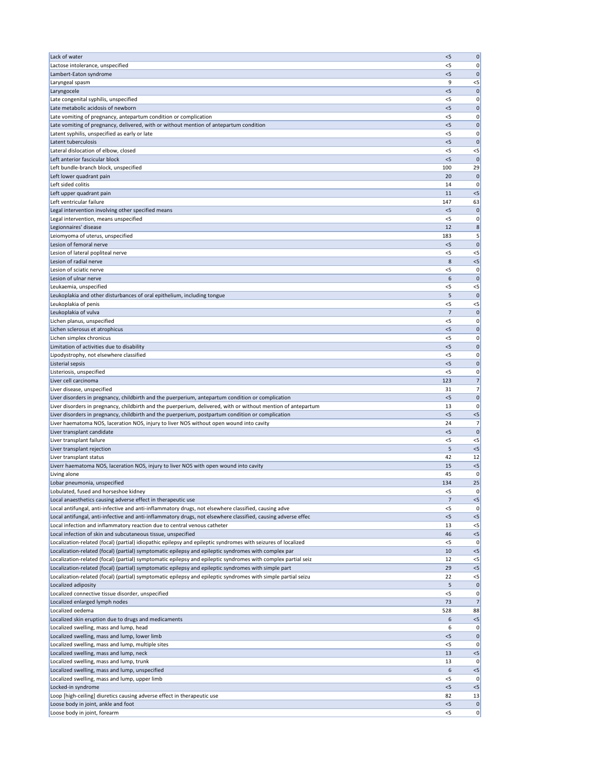| Lack of water                                                                                                 | < 5   | $\mathbf 0$ |
|---------------------------------------------------------------------------------------------------------------|-------|-------------|
| Lactose intolerance, unspecified                                                                              | $<$ 5 | 0           |
| Lambert-Eaton syndrome                                                                                        | $<$ 5 | 0           |
| Laryngeal spasm                                                                                               | 9     | $<$ 5       |
| Laryngocele                                                                                                   | $<$ 5 | $\mathbf 0$ |
| Late congenital syphilis, unspecified                                                                         | $<$ 5 | 0           |
| Late metabolic acidosis of newborn                                                                            | $<$ 5 | $\mathbf 0$ |
| Late vomiting of pregnancy, antepartum condition or complication                                              | <5    | 0           |
| Late vomiting of pregnancy, delivered, with or without mention of antepartum condition                        | < 5   | $\mathbf 0$ |
| Latent syphilis, unspecified as early or late                                                                 | <5    | 0           |
| Latent tuberculosis                                                                                           | < 5   | $\mathbf 0$ |
| Lateral dislocation of elbow, closed                                                                          | <5    | $<$ 5       |
| Left anterior fascicular block                                                                                | $<$ 5 | $\mathbf 0$ |
| Left bundle-branch block, unspecified                                                                         | 100   | 29          |
| Left lower quadrant pain                                                                                      | 20    | $\Omega$    |
| Left sided colitis                                                                                            | 14    | 0           |
| Left upper quadrant pain                                                                                      | 11    | $<$ 5       |
| Left ventricular failure                                                                                      | 147   | 63          |
| Legal intervention involving other specified means                                                            | < 5   | $\mathbf 0$ |
| Legal intervention, means unspecified                                                                         | <5    | 0           |
| Legionnaires' disease                                                                                         | 12    | 8           |
| Leiomyoma of uterus, unspecified                                                                              | 183   | 5           |
| Lesion of femoral nerve                                                                                       | $<$ 5 | $\mathbf 0$ |
| Lesion of lateral popliteal nerve                                                                             | $<$ 5 | $<$ 5       |
| Lesion of radial nerve                                                                                        | 8     | $<$ 5       |
| Lesion of sciatic nerve                                                                                       | $<$ 5 | 0           |
| Lesion of ulnar nerve                                                                                         | 6     | $\mathbf 0$ |
| Leukaemia, unspecified                                                                                        | $<$ 5 | $<$ 5       |
| Leukoplakia and other disturbances of oral epithelium, including tongue                                       | 5     | $\mathbf 0$ |
| Leukoplakia of penis                                                                                          | $<$ 5 | $<$ 5       |
| Leukoplakia of vulva                                                                                          | 7     | 0           |
| Lichen planus, unspecified                                                                                    | $<$ 5 | 0           |
| Lichen sclerosus et atrophicus                                                                                | < 5   | $\mathbf 0$ |
| Lichen simplex chronicus                                                                                      | $<$ 5 | 0           |
| Limitation of activities due to disability                                                                    | $<$ 5 | 0           |
| Lipodystrophy, not elsewhere classified                                                                       | $<$ 5 | 0           |
| Listerial sepsis                                                                                              | $<$ 5 | 0           |
| Listeriosis, unspecified                                                                                      | $<$ 5 | 0           |
| Liver cell carcinoma                                                                                          | 123   | 7           |
| Liver disease, unspecified                                                                                    | 31    | 7           |
| Liver disorders in pregnancy, childbirth and the puerperium, antepartum condition or complication             | $<$ 5 | 0           |
| Liver disorders in pregnancy, childbirth and the puerperium, delivered, with or without mention of antepartum | 13    | 0           |
| Liver disorders in pregnancy, childbirth and the puerperium, postpartum condition or complication             | < 5   | $<$ 5       |
| Liver haematoma NOS, laceration NOS, injury to liver NOS without open wound into cavity                       | 24    | 7           |
| Liver transplant candidate                                                                                    | $<$ 5 | $\mathbf 0$ |
| Liver transplant failure                                                                                      | $<$ 5 | $<$ 5       |
| Liver transplant rejection                                                                                    | 5     | $<$ 5       |
| Liver transplant status                                                                                       | 42    | 12          |
| Liverr haematoma NOS, laceration NOS, injury to liver NOS with open wound into cavity                         | 15    | $<$ 5       |
| Living alone                                                                                                  | 45    | 0           |
| Lobar pneumonia, unspecified                                                                                  | 134   | 25          |
| Lobulated, fused and horseshoe kidney                                                                         | $<$ 5 | 0           |
| Local anaesthetics causing adverse effect in therapeutic use                                                  | 7     | $<$ 5       |
| Local antifungal, anti-infective and anti-inflammatory drugs, not elsewhere classified, causing adve          | $<$ 5 | 0           |
| Local antifungal, anti-infective and anti-inflammatory drugs, not elsewhere classified, causing adverse effec | < 5   | $<$ 5       |
| Local infection and inflammatory reaction due to central venous catheter                                      | 13    | $<$ 5       |
| Local infection of skin and subcutaneous tissue, unspecified                                                  | 46    | $<$ 5       |
| Localization-related (focal) (partial) idiopathic epilepsy and epileptic syndromes with seizures of localized | <5    | O           |
| Localization-related (focal) (partial) symptomatic epilepsy and epileptic syndromes with complex par          | 10    | $<$ 5       |
| Localization-related (focal) (partial) symptomatic epilepsy and epileptic syndromes with complex partial seiz | 12    | $<$ 5       |
| Localization-related (focal) (partial) symptomatic epilepsy and epileptic syndromes with simple part          | 29    | $<$ 5       |
| Localization-related (focal) (partial) symptomatic epilepsy and epileptic syndromes with simple partial seizu | 22    | $<$ 5       |
| Localized adiposity                                                                                           | 5     | 0           |
| Localized connective tissue disorder, unspecified                                                             | $<$ 5 | 0           |
| Localized enlarged lymph nodes                                                                                | 73    | 7           |
| Localized oedema                                                                                              | 528   | 88          |
| Localized skin eruption due to drugs and medicaments<br>Localized swelling, mass and lump, head               | 6     | $<$ 5       |
|                                                                                                               | 6     | 0           |
| Localized swelling, mass and lump, lower limb                                                                 | < 5   | 0           |
| Localized swelling, mass and lump, multiple sites                                                             | $<$ 5 | 0           |
| Localized swelling, mass and lump, neck                                                                       | 13    | $<$ 5       |
| Localized swelling, mass and lump, trunk                                                                      | 13    | 0           |
| Localized swelling, mass and lump, unspecified                                                                | 6     | $<$ 5       |
| Localized swelling, mass and lump, upper limb                                                                 | $<$ 5 | 0           |
| Locked-in syndrome                                                                                            | < 5   | $<$ 5       |
| Loop [high-ceiling] diuretics causing adverse effect in therapeutic use                                       | 82    | 13          |
| Loose body in joint, ankle and foot                                                                           | < 5   | 0           |
| Loose body in joint, forearm                                                                                  | $<$ 5 | 0           |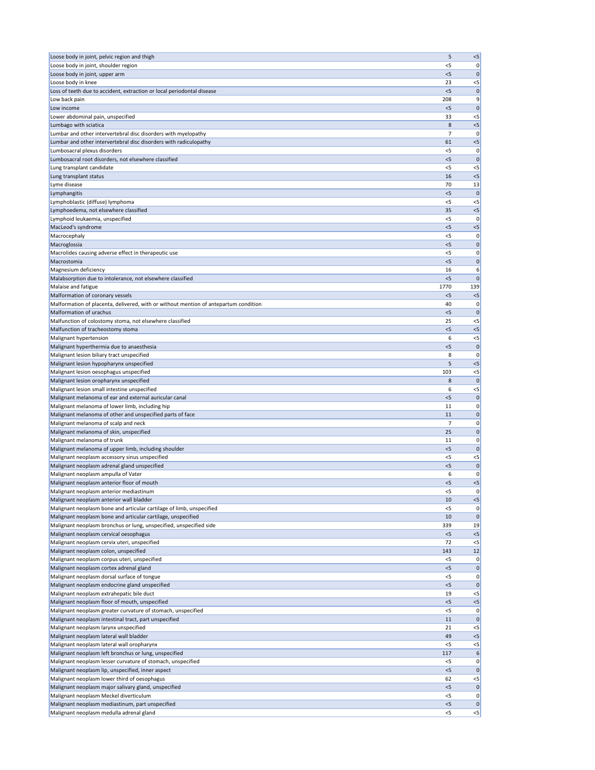| Loose body in joint, pelvic region and thigh                                                                                       | 5              | $< 5$                |
|------------------------------------------------------------------------------------------------------------------------------------|----------------|----------------------|
| Loose body in joint, shoulder region                                                                                               | $<$ 5          | 0                    |
| Loose body in joint, upper arm                                                                                                     | $<$ 5          | $\mathbf 0$          |
| Loose body in knee<br>Loss of teeth due to accident, extraction or local periodontal disease                                       | 23<br>$<$ 5    | $< 5$<br>$\mathbf 0$ |
| Low back pain                                                                                                                      | 208            | 9                    |
| Low income                                                                                                                         | $<$ 5          | $\mathbf 0$          |
| Lower abdominal pain, unspecified                                                                                                  | 33             | $<$ 5                |
| Lumbago with sciatica                                                                                                              | 8              | $< 5$                |
| Lumbar and other intervertebral disc disorders with myelopathy                                                                     | 7              | 0                    |
| Lumbar and other intervertebral disc disorders with radiculopathy                                                                  | 61             | $< 5$                |
| Lumbosacral plexus disorders                                                                                                       | <5             | 0                    |
| Lumbosacral root disorders, not elsewhere classified                                                                               | < 5            | $\mathbf 0$          |
| Lung transplant candidate<br>Lung transplant status                                                                                | < 5<br>16      | $<$ 5<br>< 5         |
| Lyme disease                                                                                                                       | 70             | 13                   |
| Lymphangitis                                                                                                                       | $<$ 5          | $\mathbf{0}$         |
| Lymphoblastic (diffuse) lymphoma                                                                                                   | $<$ 5          | $<$ 5                |
| Lymphoedema, not elsewhere classified                                                                                              | 35             | $< 5$                |
| Lymphoid leukaemia, unspecified                                                                                                    | <5             | 0                    |
| MacLeod's syndrome                                                                                                                 | $<$ 5          | $< 5$                |
| Macrocephaly                                                                                                                       | $<$ 5          | 0                    |
| Macroglossia                                                                                                                       | < 5            | 0                    |
| Macrolides causing adverse effect in therapeutic use<br>Macrostomia                                                                | < 5<br>$<$ 5   | 0<br>$\mathbf{0}$    |
| Magnesium deficiency                                                                                                               | 16             | 6                    |
| Malabsorption due to intolerance, not elsewhere classified                                                                         | < 5            | $\mathbf 0$          |
| Malaise and fatigue                                                                                                                | 1770           | 139                  |
| Malformation of coronary vessels                                                                                                   | < 5            | $<$ 5                |
| Malformation of placenta, delivered, with or without mention of antepartum condition                                               | 40             | 0                    |
| Malformation of urachus                                                                                                            | $<$ 5          | 0                    |
| Malfunction of colostomy stoma, not elsewhere classified                                                                           | 25             | $<$ 5                |
| Malfunction of tracheostomy stoma                                                                                                  | < 5            | < 5                  |
| Malignant hypertension                                                                                                             | 6              | $<$ 5                |
| Malignant hyperthermia due to anaesthesia<br>Malignant lesion biliary tract unspecified                                            | < 5<br>8       | $\mathbf 0$<br>0     |
| Malignant lesion hypopharynx unspecified                                                                                           | 5              | $< 5$                |
| Malignant lesion oesophagus unspecified                                                                                            | 103            | $<$ 5                |
| Malignant lesion oropharynx unspecified                                                                                            | 8              | $\mathbf 0$          |
| Malignant lesion small intestine unspecified                                                                                       | 6              | $<$ 5                |
| Malignant melanoma of ear and external auricular canal                                                                             | < 5            | $\mathbf 0$          |
| Malignant melanoma of lower limb, including hip                                                                                    | 11             | 0                    |
| Malignant melanoma of other and unspecified parts of face                                                                          | 11             | $\mathbf 0$          |
| Malignant melanoma of scalp and neck<br>Malignant melanoma of skin, unspecified                                                    | 7<br>25        | 0<br>$\mathbf 0$     |
| Malignant melanoma of trunk                                                                                                        | 11             | 0                    |
| Malignant melanoma of upper limb, including shoulder                                                                               | < 5            | $\mathbf 0$          |
| Malignant neoplasm accessory sinus unspecified                                                                                     | <5             | $<$ 5                |
| Malignant neoplasm adrenal gland unspecified                                                                                       | < 5            | $\mathbf 0$          |
| Malignant neoplasm ampulla of Vater                                                                                                | 6              | 0                    |
| Malignant neoplasm anterior floor of mouth                                                                                         | < 5            | $< 5$                |
| Malignant neoplasm anterior mediastinum                                                                                            | < 5            | 0                    |
| Malignant neoplasm anterior wall bladder                                                                                           | 10             | $< 5$                |
| Malignant neoplasm bone and articular cartilage of limb, unspecified                                                               | < 5<br>10      | 0                    |
| Malignant neoplasm bone and articular cartilage, unspecified<br>Malignant neoplasm bronchus or lung, unspecified, unspecified side | 339            | $\mathbf{0}$<br>19   |
| Malignant neoplasm cervical oesophagus                                                                                             | < 5            | < 5                  |
| Malignant neoplasm cervix uteri, unspecified                                                                                       | 72             | $< 5$                |
| Malignant neoplasm colon, unspecified                                                                                              | 143            | 12                   |
| Malignant neoplasm corpus uteri, unspecified                                                                                       | < 5            | 0                    |
| Malignant neoplasm cortex adrenal gland                                                                                            | < 5            | $\mathbf 0$          |
| Malignant neoplasm dorsal surface of tongue                                                                                        | < 5            | 0                    |
| Malignant neoplasm endocrine gland unspecified                                                                                     | <5             | 0                    |
| Malignant neoplasm extrahepatic bile duct                                                                                          | 19<br>< 5      | $<$ 5<br>$< 5$       |
| Malignant neoplasm floor of mouth, unspecified<br>Malignant neoplasm greater curvature of stomach, unspecified                     | $<$ 5          | 0                    |
| Malignant neoplasm intestinal tract, part unspecified                                                                              | 11             | $\mathbf{0}$         |
| Malignant neoplasm larynx unspecified                                                                                              | 21             | $<$ 5                |
| Malignant neoplasm lateral wall bladder                                                                                            | 49             | $< 5$                |
| Malignant neoplasm lateral wall oropharynx                                                                                         | $<$ 5          | $<$ 5                |
| Malignant neoplasm left bronchus or lung, unspecified                                                                              | 117            | 6                    |
| Malignant neoplasm lesser curvature of stomach, unspecified                                                                        | $<$ 5          | 0                    |
| Malignant neoplasm lip, unspecified, inner aspect                                                                                  | < 5            | $\mathbf 0$          |
| Malignant neoplasm lower third of oesophagus<br>Malignant neoplasm major salivary gland, unspecified                               | 62             | $<$ 5                |
| Malignant neoplasm Meckel diverticulum                                                                                             | $<$ 5<br>$<$ 5 | 0 <br> 0             |
| Malignant neoplasm mediastinum, part unspecified                                                                                   | < 5            | $\mathbf 0$          |
|                                                                                                                                    | $<$ 5          | $\leq$               |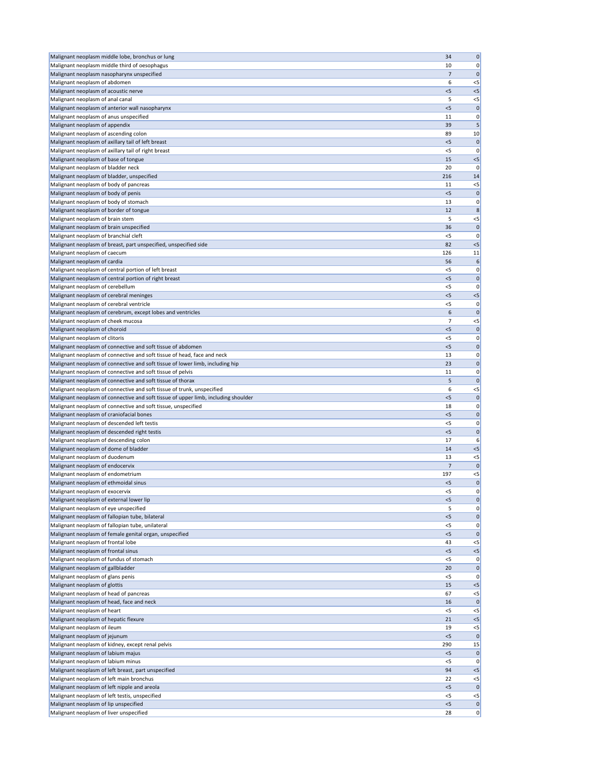| Malignant neoplasm middle lobe, bronchus or lung                                                                                       | 34             | $\mathbf 0$          |
|----------------------------------------------------------------------------------------------------------------------------------------|----------------|----------------------|
| Malignant neoplasm middle third of oesophagus                                                                                          | 10             | 0                    |
| Malignant neoplasm nasopharynx unspecified                                                                                             | 7              | 0                    |
| Malignant neoplasm of abdomen                                                                                                          | 6              | $<$ 5                |
| Malignant neoplasm of acoustic nerve                                                                                                   | < 5            | $<$ 5                |
| Malignant neoplasm of anal canal                                                                                                       | 5              | $<$ 5                |
| Malignant neoplasm of anterior wall nasopharynx                                                                                        | $<$ 5          | 0                    |
| Malignant neoplasm of anus unspecified                                                                                                 | 11             | 0                    |
| Malignant neoplasm of appendix                                                                                                         | 39             | 5                    |
| Malignant neoplasm of ascending colon                                                                                                  | 89             | 10                   |
| Malignant neoplasm of axillary tail of left breast                                                                                     | < 5            | $\mathbf 0$          |
| Malignant neoplasm of axillary tail of right breast                                                                                    | $<$ 5          | 0                    |
| Malignant neoplasm of base of tongue<br>Malignant neoplasm of bladder neck                                                             | 15<br>20       | $<$ 5<br>O           |
| Malignant neoplasm of bladder, unspecified                                                                                             | 216            | 14                   |
| Malignant neoplasm of body of pancreas                                                                                                 | 11             | $<$ 5                |
| Malignant neoplasm of body of penis                                                                                                    | < 5            | $\mathbf 0$          |
| Malignant neoplasm of body of stomach                                                                                                  | 13             | 0                    |
| Malignant neoplasm of border of tongue                                                                                                 | 12             | 8                    |
| Malignant neoplasm of brain stem                                                                                                       | 5              | $<$ 5                |
| Malignant neoplasm of brain unspecified                                                                                                | 36             | $\mathbf 0$          |
| Malignant neoplasm of branchial cleft                                                                                                  | <5             | 0                    |
| Malignant neoplasm of breast, part unspecified, unspecified side                                                                       | 82             | $<$ 5                |
| Malignant neoplasm of caecum                                                                                                           | 126            | 11                   |
| Malignant neoplasm of cardia                                                                                                           | 56             | 6                    |
| Malignant neoplasm of central portion of left breast                                                                                   | $<$ 5          | 0                    |
| Malignant neoplasm of central portion of right breast                                                                                  | < 5            | $\mathbf 0$          |
| Malignant neoplasm of cerebellum                                                                                                       | $<$ 5          | 0                    |
| Malignant neoplasm of cerebral meninges                                                                                                | < 5            | $<$ 5                |
| Malignant neoplasm of cerebral ventricle                                                                                               | $<$ 5          | 0                    |
| Malignant neoplasm of cerebrum, except lobes and ventricles                                                                            | 6              | 0                    |
| Malignant neoplasm of cheek mucosa                                                                                                     | 7              | $<$ 5                |
| Malignant neoplasm of choroid                                                                                                          | < 5            | 0                    |
| Malignant neoplasm of clitoris                                                                                                         | $<$ 5          | 0                    |
| Malignant neoplasm of connective and soft tissue of abdomen<br>Malignant neoplasm of connective and soft tissue of head, face and neck | < 5            | $\Omega$<br>0        |
| Malignant neoplasm of connective and soft tissue of lower limb, including hip                                                          | 13<br>23       | $\mathbf 0$          |
| Malignant neoplasm of connective and soft tissue of pelvis                                                                             | 11             | 0                    |
| Malignant neoplasm of connective and soft tissue of thorax                                                                             | 5              | $\Omega$             |
| Malignant neoplasm of connective and soft tissue of trunk, unspecified                                                                 | 6              | $<$ 5                |
| Malignant neoplasm of connective and soft tissue of upper limb, including shoulder                                                     | < 5            | $\mathbf 0$          |
| Malignant neoplasm of connective and soft tissue, unspecified                                                                          | 18             | 0                    |
| Malignant neoplasm of craniofacial bones                                                                                               | $<$ 5          | $\Omega$             |
| Malignant neoplasm of descended left testis                                                                                            | $<$ 5          | 0                    |
| Malignant neoplasm of descended right testis                                                                                           | $<$ 5          | $\mathbf 0$          |
| Malignant neoplasm of descending colon                                                                                                 | 17             | 6                    |
| Malignant neoplasm of dome of bladder                                                                                                  | 14             | $<$ 5                |
| Malignant neoplasm of duodenum                                                                                                         | 13             | $<$ 5                |
| Malignant neoplasm of endocervix                                                                                                       | $\overline{7}$ | $\Omega$             |
| Malignant neoplasm of endometrium                                                                                                      | 197            | $<$ 5                |
| Malignant neoplasm of ethmoidal sinus                                                                                                  | < 5            | $\mathbf 0$          |
| Malignant neoplasm of exocervix                                                                                                        | $<$ 5          | 0                    |
| Malignant neoplasm of external lower lip                                                                                               | < 5            | $\Omega$             |
| Malignant neoplasm of eye unspecified                                                                                                  | 5              | 0                    |
| Malignant neoplasm of fallopian tube, bilateral                                                                                        | < 5            | $\mathbf 0$          |
| Malignant neoplasm of fallopian tube, unilateral                                                                                       | $<$ 5<br>< 5   | 0<br>$\Omega$        |
| Malignant neoplasm of female genital organ, unspecified<br>Malignant neoplasm of frontal lobe                                          | 43             | $<$ 5                |
| Malignant neoplasm of frontal sinus                                                                                                    | < 5            | $<$ 5                |
| Malignant neoplasm of fundus of stomach                                                                                                | $<$ 5          | 0                    |
| Malignant neoplasm of gallbladder                                                                                                      | 20             | 0                    |
| Malignant neoplasm of glans penis                                                                                                      | $<$ 5          | 0                    |
| Malignant neoplasm of glottis                                                                                                          | 15             | $<$ 5                |
| Malignant neoplasm of head of pancreas                                                                                                 | 67             | $<$ 5                |
| Malignant neoplasm of head, face and neck                                                                                              | 16             | 0                    |
| Malignant neoplasm of heart                                                                                                            | $<$ 5          | $<$ 5                |
| Malignant neoplasm of hepatic flexure                                                                                                  | 21             | $<$ 5                |
| Malignant neoplasm of ileum                                                                                                            | 19             | $<$ 5                |
| Malignant neoplasm of jejunum                                                                                                          | < 5            | $\mathbf 0$          |
| Malignant neoplasm of kidney, except renal pelvis                                                                                      | 290            | 15                   |
| Malignant neoplasm of labium majus                                                                                                     | < 5            | 0                    |
| Malignant neoplasm of labium minus                                                                                                     | $<$ 5          | 0                    |
| Malignant neoplasm of left breast, part unspecified                                                                                    | 94             | $<$ 5                |
| Malignant neoplasm of left main bronchus                                                                                               | 22             | $<$ 5                |
| Malignant neoplasm of left nipple and areola<br>Malignant neoplasm of left testis, unspecified                                         | < 5            | $\Omega$             |
| Malignant neoplasm of lip unspecified                                                                                                  | $<$ 5<br>< 5   | $<$ 5<br>$\mathbf 0$ |
| Malignant neoplasm of liver unspecified                                                                                                | 28             | 0                    |
|                                                                                                                                        |                |                      |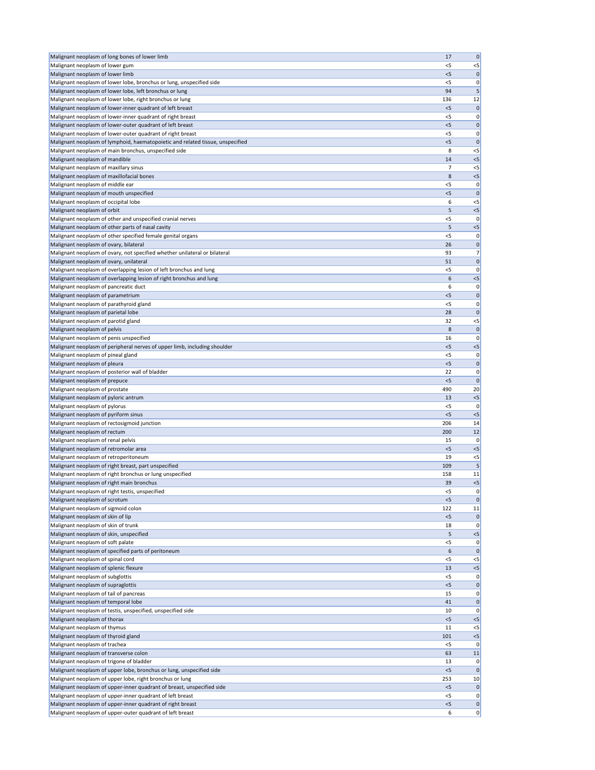| Malignant neoplasm of long bones of lower limb                                                                          | 17             | $\mathbf 0$          |
|-------------------------------------------------------------------------------------------------------------------------|----------------|----------------------|
| Malignant neoplasm of lower gum                                                                                         | $<$ 5          | $<$ 5                |
| Malignant neoplasm of lower limb                                                                                        | $<$ 5          | $\mathbf 0$          |
| Malignant neoplasm of lower lobe, bronchus or lung, unspecified side                                                    | $<$ 5          | 0                    |
| Malignant neoplasm of lower lobe, left bronchus or lung                                                                 | 94             | 5                    |
| Malignant neoplasm of lower lobe, right bronchus or lung                                                                | 136            | 12                   |
| Malignant neoplasm of lower-inner quadrant of left breast<br>Malignant neoplasm of lower-inner quadrant of right breast | $<$ 5<br>$<$ 5 | 0<br>0               |
| Malignant neoplasm of lower-outer quadrant of left breast                                                               | < 5            | 0                    |
| Malignant neoplasm of lower-outer quadrant of right breast                                                              | $<$ 5          | 0                    |
| Malignant neoplasm of lymphoid, haematopoietic and related tissue, unspecified                                          | < 5            | 0                    |
| Malignant neoplasm of main bronchus, unspecified side                                                                   | 8              | $<$ 5                |
| Malignant neoplasm of mandible                                                                                          | 14             | $<$ 5                |
| Malignant neoplasm of maxillary sinus                                                                                   | 7              | $<$ 5                |
| Malignant neoplasm of maxillofacial bones                                                                               | 8              | $<$ 5                |
| Malignant neoplasm of middle ear                                                                                        | $<$ 5          | 0                    |
| Malignant neoplasm of mouth unspecified                                                                                 | < 5            | $\Omega$             |
| Malignant neoplasm of occipital lobe                                                                                    | 6<br>5         | $<$ 5<br>$<$ 5       |
| Malignant neoplasm of orbit<br>Malignant neoplasm of other and unspecified cranial nerves                               | $<$ 5          | 0                    |
| Malignant neoplasm of other parts of nasal cavity                                                                       | 5              | $<$ 5                |
| Malignant neoplasm of other specified female genital organs                                                             | $<$ 5          | 0                    |
| Malignant neoplasm of ovary, bilateral                                                                                  | 26             | 0                    |
| Malignant neoplasm of ovary, not specified whether unilateral or bilateral                                              | 93             | 7                    |
| Malignant neoplasm of ovary, unilateral                                                                                 | 51             | 0                    |
| Malignant neoplasm of overlapping lesion of left bronchus and lung                                                      | $<$ 5          | 0                    |
| Malignant neoplasm of overlapping lesion of right bronchus and lung                                                     | 6              | $<$ 5                |
| Malignant neoplasm of pancreatic duct                                                                                   | 6              | 0                    |
| Malignant neoplasm of parametrium                                                                                       | $<$ 5          | 0                    |
| Malignant neoplasm of parathyroid gland                                                                                 | <5             | 0                    |
| Malignant neoplasm of parietal lobe                                                                                     | 28<br>32       | $\mathbf 0$<br>$<$ 5 |
| Malignant neoplasm of parotid gland<br>Malignant neoplasm of pelvis                                                     | 8              | 0                    |
| Malignant neoplasm of penis unspecified                                                                                 | 16             | 0                    |
| Malignant neoplasm of peripheral nerves of upper limb, including shoulder                                               | < 5            | $<$ 5                |
| Malignant neoplasm of pineal gland                                                                                      | $<$ 5          | 0                    |
| Malignant neoplasm of pleura                                                                                            | < 5            | $\mathbf 0$          |
| Malignant neoplasm of posterior wall of bladder                                                                         | 22             | 0                    |
| Malignant neoplasm of prepuce                                                                                           | $<$ 5          | 0                    |
| Malignant neoplasm of prostate                                                                                          | 490            | 20                   |
| Malignant neoplasm of pyloric antrum                                                                                    | 13             | $<$ 5                |
| Malignant neoplasm of pylorus                                                                                           | $<$ 5          | 0                    |
| Malignant neoplasm of pyriform sinus                                                                                    | $<$ 5          | $<$ 5                |
| Malignant neoplasm of rectosigmoid junction<br>Malignant neoplasm of rectum                                             | 206<br>200     | 14<br>12             |
| Malignant neoplasm of renal pelvis                                                                                      | 15             | 0                    |
| Malignant neoplasm of retromolar area                                                                                   | < 5            | $<$ 5                |
| Malignant neoplasm of retroperitoneum                                                                                   | 19             | $<$ 5                |
| Malignant neoplasm of right breast, part unspecified                                                                    | 109            | 5                    |
| Malignant neoplasm of right bronchus or lung unspecified                                                                | 158            | 11                   |
| Malignant neoplasm of right main bronchus                                                                               | 39             | $<$ 5                |
| Malignant neoplasm of right testis, unspecified                                                                         | $<$ 5          | 0                    |
| Malignant neoplasm of scrotum                                                                                           | < 5            | C                    |
| Malignant neoplasm of sigmoid colon                                                                                     | 122            | 11                   |
| Malignant neoplasm of skin of lip                                                                                       | $<$ 5          | 0                    |
| Malignant neoplasm of skin of trunk<br>Malignant neoplasm of skin, unspecified                                          | 18<br>5        | 0<br>$<$ 5           |
| Malignant neoplasm of soft palate                                                                                       | $<$ 5          | 0                    |
| Malignant neoplasm of specified parts of peritoneum                                                                     | 6              | 0                    |
| Malignant neoplasm of spinal cord                                                                                       | $<$ 5          | $<$ 5                |
| Malignant neoplasm of splenic flexure                                                                                   | 13             | $<$ 5                |
| Malignant neoplasm of subglottis                                                                                        | $<$ 5          | 0                    |
| Malignant neoplasm of supraglottis                                                                                      | $<$ 5          | $\Omega$             |
| Malignant neoplasm of tail of pancreas                                                                                  | 15             | 0                    |
| Malignant neoplasm of temporal lobe                                                                                     | 41             | $\Omega$             |
| Malignant neoplasm of testis, unspecified, unspecified side                                                             | 10             | 0                    |
| Malignant neoplasm of thorax                                                                                            | < 5            | $<$ 5                |
| Malignant neoplasm of thymus<br>Malignant neoplasm of thyroid gland                                                     | 11<br>101      | $<$ 5<br>$<$ 5       |
| Malignant neoplasm of trachea                                                                                           | $<$ 5          | 0                    |
| Malignant neoplasm of transverse colon                                                                                  | 63             | <b>11</b>            |
| Malignant neoplasm of trigone of bladder                                                                                | 13             | 0                    |
| Malignant neoplasm of upper lobe, bronchus or lung, unspecified side                                                    | < 5            | 0                    |
| Malignant neoplasm of upper lobe, right bronchus or lung                                                                | 253            | 10                   |
| Malignant neoplasm of upper-inner quadrant of breast, unspecified side                                                  | < 5            | $\mathbf 0$          |
| Malignant neoplasm of upper-inner quadrant of left breast                                                               | $<$ 5          | 0                    |
| Malignant neoplasm of upper-inner quadrant of right breast                                                              | < 5            | 0                    |
| Malignant neoplasm of upper-outer quadrant of left breast                                                               | 6              | 0                    |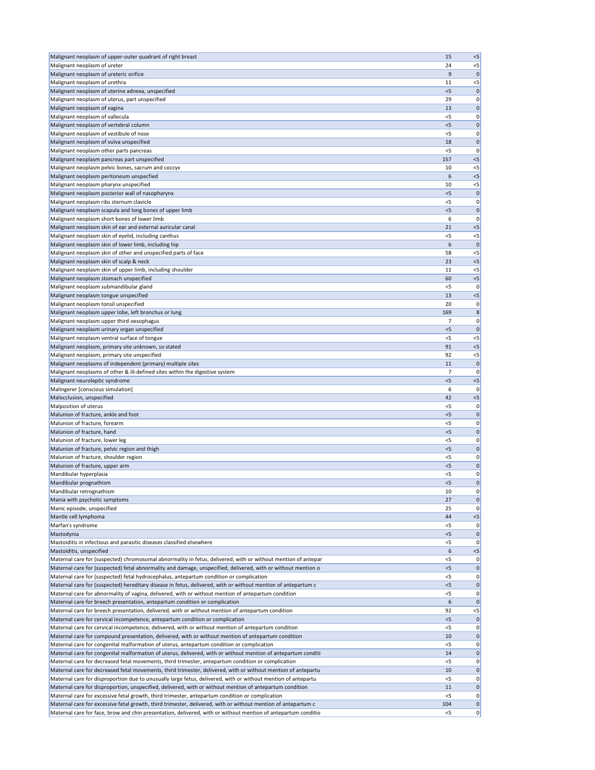| Malignant neoplasm of upper-outer quadrant of right breast                                                    | 15    | $< 5$        |
|---------------------------------------------------------------------------------------------------------------|-------|--------------|
|                                                                                                               |       |              |
| Malignant neoplasm of ureter                                                                                  | 24    | $<$ 5        |
| Malignant neoplasm of ureteric orifice                                                                        | 9     | $\mathbf 0$  |
| Malignant neoplasm of urethra                                                                                 | 11    | $<$ 5        |
|                                                                                                               |       |              |
| Malignant neoplasm of uterine adnexa, unspecified                                                             | $<$ 5 | 0            |
| Malignant neoplasm of uterus, part unspecified                                                                | 29    | 0            |
| Malignant neoplasm of vagina                                                                                  | 13    | $\mathbf 0$  |
|                                                                                                               |       |              |
| Malignant neoplasm of vallecula                                                                               | $<$ 5 | 0            |
| Malignant neoplasm of vertebral column                                                                        | < 5   | $\mathbf 0$  |
| Malignant neoplasm of vestibule of nose                                                                       | $<$ 5 | 0            |
|                                                                                                               |       |              |
| Malignant neoplasm of vulva unspecified                                                                       | 18    | $\mathbf 0$  |
| Malignant neoplasm other parts pancreas                                                                       | $<$ 5 | 0            |
|                                                                                                               | 157   | < 5          |
| Malignant neoplasm pancreas part unspecified                                                                  |       |              |
| Malignant neoplasm pelvic bones, sacrum and coccyx                                                            | 10    | $<$ 5        |
| Malignant neoplasm peritoneum unspecfied                                                                      | 6     | $<$ 5        |
|                                                                                                               |       |              |
| Malignant neoplasm pharynx unspecified                                                                        | 10    | $<$ 5        |
| Malignant neoplasm posterior wall of nasopharynx                                                              | < 5   | $\mathbf 0$  |
| Malignant neoplasm ribs sternum clavicle                                                                      | $<$ 5 | 0            |
|                                                                                                               |       |              |
| Malignant neoplasm scapula and long bones of upper limb                                                       | $<$ 5 | $\mathbf 0$  |
| Malignant neoplasm short bones of lower limb                                                                  | 6     | 0            |
|                                                                                                               | 21    |              |
| Malignant neoplasm skin of ear and external auricular canal                                                   |       | < 5          |
| Malignant neoplasm skin of eyelid, including canthus                                                          | $<$ 5 | $< 5$        |
| Malignant neoplasm skin of lower limb, including hip                                                          | 6     | $\mathbf 0$  |
|                                                                                                               | 58    |              |
| Malignant neoplasm skin of other and unspecified parts of face                                                |       | $<$ 5        |
| Malignant neoplasm skin of scalp & neck                                                                       | 23    | $<$ 5        |
| Malignant neoplasm skin of upper limb, including shoulder                                                     | 11    | $<$ 5        |
|                                                                                                               |       |              |
| Malignant neoplasm stomach unspecified                                                                        | 60    | $< 5$        |
| Malignant neoplasm submandibular gland                                                                        | $<$ 5 | 0            |
| Malignant neoplasm tongue unspecified                                                                         | 13    | $<$ 5        |
|                                                                                                               |       |              |
| Malignant neoplasm tonsil unspecified                                                                         | 20    | 0            |
| Malignant neoplasm upper lobe, left bronchus or lung                                                          | 169   | 8            |
|                                                                                                               |       |              |
| Malignant neoplasm upper third oesophagus                                                                     | 7     | 0            |
| Malignant neoplasm urinary organ unspecified                                                                  | $<$ 5 | 0            |
| Malignant neoplasm ventral surface of tongue                                                                  | $<$ 5 | $<$ 5        |
|                                                                                                               |       |              |
| Malignant neoplasm, primary site unknown, so stated                                                           | 91    | < 5          |
| Malignant neoplasm, primary site unspecified                                                                  | 92    | $< 5$        |
| Malignant neoplasms of independent (primary) multiple sites                                                   | 11    | $\mathbf{0}$ |
|                                                                                                               |       |              |
| Malignant neoplasms of other & ill-defined sites within the digestive system                                  | 7     | 0            |
| Malignant neuroleptic syndrome                                                                                | < 5   | $< 5$        |
| Malingerer [conscious simulation]                                                                             | 6     | 0            |
|                                                                                                               |       |              |
| Malocclusion, unspecified                                                                                     | 42    | $< 5$        |
| Malposition of uterus                                                                                         | $<$ 5 | 0            |
|                                                                                                               |       |              |
| Malunion of fracture, ankle and foot                                                                          | $<$ 5 | 0            |
| Malunion of fracture, forearm                                                                                 | $<$ 5 | 0            |
| Malunion of fracture, hand                                                                                    | $<$ 5 | $\mathbf 0$  |
|                                                                                                               |       |              |
| Malunion of fracture, lower leg                                                                               | $<$ 5 | 0            |
| Malunion of fracture, pelvic region and thigh                                                                 | < 5   | $\mathbf 0$  |
| Malunion of fracture, shoulder region                                                                         | $<$ 5 | 0            |
|                                                                                                               |       |              |
| Malunion of fracture, upper arm                                                                               | < 5   | $\mathbf 0$  |
| Mandibular hyperplasia                                                                                        | $<$ 5 | 0            |
| Mandibular prognathism                                                                                        | $<$ 5 | $\mathbf 0$  |
|                                                                                                               |       |              |
| Mandibular retrognathism                                                                                      | 10    | 0            |
| Mania with psychotic symptoms                                                                                 | 27    | $\mathbf 0$  |
| Manic episode, unspecified                                                                                    | 25    | 0            |
|                                                                                                               |       |              |
| Mantle cell lymphoma                                                                                          | 44    | $< 5$        |
| Marfan's syndrome                                                                                             | $<$ 5 | 0            |
| Mastodynia                                                                                                    | < 5   | $\mathbf{0}$ |
|                                                                                                               |       |              |
| Mastoiditis in infectious and parasitic diseases classified elsewhere                                         | $<$ 5 | 0            |
| Mastoiditis, unspecified                                                                                      | 6     | $< 5$        |
| Maternal care for (suspected) chromosomal abnormality in fetus, delivered, with or without mention of antepar | $<$ 5 | 0            |
|                                                                                                               |       |              |
| Maternal care for (suspected) fetal abnormality and damage, unspecified, delivered, with or without mention o | $<$ 5 | 0            |
| Maternal care for (suspected) fetal hydrocephalus, antepartum condition or complication                       | $<$ 5 | 0            |
| Maternal care for (suspected) hereditary disease in fetus, delivered, with or without mention of antepartum c | $<$ 5 | 0            |
|                                                                                                               |       |              |
| Maternal care for abnormality of vagina, delivered, with or without mention of antepartum condition           | $<$ 5 | 0            |
| Maternal care for breech presentation, antepartum condition or complication                                   | 6     | 0            |
| Maternal care for breech presentation, delivered, with or without mention of antepartum condition             | 92    | $<$ 5        |
|                                                                                                               |       |              |
| Maternal care for cervical incompetence, antepartum condition or complication                                 | < 5   | 0            |
| Maternal care for cervical incompetence, delivered, with or without mention of antepartum condition           | $<$ 5 | 0            |
| Maternal care for compound presentation, delivered, with or without mention of antepartum condition           | 10    | 0            |
|                                                                                                               |       |              |
| Maternal care for congenital malformation of uterus, antepartum condition or complication                     | $<$ 5 | 0            |
| Maternal care for congenital malformation of uterus, delivered, with or without mention of antepartum conditi | 14    | 0            |
|                                                                                                               |       |              |
| Maternal care for decreased fetal movements, third trimester, antepartum condition or complication            | $<$ 5 | 0            |
| Maternal care for decreased fetal movements, third trimester, delivered, with or without mention of antepartu | 10    | 0            |
| Maternal care for disproportion due to unusually large fetus, delivered, with or without mention of antepartu | $<$ 5 | 0            |
|                                                                                                               |       |              |
| Maternal care for disproportion, unspecified, delivered, with or without mention of antepartum condition      | 11    | 0            |
| Maternal care for excessive fetal growth, third trimester, antepartum condition or complication               | $<$ 5 | 0            |
| Maternal care for excessive fetal growth, third trimester, delivered, with or without mention of antepartum c | 104   | 0            |
|                                                                                                               |       |              |
| Maternal care for face, brow and chin presentation, delivered, with or without mention of antepartum conditio | $<$ 5 | 0            |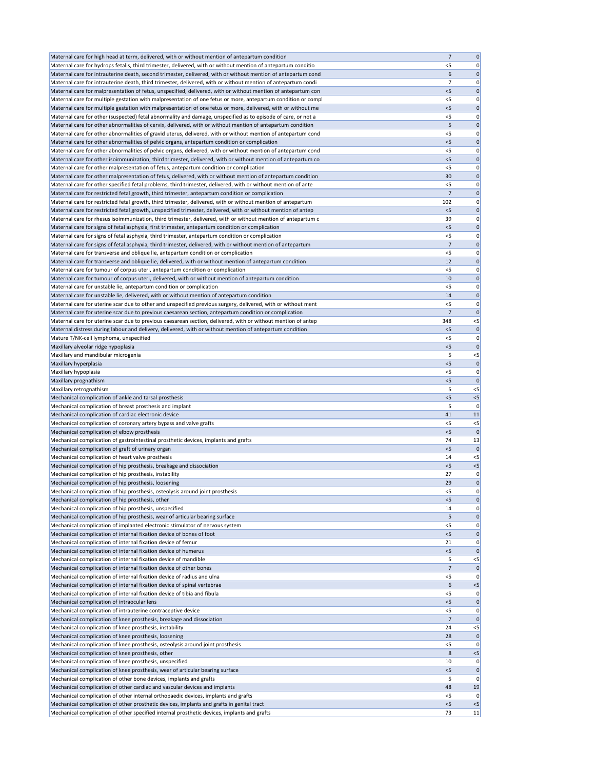| Maternal care for high head at term, delivered, with or without mention of antepartum condition               | $\overline{7}$ | 0                |
|---------------------------------------------------------------------------------------------------------------|----------------|------------------|
| Maternal care for hydrops fetalis, third trimester, delivered, with or without mention of antepartum conditio | $<$ 5          | 0                |
| Maternal care for intrauterine death, second trimester, delivered, with or without mention of antepartum cond | 6              | 0                |
| Maternal care for intrauterine death, third trimester, delivered, with or without mention of antepartum condi | $\overline{7}$ | 0                |
| Maternal care for malpresentation of fetus, unspecified, delivered, with or without mention of antepartum con | < 5            | 0                |
| Maternal care for multiple gestation with malpresentation of one fetus or more, antepartum condition or compl | $<$ 5          | 0                |
| Maternal care for multiple gestation with malpresentation of one fetus or more, delivered, with or without me | < 5            | 0                |
| Maternal care for other (suspected) fetal abnormality and damage, unspecified as to episode of care, or not a | $<$ 5          | 0                |
| Maternal care for other abnormalities of cervix, delivered, with or without mention of antepartum condition   | 5              | $\mathbf 0$      |
| Maternal care for other abnormalities of gravid uterus, delivered, with or without mention of antepartum cond | $<$ 5          | 0                |
| Maternal care for other abnormalities of pelvic organs, antepartum condition or complication                  | < 5            | 0                |
| Maternal care for other abnormalities of pelvic organs, delivered, with or without mention of antepartum cond | $<$ 5          | 0                |
| Maternal care for other isoimmunization, third trimester, delivered, with or without mention of antepartum co | < 5            | 0                |
| Maternal care for other malpresentation of fetus, antepartum condition or complication                        | <5             | 0                |
| Maternal care for other malpresentation of fetus, delivered, with or without mention of antepartum condition  | 30             | 0                |
| Maternal care for other specified fetal problems, third trimester, delivered, with or without mention of ante | $<$ 5          | 0                |
| Maternal care for restricted fetal growth, third trimester, antepartum condition or complication              | 7              | 0                |
| Maternal care for restricted fetal growth, third trimester, delivered, with or without mention of antepartum  | 102            | 0                |
| Maternal care for restricted fetal growth, unspecified trimester, delivered, with or without mention of antep | $<$ 5          | 0                |
| Maternal care for rhesus isoimmunization, third trimester, delivered, with or without mention of antepartum c | 39             | 0                |
| Maternal care for signs of fetal asphyxia, first trimester, antepartum condition or complication              | < 5            | 0                |
| Maternal care for signs of fetal asphyxia, third trimester, antepartum condition or complication              | $<$ 5          | 0                |
| Maternal care for signs of fetal asphyxia, third trimester, delivered, with or without mention of antepartum  | 7              | 0                |
| Maternal care for transverse and oblique lie, antepartum condition or complication                            | < 5            | 0                |
| Maternal care for transverse and oblique lie, delivered, with or without mention of antepartum condition      | 12             | 0                |
| Maternal care for tumour of corpus uteri, antepartum condition or complication                                | $<$ 5          | 0                |
| Maternal care for tumour of corpus uteri, delivered, with or without mention of antepartum condition          | 10             | 0                |
| Maternal care for unstable lie, antepartum condition or complication                                          | $<$ 5          | 0                |
| Maternal care for unstable lie, delivered, with or without mention of antepartum condition                    | 14             | 0                |
| Maternal care for uterine scar due to other and unspecified previous surgery, delivered, with or without ment | $<$ 5          | 0                |
| Maternal care for uterine scar due to previous caesarean section, antepartum condition or complication        | 7              | 0                |
| Maternal care for uterine scar due to previous caesarean section, delivered, with or without mention of antep | 348            | $< 5$            |
| Maternal distress during labour and delivery, delivered, with or without mention of antepartum condition      | $<$ 5          | $\mathbf 0$      |
| Mature T/NK-cell lymphoma, unspecified<br>Maxillary alveolar ridge hypoplasia                                 | <5<br>< 5      | 0<br>$\mathbf 0$ |
| Maxillary and mandibular microgenia                                                                           | 5              | $<$ 5            |
| Maxillary hyperplasia                                                                                         | $<$ 5          | $\mathbf{0}$     |
| Maxillary hypoplasia                                                                                          | <5             | 0                |
| Maxillary prognathism                                                                                         | < 5            | $\mathbf 0$      |
| Maxillary retrognathism                                                                                       | 5              | $<$ 5            |
| Mechanical complication of ankle and tarsal prosthesis                                                        | < 5            | $< 5$            |
| Mechanical complication of breast prosthesis and implant                                                      | 5              | 0                |
| Mechanical complication of cardiac electronic device                                                          | 41             | 11               |
| Mechanical complication of coronary artery bypass and valve grafts                                            | $<$ 5          | $< 5$            |
| Mechanical complication of elbow prosthesis                                                                   | $<$ 5          | $\mathbf 0$      |
| Mechanical complication of gastrointestinal prosthetic devices, implants and grafts                           | 74             | 13               |
| Mechanical complication of graft of urinary organ                                                             | $<$ 5          | $\mathbf 0$      |
| Mechanical complication of heart valve prosthesis                                                             | 14             | $<$ 5            |
| Mechanical complication of hip prosthesis, breakage and dissociation                                          | < 5            | $< 5$            |
| Mechanical complication of hip prosthesis, instability                                                        | 27             | 0                |
| Mechanical complication of hip prosthesis, loosening                                                          | 29             | $\mathbf 0$      |
| Mechanical complication of hip prosthesis, osteolysis around joint prosthesis                                 | <5             | 0                |
| Mechanical complication of hip prosthesis, other                                                              | < 5            | 0                |
| Mechanical complication of hip prosthesis, unspecified                                                        | 14             | 0                |
| Mechanical complication of hip prosthesis, wear of articular bearing surface                                  | 5              | $\mathbf 0$      |
| Mechanical complication of implanted electronic stimulator of nervous system                                  | $<$ 5          | 0                |
| Mechanical complication of internal fixation device of bones of foot                                          | < 5            | $\mathbf 0$      |
| Mechanical complication of internal fixation device of femur                                                  | 21             | 0                |
| Mechanical complication of internal fixation device of humerus                                                | < 5            | $\mathbf 0$      |
| Mechanical complication of internal fixation device of mandible                                               | 5              | $< 5$            |
| Mechanical complication of internal fixation device of other bones                                            | 7              | $\mathbf 0$      |
| Mechanical complication of internal fixation device of radius and ulna                                        | $<$ 5          | 0                |
| Mechanical complication of internal fixation device of spinal vertebrae                                       | 6              | $<$ 5            |
| Mechanical complication of internal fixation device of tibia and fibula                                       | $<$ 5          | 0                |
| Mechanical complication of intraocular lens                                                                   | < 5            | $\mathbf{0}$     |
| Mechanical complication of intrauterine contraceptive device                                                  | <5             | 0                |
| Mechanical complication of knee prosthesis, breakage and dissociation                                         | 7              | $\mathbf{0}$     |
| Mechanical complication of knee prosthesis, instability                                                       | 24             | $<$ 5            |
| Mechanical complication of knee prosthesis, loosening                                                         | 28             | $\mathbf 0$      |
| Mechanical complication of knee prosthesis, osteolysis around joint prosthesis                                | $<$ 5          | 0                |
| Mechanical complication of knee prosthesis, other                                                             | 8              | $<$ 5            |
| Mechanical complication of knee prosthesis, unspecified                                                       | 10             | 0                |
| Mechanical complication of knee prosthesis, wear of articular bearing surface                                 | $<$ 5          | 0                |
| Mechanical complication of other bone devices, implants and grafts                                            | 5              | 0                |
| Mechanical complication of other cardiac and vascular devices and implants                                    | 48             | 19               |
| Mechanical complication of other internal orthopaedic devices, implants and grafts                            | <5             | 0                |
| Mechanical complication of other prosthetic devices, implants and grafts in genital tract                     | < 5            | $<$ 5            |
| Mechanical complication of other specified internal prosthetic devices, implants and grafts                   | 73             | 11               |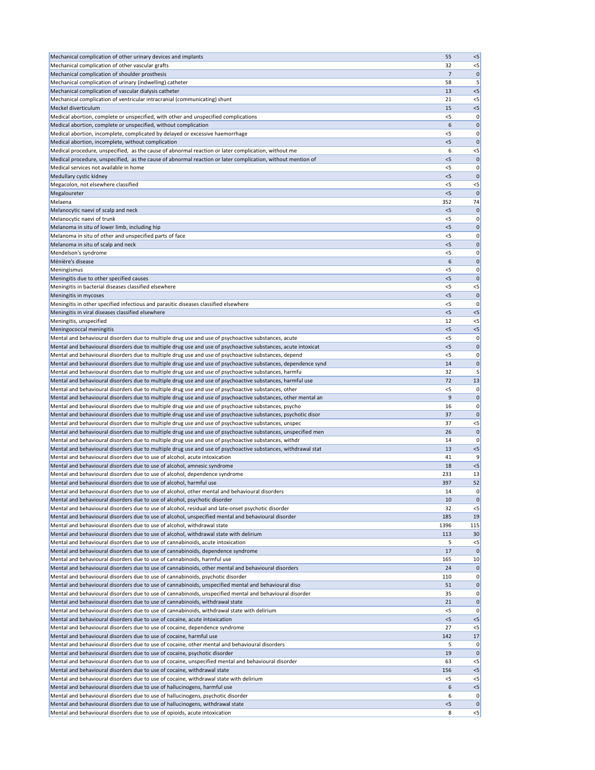| Mechanical complication of other urinary devices and implants                                                                                                                                                         | 55          | $< 5$             |
|-----------------------------------------------------------------------------------------------------------------------------------------------------------------------------------------------------------------------|-------------|-------------------|
| Mechanical complication of other vascular grafts                                                                                                                                                                      | 32          | $<$ 5             |
| Mechanical complication of shoulder prosthesis                                                                                                                                                                        | 7           | $\mathbf 0$       |
| Mechanical complication of urinary (indwelling) catheter                                                                                                                                                              | 58          | 5                 |
| Mechanical complication of vascular dialysis catheter                                                                                                                                                                 | 13          | $<$ 5             |
| Mechanical complication of ventricular intracranial (communicating) shunt                                                                                                                                             | 21          | $<$ 5             |
| Meckel diverticulum<br>Medical abortion, complete or unspecified, with other and unspecified complications                                                                                                            | 15<br>$<$ 5 | $< 5$             |
| Medical abortion, complete or unspecified, without complication                                                                                                                                                       | 6           | 0 <br>$\mathbf 0$ |
| Medical abortion, incomplete, complicated by delayed or excessive haemorrhage                                                                                                                                         | <5          | 0                 |
| Medical abortion, incomplete, without complication                                                                                                                                                                    | < 5         | $\mathbf 0$       |
| Medical procedure, unspecified, as the cause of abnormal reaction or later complication, without me                                                                                                                   | 6           | $<$ 5             |
| Medical procedure, unspecified, as the cause of abnormal reaction or later complication, without mention of                                                                                                           | < 5         | 0                 |
| Medical services not available in home                                                                                                                                                                                | < 5         | 0                 |
| Medullary cystic kidney                                                                                                                                                                                               | $<$ 5       | $\mathbf 0$       |
| Megacolon, not elsewhere classified                                                                                                                                                                                   | <5          | $<$ 5             |
| Megaloureter                                                                                                                                                                                                          | < 5         | $\mathbf 0$       |
| Melaena                                                                                                                                                                                                               | 352         | 74                |
| Melanocytic naevi of scalp and neck                                                                                                                                                                                   | < 5         | $\mathbf 0$       |
| Melanocytic naevi of trunk                                                                                                                                                                                            | <5          | 0                 |
| Melanoma in situ of lower limb, including hip                                                                                                                                                                         | $<$ 5       | 0                 |
| Melanoma in situ of other and unspecified parts of face                                                                                                                                                               | <5          | 0                 |
| Melanoma in situ of scalp and neck<br>Mendelson's syndrome                                                                                                                                                            | < 5<br>< 5  | 0 <br>0           |
| Ménière's disease                                                                                                                                                                                                     | 6           | $\mathbf 0$       |
| Meningismus                                                                                                                                                                                                           | $<$ 5       | 0                 |
| Meningitis due to other specified causes                                                                                                                                                                              | < 5         | $\mathbf 0$       |
| Meningitis in bacterial diseases classified elsewhere                                                                                                                                                                 | $<$ 5       | $< 5$             |
| Meningitis in mycoses                                                                                                                                                                                                 | < 5         | $\mathbf 0$       |
| Meningitis in other specified infectious and parasitic diseases classified elsewhere                                                                                                                                  | <5          | 0                 |
| Meningitis in viral diseases classified elsewhere                                                                                                                                                                     | $<$ 5       | < 5               |
| Meningitis, unspecified                                                                                                                                                                                               | 12          | $< 5$             |
| Meningococcal meningitis                                                                                                                                                                                              | 5           | $< 5$             |
| Mental and behavioural disorders due to multiple drug use and use of psychoactive substances, acute                                                                                                                   | < 5         | 0                 |
| Mental and behavioural disorders due to multiple drug use and use of psychoactive substances, acute intoxicat                                                                                                         | $<$ 5       | 0                 |
| Mental and behavioural disorders due to multiple drug use and use of psychoactive substances, depend                                                                                                                  | $<$ 5       | 0                 |
| Mental and behavioural disorders due to multiple drug use and use of psychoactive substances, dependence synd                                                                                                         | 14          | $\mathbf 0$       |
| Mental and behavioural disorders due to multiple drug use and use of psychoactive substances, harmfu                                                                                                                  | 32          | 5                 |
| Mental and behavioural disorders due to multiple drug use and use of psychoactive substances, harmful use                                                                                                             | 72          | 13                |
| Mental and behavioural disorders due to multiple drug use and use of psychoactive substances, other                                                                                                                   | < 5         | 0                 |
| Mental and behavioural disorders due to multiple drug use and use of psychoactive substances, other mental an<br>Mental and behavioural disorders due to multiple drug use and use of psychoactive substances, psycho | 9<br>16     | 0 <br> 0          |
| Mental and behavioural disorders due to multiple drug use and use of psychoactive substances, psychotic disor                                                                                                         | 37          | 0                 |
| Mental and behavioural disorders due to multiple drug use and use of psychoactive substances, unspec                                                                                                                  | 37          | $<$ 5             |
| Mental and behavioural disorders due to multiple drug use and use of psychoactive substances, unspecified men                                                                                                         | 26          | $\mathbf 0$       |
| Mental and behavioural disorders due to multiple drug use and use of psychoactive substances, withdr                                                                                                                  | 14          | 0                 |
| Mental and behavioural disorders due to multiple drug use and use of psychoactive substances, withdrawal stat                                                                                                         | 13          | $< 5$             |
| Mental and behavioural disorders due to use of alcohol, acute intoxication                                                                                                                                            | 41          | 9                 |
| Mental and behavioural disorders due to use of alcohol, amnesic syndrome                                                                                                                                              | 18          | $< 5$             |
| Mental and behavioural disorders due to use of alcohol, dependence syndrome                                                                                                                                           | 233         | 13                |
| Mental and behavioural disorders due to use of alcohol, harmful use                                                                                                                                                   | 397         | 52                |
| Mental and behavioural disorders due to use of alcohol, other mental and behavioural disorders                                                                                                                        | 14          | 0                 |
| Mental and behavioural disorders due to use of alcohol, psychotic disorder                                                                                                                                            | 10          | $\mathbf 0$       |
| Mental and behavioural disorders due to use of alcohol, residual and late-onset psychotic disorder                                                                                                                    | 32          | $<$ 5             |
| Mental and behavioural disorders due to use of alcohol, unspecified mental and behavioural disorder                                                                                                                   | 185         | 19                |
| Mental and behavioural disorders due to use of alcohol, withdrawal state<br>Mental and behavioural disorders due to use of alcohol, withdrawal state with delirium                                                    | 1396        | 115               |
| Mental and behavioural disorders due to use of cannabinoids, acute intoxication                                                                                                                                       | 113<br>5    | 30<br>$< 5$       |
| Mental and behavioural disorders due to use of cannabinoids, dependence syndrome                                                                                                                                      | 17          | 0                 |
| Mental and behavioural disorders due to use of cannabinoids, harmful use                                                                                                                                              | 165         | 10                |
| Mental and behavioural disorders due to use of cannabinoids, other mental and behavioural disorders                                                                                                                   | 24          | 0                 |
| Mental and behavioural disorders due to use of cannabinoids, psychotic disorder                                                                                                                                       | 110         | 0                 |
| Mental and behavioural disorders due to use of cannabinoids, unspecified mental and behavioural diso                                                                                                                  | 51          | 0                 |
| Mental and behavioural disorders due to use of cannabinoids, unspecified mental and behavioural disorder                                                                                                              | 35          | 0                 |
| Mental and behavioural disorders due to use of cannabinoids, withdrawal state                                                                                                                                         | 21          | 0                 |
| Mental and behavioural disorders due to use of cannabinoids, withdrawal state with delirium                                                                                                                           | $<$ 5       | 0                 |
| Mental and behavioural disorders due to use of cocaine, acute intoxication                                                                                                                                            | < 5         | < 5               |
| Mental and behavioural disorders due to use of cocaine, dependence syndrome                                                                                                                                           | 27          | $<$ 5             |
| Mental and behavioural disorders due to use of cocaine, harmful use                                                                                                                                                   | 142         | 17                |
| Mental and behavioural disorders due to use of cocaine, other mental and behavioural disorders                                                                                                                        | 5           | 0                 |
| Mental and behavioural disorders due to use of cocaine, psychotic disorder                                                                                                                                            | 19          | 0                 |
| Mental and behavioural disorders due to use of cocaine, unspecified mental and behavioural disorder<br>Mental and behavioural disorders due to use of cocaine, withdrawal state                                       | 63<br>156   | $<$ 5<br>$< 5$    |
| Mental and behavioural disorders due to use of cocaine, withdrawal state with delirium                                                                                                                                | $<$ 5       | $<$ 5             |
| Mental and behavioural disorders due to use of hallucinogens, harmful use                                                                                                                                             | 6           | $< 5$             |
| Mental and behavioural disorders due to use of hallucinogens, psychotic disorder                                                                                                                                      | 6           | 0                 |
| Mental and behavioural disorders due to use of hallucinogens, withdrawal state                                                                                                                                        | 5           | 0                 |
| Mental and behavioural disorders due to use of opioids, acute intoxication                                                                                                                                            | 8           | $\leq$            |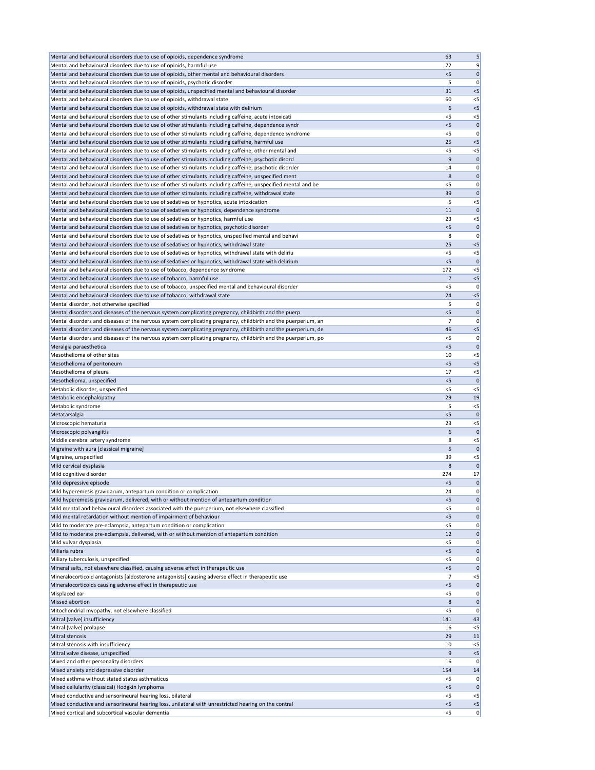| Mental and behavioural disorders due to use of opioids, dependence syndrome                                                                              | 63             | 5                 |
|----------------------------------------------------------------------------------------------------------------------------------------------------------|----------------|-------------------|
| Mental and behavioural disorders due to use of opioids, harmful use                                                                                      | 72             | 9                 |
| Mental and behavioural disorders due to use of opioids, other mental and behavioural disorders                                                           | $<$ 5          | $\boldsymbol{0}$  |
| Mental and behavioural disorders due to use of opioids, psychotic disorder                                                                               | 5              | 0                 |
| Mental and behavioural disorders due to use of opioids, unspecified mental and behavioural disorder                                                      | 31             | $<$ 5             |
| Mental and behavioural disorders due to use of opioids, withdrawal state                                                                                 | 60             | $<$ 5             |
| Mental and behavioural disorders due to use of opioids, withdrawal state with delirium                                                                   | 6              | $<$ 5             |
| Mental and behavioural disorders due to use of other stimulants including caffeine, acute intoxicati                                                     | $<$ 5          | $<$ 5             |
| Mental and behavioural disorders due to use of other stimulants including caffeine, dependence syndr                                                     | < 5            | $\mathbf 0$       |
| Mental and behavioural disorders due to use of other stimulants including caffeine, dependence syndrome                                                  | <5             | 0                 |
| Mental and behavioural disorders due to use of other stimulants including caffeine, harmful use                                                          | 25             | $<$ 5             |
| Mental and behavioural disorders due to use of other stimulants including caffeine, other mental and                                                     | $<$ 5          | $<$ 5             |
| Mental and behavioural disorders due to use of other stimulants including caffeine, psychotic disord                                                     | 9              | $\boldsymbol{0}$  |
| Mental and behavioural disorders due to use of other stimulants including caffeine, psychotic disorder                                                   | 14             | 0                 |
| Mental and behavioural disorders due to use of other stimulants including caffeine, unspecified ment                                                     | 8              | 0                 |
| Mental and behavioural disorders due to use of other stimulants including caffeine, unspecified mental and be                                            | < 5            | 0                 |
| Mental and behavioural disorders due to use of other stimulants including caffeine, withdrawal state                                                     | 39             | $\mathbf 0$       |
| Mental and behavioural disorders due to use of sedatives or hypnotics, acute intoxication                                                                | 5              | $<$ 5             |
| Mental and behavioural disorders due to use of sedatives or hypnotics, dependence syndrome                                                               | 11             | $\mathbf 0$       |
| Mental and behavioural disorders due to use of sedatives or hypnotics, harmful use                                                                       | 23             | $<$ 5             |
| Mental and behavioural disorders due to use of sedatives or hypnotics, psychotic disorder                                                                | < 5            | $\mathbf 0$       |
| Mental and behavioural disorders due to use of sedatives or hypnotics, unspecified mental and behavi                                                     | 8              | 0                 |
| Mental and behavioural disorders due to use of sedatives or hypnotics, withdrawal state                                                                  | 25             | $<$ 5             |
| Mental and behavioural disorders due to use of sedatives or hypnotics, withdrawal state with deliriu                                                     | < 5            | $<$ 5             |
| Mental and behavioural disorders due to use of sedatives or hypnotics, withdrawal state with delirium                                                    | $<$ 5          | C                 |
| Mental and behavioural disorders due to use of tobacco, dependence syndrome                                                                              | 172            | $<$ 5             |
| Mental and behavioural disorders due to use of tobacco, harmful use                                                                                      | 7              | $< 5$             |
| Mental and behavioural disorders due to use of tobacco, unspecified mental and behavioural disorder                                                      | $<$ 5          | 0                 |
| Mental and behavioural disorders due to use of tobacco, withdrawal state                                                                                 | 24             | $<$ 5             |
| Mental disorder, not otherwise specified                                                                                                                 | 5              | 0                 |
| Mental disorders and diseases of the nervous system complicating pregnancy, childbirth and the puerp                                                     | $<$ 5          | $\mathbf 0$       |
| Mental disorders and diseases of the nervous system complicating pregnancy, childbirth and the puerperium, an                                            | $\overline{7}$ | 0                 |
| Mental disorders and diseases of the nervous system complicating pregnancy, childbirth and the puerperium, de                                            | 46             | $<$ 5             |
| Mental disorders and diseases of the nervous system complicating pregnancy, childbirth and the puerperium, po                                            | $<$ 5          | 0                 |
| Meralgia paraesthetica                                                                                                                                   | $<$ 5          | C                 |
| Mesothelioma of other sites                                                                                                                              | 10             | $<$ 5             |
| Mesothelioma of peritoneum                                                                                                                               | $<$ 5          | $<$ 5             |
| Mesothelioma of pleura                                                                                                                                   | 17             | $<$ 5             |
| Mesothelioma, unspecified                                                                                                                                | $<$ 5          | C                 |
| Metabolic disorder, unspecified                                                                                                                          | <5             | $<$ 5             |
| Metabolic encephalopathy                                                                                                                                 | 29             | 19                |
| Metabolic syndrome                                                                                                                                       | 5              | $<$ 5             |
| Metatarsalgia                                                                                                                                            | $<$ 5          |                   |
| Microscopic hematuria                                                                                                                                    | 23             | $<$ 5             |
| Microscopic polyangiitis<br>Middle cerebral artery syndrome                                                                                              | 6<br>8         | $\Omega$<br>$<$ 5 |
| Migraine with aura [classical migraine]                                                                                                                  | 5              | $\mathbf 0$       |
| Migraine, unspecified                                                                                                                                    | 39             | $<$ 5             |
| Mild cervical dysplasia                                                                                                                                  | 8              | $\Omega$          |
| Mild cognitive disorder                                                                                                                                  | 274            | 17                |
| Mild depressive episode                                                                                                                                  | $<$ 5          | 0                 |
| Mild hyperemesis gravidarum, antepartum condition or complication                                                                                        | 24             | 0                 |
| Mild hyperemesis gravidarum, delivered, with or without mention of antepartum condition                                                                  | $<$ 5          | 0                 |
| Mild mental and behavioural disorders associated with the puerperium, not elsewhere classified                                                           | $<$ 5          | 0                 |
| Mild mental retardation without mention of impairment of behaviour                                                                                       | $<$ 5          | 0                 |
| Mild to moderate pre-eclampsia, antepartum condition or complication                                                                                     | $<$ 5          | 0                 |
| Mild to moderate pre-eclampsia, delivered, with or without mention of antepartum condition                                                               | 12             | 0                 |
| Mild vulvar dysplasia                                                                                                                                    | $<$ 5          | 0                 |
| Miliaria rubra                                                                                                                                           | $<$ 5          | 0                 |
| Miliary tuberculosis, unspecified                                                                                                                        | <5             | 0                 |
| Mineral salts, not elsewhere classified, causing adverse effect in therapeutic use                                                                       | < 5            | 0                 |
| Mineralocorticoid antagonists [aldosterone antagonists] causing adverse effect in therapeutic use                                                        | 7              | $<$ 5             |
| Mineralocorticoids causing adverse effect in therapeutic use                                                                                             | $<$ 5          | $\mathbf 0$       |
| Misplaced ear                                                                                                                                            | $<$ 5          | 0                 |
| <b>Missed abortion</b>                                                                                                                                   | 8              | 0                 |
| Mitochondrial myopathy, not elsewhere classified                                                                                                         | <5             | 0                 |
| Mitral (valve) insufficiency                                                                                                                             | 141            | 43                |
| Mitral (valve) prolapse                                                                                                                                  | 16             | $<$ 5             |
| Mitral stenosis                                                                                                                                          | 29             | 11                |
| Mitral stenosis with insufficiency                                                                                                                       | 10             | $<$ 5             |
| Mitral valve disease, unspecified                                                                                                                        | 9              | $<$ 5             |
| Mixed and other personality disorders                                                                                                                    | 16             | 0                 |
| Mixed anxiety and depressive disorder                                                                                                                    | 154            | 14                |
| Mixed asthma without stated status asthmaticus                                                                                                           |                |                   |
|                                                                                                                                                          | $<$ 5          | 0                 |
| Mixed cellularity (classical) Hodgkin lymphoma                                                                                                           | $<$ 5          | 0                 |
| Mixed conductive and sensorineural hearing loss, bilateral                                                                                               | $<$ 5          | $<$ 5             |
| Mixed conductive and sensorineural hearing loss, unilateral with unrestricted hearing on the contral<br>Mixed cortical and subcortical vascular dementia | $<$ 5<br>$<$ 5 | $<$ 5<br> 0       |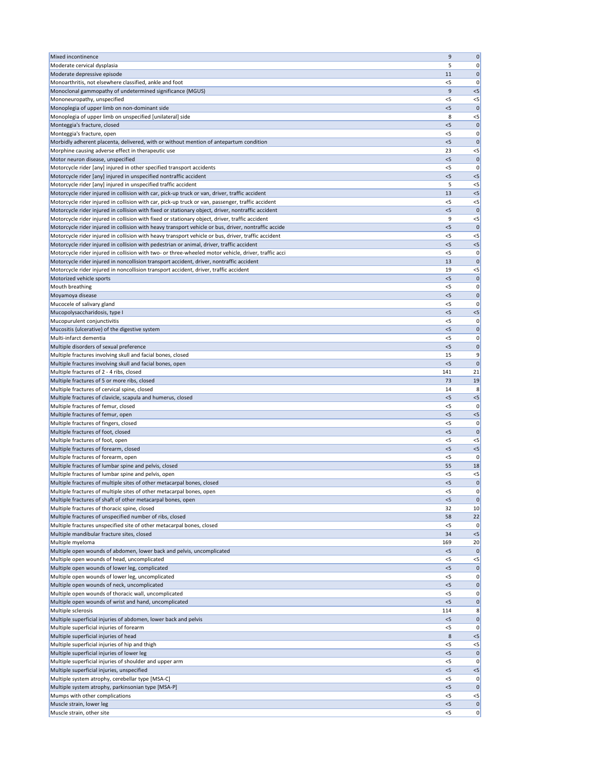| Mixed incontinence                                                                                                                                                                | 9            | 0                    |
|-----------------------------------------------------------------------------------------------------------------------------------------------------------------------------------|--------------|----------------------|
| Moderate cervical dysplasia                                                                                                                                                       | 5            | 0                    |
| Moderate depressive episode                                                                                                                                                       | 11           | $\mathbf 0$          |
| Monoarthritis, not elsewhere classified, ankle and foot                                                                                                                           | < 5          | 0                    |
| Monoclonal gammopathy of undetermined significance (MGUS)                                                                                                                         | 9            | $< 5$                |
| Mononeuropathy, unspecified                                                                                                                                                       | $<$ 5        | $<$ 5                |
| Monoplegia of upper limb on non-dominant side                                                                                                                                     | < 5          | $\mathbf 0$          |
| Monoplegia of upper limb on unspecified [unilateral] side                                                                                                                         | 8            | $<$ 5                |
| Monteggia's fracture, closed                                                                                                                                                      | < 5          | $\mathbf 0$          |
| Monteggia's fracture, open                                                                                                                                                        | $<$ 5        | 0                    |
| Morbidly adherent placenta, delivered, with or without mention of antepartum condition                                                                                            | < 5          | $\mathbf 0$          |
| Morphine causing adverse effect in therapeutic use                                                                                                                                | 23           | $< 5$                |
| Motor neuron disease, unspecified                                                                                                                                                 | $<$ 5        | $\mathbf 0$          |
| Motorcycle rider [any] injured in other specified transport accidents                                                                                                             | $<$ 5        | 0                    |
| Motorcycle rider [any] injured in unspecified nontraffic accident                                                                                                                 | $<$ 5        | $<$ 5                |
| Motorcycle rider [any] injured in unspecified traffic accident                                                                                                                    | 5            | $<$ 5                |
| Motorcycle rider injured in collision with car, pick-up truck or van, driver, traffic accident                                                                                    | 13           | $< 5$                |
| Motorcycle rider injured in collision with car, pick-up truck or van, passenger, traffic accident                                                                                 | $<$ 5        | $<$ 5                |
| Motorcycle rider injured in collision with fixed or stationary object, driver, nontraffic accident                                                                                | < 5          | $\mathbf{0}$         |
| Motorcycle rider injured in collision with fixed or stationary object, driver, traffic accident                                                                                   | 9            | $<$ 5                |
| Motorcycle rider injured in collision with heavy transport vehicle or bus, driver, nontraffic accide                                                                              | < 5          | $\mathbf 0$          |
| Motorcycle rider injured in collision with heavy transport vehicle or bus, driver, traffic accident                                                                               | $<$ 5        | $< 5$                |
| Motorcycle rider injured in collision with pedestrian or animal, driver, traffic accident                                                                                         | < 5<br>$<$ 5 | $< 5$                |
| Motorcycle rider injured in collision with two- or three-wheeled motor vehicle, driver, traffic acci                                                                              |              | 0                    |
| Motorcycle rider injured in noncollision transport accident, driver, nontraffic accident<br>Motorcycle rider injured in noncollision transport accident, driver, traffic accident | 13<br>19     | $\mathbf 0$<br>$< 5$ |
| Motorized vehicle sports                                                                                                                                                          | < 5          | $\mathbf 0$          |
| Mouth breathing                                                                                                                                                                   | $<$ 5        | 0                    |
| Moyamoya disease                                                                                                                                                                  | < 5          | $\mathbf 0$          |
| Mucocele of salivary gland                                                                                                                                                        | <5           | 0                    |
| Mucopolysaccharidosis, type I                                                                                                                                                     | $<$ 5        | $< 5$                |
| Mucopurulent conjunctivitis                                                                                                                                                       | < 5          | 0                    |
| Mucositis (ulcerative) of the digestive system                                                                                                                                    | $<$ 5        | $\mathbf 0$          |
| Multi-infarct dementia                                                                                                                                                            | $<$ 5        | 0                    |
| Multiple disorders of sexual preference                                                                                                                                           | 5            | $\mathbf 0$          |
| Multiple fractures involving skull and facial bones, closed                                                                                                                       | 15           | 9                    |
| Multiple fractures involving skull and facial bones, open                                                                                                                         | < 5          | $\mathbf{0}$         |
| Multiple fractures of 2 - 4 ribs, closed                                                                                                                                          | 141          | 21                   |
| Multiple fractures of 5 or more ribs, closed                                                                                                                                      | 73           | 19                   |
| Multiple fractures of cervical spine, closed                                                                                                                                      | 14           | 8                    |
| Multiple fractures of clavicle, scapula and humerus, closed                                                                                                                       | $<$ 5        | $<$ 5                |
| Multiple fractures of femur, closed                                                                                                                                               | <5           | 0                    |
| Multiple fractures of femur, open                                                                                                                                                 | $<$ 5        | $<$ 5                |
| Multiple fractures of fingers, closed                                                                                                                                             | < 5          | 0                    |
| Multiple fractures of foot, closed                                                                                                                                                | < 5          | $\mathbf 0$          |
| Multiple fractures of foot, open                                                                                                                                                  | $<$ 5        | $<$ 5                |
| Multiple fractures of forearm, closed                                                                                                                                             | < 5          | $< 5$                |
| Multiple fractures of forearm, open                                                                                                                                               | $<$ 5        | 0                    |
| Multiple fractures of lumbar spine and pelvis, closed                                                                                                                             | 55           | 18                   |
| Multiple fractures of lumbar spine and pelvis, open                                                                                                                               | <5           | $<$ 5                |
| Multiple fractures of multiple sites of other metacarpal bones, closed                                                                                                            | $<$ 5        | $\mathbf 0$          |
| Multiple fractures of multiple sites of other metacarpal bones, open                                                                                                              | $<$ 5        | 0                    |
| Multiple fractures of shaft of other metacarpal bones, open                                                                                                                       | $<$ 5        | $\mathbf 0$          |
| Multiple fractures of thoracic spine, closed                                                                                                                                      | 32           | 10                   |
| Multiple fractures of unspecified number of ribs, closed                                                                                                                          | 58           | 22                   |
| Multiple fractures unspecified site of other metacarpal bones, closed                                                                                                             | $<$ 5        | 0                    |
| Multiple mandibular fracture sites, closed                                                                                                                                        | 34           | $< 5$                |
| Multiple myeloma<br>Multiple open wounds of abdomen, lower back and pelvis, uncomplicated                                                                                         | 169<br>< 5   | 20<br>$\mathbf 0$    |
| Multiple open wounds of head, uncomplicated                                                                                                                                       | <5           | $<$ 5                |
| Multiple open wounds of lower leg, complicated                                                                                                                                    | $<$ 5        | $\mathbf 0$          |
| Multiple open wounds of lower leg, uncomplicated                                                                                                                                  | $<$ 5        | 0                    |
| Multiple open wounds of neck, uncomplicated                                                                                                                                       | $<$ 5        | 0                    |
| Multiple open wounds of thoracic wall, uncomplicated                                                                                                                              | $<$ 5        | 0                    |
| Multiple open wounds of wrist and hand, uncomplicated                                                                                                                             | < 5          | $\mathbf 0$          |
| Multiple sclerosis                                                                                                                                                                | 114          | 8                    |
| Multiple superficial injuries of abdomen, lower back and pelvis                                                                                                                   | < 5          | 0                    |
| Multiple superficial injuries of forearm                                                                                                                                          | $<$ 5        | 0                    |
| Multiple superficial injuries of head                                                                                                                                             | 8            | $< 5$                |
| Multiple superficial injuries of hip and thigh                                                                                                                                    | <5           | $<$ 5                |
| Multiple superficial injuries of lower leg                                                                                                                                        | $<$ 5        | 0                    |
| Multiple superficial injuries of shoulder and upper arm                                                                                                                           | <5           | 0                    |
| Multiple superficial injuries, unspecified                                                                                                                                        | < 5          | $< 5$                |
| Multiple system atrophy, cerebellar type [MSA-C]                                                                                                                                  | $<$ 5        | 0                    |
| Multiple system atrophy, parkinsonian type [MSA-P]                                                                                                                                | < 5          | $\mathbf 0$          |
| Mumps with other complications                                                                                                                                                    | $<$ 5        | $<$ 5                |
| Muscle strain, lower leg                                                                                                                                                          | < 5          | 0                    |
| Muscle strain, other site                                                                                                                                                         | $<$ 5        | 0                    |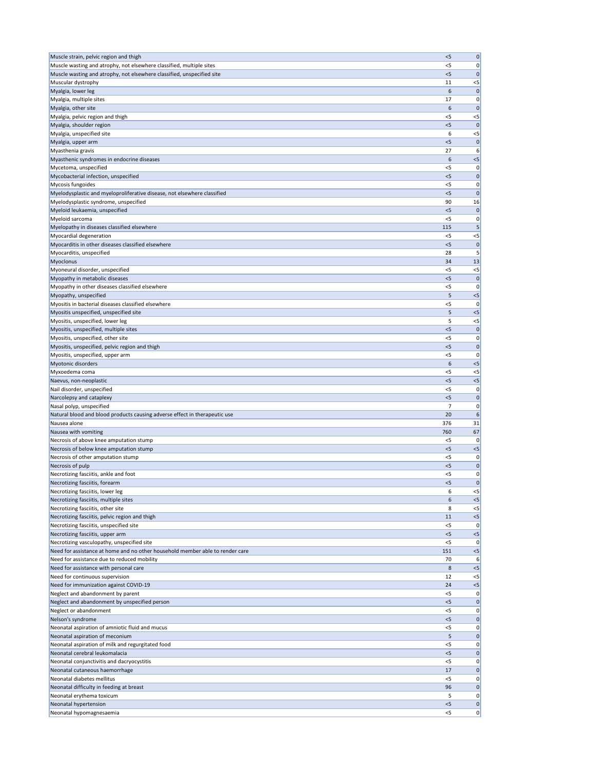| Muscle strain, pelvic region and thigh                                        | $<$ 5        | 0                 |
|-------------------------------------------------------------------------------|--------------|-------------------|
| Muscle wasting and atrophy, not elsewhere classified, multiple sites          | $<$ 5        | 0                 |
| Muscle wasting and atrophy, not elsewhere classified, unspecified site        | < 5          | $\mathbf 0$       |
| Muscular dystrophy                                                            | 11           | $< 5$             |
| Myalgia, lower leg                                                            | 6            | $\mathbf 0$       |
| Myalgia, multiple sites                                                       | 17           | 0                 |
| Myalgia, other site                                                           | 6            | 0                 |
| Myalgia, pelvic region and thigh                                              | $<$ 5        | $<$ 5             |
| Myalgia, shoulder region                                                      | $<$ 5        | $\mathbf{0}$      |
| Myalgia, unspecified site                                                     | 6            | $<$ 5             |
| Myalgia, upper arm                                                            | < 5          | $\mathbf 0$       |
| Myasthenia gravis                                                             | 27           | 6                 |
| Myasthenic syndromes in endocrine diseases                                    | 6            | $< 5$             |
| Mycetoma, unspecified                                                         | $<$ 5        | 0                 |
| Mycobacterial infection, unspecified                                          | $<$ 5        | $\mathbf 0$       |
| Mycosis fungoides                                                             | < 5          | 0                 |
| Myelodysplastic and myeloproliferative disease, not elsewhere classified      | $<$ 5        | $\mathbf 0$       |
| Myelodysplastic syndrome, unspecified                                         | 90           | 16                |
| Myeloid leukaemia, unspecified                                                | $<$ 5        | $\mathbf 0$       |
| Myeloid sarcoma                                                               | $<$ 5        | 0                 |
| Myelopathy in diseases classified elsewhere                                   | 115          | 5                 |
| Myocardial degeneration                                                       | $<$ 5        | $<$ 5             |
| Myocarditis in other diseases classified elsewhere                            | $<$ 5        | $\mathbf 0$       |
| Myocarditis, unspecified                                                      | 28           | 5                 |
| Myoclonus                                                                     | 34           | 13                |
| Myoneural disorder, unspecified                                               | $<$ 5        | $<$ 5             |
| Myopathy in metabolic diseases                                                | < 5          | $\mathbf 0$       |
| Myopathy in other diseases classified elsewhere                               | $<$ 5        | 0                 |
| Myopathy, unspecified                                                         | 5            | $< 5$             |
| Myositis in bacterial diseases classified elsewhere                           | <5           | 0                 |
| Myositis unspecified, unspecified site                                        | 5            | < 5               |
| Myositis, unspecified, lower leg                                              | 5            | $< 5$             |
| Myositis, unspecified, multiple sites                                         | < 5          | $\mathbf 0$       |
| Myositis, unspecified, other site                                             | < 5          | 0                 |
| Myositis, unspecified, pelvic region and thigh                                | < 5          | $\mathbf 0$       |
| Myositis, unspecified, upper arm                                              | < 5          | 0                 |
| Myotonic disorders                                                            | 6            | $< 5$             |
| Myxoedema coma                                                                | $<$ 5        | $<$ 5             |
| Naevus, non-neoplastic                                                        | < 5          | $< 5$             |
| Nail disorder, unspecified                                                    | $<$ 5        | 0                 |
| Narcolepsy and cataplexy                                                      | < 5          | $\mathbf 0$       |
| Nasal polyp, unspecified                                                      | 7            | 0                 |
| Natural blood and blood products causing adverse effect in therapeutic use    | 20           | 6                 |
| Nausea alone                                                                  | 376          | 31                |
| Nausea with vomiting                                                          | 760          | 67                |
| Necrosis of above knee amputation stump                                       | $<$ 5        | 0                 |
| Necrosis of below knee amputation stump                                       | < 5          | $< 5$             |
| Necrosis of other amputation stump                                            | $<$ 5        | 0                 |
| Necrosis of pulp                                                              | < 5          | $\mathbf 0$       |
| Necrotizing fasciitis, ankle and foot                                         | $<$ 5        | 0                 |
| Necrotizing fasciitis, forearm                                                | < 5          | $\mathbf 0$       |
| Necrotizing fasciitis, lower leg                                              | 6            | $<$ 5             |
| Necrotizing fasciitis, multiple sites                                         | 6            | $< 5$             |
| Necrotizing fasciitis, other site                                             | 8            | $<$ 5             |
| Necrotizing fasciitis, pelvic region and thigh                                | 11           | $< 5$             |
| Necrotizing fasciitis, unspecified site                                       | $<$ 5        | 0                 |
| Necrotizing fasciitis, upper arm                                              | < 5          | $< 5$             |
| Necrotizing vasculopathy, unspecified site                                    | $<$ 5        | 0                 |
| Need for assistance at home and no other household member able to render care | 151          | $<$ 5             |
| Need for assistance due to reduced mobility                                   | 70           | 6                 |
| Need for assistance with personal care                                        | 8            | $< 5$             |
| Need for continuous supervision                                               | 12           | $< 5$             |
| Need for immunization against COVID-19                                        | 24           | $<$ 5             |
| Neglect and abandonment by parent                                             | $<$ 5        | 0                 |
| Neglect and abandonment by unspecified person<br>Neglect or abandonment       | < 5          | $\mathbf{0}$      |
|                                                                               | $<$ 5        | 0                 |
| Nelson's syndrome<br>Neonatal aspiration of amniotic fluid and mucus          | < 5<br>$<$ 5 | $\mathbf 0$<br> 0 |
| Neonatal aspiration of meconium                                               | 5            | 0                 |
| Neonatal aspiration of milk and regurgitated food                             | $<$ 5        | 0                 |
| Neonatal cerebral leukomalacia                                                | < 5          | 0                 |
| Neonatal conjunctivitis and dacryocystitis                                    | $<$ 5        | 0                 |
| Neonatal cutaneous haemorrhage                                                | 17           |                   |
| Neonatal diabetes mellitus                                                    | $<$ 5        | 0 <br> 0          |
| Neonatal difficulty in feeding at breast                                      | 96           | $\mathbf 0$       |
| Neonatal erythema toxicum                                                     | 5            | 0                 |
| Neonatal hypertension                                                         | < 5          | 0                 |
| Neonatal hypomagnesaemia                                                      | $<$ 5        | 0                 |
|                                                                               |              |                   |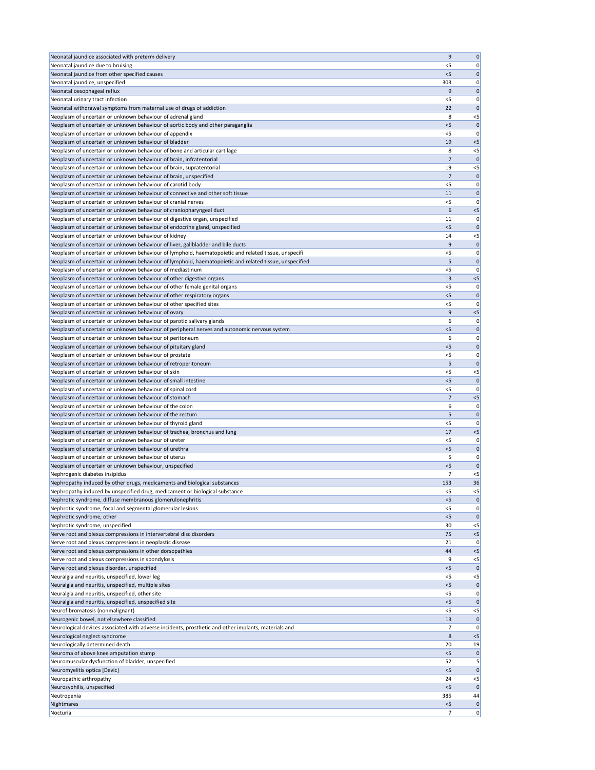| Neonatal jaundice associated with preterm delivery                                                                                  | 9              | 0                    |
|-------------------------------------------------------------------------------------------------------------------------------------|----------------|----------------------|
| Neonatal jaundice due to bruising                                                                                                   | <5             | 0                    |
| Neonatal jaundice from other specified causes                                                                                       | $<$ 5          | $\mathbf 0$          |
| Neonatal jaundice, unspecified                                                                                                      | 303            | 0                    |
| Neonatal oesophageal reflux                                                                                                         | 9              | $\mathbf 0$          |
| Neonatal urinary tract infection                                                                                                    | < 5<br>22      | 0                    |
| Neonatal withdrawal symptoms from maternal use of drugs of addiction<br>Neoplasm of uncertain or unknown behaviour of adrenal gland | 8              | $\mathbf 0$<br>$<$ 5 |
| Neoplasm of uncertain or unknown behaviour of aortic body and other paraganglia                                                     | < 5            | $\mathbf 0$          |
| Neoplasm of uncertain or unknown behaviour of appendix                                                                              | <5             | 0                    |
| Neoplasm of uncertain or unknown behaviour of bladder                                                                               | 19             | $<$ 5                |
| Neoplasm of uncertain or unknown behaviour of bone and articular cartilage                                                          | 8              | $< 5$                |
| Neoplasm of uncertain or unknown behaviour of brain, infratentorial                                                                 | $\overline{7}$ | $\mathbf 0$          |
| Neoplasm of uncertain or unknown behaviour of brain, supratentorial                                                                 | 19             | $< 5$                |
| Neoplasm of uncertain or unknown behaviour of brain, unspecified                                                                    | 7              | $\mathbf{0}$         |
| Neoplasm of uncertain or unknown behaviour of carotid body                                                                          | <5             | 0                    |
| Neoplasm of uncertain or unknown behaviour of connective and other soft tissue                                                      | 11             | $\mathbf 0$          |
| Neoplasm of uncertain or unknown behaviour of cranial nerves                                                                        | <5             | 0                    |
| Neoplasm of uncertain or unknown behaviour of craniopharyngeal duct                                                                 | 6              | $<$ 5                |
| Neoplasm of uncertain or unknown behaviour of digestive organ, unspecified                                                          | 11             | 0                    |
| Neoplasm of uncertain or unknown behaviour of endocrine gland, unspecified                                                          | 5              | $\mathbf 0$          |
| Neoplasm of uncertain or unknown behaviour of kidney                                                                                | 14             | $<$ 5                |
| Neoplasm of uncertain or unknown behaviour of liver, gallbladder and bile ducts                                                     | 9              | $\mathbf 0$          |
| Neoplasm of uncertain or unknown behaviour of lymphoid, haematopoietic and related tissue, unspecifi                                | $<$ 5          | 0                    |
| Neoplasm of uncertain or unknown behaviour of lymphoid, haematopoietic and related tissue, unspecified                              | 5              | $\mathbf{0}$         |
| Neoplasm of uncertain or unknown behaviour of mediastinum                                                                           | $<$ 5          | 0                    |
| Neoplasm of uncertain or unknown behaviour of other digestive organs                                                                | 13             | $<$ 5                |
| Neoplasm of uncertain or unknown behaviour of other female genital organs                                                           | <5             | 0                    |
| Neoplasm of uncertain or unknown behaviour of other respiratory organs                                                              | 5              | $\mathbf 0$          |
| Neoplasm of uncertain or unknown behaviour of other specified sites                                                                 | <5             | 0                    |
| Neoplasm of uncertain or unknown behaviour of ovary<br>Neoplasm of uncertain or unknown behaviour of parotid salivary glands        | 9              | $<$ 5                |
| Neoplasm of uncertain or unknown behaviour of peripheral nerves and autonomic nervous system                                        | 6<br>< 5       | 0<br>$\mathbf 0$     |
| Neoplasm of uncertain or unknown behaviour of peritoneum                                                                            | 6              | 0                    |
| Neoplasm of uncertain or unknown behaviour of pituitary gland                                                                       | < 5            | $\mathbf 0$          |
| Neoplasm of uncertain or unknown behaviour of prostate                                                                              | $<$ 5          | 0                    |
| Neoplasm of uncertain or unknown behaviour of retroperitoneum                                                                       | 5              | $\mathbf 0$          |
| Neoplasm of uncertain or unknown behaviour of skin                                                                                  | <5             | $< 5$                |
| Neoplasm of uncertain or unknown behaviour of small intestine                                                                       | $<$ 5          | $\mathbf 0$          |
| Neoplasm of uncertain or unknown behaviour of spinal cord                                                                           | $<$ 5          | 0                    |
| Neoplasm of uncertain or unknown behaviour of stomach                                                                               | 7              | $< 5$                |
| Neoplasm of uncertain or unknown behaviour of the colon                                                                             | 6              | 0                    |
| Neoplasm of uncertain or unknown behaviour of the rectum                                                                            | 5              | $\mathbf{0}$         |
| Neoplasm of uncertain or unknown behaviour of thyroid gland                                                                         | < 5            | 0                    |
| Neoplasm of uncertain or unknown behaviour of trachea, bronchus and lung                                                            | 17             | $< 5$                |
| Neoplasm of uncertain or unknown behaviour of ureter                                                                                | <5             | 0                    |
| Neoplasm of uncertain or unknown behaviour of urethra                                                                               | < 5            | $\mathbf 0$          |
| Neoplasm of uncertain or unknown behaviour of uterus                                                                                | 5              | 0                    |
| Neoplasm of uncertain or unknown behaviour, unspecified                                                                             | $<$ 5          | $\mathbf 0$          |
| Nephrogenic diabetes insipidus                                                                                                      | 7              | $<$ 5                |
| Nephropathy induced by other drugs, medicaments and biological substances                                                           | 153            | 36                   |
| Nephropathy induced by unspecified drug, medicament or biological substance                                                         | $<$ 5          | $< 5$                |
| Nephrotic syndrome, diffuse membranous glomerulonephritis                                                                           | $<$ 5          | $\mathbf{0}$         |
| Nephrotic syndrome, focal and segmental glomerular lesions                                                                          | <5             | 0                    |
| Nephrotic syndrome, other                                                                                                           | < 5            | $\mathbf{0}$         |
| Nephrotic syndrome, unspecified<br>Nerve root and plexus compressions in intervertebral disc disorders                              | 30<br>75       | $<$ 5<br>$<$ 5       |
| Nerve root and plexus compressions in neoplastic disease                                                                            | 21             | 0                    |
| Nerve root and plexus compressions in other dorsopathies                                                                            | 44             | $<$ 5                |
| Nerve root and plexus compressions in spondylosis                                                                                   | 9              | $<$ 5                |
| Nerve root and plexus disorder, unspecified                                                                                         | $<$ 5          | $\mathbf 0$          |
| Neuralgia and neuritis, unspecified, lower leg                                                                                      | <5             | $<$ 5                |
| Neuralgia and neuritis, unspecified, multiple sites                                                                                 | $<$ 5          | 0                    |
| Neuralgia and neuritis, unspecified, other site                                                                                     | $<$ 5          | 0                    |
| Neuralgia and neuritis, unspecified, unspecified site                                                                               | $<$ 5          | 0                    |
| Neurofibromatosis (nonmalignant)                                                                                                    | $<$ 5          | $<$ 5                |
| Neurogenic bowel, not elsewhere classified                                                                                          | 13             | 0                    |
| Neurological devices associated with adverse incidents, prosthetic and other implants, materials and                                | 7              | 0                    |
| Neurological neglect syndrome                                                                                                       | 8              | $<$ 5                |
| Neurologically determined death                                                                                                     | 20             | 19                   |
| Neuroma of above knee amputation stump                                                                                              | $<$ 5          | $\mathbf{0}$         |
| Neuromuscular dysfunction of bladder, unspecified                                                                                   |                | 5                    |
|                                                                                                                                     | 52             |                      |
| Neuromyelitis optica [Devic]                                                                                                        | $<$ 5          |                      |
| Neuropathic arthropathy                                                                                                             | 24             | $<$ 5                |
| Neurosyphilis, unspecified                                                                                                          | $<$ 5          | $\mathbf 0$          |
| Neutropenia                                                                                                                         | 385            | 44                   |
| Nightmares<br>Nocturia                                                                                                              | 5<br>7         | 0 <br> 0 <br> 0      |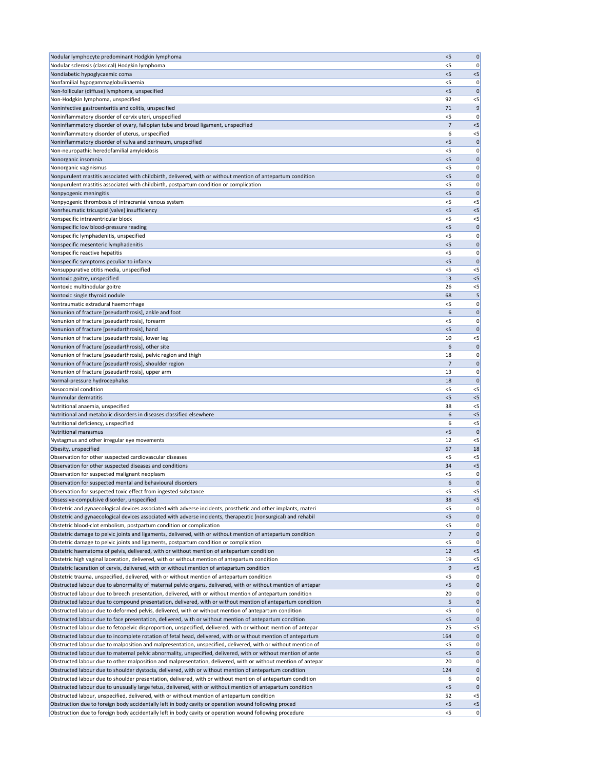| Nodular lymphocyte predominant Hodgkin lymphoma                                                                                                                                                                 | < 5          | $\mathbf 0$        |
|-----------------------------------------------------------------------------------------------------------------------------------------------------------------------------------------------------------------|--------------|--------------------|
| Nodular sclerosis (classical) Hodgkin lymphoma                                                                                                                                                                  | <5           | 0                  |
| Nondiabetic hypoglycaemic coma                                                                                                                                                                                  | $<$ 5        | < 5                |
|                                                                                                                                                                                                                 |              |                    |
| Nonfamilial hypogammaglobulinaemia                                                                                                                                                                              | $<$ 5        | 0                  |
| Non-follicular (diffuse) lymphoma, unspecified                                                                                                                                                                  | 5            | $\mathbf 0$        |
| Non-Hodgkin lymphoma, unspecified                                                                                                                                                                               | 92           | $<$ 5              |
| Noninfective gastroenteritis and colitis, unspecified                                                                                                                                                           | 71           | 9                  |
| Noninflammatory disorder of cervix uteri, unspecified                                                                                                                                                           | <5           | 0                  |
| Noninflammatory disorder of ovary, fallopian tube and broad ligament, unspecified                                                                                                                               | 7            | $< 5$              |
| Noninflammatory disorder of uterus, unspecified                                                                                                                                                                 | 6            | $<$ 5              |
| Noninflammatory disorder of vulva and perineum, unspecified                                                                                                                                                     | < 5          | $\mathbf 0$        |
|                                                                                                                                                                                                                 | $<$ 5        |                    |
| Non-neuropathic heredofamilial amyloidosis                                                                                                                                                                      |              | 0                  |
| Nonorganic insomnia                                                                                                                                                                                             | $<$ 5        | 0                  |
| Nonorganic vaginismus                                                                                                                                                                                           | < 5          | 0                  |
| Nonpurulent mastitis associated with childbirth, delivered, with or without mention of antepartum condition                                                                                                     | $<$ 5        | $\mathbf 0$        |
| Nonpurulent mastitis associated with childbirth, postpartum condition or complication                                                                                                                           | < 5          | 0                  |
| Nonpyogenic meningitis                                                                                                                                                                                          | < 5          | $\mathbf 0$        |
| Nonpyogenic thrombosis of intracranial venous system                                                                                                                                                            | $<$ 5        | $<$ 5              |
| Nonrheumatic tricuspid (valve) insufficiency                                                                                                                                                                    | < 5          | $< 5$              |
|                                                                                                                                                                                                                 |              |                    |
| Nonspecific intraventricular block                                                                                                                                                                              | $<$ 5        | $<$ 5              |
| Nonspecific low blood-pressure reading                                                                                                                                                                          | $<$ 5        | $\mathbf 0$        |
| Nonspecific lymphadenitis, unspecified                                                                                                                                                                          | <5           | 0                  |
| Nonspecific mesenteric lymphadenitis                                                                                                                                                                            | $<$ 5        | $\mathbf 0$        |
| Nonspecific reactive hepatitis                                                                                                                                                                                  | < 5          | 0                  |
| Nonspecific symptoms peculiar to infancy                                                                                                                                                                        | $<$ 5        | $\mathbf{0}$       |
|                                                                                                                                                                                                                 |              |                    |
| Nonsuppurative otitis media, unspecified                                                                                                                                                                        | <5           | $<$ 5              |
| Nontoxic goitre, unspecified                                                                                                                                                                                    | 13           | $< 5$              |
| Nontoxic multinodular goitre                                                                                                                                                                                    | 26           | $<$ 5              |
| Nontoxic single thyroid nodule                                                                                                                                                                                  | 68           | 5                  |
| Nontraumatic extradural haemorrhage                                                                                                                                                                             | $<$ 5        | 0                  |
| Nonunion of fracture [pseudarthrosis], ankle and foot                                                                                                                                                           | 6            | 0                  |
| Nonunion of fracture [pseudarthrosis], forearm                                                                                                                                                                  | $<$ 5        | 0                  |
| Nonunion of fracture [pseudarthrosis], hand                                                                                                                                                                     | 5            | $\mathbf 0$        |
|                                                                                                                                                                                                                 |              |                    |
| Nonunion of fracture [pseudarthrosis], lower leg                                                                                                                                                                | 10           | $<$ 5              |
| Nonunion of fracture [pseudarthrosis], other site                                                                                                                                                               | 6            | $\mathbf{0}$       |
| Nonunion of fracture [pseudarthrosis], pelvic region and thigh                                                                                                                                                  | 18           | 0                  |
| Nonunion of fracture [pseudarthrosis], shoulder region                                                                                                                                                          | 7            | 0                  |
| Nonunion of fracture [pseudarthrosis], upper arm                                                                                                                                                                | 13           | 0                  |
| Normal-pressure hydrocephalus                                                                                                                                                                                   | 18           | $\mathbf{0}$       |
| Nosocomial condition                                                                                                                                                                                            | <5           | $<$ 5              |
|                                                                                                                                                                                                                 |              |                    |
| Nummular dermatitis                                                                                                                                                                                             | $<$ 5        | < 5                |
| Nutritional anaemia, unspecified                                                                                                                                                                                | 38           | $<$ 5              |
| Nutritional and metabolic disorders in diseases classified elsewhere                                                                                                                                            | 6            | < 5                |
| Nutritional deficiency, unspecified                                                                                                                                                                             | 6            | $<$ 5              |
| <b>Nutritional marasmus</b>                                                                                                                                                                                     | < 5          | $\mathbf{0}$       |
| Nystagmus and other irregular eye movements                                                                                                                                                                     | 12           | $<$ 5              |
| Obesity, unspecified                                                                                                                                                                                            | 67           | 18                 |
|                                                                                                                                                                                                                 |              |                    |
| Observation for other suspected cardiovascular diseases                                                                                                                                                         | <5           | $<$ 5              |
| Observation for other suspected diseases and conditions                                                                                                                                                         | 34           | $< 5$              |
| Observation for suspected malignant neoplasm                                                                                                                                                                    | <5           | 0                  |
| Observation for suspected mental and behavioural disorders                                                                                                                                                      | 6            | $\mathbf 0$        |
| Observation for suspected toxic effect from ingested substance                                                                                                                                                  | $<$ 5        | $<$ 5              |
| Obsessive-compulsive disorder, unspecified                                                                                                                                                                      | 38           | $< 5$              |
| Obstetric and gynaecological devices associated with adverse incidents, prosthetic and other implants, materi                                                                                                   | < 5          | 0                  |
| Obstetric and gynaecological devices associated with adverse incidents, therapeutic (nonsurgical) and rehabil                                                                                                   | < 5          | $\mathbf 0$        |
|                                                                                                                                                                                                                 |              |                    |
| Obstetric blood-clot embolism, postpartum condition or complication                                                                                                                                             | $<$ 5        | 0                  |
| Obstetric damage to pelvic joints and ligaments, delivered, with or without mention of antepartum condition                                                                                                     | 7            | $\mathbf 0$        |
| Obstetric damage to pelvic joints and ligaments, postpartum condition or complication                                                                                                                           | < 5          | 0                  |
| Obstetric haematoma of pelvis, delivered, with or without mention of antepartum condition                                                                                                                       | 12           | < 5                |
| Obstetric high vaginal laceration, delivered, with or without mention of antepartum condition                                                                                                                   | 19           | $<$ 5              |
| Obstetric laceration of cervix, delivered, with or without mention of antepartum condition                                                                                                                      | 9            | $<$ 5              |
| Obstetric trauma, unspecified, delivered, with or without mention of antepartum condition                                                                                                                       | $<$ 5        | 0                  |
| Obstructed labour due to abnormality of maternal pelvic organs, delivered, with or without mention of antepar                                                                                                   |              |                    |
|                                                                                                                                                                                                                 | <5           | $\mathbf 0$        |
| Obstructed labour due to breech presentation, delivered, with or without mention of antepartum condition                                                                                                        | 20           | 0                  |
| Obstructed labour due to compound presentation, delivered, with or without mention of antepartum condition                                                                                                      | 5            | 0                  |
| Obstructed labour due to deformed pelvis, delivered, with or without mention of antepartum condition                                                                                                            | <5           | 0                  |
| Obstructed labour due to face presentation, delivered, with or without mention of antepartum condition                                                                                                          | $<$ 5        | 0                  |
| Obstructed labour due to fetopelvic disproportion, unspecified, delivered, with or without mention of antepar                                                                                                   | 25           | $<$ 5              |
| Obstructed labour due to incomplete rotation of fetal head, delivered, with or without mention of antepartum                                                                                                    | 164          | 0                  |
| Obstructed labour due to malposition and malpresentation, unspecified, delivered, with or without mention of                                                                                                    | $<$ 5        | 0                  |
|                                                                                                                                                                                                                 |              |                    |
| Obstructed labour due to maternal pelvic abnormality, unspecified, delivered, with or without mention of ante                                                                                                   | $<$ 5        | 0                  |
| Obstructed labour due to other malposition and malpresentation, delivered, with or without mention of antepar                                                                                                   | 20           | 0                  |
| Obstructed labour due to shoulder dystocia, delivered, with or without mention of antepartum condition                                                                                                          | 124          | 0                  |
| Obstructed labour due to shoulder presentation, delivered, with or without mention of antepartum condition                                                                                                      |              |                    |
|                                                                                                                                                                                                                 | 6            |                    |
|                                                                                                                                                                                                                 | $<$ 5        |                    |
| Obstructed labour due to unusually large fetus, delivered, with or without mention of antepartum condition                                                                                                      |              |                    |
| Obstructed labour, unspecified, delivered, with or without mention of antepartum condition                                                                                                                      | 52           | 0 <br> 0 <br>$<$ 5 |
| Obstruction due to foreign body accidentally left in body cavity or operation wound following proced<br>Obstruction due to foreign body accidentally left in body cavity or operation wound following procedure | < 5<br>$<$ 5 | $< 5$<br> 0        |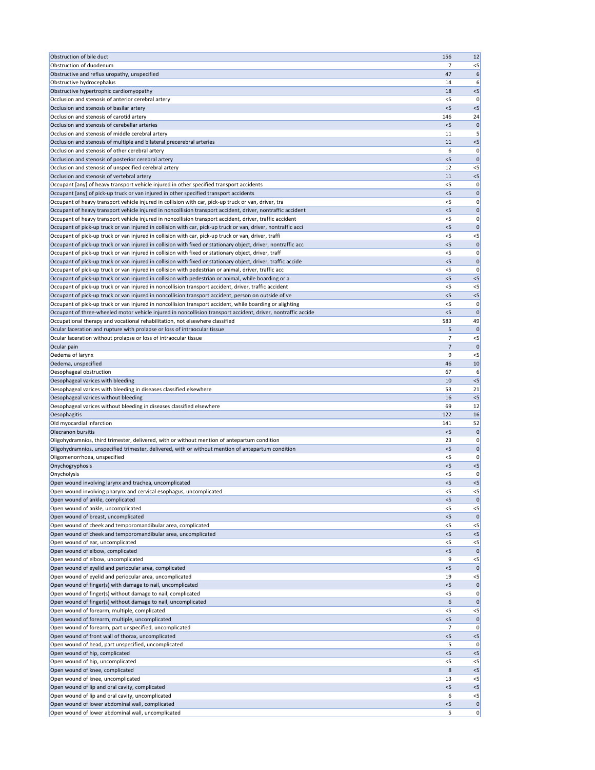| Obstruction of bile duct                                                                                                                                                                                              | 156            | 12                |
|-----------------------------------------------------------------------------------------------------------------------------------------------------------------------------------------------------------------------|----------------|-------------------|
| Obstruction of duodenum                                                                                                                                                                                               | 7              | $<$ 5             |
| Obstructive and reflux uropathy, unspecified                                                                                                                                                                          | 47             | 6                 |
| Obstructive hydrocephalus<br>Obstructive hypertrophic cardiomyopathy                                                                                                                                                  | 14<br>18       | 6<br>$<$ 5        |
| Occlusion and stenosis of anterior cerebral artery                                                                                                                                                                    | $<$ 5          | 0                 |
| Occlusion and stenosis of basilar artery                                                                                                                                                                              | $<$ 5          | $<$ 5             |
| Occlusion and stenosis of carotid artery                                                                                                                                                                              | 146            | 24                |
| Occlusion and stenosis of cerebellar arteries                                                                                                                                                                         | $<$ 5          | $\Omega$          |
| Occlusion and stenosis of middle cerebral artery                                                                                                                                                                      | 11             |                   |
| Occlusion and stenosis of multiple and bilateral precerebral arteries                                                                                                                                                 | 11             | $<$ 5             |
| Occlusion and stenosis of other cerebral artery                                                                                                                                                                       | 6              | 0                 |
| Occlusion and stenosis of posterior cerebral artery                                                                                                                                                                   | < 5            | $\mathbf 0$       |
| Occlusion and stenosis of unspecified cerebral artery<br>Occlusion and stenosis of vertebral artery                                                                                                                   | 12<br>11       | $<$ 5<br>$<$ 5    |
| Occupant [any] of heavy transport vehicle injured in other specified transport accidents                                                                                                                              | $<$ 5          | 0                 |
| Occupant [any] of pick-up truck or van injured in other specified transport accidents                                                                                                                                 | < 5            | $\mathbf 0$       |
| Occupant of heavy transport vehicle injured in collision with car, pick-up truck or van, driver, tra                                                                                                                  | $<$ 5          | 0                 |
| Occupant of heavy transport vehicle injured in noncollision transport accident, driver, nontraffic accident                                                                                                           | $<$ 5          | $\mathbf 0$       |
| Occupant of heavy transport vehicle injured in noncollision transport accident, driver, traffic accident                                                                                                              | $<$ 5          | 0                 |
| Occupant of pick-up truck or van injured in collision with car, pick-up truck or van, driver, nontraffic acci                                                                                                         | $<$ 5          | $\Omega$          |
| Occupant of pick-up truck or van injured in collision with car, pick-up truck or van, driver, traffi                                                                                                                  | $<$ 5          | $<$ 5             |
| Occupant of pick-up truck or van injured in collision with fixed or stationary object, driver, nontraffic acc<br>Occupant of pick-up truck or van injured in collision with fixed or stationary object, driver, traff | < 5<br>$<$ 5   | $\mathbf 0$<br>0  |
| Occupant of pick-up truck or van injured in collision with fixed or stationary object, driver, traffic accide                                                                                                         | < 5            | $\Omega$          |
| Occupant of pick-up truck or van injured in collision with pedestrian or animal, driver, traffic acc                                                                                                                  | $<$ 5          | 0                 |
| Occupant of pick-up truck or van injured in collision with pedestrian or animal, while boarding or a                                                                                                                  | < 5            | $<$ 5             |
| Occupant of pick-up truck or van injured in noncollision transport accident, driver, traffic accident                                                                                                                 | $<$ 5          | $<$ 5             |
| Occupant of pick-up truck or van injured in noncollision transport accident, person on outside of ve                                                                                                                  | $<$ 5          | $<$ 5             |
| Occupant of pick-up truck or van injured in noncollision transport accident, while boarding or alighting                                                                                                              | $<$ 5          | 0                 |
| Occupant of three-wheeled motor vehicle injured in noncollision transport accident, driver, nontraffic accide                                                                                                         | < 5            | 0                 |
| Occupational therapy and vocational rehabilitation, not elsewhere classified                                                                                                                                          | 583            | 49                |
| Ocular laceration and rupture with prolapse or loss of intraocular tissue                                                                                                                                             | 5.             |                   |
| Ocular laceration without prolapse or loss of intraocular tissue<br>Ocular pain                                                                                                                                       | 7<br>7         | $<$ 5<br>$\Omega$ |
| Oedema of larynx                                                                                                                                                                                                      | 9              | $<$ 5             |
| Oedema, unspecified                                                                                                                                                                                                   | 46             | 10                |
| Oesophageal obstruction                                                                                                                                                                                               | 67             | 6                 |
| Oesophageal varices with bleeding                                                                                                                                                                                     | 10             | $<$ 5             |
| Oesophageal varices with bleeding in diseases classified elsewhere                                                                                                                                                    | 53             | 21                |
| Oesophageal varices without bleeding                                                                                                                                                                                  | 16             | $<$ 5             |
| Oesophageal varices without bleeding in diseases classified elsewhere                                                                                                                                                 | 69             | 12                |
| Oesophagitis                                                                                                                                                                                                          | 122            | 16                |
| Old myocardial infarction<br>Olecranon bursitis                                                                                                                                                                       | 141<br>< 5     | 52<br>0           |
| Oligohydramnios, third trimester, delivered, with or without mention of antepartum condition                                                                                                                          | 23             | 0                 |
| Oligohydramnios, unspecified trimester, delivered, with or without mention of antepartum condition                                                                                                                    | < 5            | $\mathbf 0$       |
| Oligomenorrhoea, unspecified                                                                                                                                                                                          | <5             | O                 |
| Onychogryphosis                                                                                                                                                                                                       | < 5            | $<$ 5             |
| Onycholysis                                                                                                                                                                                                           | <5             | 0                 |
| Open wound involving larynx and trachea, uncomplicated                                                                                                                                                                | $<$ 5          | $<$ 5             |
| Open wound involving pharynx and cervical esophagus, uncomplicated                                                                                                                                                    | $<$ 5          | $<$ 5             |
| Open wound of ankle, complicated<br>Open wound of ankle, uncomplicated                                                                                                                                                | $<$ 5<br>$<$ 5 |                   |
| Open wound of breast, uncomplicated                                                                                                                                                                                   | < 5            | $<$ 5<br>$\Omega$ |
| Open wound of cheek and temporomandibular area, complicated                                                                                                                                                           | $<$ 5          | $<$ 5             |
| Open wound of cheek and temporomandibular area, uncomplicated                                                                                                                                                         | $<$ 5          | $<$ 5             |
| Open wound of ear, uncomplicated                                                                                                                                                                                      | <5             | $<$ 5             |
| Open wound of elbow, complicated                                                                                                                                                                                      | $<$ 5          | 0                 |
| Open wound of elbow, uncomplicated                                                                                                                                                                                    | 9              | $<$ 5             |
| Open wound of eyelid and periocular area, complicated                                                                                                                                                                 | < 5            | $\mathbf 0$       |
| Open wound of eyelid and periocular area, uncomplicated                                                                                                                                                               | 19             | $<$ 5             |
| Open wound of finger(s) with damage to nail, uncomplicated<br>Open wound of finger(s) without damage to nail, complicated                                                                                             | <5<br>$<$ 5    | 0                 |
| Open wound of finger(s) without damage to nail, uncomplicated                                                                                                                                                         | 6              | $\Omega$          |
| Open wound of forearm, multiple, complicated                                                                                                                                                                          | $<$ 5          | <5                |
| Open wound of forearm, multiple, uncomplicated                                                                                                                                                                        | < 5            | $\Omega$          |
| Open wound of forearm, part unspecified, uncomplicated                                                                                                                                                                | 7              |                   |
| Open wound of front wall of thorax, uncomplicated                                                                                                                                                                     | < 5            | $<$ 5             |
| Open wound of head, part unspecified, uncomplicated                                                                                                                                                                   |                |                   |
| Open wound of hip, complicated                                                                                                                                                                                        | 5              |                   |
|                                                                                                                                                                                                                       | < 5            | $<$ 5             |
| Open wound of hip, uncomplicated                                                                                                                                                                                      | $<$ 5          | $<$ 5             |
| Open wound of knee, complicated                                                                                                                                                                                       | 8              | $<$ 5             |
| Open wound of knee, uncomplicated<br>Open wound of lip and oral cavity, complicated                                                                                                                                   | 13<br>$<$ 5    | $<$ 5<br>$<$ 5    |
| Open wound of lip and oral cavity, uncomplicated                                                                                                                                                                      | 6              | <5                |
| Open wound of lower abdominal wall, complicated                                                                                                                                                                       | $<$ 5          | 0                 |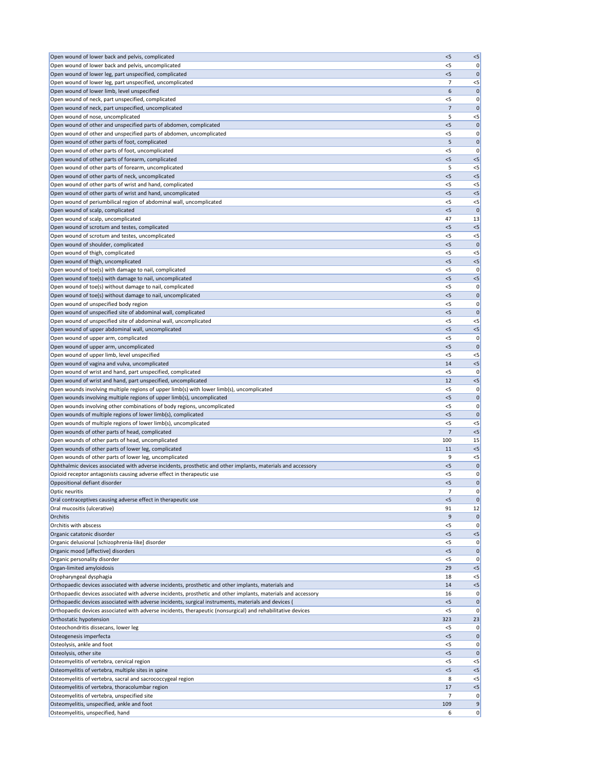| Open wound of lower back and pelvis, complicated                                                              | < 5            | $< 5$         |
|---------------------------------------------------------------------------------------------------------------|----------------|---------------|
| Open wound of lower back and pelvis, uncomplicated                                                            | < 5            | 0             |
| Open wound of lower leg, part unspecified, complicated                                                        | < 5            | $\mathbf 0$   |
| Open wound of lower leg, part unspecified, uncomplicated                                                      | 7              | $<$ 5         |
| Open wound of lower limb, level unspecified                                                                   | 6              | $\mathbf 0$   |
| Open wound of neck, part unspecified, complicated                                                             | < 5            | 0             |
| Open wound of neck, part unspecified, uncomplicated                                                           | 7              | $\mathbf 0$   |
| Open wound of nose, uncomplicated                                                                             | 5              | $<$ 5         |
| Open wound of other and unspecified parts of abdomen, complicated                                             | < 5            | $\mathbf 0$   |
| Open wound of other and unspecified parts of abdomen, uncomplicated                                           | <5             | 0             |
| Open wound of other parts of foot, complicated                                                                | 5              | $\mathbf 0$   |
| Open wound of other parts of foot, uncomplicated                                                              | $<$ 5          | 0             |
| Open wound of other parts of forearm, complicated                                                             | < 5            | $< 5$         |
| Open wound of other parts of forearm, uncomplicated                                                           | 5              | $<$ 5         |
| Open wound of other parts of neck, uncomplicated                                                              | < 5            | $<$ 5         |
| Open wound of other parts of wrist and hand, complicated                                                      | $<$ 5          | $<$ 5         |
| Open wound of other parts of wrist and hand, uncomplicated                                                    | < 5            | < 5           |
| Open wound of periumbilical region of abdominal wall, uncomplicated                                           | $<$ 5          | $<$ 5         |
| Open wound of scalp, complicated                                                                              | < 5            | $\mathbf{0}$  |
| Open wound of scalp, uncomplicated                                                                            | 47             | 13            |
| Open wound of scrotum and testes, complicated                                                                 | $<$ 5          | $< 5$         |
| Open wound of scrotum and testes, uncomplicated                                                               | $<$ 5          | $<$ 5         |
| Open wound of shoulder, complicated                                                                           | < 5            | $\mathbf 0$   |
| Open wound of thigh, complicated                                                                              | $<$ 5          | $<$ 5         |
| Open wound of thigh, uncomplicated                                                                            | $<$ 5          | $< 5$         |
| Open wound of toe(s) with damage to nail, complicated                                                         | $<$ 5          | 0             |
| Open wound of toe(s) with damage to nail, uncomplicated                                                       | < 5            | $<$ 5         |
| Open wound of toe(s) without damage to nail, complicated                                                      | $<$ 5          | 0             |
| Open wound of toe(s) without damage to nail, uncomplicated                                                    | < 5            | $\mathbf 0$   |
| Open wound of unspecified body region                                                                         | <5             | 0             |
| Open wound of unspecified site of abdominal wall, complicated                                                 | $<$ 5          | 0             |
| Open wound of unspecified site of abdominal wall, uncomplicated                                               | $<$ 5          | $<$ 5         |
| Open wound of upper abdominal wall, uncomplicated                                                             | $<$ 5          | $<$ 5         |
| Open wound of upper arm, complicated                                                                          | $<$ 5          | 0             |
| Open wound of upper arm, uncomplicated                                                                        | $<$ 5          | $\mathbf{0}$  |
| Open wound of upper limb, level unspecified                                                                   | $<$ 5          | $<$ 5         |
| Open wound of vagina and vulva, uncomplicated                                                                 | 14             | $<$ 5         |
| Open wound of wrist and hand, part unspecified, complicated                                                   | <5             | 0             |
| Open wound of wrist and hand, part unspecified, uncomplicated                                                 | 12             | $< 5$         |
| Open wounds involving multiple regions of upper limb(s) with lower limb(s), uncomplicated                     | <5             | 0             |
| Open wounds involving multiple regions of upper limb(s), uncomplicated                                        | $<$ 5          | $\mathbf 0$   |
| Open wounds involving other combinations of body regions, uncomplicated                                       | < 5            | 0             |
| Open wounds of multiple regions of lower limb(s), complicated                                                 | $<$ 5          | $\mathbf{0}$  |
| Open wounds of multiple regions of lower limb(s), uncomplicated                                               | < 5            | $<$ 5         |
| Open wounds of other parts of head, complicated                                                               | $\overline{7}$ | < 5           |
| Open wounds of other parts of head, uncomplicated                                                             | 100            | 15            |
| Open wounds of other parts of lower leg, complicated                                                          | 11             | $< 5$         |
| Open wounds of other parts of lower leg, uncomplicated                                                        | 9              | $<$ 5         |
| Ophthalmic devices associated with adverse incidents, prosthetic and other implants, materials and accessory  | $<$ 5          | $\mathbf 0$   |
| Opioid receptor antagonists causing adverse effect in therapeutic use                                         | <5             | 0             |
| Oppositional defiant disorder                                                                                 | < 5            | 0             |
| Optic neuritis                                                                                                | 7              | 0             |
| Oral contraceptives causing adverse effect in therapeutic use                                                 | < 5            | $\mathbf{0}$  |
| Oral mucositis (ulcerative)                                                                                   | 91             | 12            |
| Orchitis                                                                                                      | 9              | $\mathbf 0$   |
| Orchitis with abscess                                                                                         | $<$ 5          | 0             |
| Organic catatonic disorder                                                                                    | < 5            | $< 5$         |
| Organic delusional [schizophrenia-like] disorder                                                              | <5             | 0             |
| Organic mood [affective] disorders                                                                            | $<$ 5          | $\mathbf 0$   |
| Organic personality disorder                                                                                  | <5             | 0             |
| Organ-limited amyloidosis                                                                                     | 29             | $<$ 5         |
| Oropharyngeal dysphagia                                                                                       | 18             | $<$ 5         |
| Orthopaedic devices associated with adverse incidents, prosthetic and other implants, materials and           | 14             | $< 5$         |
| Orthopaedic devices associated with adverse incidents, prosthetic and other implants, materials and accessory | 16             | 0             |
| Orthopaedic devices associated with adverse incidents, surgical instruments, materials and devices (          | $<$ 5          | 0             |
| Orthopaedic devices associated with adverse incidents, therapeutic (nonsurgical) and rehabilitative devices   | <5             | 0             |
| Orthostatic hypotension                                                                                       | 323            | 23            |
| Osteochondritis dissecans, lower leg                                                                          | $<$ 5          | 0             |
| Osteogenesis imperfecta                                                                                       | $<$ 5          | 0             |
| Osteolysis, ankle and foot                                                                                    | $<$ 5          | 0             |
| Osteolysis, other site                                                                                        | $<$ 5          | $\mathbf 0$   |
| Osteomyelitis of vertebra, cervical region                                                                    | $<$ 5          | $<$ 5         |
| Osteomyelitis of vertebra, multiple sites in spine                                                            | < 5            | $<$ 5         |
| Osteomyelitis of vertebra, sacral and sacrococcygeal region                                                   |                | $<$ 5         |
|                                                                                                               | 8              |               |
| Osteomyelitis of vertebra, thoracolumbar region                                                               | 17             | $< 5$         |
| Osteomyelitis of vertebra, unspecified site                                                                   | 7              |               |
| Osteomyelitis, unspecified, ankle and foot<br>Osteomyelitis, unspecified, hand                                | 109<br>6       | 0 <br>9<br> 0 |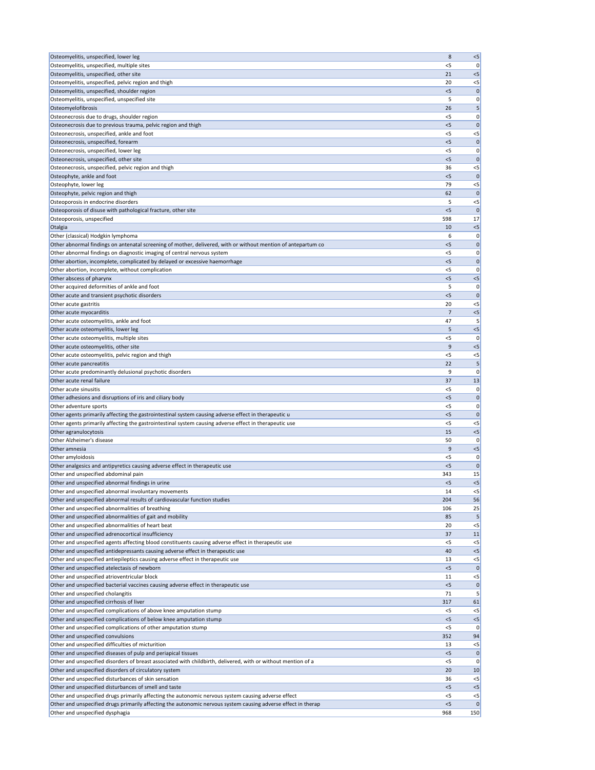| Osteomyelitis, unspecified, lower leg                                                                                                                                  | 8            | $<$ 5                 |
|------------------------------------------------------------------------------------------------------------------------------------------------------------------------|--------------|-----------------------|
| Osteomyelitis, unspecified, multiple sites                                                                                                                             | $<$ 5        | 0                     |
| Osteomyelitis, unspecified, other site                                                                                                                                 | 21<br>20     | < 5                   |
| Osteomyelitis, unspecified, pelvic region and thigh<br>Osteomyelitis, unspecified, shoulder region                                                                     | $<$ 5        | $<$ 5<br> 0           |
| Osteomyelitis, unspecified, unspecified site                                                                                                                           | 5            | 0                     |
| Osteomyelofibrosis                                                                                                                                                     | 26           | 5                     |
| Osteonecrosis due to drugs, shoulder region                                                                                                                            | $<$ 5        | 0                     |
| Osteonecrosis due to previous trauma, pelvic region and thigh                                                                                                          | $<$ 5        | $\mathbf{0}$          |
| Osteonecrosis, unspecified, ankle and foot                                                                                                                             | <5           | $<$ 5                 |
| Osteonecrosis, unspecified, forearm<br>Osteonecrosis, unspecified, lower leg                                                                                           | < 5<br><5    | $\mathbf 0$<br>0      |
| Osteonecrosis, unspecified, other site                                                                                                                                 | $<$ 5        | $\mathbf 0$           |
| Osteonecrosis, unspecified, pelvic region and thigh                                                                                                                    | 36           | $<$ 5                 |
| Osteophyte, ankle and foot                                                                                                                                             | $<$ 5        | $\mathbf{0}$          |
| Osteophyte, lower leg                                                                                                                                                  | 79           | $<$ 5                 |
| Osteophyte, pelvic region and thigh                                                                                                                                    | 62           | $\mathbf{0}$          |
| Osteoporosis in endocrine disorders                                                                                                                                    | 5<br>< 5     | $<$ 5<br>$\mathbf{0}$ |
| Osteoporosis of disuse with pathological fracture, other site<br>Osteoporosis, unspecified                                                                             | 598          | 17 <sup>1</sup>       |
| Otalgia                                                                                                                                                                | 10           | $< 5$                 |
| Other (classical) Hodgkin lymphoma                                                                                                                                     | 6            | 0                     |
| Other abnormal findings on antenatal screening of mother, delivered, with or without mention of antepartum co                                                          | < 5          | $\mathbf 0$           |
| Other abnormal findings on diagnostic imaging of central nervous system                                                                                                | <5           | 0                     |
| Other abortion, incomplete, complicated by delayed or excessive haemorrhage                                                                                            | 5            | $\mathbf 0$           |
| Other abortion, incomplete, without complication                                                                                                                       | < 5<br>< 5   | 0<br>$< 5$            |
| Other abscess of pharynx<br>Other acquired deformities of ankle and foot                                                                                               | 5            | 0                     |
| Other acute and transient psychotic disorders                                                                                                                          | < 5          | $\mathbf{0}$          |
| Other acute gastritis                                                                                                                                                  | 20           | $<$ 5                 |
| Other acute myocarditis                                                                                                                                                | 7            | < 5                   |
| Other acute osteomyelitis, ankle and foot                                                                                                                              | 47           | 5                     |
| Other acute osteomyelitis, lower leg                                                                                                                                   | 5            | < 5                   |
| Other acute osteomyelitis, multiple sites<br>Other acute osteomyelitis, other site                                                                                     | < 5<br>9     | 0<br>< 5              |
| Other acute osteomyelitis, pelvic region and thigh                                                                                                                     | $<$ 5        | $<$ 5                 |
| Other acute pancreatitis                                                                                                                                               | 22           | 5                     |
| Other acute predominantly delusional psychotic disorders                                                                                                               | 9            | 0                     |
| Other acute renal failure                                                                                                                                              | 37           | 13                    |
| Other acute sinusitis                                                                                                                                                  | <5           | 0                     |
| Other adhesions and disruptions of iris and ciliary body                                                                                                               | $<$ 5        | $\mathbf 0$           |
| Other adventure sports<br>Other agents primarily affecting the gastrointestinal system causing adverse effect in therapeutic u                                         | <5<br>$<$ 5  | 0<br>$\mathbf{0}$     |
| Other agents primarily affecting the gastrointestinal system causing adverse effect in therapeutic use                                                                 | < 5          | $<$ 5                 |
| Other agranulocytosis                                                                                                                                                  | 15           | $< 5$                 |
| Other Alzheimer's disease                                                                                                                                              | 50           | 0                     |
| Other amnesia                                                                                                                                                          | 9            | $< 5$                 |
| Other amyloidosis                                                                                                                                                      | <5           | 0                     |
| Other analgesics and antipyretics causing adverse effect in therapeutic use<br>Other and unspecified abdominal pain                                                    | < 5<br>343   | $\mathbf{0}$<br>15    |
| Other and unspecified abnormal findings in urine                                                                                                                       | $<$ 5        | $<$ 5                 |
| Other and unspecified abnormal involuntary movements                                                                                                                   | 14           | $<$ 5                 |
| Other and unspecified abnormal results of cardiovascular function studies                                                                                              | 204          | 56                    |
| Other and unspecified abnormalities of breathing                                                                                                                       | 106          | 25                    |
| Other and unspecified abnormalities of gait and mobility                                                                                                               | 85           | 5                     |
| Other and unspecified abnormalities of heart beat                                                                                                                      | 20<br>37     | $<$ 5                 |
| Other and unspecified adrenocortical insufficiency<br>Other and unspecified agents affecting blood constituents causing adverse effect in therapeutic use              | <5           | 11<br>$<$ 5           |
| Other and unspecified antidepressants causing adverse effect in therapeutic use                                                                                        | 40           | $< 5$                 |
| Other and unspecified antiepileptics causing adverse effect in therapeutic use                                                                                         | 13           | $<$ 5                 |
| Other and unspecified atelectasis of newborn                                                                                                                           | $<$ 5        | $\mathbf 0$           |
| Other and unspecified atrioventricular block                                                                                                                           | 11           | $<$ 5                 |
| Other and unspecified bacterial vaccines causing adverse effect in therapeutic use                                                                                     | $<$ 5        | $\mathbf 0$           |
| Other and unspecified cholangitis                                                                                                                                      | 71           | 5                     |
| Other and unspecified cirrhosis of liver<br>Other and unspecified complications of above knee amputation stump                                                         | 317<br>$<$ 5 | 61<br>$<$ 5           |
| Other and unspecified complications of below knee amputation stump                                                                                                     | < 5          | $< 5$                 |
| Other and unspecified complications of other amputation stump                                                                                                          | <5           | 0                     |
| Other and unspecified convulsions                                                                                                                                      | 352          | 94                    |
| Other and unspecified difficulties of micturition                                                                                                                      | 13           | $<$ 5                 |
| Other and unspecified diseases of pulp and periapical tissues                                                                                                          | $<$ 5        | 0                     |
| Other and unspecified disorders of breast associated with childbirth, delivered, with or without mention of a<br>Other and unspecified disorders of circulatory system | <5<br>20     | 0<br>10               |
| Other and unspecified disturbances of skin sensation                                                                                                                   | 36           | $<$ 5                 |
| Other and unspecified disturbances of smell and taste                                                                                                                  | 5            | $<$ 5                 |
| Other and unspecified drugs primarily affecting the autonomic nervous system causing adverse effect                                                                    | $<$ 5        | $<$ 5                 |
| Other and unspecified drugs primarily affecting the autonomic nervous system causing adverse effect in therap                                                          | < 5          | $\mathbf 0$           |
| Other and unspecified dysphagia                                                                                                                                        | 968          | 150                   |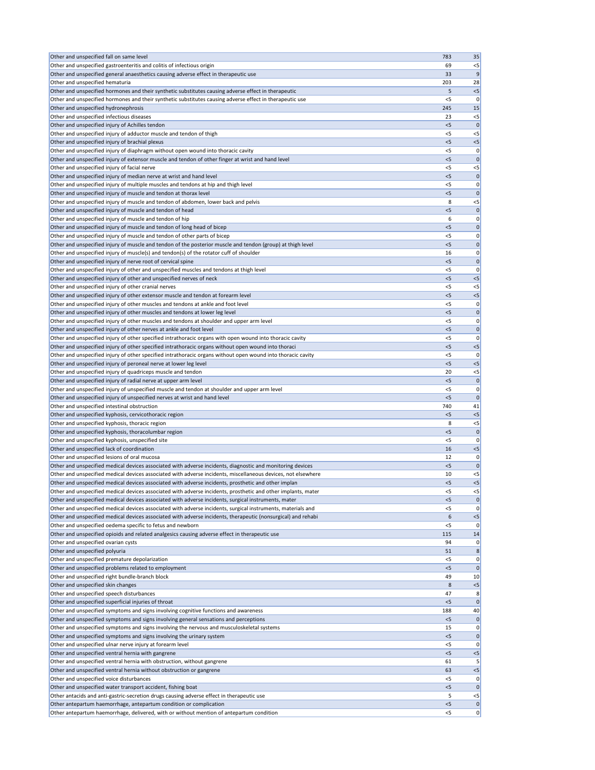| Other and unspecified fall on same level                                                                                                                        | 783            | 35                   |
|-----------------------------------------------------------------------------------------------------------------------------------------------------------------|----------------|----------------------|
| Other and unspecified gastroenteritis and colitis of infectious origin                                                                                          | 69             | $<$ 5                |
| Other and unspecified general anaesthetics causing adverse effect in therapeutic use                                                                            | 33             | 9                    |
| Other and unspecified hematuria                                                                                                                                 | 203            | 28                   |
| Other and unspecified hormones and their synthetic substitutes causing adverse effect in therapeutic                                                            | 5              | $< 5$                |
| Other and unspecified hormones and their synthetic substitutes causing adverse effect in therapeutic use                                                        | <5             | 0                    |
| Other and unspecified hydronephrosis                                                                                                                            | 245            | 15                   |
| Other and unspecified infectious diseases                                                                                                                       | 23             | $<$ 5                |
| Other and unspecified injury of Achilles tendon                                                                                                                 | < 5            | $\mathbf 0$          |
| Other and unspecified injury of adductor muscle and tendon of thigh                                                                                             | <5             | $< 5$                |
| Other and unspecified injury of brachial plexus                                                                                                                 | $<$ 5          | $< 5$                |
| Other and unspecified injury of diaphragm without open wound into thoracic cavity                                                                               | < 5            | 0                    |
| Other and unspecified injury of extensor muscle and tendon of other finger at wrist and hand level<br>Other and unspecified injury of facial nerve              | $<$ 5          | $\mathbf 0$          |
|                                                                                                                                                                 | $<$ 5<br>$<$ 5 | $< 5$<br>$\mathbf 0$ |
| Other and unspecified injury of median nerve at wrist and hand level<br>Other and unspecified injury of multiple muscles and tendons at hip and thigh level     | <5             | 0                    |
| Other and unspecified injury of muscle and tendon at thorax level                                                                                               | < 5            | $\mathbf 0$          |
| Other and unspecified injury of muscle and tendon of abdomen, lower back and pelvis                                                                             | 8              | $<$ 5                |
| Other and unspecified injury of muscle and tendon of head                                                                                                       | < 5            | $\mathbf 0$          |
| Other and unspecified injury of muscle and tendon of hip                                                                                                        | 6              | 0                    |
| Other and unspecified injury of muscle and tendon of long head of bicep                                                                                         | $<$ 5          | $\mathbf 0$          |
| Other and unspecified injury of muscle and tendon of other parts of bicep                                                                                       | <5             | 0                    |
| Other and unspecified injury of muscle and tendon of the posterior muscle and tendon (group) at thigh level                                                     | < 5            | 0                    |
| Other and unspecified injury of muscle(s) and tendon(s) of the rotator cuff of shoulder                                                                         | 16             | 0                    |
| Other and unspecified injury of nerve root of cervical spine                                                                                                    | $<$ 5          | $\mathbf 0$          |
| Other and unspecified injury of other and unspecified muscles and tendons at thigh level                                                                        | $<$ 5          | 0                    |
| Other and unspecified injury of other and unspecified nerves of neck                                                                                            | < 5            | $<$ 5                |
| Other and unspecified injury of other cranial nerves                                                                                                            | <5             | $<$ 5                |
| Other and unspecified injury of other extensor muscle and tendon at forearm level                                                                               | $<$ 5          | $< 5$                |
| Other and unspecified injury of other muscles and tendons at ankle and foot level                                                                               | <5             | 0                    |
| Other and unspecified injury of other muscles and tendons at lower leg level                                                                                    | < 5            | 0                    |
| Other and unspecified injury of other muscles and tendons at shoulder and upper arm level                                                                       | <5             | 0                    |
| Other and unspecified injury of other nerves at ankle and foot level                                                                                            | < 5            | $\mathbf 0$          |
| Other and unspecified injury of other specified intrathoracic organs with open wound into thoracic cavity                                                       | $<$ 5          | 0                    |
| Other and unspecified injury of other specified intrathoracic organs without open wound into thoraci                                                            | < 5            | $< 5$                |
| Other and unspecified injury of other specified intrathoracic organs without open wound into thoracic cavity                                                    | $<$ 5          | 0                    |
| Other and unspecified injury of peroneal nerve at lower leg level                                                                                               | < 5            | $< 5$                |
| Other and unspecified injury of quadriceps muscle and tendon                                                                                                    | 20             | $<$ 5                |
| Other and unspecified injury of radial nerve at upper arm level                                                                                                 | $<$ 5          | $\mathbf 0$          |
| Other and unspecified injury of unspecified muscle and tendon at shoulder and upper arm level                                                                   | <5             | 0                    |
| Other and unspecified injury of unspecified nerves at wrist and hand level                                                                                      | $<$ 5          | $\mathbf 0$          |
| Other and unspecified intestinal obstruction                                                                                                                    | 740            | 41                   |
| Other and unspecified kyphosis, cervicothoracic region                                                                                                          | < 5            | $< 5$                |
| Other and unspecified kyphosis, thoracic region                                                                                                                 | 8              | $<$ 5                |
| Other and unspecified kyphosis, thoracolumbar region                                                                                                            | < 5            | $\mathbf 0$          |
| Other and unspecified kyphosis, unspecified site<br>Other and unspecified lack of coordination                                                                  | $<$ 5<br>16    | 0<br>$< 5$           |
| Other and unspecified lesions of oral mucosa                                                                                                                    | 12             | 0                    |
| Other and unspecified medical devices associated with adverse incidents, diagnostic and monitoring devices                                                      | $<$ 5          | $\mathbf 0$          |
| Other and unspecified medical devices associated with adverse incidents, miscellaneous devices, not elsewhere                                                   | 10             | $<$ 5                |
| Other and unspecified medical devices associated with adverse incidents, prosthetic and other implan                                                            | $<$ 5          | $<$ 5                |
| Other and unspecified medical devices associated with adverse incidents, prosthetic and other implants, mater                                                   | $<$ 5          | $< 5$                |
| Other and unspecified medical devices associated with adverse incidents, surgical instruments, mater                                                            | < 5            | $\mathbf 0$          |
| Other and unspecified medical devices associated with adverse incidents, surgical instruments, materials and                                                    | <5             | 0                    |
| Other and unspecified medical devices associated with adverse incidents, therapeutic (nonsurgical) and rehabi                                                   | 6              | $< 5$                |
| Other and unspecified oedema specific to fetus and newborn                                                                                                      | $<$ 5          | 0                    |
| Other and unspecified opioids and related analgesics causing adverse effect in therapeutic use                                                                  | 115            | 14                   |
| Other and unspecified ovarian cysts                                                                                                                             | 94             | 0                    |
| Other and unspecified polyuria                                                                                                                                  | 51             | 8                    |
| Other and unspecified premature depolarization                                                                                                                  | <5             | 0                    |
| Other and unspecified problems related to employment                                                                                                            | $<$ 5          | 0                    |
| Other and unspecified right bundle-branch block                                                                                                                 | 49             | 10                   |
| Other and unspecified skin changes                                                                                                                              | 8              | < 5                  |
| Other and unspecified speech disturbances                                                                                                                       | 47             | 8                    |
| Other and unspecified superficial injuries of throat                                                                                                            | < 5            | 0                    |
| Other and unspecified symptoms and signs involving cognitive functions and awareness                                                                            | 188            | 40                   |
| Other and unspecified symptoms and signs involving general sensations and perceptions                                                                           | 5              | 0                    |
| Other and unspecified symptoms and signs involving the nervous and musculoskeletal systems                                                                      | 15             | 0                    |
| Other and unspecified symptoms and signs involving the urinary system                                                                                           | $<$ 5          | 0                    |
| Other and unspecified ulnar nerve injury at forearm level                                                                                                       | $<$ 5          | 0                    |
| Other and unspecified ventral hernia with gangrene                                                                                                              | $<$ 5          | $<$ 5                |
| Other and unspecified ventral hernia with obstruction, without gangrene                                                                                         | 61             | 5                    |
| Other and unspecified ventral hernia without obstruction or gangrene                                                                                            |                | $< 5$                |
|                                                                                                                                                                 | 63             |                      |
| Other and unspecified voice disturbances                                                                                                                        | $<$ 5          |                      |
| Other and unspecified water transport accident, fishing boat                                                                                                    | < 5            | 0 <br> 0             |
| Other antacids and anti-gastric-secretion drugs causing adverse effect in therapeutic use<br>Other antepartum haemorrhage, antepartum condition or complication | 5<br>< 5       | $<$ 5<br> 0          |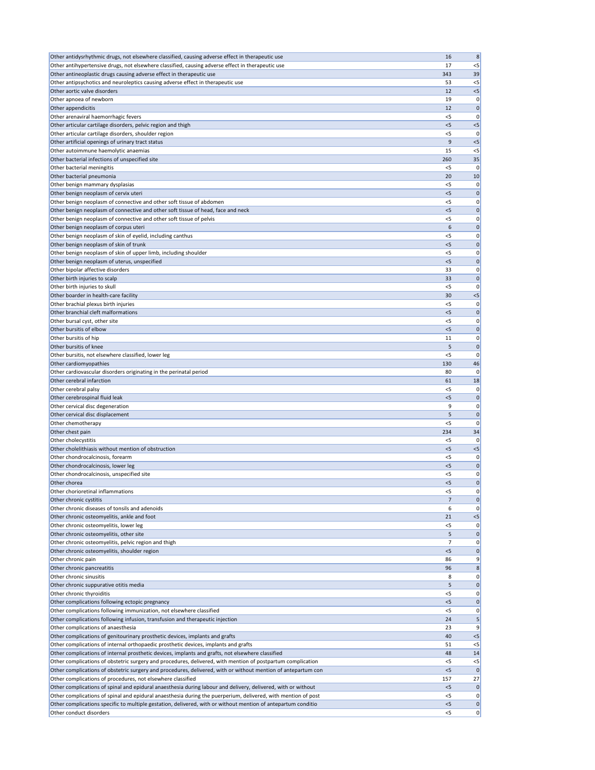| Other antidysrhythmic drugs, not elsewhere classified, causing adverse effect in therapeutic use                                         | 16             | 8                 |
|------------------------------------------------------------------------------------------------------------------------------------------|----------------|-------------------|
| Other antihypertensive drugs, not elsewhere classified, causing adverse effect in therapeutic use                                        | 17             | $<$ 5             |
| Other antineoplastic drugs causing adverse effect in therapeutic use                                                                     | 343            | 39                |
| Other antipsychotics and neuroleptics causing adverse effect in therapeutic use                                                          | 53             | $<$ 5             |
| Other aortic valve disorders                                                                                                             | 12             | $< 5$             |
| Other apnoea of newborn<br>Other appendicitis                                                                                            | 19<br>12       | 0<br>$\mathbf 0$  |
| Other arenaviral haemorrhagic fevers                                                                                                     | $<$ 5          | 0                 |
| Other articular cartilage disorders, pelvic region and thigh                                                                             | < 5            | $< 5$             |
| Other articular cartilage disorders, shoulder region                                                                                     | <5             | 0                 |
| Other artificial openings of urinary tract status                                                                                        | 9              | $<$ 5             |
| Other autoimmune haemolytic anaemias                                                                                                     | 15             | $<$ 5             |
| Other bacterial infections of unspecified site                                                                                           | 260            | 35                |
| Other bacterial meningitis                                                                                                               | $<$ 5          | 0                 |
| Other bacterial pneumonia                                                                                                                | 20             | 10                |
| Other benign mammary dysplasias<br>Other benign neoplasm of cervix uteri                                                                 | $<$ 5<br>$<$ 5 | 0<br>$\mathbf 0$  |
| Other benign neoplasm of connective and other soft tissue of abdomen                                                                     | $<$ 5          | 0                 |
| Other benign neoplasm of connective and other soft tissue of head, face and neck                                                         | < 5            | $\mathbf 0$       |
| Other benign neoplasm of connective and other soft tissue of pelvis                                                                      | <5             | 0                 |
| Other benign neoplasm of corpus uteri                                                                                                    | 6              | $\mathbf 0$       |
| Other benign neoplasm of skin of eyelid, including canthus                                                                               | <5             | 0                 |
| Other benign neoplasm of skin of trunk                                                                                                   | $<$ 5          | 0                 |
| Other benign neoplasm of skin of upper limb, including shoulder                                                                          | < 5            | 0                 |
| Other benign neoplasm of uterus, unspecified                                                                                             | $<$ 5          | $\mathbf 0$       |
| Other bipolar affective disorders                                                                                                        | 33             | 0                 |
| Other birth injuries to scalp<br>Other birth injuries to skull                                                                           | 33<br>$<$ 5    | $\mathbf 0$<br>0  |
| Other boarder in health-care facility                                                                                                    | 30             | $<$ 5             |
| Other brachial plexus birth injuries                                                                                                     | <5             | 0                 |
| Other branchial cleft malformations                                                                                                      | $<$ 5          | $\mathbf 0$       |
| Other bursal cyst, other site                                                                                                            | <5             | 0                 |
| Other bursitis of elbow                                                                                                                  | $<$ 5          | 0                 |
| Other bursitis of hip                                                                                                                    | 11             | 0                 |
| Other bursitis of knee                                                                                                                   | 5              | $\mathbf{0}$      |
| Other bursitis, not elsewhere classified, lower leg                                                                                      | $<$ 5          | 0                 |
| Other cardiomyopathies<br>Other cardiovascular disorders originating in the perinatal period                                             | 130<br>80      | 46<br>0           |
| Other cerebral infarction                                                                                                                | 61             | 18                |
| Other cerebral palsy                                                                                                                     | <5             | 0                 |
| Other cerebrospinal fluid leak                                                                                                           | $<$ 5          | $\mathbf 0$       |
| Other cervical disc degeneration                                                                                                         | 9              | 0                 |
| Other cervical disc displacement                                                                                                         | 5              | $\mathbf 0$       |
| Other chemotherapy                                                                                                                       | $<$ 5          | 0                 |
| Other chest pain                                                                                                                         | 234            | 34                |
| Other cholecystitis                                                                                                                      | $<$ 5          | 0                 |
| Other cholelithiasis without mention of obstruction<br>Other chondrocalcinosis, forearm                                                  | < 5<br><5      | $<$ 5<br>0        |
| Other chondrocalcinosis, lower leg                                                                                                       | < 5            | $\mathbf{0}$      |
| Other chondrocalcinosis, unspecified site                                                                                                | <5             | 0                 |
| Other chorea                                                                                                                             | $<$ 5          | $\mathbf 0$       |
| Other chorioretinal inflammations                                                                                                        | < 5            | 0                 |
| Other chronic cystitis                                                                                                                   | 7              | $\mathbf{0}$      |
| Other chronic diseases of tonsils and adenoids                                                                                           | 6              | 0                 |
| Other chronic osteomyelitis, ankle and foot                                                                                              | 21             | $< 5$             |
| Other chronic osteomyelitis, lower leg                                                                                                   | <5             | 0                 |
| Other chronic osteomyelitis, other site<br>Other chronic osteomyelitis, pelvic region and thigh                                          | 5<br>7         | $\mathbf{0}$<br>0 |
| Other chronic osteomyelitis, shoulder region                                                                                             | < 5            | $\mathbf{0}$      |
| Other chronic pain                                                                                                                       | 86             | 9                 |
| Other chronic pancreatitis                                                                                                               | 96             | 8                 |
| Other chronic sinusitis                                                                                                                  | 8              | 0                 |
| Other chronic suppurative otitis media                                                                                                   | 5              | $\mathbf 0$       |
| Other chronic thyroiditis                                                                                                                | $<$ 5          | 0                 |
| Other complications following ectopic pregnancy                                                                                          | $<$ 5          | $\mathbf 0$       |
| Other complications following immunization, not elsewhere classified                                                                     | $<$ 5          | 0                 |
| Other complications following infusion, transfusion and therapeutic injection<br>Other complications of anaesthesia                      | 24<br>23       | 5<br>9            |
| Other complications of genitourinary prosthetic devices, implants and grafts                                                             | 40             | $< 5$             |
| Other complications of internal orthopaedic prosthetic devices, implants and grafts                                                      | 51             | $<$ 5             |
| Other complications of internal prosthetic devices, implants and grafts, not elsewhere classified                                        | 48             | 14                |
| Other complications of obstetric surgery and procedures, delivered, with mention of postpartum complication                              | $<$ 5          | $<$ 5             |
| Other complications of obstetric surgery and procedures, delivered, with or without mention of antepartum con                            | < 5            | $\mathbf 0$       |
| Other complications of procedures, not elsewhere classified                                                                              | 157            | 27                |
| Other complications of spinal and epidural anaesthesia during labour and delivery, delivered, with or without                            | < 5            | $\mathbf 0$       |
| Other complications of spinal and epidural anaesthesia during the puerperium, delivered, with mention of post                            | $<$ 5          | 0                 |
| Other complications specific to multiple gestation, delivered, with or without mention of antepartum conditio<br>Other conduct disorders | < 5<br>$<$ 5   | 0 <br> 0          |
|                                                                                                                                          |                |                   |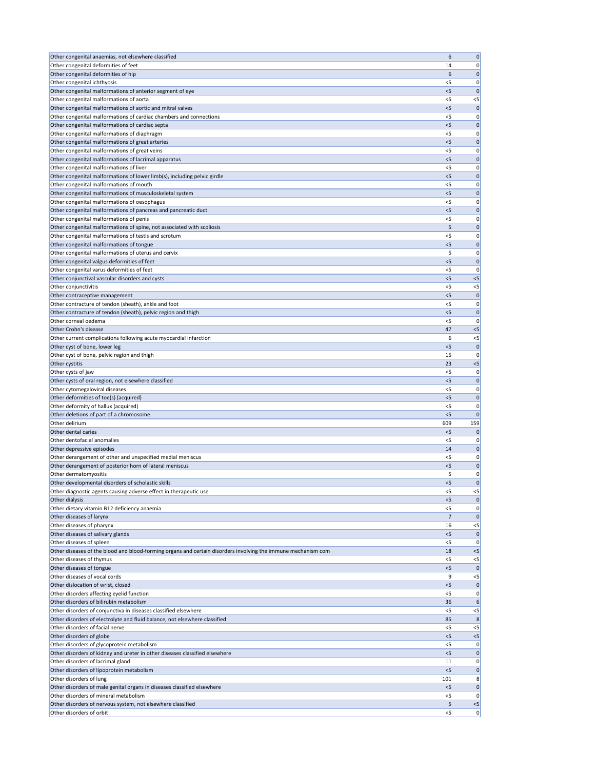| Other congenital anaemias, not elsewhere classified                                                           | 6     | $\mathbf 0$                                                                                                                                                       |
|---------------------------------------------------------------------------------------------------------------|-------|-------------------------------------------------------------------------------------------------------------------------------------------------------------------|
| Other congenital deformities of feet                                                                          | 14    | 0                                                                                                                                                                 |
| Other congenital deformities of hip                                                                           | 6     | $\mathbf 0$                                                                                                                                                       |
| Other congenital ichthyosis                                                                                   | $<$ 5 | 0                                                                                                                                                                 |
| Other congenital malformations of anterior segment of eye                                                     | < 5   | $\mathbf 0$                                                                                                                                                       |
| Other congenital malformations of aorta                                                                       | $<$ 5 | $<$ 5                                                                                                                                                             |
| Other congenital malformations of aortic and mitral valves                                                    | $<$ 5 | $\mathbf 0$                                                                                                                                                       |
| Other congenital malformations of cardiac chambers and connections                                            | <5    | 0                                                                                                                                                                 |
| Other congenital malformations of cardiac septa                                                               | $<$ 5 | $\mathbf 0$                                                                                                                                                       |
| Other congenital malformations of diaphragm                                                                   | <5    | 0                                                                                                                                                                 |
| Other congenital malformations of great arteries                                                              | $<$ 5 | $\mathbf 0$                                                                                                                                                       |
| Other congenital malformations of great veins                                                                 | <5    | 0                                                                                                                                                                 |
| Other congenital malformations of lacrimal apparatus                                                          | $<$ 5 | 0                                                                                                                                                                 |
| Other congenital malformations of liver                                                                       | $<$ 5 |                                                                                                                                                                   |
|                                                                                                               |       | 0                                                                                                                                                                 |
| Other congenital malformations of lower limb(s), including pelvic girdle                                      | $<$ 5 | $\mathbf{0}$                                                                                                                                                      |
| Other congenital malformations of mouth                                                                       | $<$ 5 | 0                                                                                                                                                                 |
| Other congenital malformations of musculoskeletal system                                                      | $<$ 5 | $\mathbf 0$                                                                                                                                                       |
| Other congenital malformations of oesophagus                                                                  | $<$ 5 | 0                                                                                                                                                                 |
| Other congenital malformations of pancreas and pancreatic duct                                                | < 5   | $\mathbf 0$                                                                                                                                                       |
| Other congenital malformations of penis                                                                       | <5    | 0                                                                                                                                                                 |
| Other congenital malformations of spine, not associated with scoliosis                                        | 5     | $\mathbf 0$                                                                                                                                                       |
| Other congenital malformations of testis and scrotum                                                          | <5    | 0                                                                                                                                                                 |
| Other congenital malformations of tongue                                                                      | $<$ 5 | $\mathbf 0$                                                                                                                                                       |
| Other congenital malformations of uterus and cervix                                                           | 5     | 0                                                                                                                                                                 |
| Other congenital valgus deformities of feet                                                                   | $<$ 5 | $\mathbf 0$                                                                                                                                                       |
| Other congenital varus deformities of feet                                                                    | $<$ 5 | 0                                                                                                                                                                 |
| Other conjunctival vascular disorders and cysts                                                               | < 5   | $< 5$                                                                                                                                                             |
| Other conjunctivitis                                                                                          | $<$ 5 | $<$ 5                                                                                                                                                             |
| Other contraceptive management                                                                                | < 5   | $\mathbf 0$                                                                                                                                                       |
| Other contracture of tendon (sheath), ankle and foot                                                          | <5    | 0                                                                                                                                                                 |
| Other contracture of tendon (sheath), pelvic region and thigh                                                 | $<$ 5 | $\mathbf 0$                                                                                                                                                       |
| Other corneal oedema                                                                                          | $<$ 5 | 0                                                                                                                                                                 |
| Other Crohn's disease                                                                                         | 47    | $<$ 5                                                                                                                                                             |
|                                                                                                               |       |                                                                                                                                                                   |
| Other current complications following acute myocardial infarction                                             | 6     | $<$ 5                                                                                                                                                             |
| Other cyst of bone, lower leg                                                                                 | $<$ 5 | $\mathbf{0}$                                                                                                                                                      |
| Other cyst of bone, pelvic region and thigh                                                                   | 15    | 0                                                                                                                                                                 |
| Other cystitis                                                                                                | 23    | $< 5$                                                                                                                                                             |
| Other cysts of jaw                                                                                            | <5    | 0                                                                                                                                                                 |
| Other cysts of oral region, not elsewhere classified                                                          | < 5   | $\mathbf 0$                                                                                                                                                       |
|                                                                                                               |       |                                                                                                                                                                   |
| Other cytomegaloviral diseases                                                                                | <5    |                                                                                                                                                                   |
| Other deformities of toe(s) (acquired)                                                                        | $<$ 5 | 0<br>$\mathbf 0$                                                                                                                                                  |
| Other deformity of hallux (acquired)                                                                          | <5    |                                                                                                                                                                   |
| Other deletions of part of a chromosome                                                                       | $<$ 5 | $\Omega$                                                                                                                                                          |
| Other delirium                                                                                                | 609   | 0<br>159                                                                                                                                                          |
| Other dental caries                                                                                           | $<$ 5 | $\mathbf 0$                                                                                                                                                       |
| Other dentofacial anomalies                                                                                   | $<$ 5 |                                                                                                                                                                   |
| Other depressive episodes                                                                                     | 14    |                                                                                                                                                                   |
| Other derangement of other and unspecified medial meniscus                                                    | <5    |                                                                                                                                                                   |
|                                                                                                               | $<$ 5 |                                                                                                                                                                   |
| Other derangement of posterior horn of lateral meniscus                                                       | 5     |                                                                                                                                                                   |
| Other dermatomyositis                                                                                         |       |                                                                                                                                                                   |
| Other developmental disorders of scholastic skills                                                            | < 5   |                                                                                                                                                                   |
| Other diagnostic agents causing adverse effect in therapeutic use                                             | $<$ 5 | $<$ 5                                                                                                                                                             |
| Other dialysis                                                                                                | $<$ 5 | $\mathbf 0$                                                                                                                                                       |
| Other dietary vitamin B12 deficiency anaemia                                                                  | <5    |                                                                                                                                                                   |
| Other diseases of larynx                                                                                      | 7     | $\mathbf{0}$                                                                                                                                                      |
| Other diseases of pharynx                                                                                     | 16    | $<$ 5                                                                                                                                                             |
| Other diseases of salivary glands                                                                             | < 5   | $\mathbf 0$                                                                                                                                                       |
| Other diseases of spleen                                                                                      | <5    | 0                                                                                                                                                                 |
| Other diseases of the blood and blood-forming organs and certain disorders involving the immune mechanism com | 18    | $<$ 5                                                                                                                                                             |
| Other diseases of thymus                                                                                      | $<$ 5 | $<$ 5                                                                                                                                                             |
| Other diseases of tongue                                                                                      | < 5   |                                                                                                                                                                   |
| Other diseases of vocal cords                                                                                 | 9     | $<$ 5                                                                                                                                                             |
| Other dislocation of wrist, closed                                                                            | <5    |                                                                                                                                                                   |
| Other disorders affecting eyelid function                                                                     | $<$ 5 |                                                                                                                                                                   |
| Other disorders of bilirubin metabolism                                                                       | 36    | 6                                                                                                                                                                 |
| Other disorders of conjunctiva in diseases classified elsewhere                                               | $<$ 5 | $<$ 5                                                                                                                                                             |
| Other disorders of electrolyte and fluid balance, not elsewhere classified                                    | 85    | 8                                                                                                                                                                 |
| Other disorders of facial nerve                                                                               | $<$ 5 |                                                                                                                                                                   |
| Other disorders of globe                                                                                      | $<$ 5 | < 5                                                                                                                                                               |
| Other disorders of glycoprotein metabolism                                                                    | $<$ 5 |                                                                                                                                                                   |
| Other disorders of kidney and ureter in other diseases classified elsewhere                                   | 5<    |                                                                                                                                                                   |
| Other disorders of lacrimal gland                                                                             | 11    |                                                                                                                                                                   |
| Other disorders of lipoprotein metabolism                                                                     | $<$ 5 |                                                                                                                                                                   |
| Other disorders of lung                                                                                       | 101   |                                                                                                                                                                   |
| Other disorders of male genital organs in diseases classified elsewhere                                       | $<$ 5 |                                                                                                                                                                   |
| Other disorders of mineral metabolism                                                                         | <5    |                                                                                                                                                                   |
| Other disorders of nervous system, not elsewhere classified                                                   | 5     | 0<br>$\mathbf 0$<br>0<br>$\mathbf 0$<br>0<br>$\mathbf 0$<br>0<br>$\mathbf 0$<br>$\mathbf 0$<br>0<br>$<$ 5<br> 0 <br> 0 <br> 0 <br> 0 <br>8<br> 0 <br> 0 <br>$< 5$ |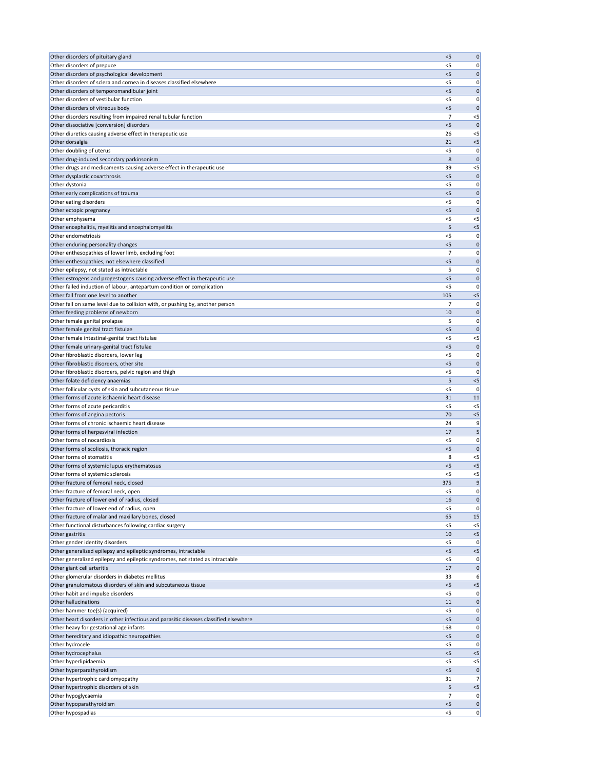| Other disorders of pituitary gland                                                      | < 5          | $\mathbf 0$          |
|-----------------------------------------------------------------------------------------|--------------|----------------------|
| Other disorders of prepuce                                                              | <5           | 0                    |
| Other disorders of psychological development                                            | $<$ 5        | 0                    |
| Other disorders of sclera and cornea in diseases classified elsewhere                   | $<$ 5        | 0                    |
| Other disorders of temporomandibular joint                                              | $<$ 5        | $\mathbf 0$          |
| Other disorders of vestibular function                                                  | $<$ 5        | 0                    |
| Other disorders of vitreous body                                                        | < 5          | $\mathbf 0$          |
| Other disorders resulting from impaired renal tubular function                          | 7            | $<$ 5                |
| Other dissociative [conversion] disorders                                               | < 5          | $\mathbf{0}$         |
| Other diuretics causing adverse effect in therapeutic use                               | 26           | $<$ 5                |
| Other dorsalgia                                                                         | 21           | $<$ 5                |
| Other doubling of uterus                                                                | <5           | 0                    |
| Other drug-induced secondary parkinsonism                                               | 8<br>39      | $\mathbf 0$          |
| Other drugs and medicaments causing adverse effect in therapeutic use                   | $<$ 5        | $<$ 5<br>$\mathbf 0$ |
| Other dysplastic coxarthrosis<br>Other dystonia                                         | <5           | 0                    |
| Other early complications of trauma                                                     | < 5          | $\mathbf 0$          |
| Other eating disorders                                                                  | $<$ 5        | 0                    |
| Other ectopic pregnancy                                                                 | < 5          | $\mathbf 0$          |
| Other emphysema                                                                         | $<$ 5        | $< 5$                |
| Other encephalitis, myelitis and encephalomyelitis                                      | 5            | $< 5$                |
| Other endometriosis                                                                     | <5           | 0                    |
| Other enduring personality changes                                                      | $<$ 5        | $\mathbf 0$          |
| Other enthesopathies of lower limb, excluding foot                                      | 7            | 0                    |
| Other enthesopathies, not elsewhere classified                                          | $<$ 5        | $\mathbf 0$          |
| Other epilepsy, not stated as intractable                                               | 5            | 0                    |
| Other estrogens and progestogens causing adverse effect in therapeutic use              | < 5          | $\mathbf 0$          |
| Other failed induction of labour, antepartum condition or complication                  | $<$ 5        | 0                    |
| Other fall from one level to another                                                    | 105          | < 5                  |
| Other fall on same level due to collision with, or pushing by, another person           | 7            | 0                    |
| Other feeding problems of newborn                                                       | 10           | 0                    |
| Other female genital prolapse                                                           | 5            | 0                    |
| Other female genital tract fistulae                                                     | $<$ 5        | $\mathbf 0$          |
| Other female intestinal-genital tract fistulae                                          | $<$ 5        | $< 5$                |
| Other female urinary-genital tract fistulae                                             | $<$ 5        | $\mathbf{0}$         |
| Other fibroblastic disorders, lower leg                                                 | $<$ 5        | 0                    |
| Other fibroblastic disorders, other site                                                | < 5          | $\mathbf{0}$         |
| Other fibroblastic disorders, pelvic region and thigh                                   | <5           | 0                    |
| Other folate deficiency anaemias                                                        | 5            | $< 5$                |
| Other follicular cysts of skin and subcutaneous tissue                                  | $<$ 5        | 0                    |
| Other forms of acute ischaemic heart disease                                            | 31           | 11                   |
| Other forms of acute pericarditis                                                       | < 5          | $<$ 5                |
| Other forms of angina pectoris<br>Other forms of chronic ischaemic heart disease        | 70           | $<$ 5                |
| Other forms of herpesviral infection                                                    | 24<br>17     | 9<br>5               |
| Other forms of nocardiosis                                                              | $<$ 5        | 0                    |
| Other forms of scoliosis, thoracic region                                               | < 5          | $\mathbf{0}$         |
| Other forms of stomatitis                                                               | 8            | $<$ 5                |
| Other forms of systemic lupus erythematosus                                             | $<$ 5        | $< 5$                |
| Other forms of systemic sclerosis                                                       | $<$ 5        | $<$ 5                |
| Other fracture of femoral neck, closed                                                  | 375          | 9                    |
| Other fracture of femoral neck, open                                                    | $<$ 5        | 0                    |
| Other fracture of lower end of radius, closed                                           | 16           | 0                    |
| Other fracture of lower end of radius, open                                             | <5           | 0                    |
| Other fracture of malar and maxillary bones, closed                                     | 65           | 15                   |
| Other functional disturbances following cardiac surgery                                 | $<$ 5        | $<$ 5                |
| Other gastritis                                                                         | 10           | $<$ 5                |
| Other gender identity disorders                                                         | <5           | 0                    |
| Other generalized epilepsy and epileptic syndromes, intractable                         | $<$ 5        | $<$ 5                |
| Other generalized epilepsy and epileptic syndromes, not stated as intractable           | < 5          | 0                    |
| Other giant cell arteritis                                                              | 17           | $\mathbf 0$          |
| Other glomerular disorders in diabetes mellitus                                         | 33           | 6                    |
| Other granulomatous disorders of skin and subcutaneous tissue                           | <5           | $< 5$                |
| Other habit and impulse disorders                                                       | $<$ 5        | 0                    |
| Other hallucinations                                                                    | 11           | 0                    |
| Other hammer toe(s) (acquired)                                                          | $<$ 5        | 0                    |
| Other heart disorders in other infectious and parasitic diseases classified elsewhere   | < 5          | 0                    |
| Other heavy for gestational age infants<br>Other hereditary and idiopathic neuropathies | 168<br>$<$ 5 | 0 <br> 0             |
| Other hydrocele                                                                         | $<$ 5        | 0                    |
| Other hydrocephalus                                                                     | 5<           | $<$ 5                |
| Other hyperlipidaemia                                                                   | $<$ 5        | $<$ 5                |
| Other hyperparathyroidism                                                               | < 5          | $\mathbf 0$          |
| Other hypertrophic cardiomyopathy                                                       | 31           | 7                    |
| Other hypertrophic disorders of skin                                                    | 5            | $< 5$                |
| Other hypoglycaemia                                                                     | 7            | 0                    |
| Other hypoparathyroidism                                                                | < 5          | 0                    |
| Other hypospadias                                                                       | $<$ 5        | 0                    |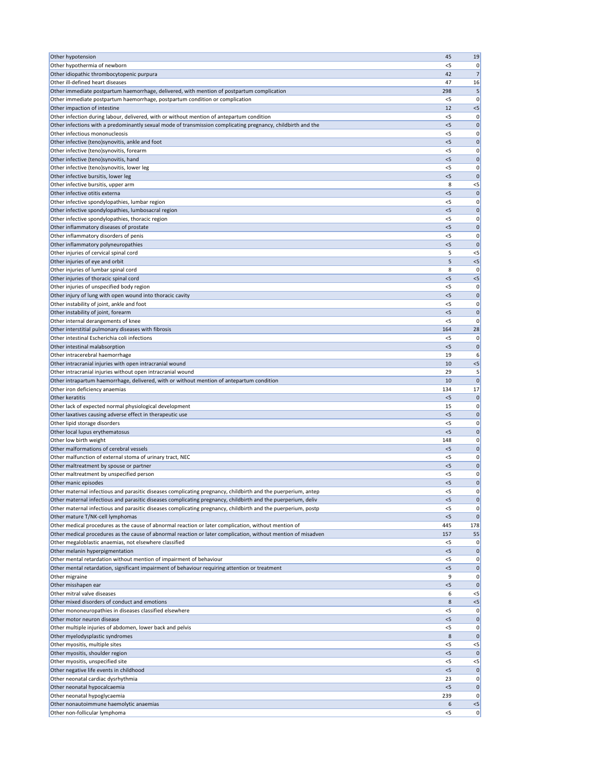| Other hypotension                                                                                                                                        | 45          | 19                               |
|----------------------------------------------------------------------------------------------------------------------------------------------------------|-------------|----------------------------------|
| Other hypothermia of newborn                                                                                                                             | $<$ 5       | 0                                |
| Other idiopathic thrombocytopenic purpura                                                                                                                | 42          | 7 <sup>1</sup>                   |
| Other ill-defined heart diseases                                                                                                                         | 47          | 16                               |
| Other immediate postpartum haemorrhage, delivered, with mention of postpartum complication                                                               | 298         |                                  |
| Other immediate postpartum haemorrhage, postpartum condition or complication                                                                             | $<$ 5       | 0                                |
| Other impaction of intestine<br>Other infection during labour, delivered, with or without mention of antepartum condition                                | 12<br>$<$ 5 | $< 5$<br> 0                      |
| Other infections with a predominantly sexual mode of transmission complicating pregnancy, childbirth and the                                             | < 5         | $\mathbf 0$                      |
| Other infectious mononucleosis                                                                                                                           | <5          | 0                                |
| Other infective (teno) synovitis, ankle and foot                                                                                                         | $<$ 5       | $\mathbf 0$                      |
| Other infective (teno) synovitis, forearm                                                                                                                | <5          | 0                                |
| Other infective (teno)synovitis, hand                                                                                                                    | $<$ 5       | $\mathbf 0$                      |
| Other infective (teno)synovitis, lower leg                                                                                                               | $<$ 5       | 0                                |
| Other infective bursitis, lower leg                                                                                                                      | $<$ 5       | $\mathbf{0}$                     |
| Other infective bursitis, upper arm                                                                                                                      | 8           | $<$ 5                            |
| Other infective otitis externa                                                                                                                           | < 5         | $\mathbf 0$                      |
| Other infective spondylopathies, lumbar region                                                                                                           | $<$ 5       | 0                                |
| Other infective spondylopathies, lumbosacral region                                                                                                      | < 5         | $\mathbf 0$                      |
| Other infective spondylopathies, thoracic region                                                                                                         | <5          | 0                                |
| Other inflammatory diseases of prostate                                                                                                                  | $<$ 5       | $\mathbf 0$                      |
| Other inflammatory disorders of penis<br>Other inflammatory polyneuropathies                                                                             | <5<br>< 5   | 0<br>$\mathbf 0$                 |
| Other injuries of cervical spinal cord                                                                                                                   | 5           | $<$ 5                            |
| Other injuries of eye and orbit                                                                                                                          | 5           | $<$ 5                            |
| Other injuries of lumbar spinal cord                                                                                                                     | 8           | 0                                |
| Other injuries of thoracic spinal cord                                                                                                                   | < 5         | $< 5$                            |
| Other injuries of unspecified body region                                                                                                                | <5          | 0                                |
| Other injury of lung with open wound into thoracic cavity                                                                                                | < 5         | $\mathbf 0$                      |
| Other instability of joint, ankle and foot                                                                                                               | <5          | 0                                |
| Other instability of joint, forearm                                                                                                                      | $<$ 5       | 0                                |
| Other internal derangements of knee                                                                                                                      | $<$ 5       | 0                                |
| Other interstitial pulmonary diseases with fibrosis                                                                                                      | 164         | 28                               |
| Other intestinal Escherichia coli infections                                                                                                             | < 5         | 0                                |
| Other intestinal malabsorption                                                                                                                           | $<$ 5       | $\mathbf 0$                      |
| Other intracerebral haemorrhage                                                                                                                          | 19          | 6                                |
| Other intracranial injuries with open intracranial wound                                                                                                 | 10          | $< 5$                            |
| Other intracranial injuries without open intracranial wound<br>Other intrapartum haemorrhage, delivered, with or without mention of antepartum condition | 29<br>10    | 5<br>$\mathbf 0$                 |
| Other iron deficiency anaemias                                                                                                                           | 134         | 17                               |
| Other keratitis                                                                                                                                          | $<$ 5       | 0                                |
| Other lack of expected normal physiological development                                                                                                  | 15          | 0                                |
| Other laxatives causing adverse effect in therapeutic use                                                                                                | $<$ 5       | $\mathbf 0$                      |
| Other lipid storage disorders                                                                                                                            | $<$ 5       | 0                                |
| Other local lupus erythematosus                                                                                                                          | < 5         | $\mathbf 0$                      |
| Other low birth weight                                                                                                                                   | 148         | 0                                |
| Other malformations of cerebral vessels                                                                                                                  | < 5         | $\mathbf 0$                      |
| Other malfunction of external stoma of urinary tract, NEC                                                                                                | <5          | 0                                |
| Other maltreatment by spouse or partner                                                                                                                  | $<$ 5       | 0                                |
| Other maltreatment by unspecified person                                                                                                                 | < 5         | 0                                |
|                                                                                                                                                          |             | 0                                |
| Other manic episodes                                                                                                                                     | $<$ 5       | 0                                |
| Other maternal infectious and parasitic diseases complicating pregnancy, childbirth and the puerperium, antep                                            | <5          |                                  |
| Other maternal infectious and parasitic diseases complicating pregnancy, childbirth and the puerperium, deliv                                            | $<$ 5       | $\mathbf 0$                      |
| Other maternal infectious and parasitic diseases complicating pregnancy, childbirth and the puerperium, postp                                            | $<$ 5       | 0                                |
| Other mature T/NK-cell lymphomas                                                                                                                         | < 5         | $\mathbf 0$                      |
| Other medical procedures as the cause of abnormal reaction or later complication, without mention of                                                     | 445         | 178                              |
| Other medical procedures as the cause of abnormal reaction or later complication, without mention of misadven                                            | 157<br><5   | 55<br>0                          |
| Other megaloblastic anaemias, not elsewhere classified<br>Other melanin hyperpigmentation                                                                | $<$ 5       | $\mathbf 0$                      |
| Other mental retardation without mention of impairment of behaviour                                                                                      | <5          |                                  |
| Other mental retardation, significant impairment of behaviour requiring attention or treatment                                                           | $<$ 5       |                                  |
| Other migraine                                                                                                                                           | 9           | 0                                |
| Other misshapen ear                                                                                                                                      | <5          |                                  |
| Other mitral valve diseases                                                                                                                              | 6           | $<$ 5                            |
| Other mixed disorders of conduct and emotions                                                                                                            | 8           | $< 5$                            |
| Other mononeuropathies in diseases classified elsewhere                                                                                                  | <5          | 0                                |
| Other motor neuron disease                                                                                                                               | < 5         | $\mathbf 0$                      |
| Other multiple injuries of abdomen, lower back and pelvis                                                                                                | < 5         | 0                                |
| Other myelodysplastic syndromes                                                                                                                          | 8           | $\mathbf 0$                      |
| Other myositis, multiple sites                                                                                                                           | $<$ 5       | $<$ 5                            |
| Other myositis, shoulder region                                                                                                                          | 5           | $\mathbf{0}$                     |
| Other myositis, unspecified site                                                                                                                         | < 5<br>< 5  | $<$ 5<br>$\mathbf{0}$            |
| Other negative life events in childhood<br>Other neonatal cardiac dysrhythmia                                                                            | 23          |                                  |
| Other neonatal hypocalcaemia                                                                                                                             | < 5         | $\mathbf 0$                      |
| Other neonatal hypoglycaemia                                                                                                                             | 239         | 0                                |
| Other nonautoimmune haemolytic anaemias                                                                                                                  | 6           | 0 <br> 0 <br> 0 <br> 0 <br>$< 5$ |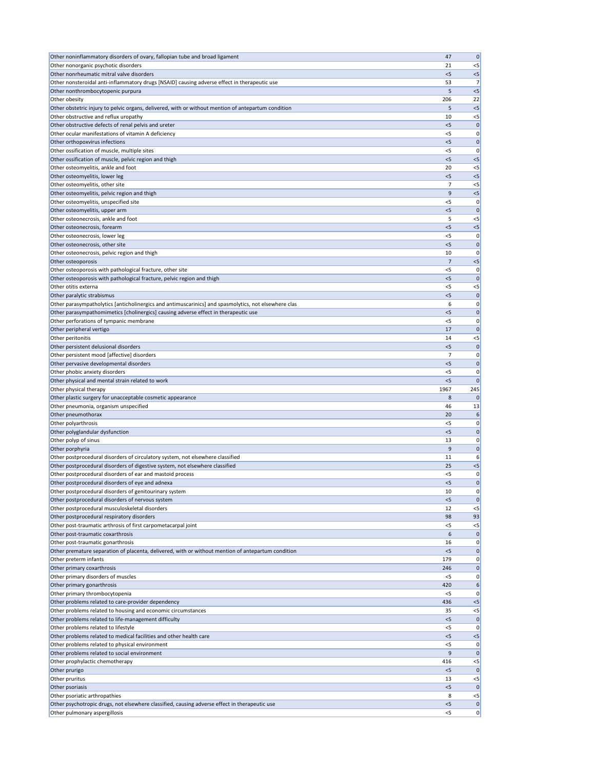| Other noninflammatory disorders of ovary, fallopian tube and broad ligament                                                    | 47             | 0              |
|--------------------------------------------------------------------------------------------------------------------------------|----------------|----------------|
| Other nonorganic psychotic disorders                                                                                           | 21             | $<$ 5          |
| Other nonrheumatic mitral valve disorders                                                                                      | $<$ 5          | $<$ 5          |
| Other nonsteroidal anti-inflammatory drugs [NSAID] causing adverse effect in therapeutic use                                   | 53             | 7              |
| Other nonthrombocytopenic purpura                                                                                              | 5              | $<$ 5          |
| Other obesity                                                                                                                  | 206            | 22             |
| Other obstetric injury to pelvic organs, delivered, with or without mention of antepartum condition                            | 5              | $<$ 5          |
| Other obstructive and reflux uropathy                                                                                          | 10             | $<$ 5          |
| Other obstructive defects of renal pelvis and ureter                                                                           | < 5            | $\mathbf 0$    |
| Other ocular manifestations of vitamin A deficiency                                                                            | <5             | 0              |
| Other orthopoxvirus infections<br>Other ossification of muscle, multiple sites                                                 | $<$ 5<br>$<$ 5 | 0<br>0         |
| Other ossification of muscle, pelvic region and thigh                                                                          | < 5            | $<$ 5          |
| Other osteomyelitis, ankle and foot                                                                                            | 20             | $<$ 5          |
| Other osteomyelitis, lower leg                                                                                                 | $<$ 5          | $<$ 5          |
| Other osteomyelitis, other site                                                                                                | 7              | $<$ 5          |
| Other osteomyelitis, pelvic region and thigh                                                                                   | 9              | $<$ 5          |
| Other osteomyelitis, unspecified site                                                                                          | <5             | 0              |
| Other osteomyelitis, upper arm                                                                                                 | < 5            | $\mathbf 0$    |
| Other osteonecrosis, ankle and foot                                                                                            | 5              | $<$ 5          |
| Other osteonecrosis, forearm                                                                                                   | $<$ 5          | $<$ 5          |
| Other osteonecrosis, lower leg                                                                                                 | $<$ 5          | 0              |
| Other osteonecrosis, other site                                                                                                | $<$ 5          | $\Omega$       |
| Other osteonecrosis, pelvic region and thigh                                                                                   | 10             | 0              |
| Other osteoporosis                                                                                                             | 7              | $<$ 5          |
| Other osteoporosis with pathological fracture, other site                                                                      | <5             | 0              |
| Other osteoporosis with pathological fracture, pelvic region and thigh                                                         | < 5            | $\mathbf 0$    |
| Other otitis externa                                                                                                           | <5             | $<$ 5          |
| Other paralytic strabismus                                                                                                     | $<$ 5          | $\mathbf 0$    |
| Other parasympatholytics [anticholinergics and antimuscarinics] and spasmolytics, not elsewhere clas                           | 6              | 0              |
| Other parasympathomimetics [cholinergics] causing adverse effect in therapeutic use                                            | $<$ 5          | 0              |
| Other perforations of tympanic membrane                                                                                        | $<$ 5          | 0              |
| Other peripheral vertigo                                                                                                       | 17             |                |
| Other peritonitis                                                                                                              | 14             | $<$ 5          |
| Other persistent delusional disorders                                                                                          | < 5            |                |
| Other persistent mood [affective] disorders                                                                                    | 7              | 0              |
| Other pervasive developmental disorders                                                                                        | < 5            | $\mathbf 0$    |
| Other phobic anxiety disorders                                                                                                 | $<$ 5<br>$<$ 5 |                |
|                                                                                                                                |                |                |
| Other physical and mental strain related to work                                                                               |                | 0              |
| Other physical therapy                                                                                                         | 1967           | 245            |
| Other plastic surgery for unacceptable cosmetic appearance                                                                     | 8              |                |
| Other pneumonia, organism unspecified                                                                                          | 46             | 13             |
| Other pneumothorax                                                                                                             | 20             |                |
| Other polyarthrosis                                                                                                            | <5<br>$<$ 5    | 0<br>$\Omega$  |
| Other polyglandular dysfunction                                                                                                | 13             | 0              |
| Other polyp of sinus<br>Other porphyria                                                                                        | 9              | $\mathbf 0$    |
| Other postprocedural disorders of circulatory system, not elsewhere classified                                                 | 11             |                |
| Other postprocedural disorders of digestive system, not elsewhere classified                                                   | 25             | $<$ 5          |
| Other postprocedural disorders of ear and mastoid process                                                                      | $<$ 5          | O              |
| Other postprocedural disorders of eye and adnexa                                                                               | < 5            | $\Omega$       |
| Other postprocedural disorders of genitourinary system                                                                         | 10             | 0              |
| Other postprocedural disorders of nervous system                                                                               | $<$ 5          |                |
| Other postprocedural musculoskeletal disorders                                                                                 | 12             | $<$ 5          |
| Other postprocedural respiratory disorders                                                                                     | 98             | 93             |
| Other post-traumatic arthrosis of first carpometacarpal joint                                                                  | <5             | $<$ 5          |
| Other post-traumatic coxarthrosis                                                                                              | 6              | $\mathbf 0$    |
| Other post-traumatic gonarthrosis                                                                                              | 16             |                |
| Other premature separation of placenta, delivered, with or without mention of antepartum condition                             | $<$ 5          | $\Omega$       |
| Other preterm infants                                                                                                          | 179            | O              |
| Other primary coxarthrosis                                                                                                     | 246            | $\Omega$       |
| Other primary disorders of muscles                                                                                             | <5             | 0              |
| Other primary gonarthrosis                                                                                                     | 420            | 6              |
| Other primary thrombocytopenia                                                                                                 | $<$ 5          | 0              |
| Other problems related to care-provider dependency                                                                             | 436<br>35      | $<$ 5<br>$<$ 5 |
| Other problems related to housing and economic circumstances<br>Other problems related to life-management difficulty           | < 5            | 0              |
| Other problems related to lifestyle                                                                                            | $<$ 5          | 0              |
| Other problems related to medical facilities and other health care                                                             | < 5            | $<$ 5          |
| Other problems related to physical environment                                                                                 | $<$ 5          | 0              |
| Other problems related to social environment                                                                                   | 9              |                |
| Other prophylactic chemotherapy                                                                                                | 416            | $<$ 5          |
| Other prurigo                                                                                                                  | $<$ 5          |                |
| Other pruritus                                                                                                                 | 13             | $<$ 5          |
| Other psoriasis                                                                                                                | $<$ 5          | $\mathbf 0$    |
| Other psoriatic arthropathies                                                                                                  | 8              | $<$ 5          |
| Other psychotropic drugs, not elsewhere classified, causing adverse effect in therapeutic use<br>Other pulmonary aspergillosis | < 5<br>$<$ 5   | 0<br>0         |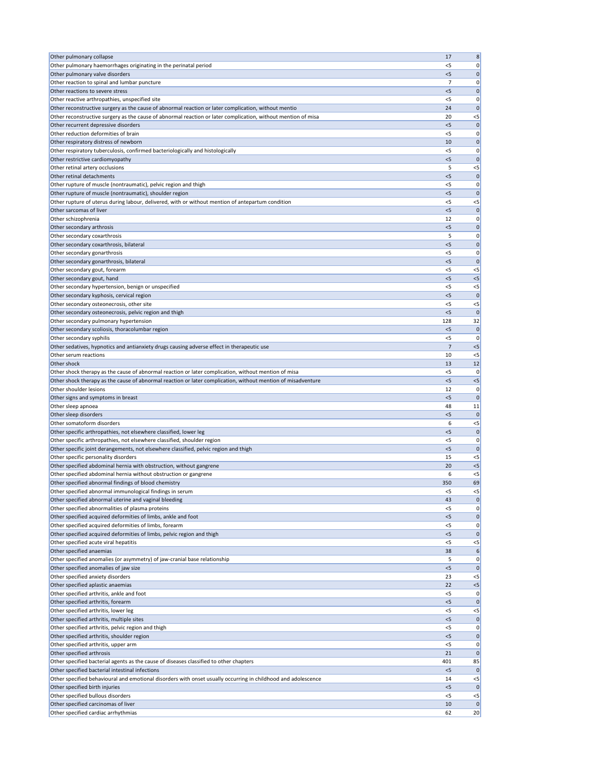| Other pulmonary collapse                                                                                                                     | 17           | 8                                    |
|----------------------------------------------------------------------------------------------------------------------------------------------|--------------|--------------------------------------|
| Other pulmonary haemorrhages originating in the perinatal period                                                                             | $<$ 5        | 0                                    |
| Other pulmonary valve disorders                                                                                                              | $<$ 5        | 0                                    |
| Other reaction to spinal and lumbar puncture                                                                                                 | 7            | 0                                    |
| Other reactions to severe stress                                                                                                             | $<$ 5        | $\mathbf 0$                          |
| Other reactive arthropathies, unspecified site                                                                                               | $<$ 5        | 0                                    |
| Other reconstructive surgery as the cause of abnormal reaction or later complication, without mentio                                         | 24           | $\mathbf 0$                          |
| Other reconstructive surgery as the cause of abnormal reaction or later complication, without mention of misa                                | 20           | $<$ 5                                |
| Other recurrent depressive disorders                                                                                                         | < 5          | $\mathbf 0$                          |
| Other reduction deformities of brain                                                                                                         | $<$ 5        | 0                                    |
| Other respiratory distress of newborn                                                                                                        | 10           | $\mathbf 0$                          |
| Other respiratory tuberculosis, confirmed bacteriologically and histologically                                                               | $<$ 5        | 0                                    |
| Other restrictive cardiomyopathy                                                                                                             | $<$ 5        | $\mathbf 0$                          |
| Other retinal artery occlusions                                                                                                              | 5            | $< 5$                                |
| Other retinal detachments                                                                                                                    | $<$ 5        | $\mathbf 0$                          |
| Other rupture of muscle (nontraumatic), pelvic region and thigh                                                                              | $<$ 5        | 0                                    |
| Other rupture of muscle (nontraumatic), shoulder region                                                                                      | < 5          | $\mathbf{0}$                         |
| Other rupture of uterus during labour, delivered, with or without mention of antepartum condition                                            | $<$ 5        | $<$ 5                                |
| Other sarcomas of liver                                                                                                                      | < 5          | $\mathbf 0$                          |
| Other schizophrenia                                                                                                                          | 12           | 0                                    |
| Other secondary arthrosis                                                                                                                    | $<$ 5        | $\mathbf 0$                          |
| Other secondary coxarthrosis                                                                                                                 | 5            | 0                                    |
| Other secondary coxarthrosis, bilateral                                                                                                      | < 5          | $\mathbf 0$                          |
| Other secondary gonarthrosis                                                                                                                 | $<$ 5        | 0                                    |
| Other secondary gonarthrosis, bilateral                                                                                                      | $<$ 5        | $\mathbf 0$                          |
| Other secondary gout, forearm                                                                                                                | $<$ 5        | $<$ 5                                |
| Other secondary gout, hand                                                                                                                   | < 5          | $< 5$                                |
| Other secondary hypertension, benign or unspecified                                                                                          | $<$ 5        | $<$ 5                                |
| Other secondary kyphosis, cervical region                                                                                                    | $<$ 5        | $\mathbf{0}$                         |
| Other secondary osteonecrosis, other site                                                                                                    | $<$ 5        | $<$ 5                                |
| Other secondary osteonecrosis, pelvic region and thigh                                                                                       | $<$ 5        | 0                                    |
| Other secondary pulmonary hypertension                                                                                                       | 128          | 32                                   |
| Other secondary scoliosis, thoracolumbar region                                                                                              | $<$ 5        | 0                                    |
| Other secondary syphilis                                                                                                                     | $<$ 5        | 0                                    |
| Other sedatives, hypnotics and antianxiety drugs causing adverse effect in therapeutic use                                                   | 7            | < 5                                  |
| Other serum reactions                                                                                                                        | 10           | $<$ 5                                |
| Other shock                                                                                                                                  | 13           | 12                                   |
| Other shock therapy as the cause of abnormal reaction or later complication, without mention of misa                                         | $<$ 5        | 0                                    |
| Other shock therapy as the cause of abnormal reaction or later complication, without mention of misadventure                                 | < 5          | $<$ 5                                |
| Other shoulder lesions                                                                                                                       | 12           | 0                                    |
| Other signs and symptoms in breast                                                                                                           | $<$ 5<br>48  | $\mathbf 0$                          |
| Other sleep apnoea                                                                                                                           |              | 11                                   |
| Other sleep disorders                                                                                                                        | $<$ 5        | $\mathbf 0$                          |
| Other somatoform disorders                                                                                                                   | 6<br>< 5     | $<$ 5                                |
| Other specific arthropathies, not elsewhere classified, lower leg<br>Other specific arthropathies, not elsewhere classified, shoulder region | $<$ 5        | $\mathbf 0$<br>0                     |
| Other specific joint derangements, not elsewhere classified, pelvic region and thigh                                                         | < 5          | $\mathbf 0$                          |
|                                                                                                                                              |              | $<$ 5                                |
|                                                                                                                                              |              | $<$ 5                                |
| Other specific personality disorders                                                                                                         | 15           |                                      |
| Other specified abdominal hernia with obstruction, without gangrene                                                                          | 20           |                                      |
| Other specified abdominal hernia without obstruction or gangrene                                                                             | 6            | $<$ 5                                |
| Other specified abnormal findings of blood chemistry                                                                                         | 350          | 69                                   |
| Other specified abnormal immunological findings in serum                                                                                     | $<$ 5        | $<$ 5                                |
| Other specified abnormal uterine and vaginal bleeding                                                                                        | 43           | $\mathbf 0$                          |
| Other specified abnormalities of plasma proteins                                                                                             | $<$ 5        | 0                                    |
| Other specified acquired deformities of limbs, ankle and foot                                                                                | < 5<br>$<$ 5 | $\mathbf 0$                          |
| Other specified acquired deformities of limbs, forearm                                                                                       |              | 0                                    |
| Other specified acquired deformities of limbs, pelvic region and thigh                                                                       | < 5<br>$<$ 5 | $\mathbf 0$                          |
| Other specified acute viral hepatitis                                                                                                        |              | $<$ 5                                |
| Other specified anaemias                                                                                                                     | 38           | 6                                    |
| Other specified anomalies (or asymmetry) of jaw-cranial base relationship                                                                    | 5<br>$<$ 5   | 0<br>$\mathbf 0$                     |
| Other specified anomalies of jaw size                                                                                                        | 23           |                                      |
| Other specified anxiety disorders                                                                                                            |              | $<$ 5                                |
| Other specified aplastic anaemias<br>Other specified arthritis, ankle and foot                                                               | 22<br>$<$ 5  | < 5                                  |
| Other specified arthritis, forearm                                                                                                           | < 5          |                                      |
| Other specified arthritis, lower leg                                                                                                         | $<$ 5        | $<$ 5                                |
| Other specified arthritis, multiple sites                                                                                                    | < 5          |                                      |
| Other specified arthritis, pelvic region and thigh                                                                                           | $<$ 5        |                                      |
| Other specified arthritis, shoulder region                                                                                                   | $<$ 5        |                                      |
| Other specified arthritis, upper arm                                                                                                         | $<$ 5        | 0                                    |
| Other specified arthrosis                                                                                                                    | 21           | $\mathbf 0$                          |
| Other specified bacterial agents as the cause of diseases classified to other chapters                                                       | 401          | 85                                   |
| Other specified bacterial intestinal infections                                                                                              | < 5          | $\mathbf 0$                          |
| Other specified behavioural and emotional disorders with onset usually occurring in childhood and adolescence                                | 14           | $<$ 5                                |
| Other specified birth injuries                                                                                                               | $<$ 5        | $\mathbf 0$                          |
| Other specified bullous disorders                                                                                                            | $<$ 5        | $< 5$                                |
| Other specified carcinomas of liver                                                                                                          | 10           | 0 <br> 0 <br> 0 <br> 0 <br> 0 <br> 0 |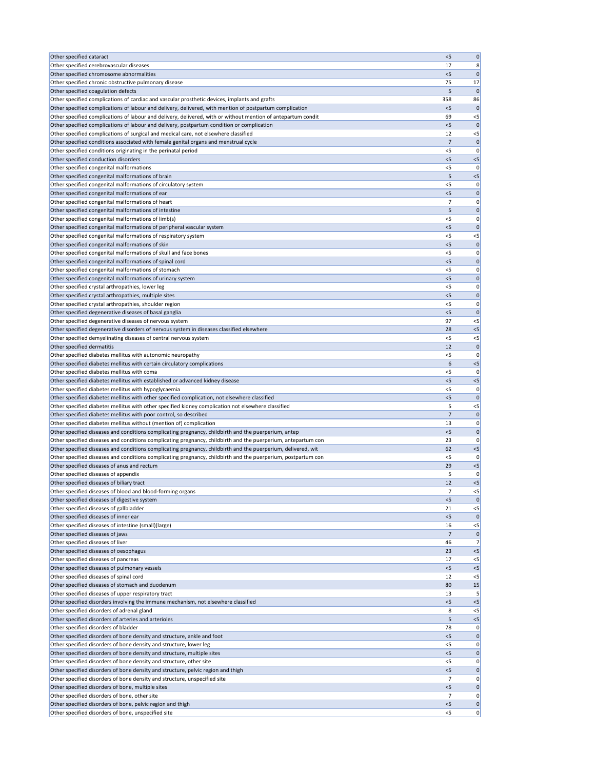| Other specified cataract                                                                                                                                                                                              | < 5          | $\mathbf 0$          |
|-----------------------------------------------------------------------------------------------------------------------------------------------------------------------------------------------------------------------|--------------|----------------------|
| Other specified cerebrovascular diseases                                                                                                                                                                              | 17           | 8                    |
| Other specified chromosome abnormalities                                                                                                                                                                              | $<$ 5        | $\mathbf 0$          |
| Other specified chronic obstructive pulmonary disease<br>Other specified coagulation defects                                                                                                                          | 75<br>5      | 17<br>$\mathbf{0}$   |
| Other specified complications of cardiac and vascular prosthetic devices, implants and grafts                                                                                                                         | 358          | 86                   |
| Other specified complications of labour and delivery, delivered, with mention of postpartum complication                                                                                                              | $<$ 5        | $\mathbf 0$          |
| Other specified complications of labour and delivery, delivered, with or without mention of antepartum condit                                                                                                         | 69           | $<$ 5                |
| Other specified complications of labour and delivery, postpartum condition or complication                                                                                                                            | < 5          | $\mathbf{0}$         |
| Other specified complications of surgical and medical care, not elsewhere classified                                                                                                                                  | 12           | $<$ 5                |
| Other specified conditions associated with female genital organs and menstrual cycle                                                                                                                                  | 7            | $\mathbf 0$          |
| Other specified conditions originating in the perinatal period                                                                                                                                                        | $<$ 5        | 0                    |
| Other specified conduction disorders<br>Other specified congenital malformations                                                                                                                                      | < 5          | $<$ 5                |
| Other specified congenital malformations of brain                                                                                                                                                                     | $<$ 5<br>5   | 0<br>$<$ 5           |
| Other specified congenital malformations of circulatory system                                                                                                                                                        | $<$ 5        | 0                    |
| Other specified congenital malformations of ear                                                                                                                                                                       | $<$ 5        | $\mathbf 0$          |
| Other specified congenital malformations of heart                                                                                                                                                                     | 7            | 0                    |
| Other specified congenital malformations of intestine                                                                                                                                                                 | 5            | $\mathbf 0$          |
| Other specified congenital malformations of limb(s)                                                                                                                                                                   | <5           | 0                    |
| Other specified congenital malformations of peripheral vascular system                                                                                                                                                | < 5          | $\mathbf 0$          |
| Other specified congenital malformations of respiratory system                                                                                                                                                        | $<$ 5        | $<$ 5                |
| Other specified congenital malformations of skin<br>Other specified congenital malformations of skull and face bones                                                                                                  | < 5<br>$<$ 5 | $\mathbf 0$          |
| Other specified congenital malformations of spinal cord                                                                                                                                                               | $<$ 5        | 0<br>$\mathbf{0}$    |
| Other specified congenital malformations of stomach                                                                                                                                                                   | $<$ 5        | 0                    |
| Other specified congenital malformations of urinary system                                                                                                                                                            | < 5          | $\mathbf 0$          |
| Other specified crystal arthropathies, lower leg                                                                                                                                                                      | $<$ 5        | 0                    |
| Other specified crystal arthropathies, multiple sites                                                                                                                                                                 | $<$ 5        | $\mathbf 0$          |
| Other specified crystal arthropathies, shoulder region                                                                                                                                                                | <5           | 0                    |
| Other specified degenerative diseases of basal ganglia                                                                                                                                                                | $<$ 5        | 0                    |
| Other specified degenerative diseases of nervous system                                                                                                                                                               | 97           | $<$ 5                |
| Other specified degenerative disorders of nervous system in diseases classified elsewhere                                                                                                                             | 28           | < 5                  |
| Other specified demyelinating diseases of central nervous system                                                                                                                                                      | < 5          | $<$ 5                |
| Other specified dermatitis<br>Other specified diabetes mellitus with autonomic neuropathy                                                                                                                             | 12<br>$<$ 5  | $\mathbf 0$<br>0     |
| Other specified diabetes mellitus with certain circulatory complications                                                                                                                                              | 6            | $< 5$                |
| Other specified diabetes mellitus with coma                                                                                                                                                                           | <5           | 0                    |
| Other specified diabetes mellitus with established or advanced kidney disease                                                                                                                                         | < 5          | $< 5$                |
| Other specified diabetes mellitus with hypoglycaemia                                                                                                                                                                  | <5           | 0                    |
| Other specified diabetes mellitus with other specified complication, not elsewhere classified                                                                                                                         | $<$ 5        | $\mathbf 0$          |
| Other specified diabetes mellitus with other specified kidney complication not elsewhere classified                                                                                                                   | 5            | $<$ 5                |
| Other specified diabetes mellitus with poor control, so described                                                                                                                                                     | 7            | $\mathbf 0$          |
| Other specified diabetes mellitus without (mention of) complication                                                                                                                                                   | 13           | 0                    |
| Other specified diseases and conditions complicating pregnancy, childbirth and the puerperium, antep<br>Other specified diseases and conditions complicating pregnancy, childbirth and the puerperium, antepartum con | < 5<br>23    | $\mathbf 0$<br>0     |
| Other specified diseases and conditions complicating pregnancy, childbirth and the puerperium, delivered, wit                                                                                                         | 62           | $< 5$                |
| Other specified diseases and conditions complicating pregnancy, childbirth and the puerperium, postpartum con                                                                                                         | <5           | 0                    |
| Other specified diseases of anus and rectum                                                                                                                                                                           | 29           | $< 5$                |
| Other specified diseases of appendix                                                                                                                                                                                  | 5            | 0                    |
| Other specified diseases of biliary tract                                                                                                                                                                             | 12           | < 5                  |
| Other specified diseases of blood and blood-forming organs                                                                                                                                                            | 7            | $<$ 5                |
| Other specified diseases of digestive system                                                                                                                                                                          | $<$ 5        | $\mathbf 0$          |
| Other specified diseases of gallbladder                                                                                                                                                                               | 21           | $<$ 5                |
| Other specified diseases of inner ear<br>Other specified diseases of intestine (small)(large)                                                                                                                         | < 5          | $\mathbf 0$          |
| Other specified diseases of jaws                                                                                                                                                                                      | 16<br>7      | $< 5$<br>$\mathbf 0$ |
| Other specified diseases of liver                                                                                                                                                                                     | 46           | 7 <sup>1</sup>       |
| Other specified diseases of oesophagus                                                                                                                                                                                | 23           | $<$ 5                |
| Other specified diseases of pancreas                                                                                                                                                                                  | 17           | $<$ 5                |
| Other specified diseases of pulmonary vessels                                                                                                                                                                         | < 5          | $< 5$                |
| Other specified diseases of spinal cord                                                                                                                                                                               | 12           | $<$ 5                |
| Other specified diseases of stomach and duodenum                                                                                                                                                                      | 80           | 15                   |
| Other specified diseases of upper respiratory tract                                                                                                                                                                   | 13           | 5                    |
| Other specified disorders involving the immune mechanism, not elsewhere classified                                                                                                                                    | < 5          | < 5                  |
| Other specified disorders of adrenal gland<br>Other specified disorders of arteries and arterioles                                                                                                                    | 8<br>5       | $<$ 5<br>$<$ 5       |
| Other specified disorders of bladder                                                                                                                                                                                  | 78           | 0                    |
| Other specified disorders of bone density and structure, ankle and foot                                                                                                                                               | < 5          | 0                    |
| Other specified disorders of bone density and structure, lower leg                                                                                                                                                    | $<$ 5        | 0                    |
| Other specified disorders of bone density and structure, multiple sites                                                                                                                                               | $<$ 5        | 0                    |
| Other specified disorders of bone density and structure, other site                                                                                                                                                   | $<$ 5        | 0                    |
| Other specified disorders of bone density and structure, pelvic region and thigh                                                                                                                                      | < 5          | 0                    |
| Other specified disorders of bone density and structure, unspecified site                                                                                                                                             | 7            | 0                    |
| Other specified disorders of bone, multiple sites                                                                                                                                                                     | $<$ 5        | 0                    |
| Other specified disorders of bone, other site                                                                                                                                                                         | 7            | 0                    |
| Other specified disorders of bone, pelvic region and thigh<br>Other specified disorders of bone, unspecified site                                                                                                     | < 5<br>$<$ 5 | 0 <br> 0             |
|                                                                                                                                                                                                                       |              |                      |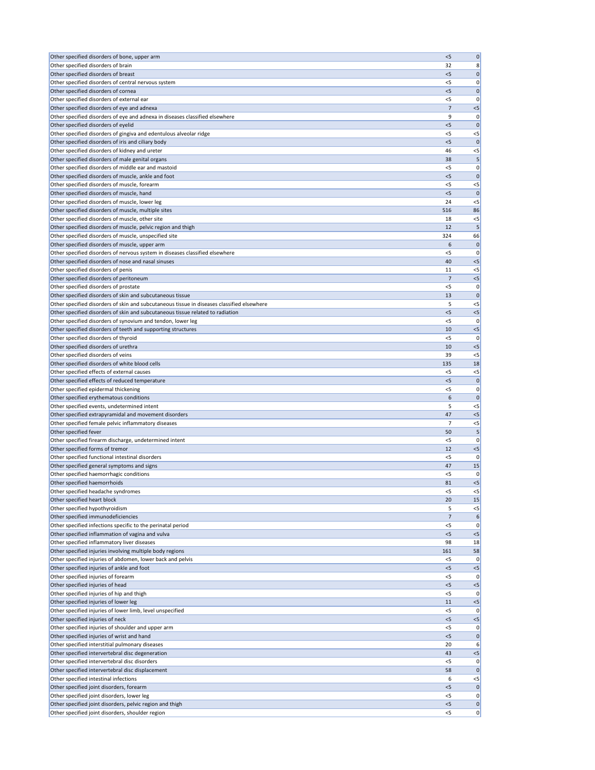| Other specified disorders of bone, upper arm                                               | < 5            | $\mathbf 0$          |
|--------------------------------------------------------------------------------------------|----------------|----------------------|
| Other specified disorders of brain                                                         | 32             | 8                    |
| Other specified disorders of breast                                                        | $<$ 5          | 0                    |
| Other specified disorders of central nervous system                                        | $<$ 5          | 0                    |
| Other specified disorders of cornea                                                        | $<$ 5          | $\mathbf 0$          |
| Other specified disorders of external ear                                                  | < 5            | 0                    |
| Other specified disorders of eye and adnexa                                                | 7              | $< 5$                |
| Other specified disorders of eye and adnexa in diseases classified elsewhere               | 9              | 0                    |
| Other specified disorders of eyelid                                                        | < 5            | $\mathbf{0}$         |
| Other specified disorders of gingiva and edentulous alveolar ridge                         | <5             | $<$ 5                |
| Other specified disorders of iris and ciliary body                                         | < 5            | $\mathbf{0}$         |
| Other specified disorders of kidney and ureter                                             | 46             | $<$ 5                |
| Other specified disorders of male genital organs                                           | 38             | 5                    |
| Other specified disorders of middle ear and mastoid                                        | < 5            | 0                    |
| Other specified disorders of muscle, ankle and foot                                        | $<$ 5          | $\mathbf 0$          |
| Other specified disorders of muscle, forearm                                               | $<$ 5          | $<$ 5                |
| Other specified disorders of muscle, hand                                                  | < 5            | $\mathbf{0}$         |
| Other specified disorders of muscle, lower leg                                             | 24             | $<$ 5                |
| Other specified disorders of muscle, multiple sites                                        | 516            | 86                   |
| Other specified disorders of muscle, other site                                            | 18             | $<$ 5                |
| Other specified disorders of muscle, pelvic region and thigh                               | 12             | 5                    |
| Other specified disorders of muscle, unspecified site                                      | 324            | 66                   |
| Other specified disorders of muscle, upper arm                                             | 6              | $\mathbf 0$          |
| Other specified disorders of nervous system in diseases classified elsewhere               | < 5            | 0                    |
| Other specified disorders of nose and nasal sinuses                                        | 40             | < 5                  |
| Other specified disorders of penis                                                         | 11             | $<$ 5                |
| Other specified disorders of peritoneum                                                    | 7              | $< 5$                |
| Other specified disorders of prostate                                                      | $<$ 5          | 0                    |
| Other specified disorders of skin and subcutaneous tissue                                  | 13             | $\mathbf{0}$         |
| Other specified disorders of skin and subcutaneous tissue in diseases classified elsewhere | 5              | $<$ 5                |
| Other specified disorders of skin and subcutaneous tissue related to radiation             | $<$ 5          | $<$ 5                |
| Other specified disorders of synovium and tendon, lower leg                                | $<$ 5          | 0                    |
| Other specified disorders of teeth and supporting structures                               | 10             | $<$ 5                |
| Other specified disorders of thyroid                                                       | $<$ 5          | 0                    |
| Other specified disorders of urethra                                                       | 10             | $<$ 5                |
| Other specified disorders of veins                                                         | 39             | $<$ 5                |
| Other specified disorders of white blood cells                                             | 135            | 18                   |
|                                                                                            |                |                      |
| Other specified effects of external causes                                                 | <5             | $<$ 5                |
| Other specified effects of reduced temperature                                             | < 5            | $\mathbf 0$          |
| Other specified epidermal thickening                                                       | $<$ 5          | 0                    |
| Other specified erythematous conditions                                                    | 6              | $\mathbf 0$          |
| Other specified events, undetermined intent                                                | 5              | $<$ 5                |
| Other specified extrapyramidal and movement disorders                                      | 47             | $<$ 5                |
| Other specified female pelvic inflammatory diseases                                        | 7              | $<$ 5                |
| Other specified fever                                                                      | 50             | 5                    |
| Other specified firearm discharge, undetermined intent                                     | $<$ 5          | 0                    |
| Other specified forms of tremor                                                            | 12             | $<$ 5                |
| Other specified functional intestinal disorders                                            | <5             | 0                    |
| Other specified general symptoms and signs                                                 | 47             | 15                   |
| Other specified haemorrhagic conditions                                                    | <5             | 0                    |
| Other specified haemorrhoids                                                               | 81             | $<$ 5                |
| Other specified headache syndromes                                                         | $<$ 5          | $<$ 5                |
| Other specified heart block                                                                | 20             | 15                   |
| Other specified hypothyroidism                                                             | 5              | $<$ 5                |
| Other specified immunodeficiencies                                                         | $\overline{7}$ | 6                    |
| Other specified infections specific to the perinatal period                                | $<$ 5          | 0                    |
| Other specified inflammation of vagina and vulva                                           | < 5            | $<$ 5                |
| Other specified inflammatory liver diseases                                                | 98             | 18                   |
| Other specified injuries involving multiple body regions                                   | 161            | 58                   |
| Other specified injuries of abdomen, lower back and pelvis                                 | <5             | 0                    |
| Other specified injuries of ankle and foot                                                 | < 5            | $<$ 5                |
| Other specified injuries of forearm                                                        | <5             | 0                    |
| Other specified injuries of head                                                           | <5             | $< 5$                |
| Other specified injuries of hip and thigh                                                  | $<$ 5          | 0                    |
| Other specified injuries of lower leg                                                      | 11             | $< 5$                |
| Other specified injuries of lower limb, level unspecified                                  | $<$ 5          |                      |
| Other specified injuries of neck                                                           | < 5            | 0 <br>< 5            |
| Other specified injuries of shoulder and upper arm                                         | $<$ 5          | 0                    |
| Other specified injuries of wrist and hand                                                 | < 5            | $\mathbf 0$          |
| Other specified interstitial pulmonary diseases                                            | 20             | 6                    |
| Other specified intervertebral disc degeneration                                           | 43<br>< 5      | $<$ 5<br>0           |
| Other specified intervertebral disc disorders                                              |                | $\mathbf 0$          |
| Other specified intervertebral disc displacement                                           | 58             |                      |
| Other specified intestinal infections                                                      | 6<br>< 5       | $<$ 5<br>$\mathbf 0$ |
| Other specified joint disorders, forearm<br>Other specified joint disorders, lower leg     | <5             |                      |
| Other specified joint disorders, pelvic region and thigh                                   | < 5            | 0 <br> 0             |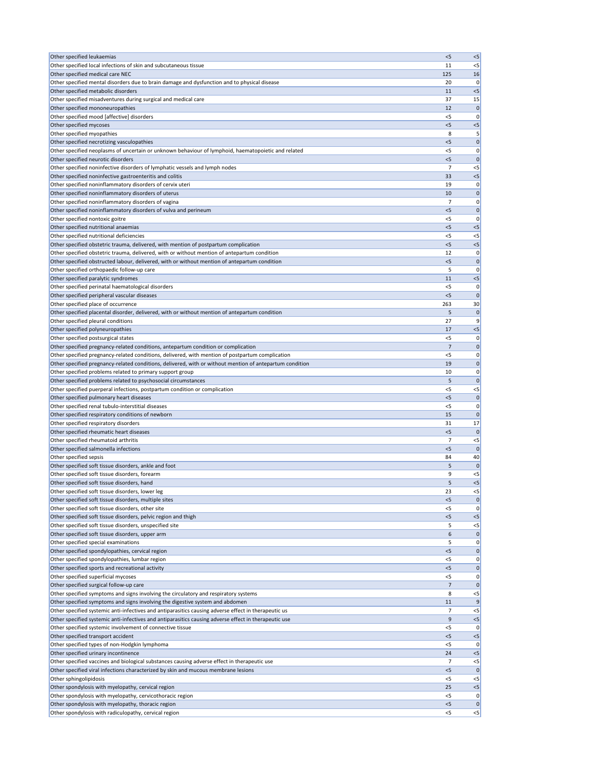| Other specified leukaemias                                                                                                                                                                                    | < 5          | < 5                |
|---------------------------------------------------------------------------------------------------------------------------------------------------------------------------------------------------------------|--------------|--------------------|
| Other specified local infections of skin and subcutaneous tissue                                                                                                                                              | 11           | $<$ 5              |
| Other specified medical care NEC                                                                                                                                                                              | 125          | 16                 |
| Other specified mental disorders due to brain damage and dysfunction and to physical disease                                                                                                                  | 20           | 0                  |
| Other specified metabolic disorders                                                                                                                                                                           | 11           | $<$ 5              |
| Other specified misadventures during surgical and medical care                                                                                                                                                | 37           | 15                 |
| Other specified mononeuropathies                                                                                                                                                                              | 12           | $\mathbf 0$        |
| Other specified mood [affective] disorders<br>Other specified mycoses                                                                                                                                         | $<$ 5<br>< 5 | 0<br>$< 5$         |
| Other specified myopathies                                                                                                                                                                                    | 8            | 5                  |
| Other specified necrotizing vasculopathies                                                                                                                                                                    | < 5          | $\mathbf 0$        |
| Other specified neoplasms of uncertain or unknown behaviour of lymphoid, haematopoietic and related                                                                                                           | <5           | 0                  |
| Other specified neurotic disorders                                                                                                                                                                            | < 5          | $\mathbf 0$        |
| Other specified noninfective disorders of lymphatic vessels and lymph nodes                                                                                                                                   | 7            | $<$ 5              |
| Other specified noninfective gastroenteritis and colitis                                                                                                                                                      | 33           | $<$ 5              |
| Other specified noninflammatory disorders of cervix uteri                                                                                                                                                     | 19           | 0                  |
| Other specified noninflammatory disorders of uterus                                                                                                                                                           | 10           | $\mathbf 0$        |
| Other specified noninflammatory disorders of vagina                                                                                                                                                           | 7            | 0                  |
| Other specified noninflammatory disorders of vulva and perineum                                                                                                                                               | < 5          | $\mathbf 0$        |
| Other specified nontoxic goitre                                                                                                                                                                               | <5           | 0                  |
| Other specified nutritional anaemias                                                                                                                                                                          | < 5          | $<$ 5              |
| Other specified nutritional deficiencies                                                                                                                                                                      | <5           | $<$ 5              |
| Other specified obstetric trauma, delivered, with mention of postpartum complication                                                                                                                          | < 5          | $<$ 5              |
| Other specified obstetric trauma, delivered, with or without mention of antepartum condition                                                                                                                  | 12           | 0                  |
| Other specified obstructed labour, delivered, with or without mention of antepartum condition                                                                                                                 | $<$ 5        | $\mathbf 0$        |
| Other specified orthopaedic follow-up care                                                                                                                                                                    | 5<br>11      | 0<br>$<$ 5         |
| Other specified paralytic syndromes<br>Other specified perinatal haematological disorders                                                                                                                     | $<$ 5        |                    |
| Other specified peripheral vascular diseases                                                                                                                                                                  | < 5          | 0<br>$\mathbf{0}$  |
| Other specified place of occurrence                                                                                                                                                                           | 263          | 30                 |
| Other specified placental disorder, delivered, with or without mention of antepartum condition                                                                                                                | 5            | $\mathbf 0$        |
| Other specified pleural conditions                                                                                                                                                                            | 27           | 9                  |
| Other specified polyneuropathies                                                                                                                                                                              | 17           | $<$ 5              |
| Other specified postsurgical states                                                                                                                                                                           | < 5          | 0                  |
| Other specified pregnancy-related conditions, antepartum condition or complication                                                                                                                            | 7            | $\mathbf 0$        |
| Other specified pregnancy-related conditions, delivered, with mention of postpartum complication                                                                                                              | $<$ 5        | 0                  |
| Other specified pregnancy-related conditions, delivered, with or without mention of antepartum condition                                                                                                      | 19           | $\mathbf{0}$       |
| Other specified problems related to primary support group                                                                                                                                                     | 10           | 0                  |
| Other specified problems related to psychosocial circumstances                                                                                                                                                | 5            | $\mathbf 0$        |
| Other specified puerperal infections, postpartum condition or complication                                                                                                                                    | $<$ 5        | $< 5$              |
| Other specified pulmonary heart diseases                                                                                                                                                                      | $<$ 5        | $\mathbf 0$        |
| Other specified renal tubulo-interstitial diseases                                                                                                                                                            | $<$ 5        | 0                  |
| Other specified respiratory conditions of newborn                                                                                                                                                             | 15           | $\mathbf{0}$       |
| Other specified respiratory disorders                                                                                                                                                                         | 31           | 17                 |
| Other specified rheumatic heart diseases                                                                                                                                                                      | $<$ 5        | $\mathbf 0$        |
| Other specified rheumatoid arthritis                                                                                                                                                                          | 7            | $<$ 5              |
| Other specified salmonella infections<br>Other specified sepsis                                                                                                                                               | < 5<br>84    | $\mathbf{0}$<br>40 |
| Other specified soft tissue disorders, ankle and foot                                                                                                                                                         | 5            | $\mathbf 0$        |
| Other specified soft tissue disorders, forearm                                                                                                                                                                | 9            | $<$ 5              |
| Other specified soft tissue disorders, hand                                                                                                                                                                   | 5            | $<$ 5              |
| Other specified soft tissue disorders, lower leg                                                                                                                                                              | 23           | $<$ 5              |
| Other specified soft tissue disorders, multiple sites                                                                                                                                                         | $<$ 5        | $\mathbf 0$        |
| Other specified soft tissue disorders, other site                                                                                                                                                             | < 5          | 0                  |
| Other specified soft tissue disorders, pelvic region and thigh                                                                                                                                                | < 5          | < 5                |
| Other specified soft tissue disorders, unspecified site                                                                                                                                                       | 5            | $< 5$              |
| Other specified soft tissue disorders, upper arm                                                                                                                                                              | 6            | $\mathbf 0$        |
| Other specified special examinations                                                                                                                                                                          | 5            | 0                  |
| Other specified spondylopathies, cervical region                                                                                                                                                              | $<$ 5        | $\mathbf 0$        |
| Other specified spondylopathies, lumbar region                                                                                                                                                                | <5           | 0                  |
| Other specified sports and recreational activity                                                                                                                                                              | < 5          | 0                  |
| Other specified superficial mycoses                                                                                                                                                                           | $<$ 5        | 0                  |
| Other specified surgical follow-up care                                                                                                                                                                       | 7            | $\mathbf 0$        |
| Other specified symptoms and signs involving the circulatory and respiratory systems                                                                                                                          | 8            | $<$ 5              |
| Other specified symptoms and signs involving the digestive system and abdomen                                                                                                                                 | 11           | 9                  |
| Other specified systemic anti-infectives and antiparasitics causing adverse effect in therapeutic us<br>Other specified systemic anti-infectives and antiparasitics causing adverse effect in therapeutic use | 7<br>9       | $<$ 5<br>$<$ 5     |
| Other specified systemic involvement of connective tissue                                                                                                                                                     | $<$ 5        | 0                  |
| Other specified transport accident                                                                                                                                                                            | < 5          | $< 5$              |
| Other specified types of non-Hodgkin lymphoma                                                                                                                                                                 | $<$ 5        | 0                  |
| Other specified urinary incontinence                                                                                                                                                                          | 24           | $<$ 5              |
| Other specified vaccines and biological substances causing adverse effect in therapeutic use                                                                                                                  | 7            | $<$ 5              |
| Other specified viral infections characterized by skin and mucous membrane lesions                                                                                                                            | < 5          | $\mathbf 0$        |
| Other sphingolipidosis                                                                                                                                                                                        | $<$ 5        | $<$ 5              |
| Other spondylosis with myelopathy, cervical region                                                                                                                                                            | 25           | $<$ 5              |
| Other spondylosis with myelopathy, cervicothoracic region                                                                                                                                                     | $<$ 5        | 0                  |
| Other spondylosis with myelopathy, thoracic region                                                                                                                                                            | < 5          | 0                  |
| Other spondylosis with radiculopathy, cervical region                                                                                                                                                         | $<$ 5        | $\leq$             |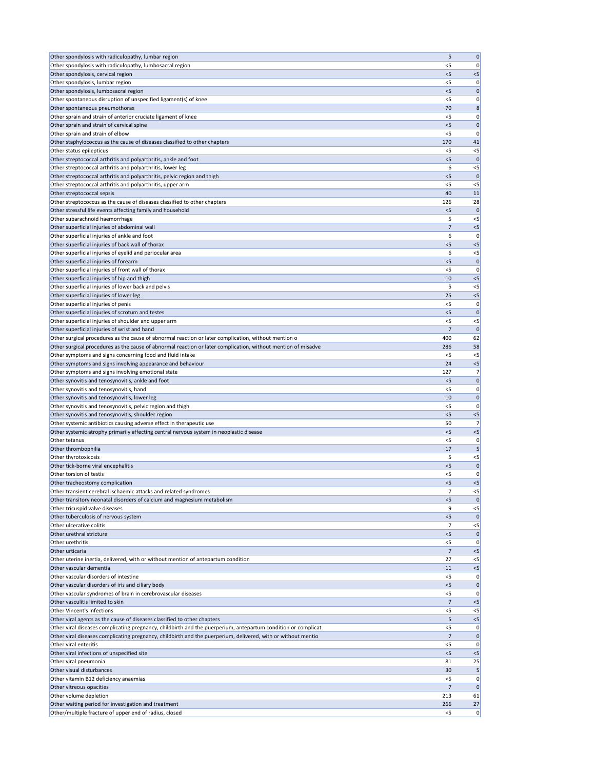| Other spondylosis with radiculopathy, lumbosacral region<br>0<br><5<br>Other spondylosis, cervical region<br>< 5<br>$<$ 5<br>Other spondylosis, lumbar region<br>< 5<br>0<br>Other spondylosis, lumbosacral region<br>$<$ 5<br>0<br>Other spontaneous disruption of unspecified ligament(s) of knee<br>0<br><5<br>70<br>8<br>Other spontaneous pneumothorax<br>Other sprain and strain of anterior cruciate ligament of knee<br>0<br>$<$ 5<br>Other sprain and strain of cervical spine<br>< 5<br>$\mathbf 0$<br>Other sprain and strain of elbow<br><5<br>C<br>Other staphylococcus as the cause of diseases classified to other chapters<br>170<br>41<br>$<$ 5<br>$<$ 5<br>Other status epilepticus<br>Other streptococcal arthritis and polyarthritis, ankle and foot<br>< 5<br>C<br>Other streptococcal arthritis and polyarthritis, lower leg<br>6<br>$<$ 5<br>Other streptococcal arthritis and polyarthritis, pelvic region and thigh<br>$<$ 5<br>C<br>Other streptococcal arthritis and polyarthritis, upper arm<br>$<$ 5<br><5<br>Other streptococcal sepsis<br>40<br>11<br>Other streptococcus as the cause of diseases classified to other chapters<br>28<br>126<br>Other stressful life events affecting family and household<br>$<$ 5<br>$\mathbf 0$<br>Other subarachnoid haemorrhage<br>5<br>$<$ 5<br>Other superficial injuries of abdominal wall<br>7<br>$<$ 5<br>Other superficial injuries of ankle and foot<br>6<br>$\mathbf 0$<br>Other superficial injuries of back wall of thorax<br>$<$ 5<br>$<$ 5<br>Other superficial injuries of eyelid and periocular area<br>6<br>$<$ 5<br>Other superficial injuries of forearm<br>< 5<br>0<br>Other superficial injuries of front wall of thorax<br><5<br>0<br>Other superficial injuries of hip and thigh<br>10<br>$<$ 5<br>Other superficial injuries of lower back and pelvis<br>5<br>$<$ 5<br>Other superficial injuries of lower leg<br>25<br>$<$ 5<br>Other superficial injuries of penis<br><5<br>0<br>Other superficial injuries of scrotum and testes<br>$\mathbf 0$<br>< 5<br>$<$ 5<br>Other superficial injuries of shoulder and upper arm<br>$<$ 5<br>Other superficial injuries of wrist and hand<br>Other surgical procedures as the cause of abnormal reaction or later complication, without mention o<br>400<br>62<br>Other surgical procedures as the cause of abnormal reaction or later complication, without mention of misadve<br>58<br>286<br>Other symptoms and signs concerning food and fluid intake<br>$<$ 5<br>$<$ 5<br>Other symptoms and signs involving appearance and behaviour<br>24<br>$<$ 5<br>Other symptoms and signs involving emotional state<br>127<br>7<br>Other synovitis and tenosynovitis, ankle and foot<br>$<$ 5<br>0<br>Other synovitis and tenosynovitis, hand<br><5<br>0<br>Other synovitis and tenosynovitis, lower leg<br>10<br>0<br>Other synovitis and tenosynovitis, pelvic region and thigh<br>$<$ 5<br>0<br>Other synovitis and tenosynovitis, shoulder region<br>$<$ 5<br>$<$ 5<br>Other systemic antibiotics causing adverse effect in therapeutic use<br>50<br>7<br>Other systemic atrophy primarily affecting central nervous system in neoplastic disease<br>$<$ 5<br>$<$ 5<br>Other tetanus<br>$<$ 5<br>0<br>Other thrombophilia<br>17<br>5<br>Other thyrotoxicosis<br>5<br>$<$ 5<br>Other tick-borne viral encephalitis<br>$<$ 5<br>0<br>Other torsion of testis<br>$<$ 5<br>0<br>Other tracheostomy complication<br>< 5<br>$<$ 5<br>Other transient cerebral ischaemic attacks and related syndromes<br>7<br>$<$ 5<br>Other transitory neonatal disorders of calcium and magnesium metabolism<br>< 5<br>$\sqrt{ }$<br>Other tricuspid valve diseases<br>9<br>$<$ 5<br>Other tuberculosis of nervous system<br>$<$ 5<br>$\Omega$<br>Other ulcerative colitis<br>$<$ 5<br>Other urethral stricture<br>$<$ 5<br>0<br>Other urethritis<br><5<br>C<br>Other urticaria<br>7<br>$<$ 5<br>27<br>Other uterine inertia, delivered, with or without mention of antepartum condition<br>$<$ 5<br>Other vascular dementia<br>$<$ 5<br>11<br>Other vascular disorders of intestine<br>0<br>$<$ 5<br>Other vascular disorders of iris and ciliary body<br>$\pmb{0}$<br><5<br>Other vascular syndromes of brain in cerebrovascular diseases<br>0<br>$<$ 5<br>Other vasculitis limited to skin<br>$\overline{7}$<br>$<$ 5<br><b>Other Vincent's infections</b><br>$<$ 5<br>$<$ 5<br>Other viral agents as the cause of diseases classified to other chapters<br>5<br>$<$ 5<br>Other viral diseases complicating pregnancy, childbirth and the puerperium, antepartum condition or complicat<br>$<$ 5<br>0<br>Other viral diseases complicating pregnancy, childbirth and the puerperium, delivered, with or without mentio<br>7<br>0<br>Other viral enteritis<br>< 5<br>0<br>Other viral infections of unspecified site<br>< 5<br>$<$ 5<br>Other viral pneumonia<br>81<br>25<br>Other visual disturbances<br>5<br>30<br>Other vitamin B12 deficiency anaemias<br>$<$ 5<br>0<br>$\overline{7}$<br>Other vitreous opacities<br>$\mathbf 0$<br>Other volume depletion<br>213<br>61<br>Other waiting period for investigation and treatment<br>266<br>27 | Other spondylosis with radiculopathy, lumbar region    | 5     | $\mathbf 0$ |
|---------------------------------------------------------------------------------------------------------------------------------------------------------------------------------------------------------------------------------------------------------------------------------------------------------------------------------------------------------------------------------------------------------------------------------------------------------------------------------------------------------------------------------------------------------------------------------------------------------------------------------------------------------------------------------------------------------------------------------------------------------------------------------------------------------------------------------------------------------------------------------------------------------------------------------------------------------------------------------------------------------------------------------------------------------------------------------------------------------------------------------------------------------------------------------------------------------------------------------------------------------------------------------------------------------------------------------------------------------------------------------------------------------------------------------------------------------------------------------------------------------------------------------------------------------------------------------------------------------------------------------------------------------------------------------------------------------------------------------------------------------------------------------------------------------------------------------------------------------------------------------------------------------------------------------------------------------------------------------------------------------------------------------------------------------------------------------------------------------------------------------------------------------------------------------------------------------------------------------------------------------------------------------------------------------------------------------------------------------------------------------------------------------------------------------------------------------------------------------------------------------------------------------------------------------------------------------------------------------------------------------------------------------------------------------------------------------------------------------------------------------------------------------------------------------------------------------------------------------------------------------------------------------------------------------------------------------------------------------------------------------------------------------------------------------------------------------------------------------------------------------------------------------------------------------------------------------------------------------------------------------------------------------------------------------------------------------------------------------------------------------------------------------------------------------------------------------------------------------------------------------------------------------------------------------------------------------------------------------------------------------------------------------------------------------------------------------------------------------------------------------------------------------------------------------------------------------------------------------------------------------------------------------------------------------------------------------------------------------------------------------------------------------------------------------------------------------------------------------------------------------------------------------------------------------------------------------------------------------------------------------------------------------------------------------------------------------------------------------------------------------------------------------------------------------------------------------------------------------------------------------------------------------------------------------------------------------------------------------------------------------------------------------------------------------------------------------------------------------------------------------------------------------------------------------------------------------------------------------------------------------------------------------------------------------------------------------------------------------------------------------------------------------------------------------------------------------------------------------------------------------------------------------------------|--------------------------------------------------------|-------|-------------|
|                                                                                                                                                                                                                                                                                                                                                                                                                                                                                                                                                                                                                                                                                                                                                                                                                                                                                                                                                                                                                                                                                                                                                                                                                                                                                                                                                                                                                                                                                                                                                                                                                                                                                                                                                                                                                                                                                                                                                                                                                                                                                                                                                                                                                                                                                                                                                                                                                                                                                                                                                                                                                                                                                                                                                                                                                                                                                                                                                                                                                                                                                                                                                                                                                                                                                                                                                                                                                                                                                                                                                                                                                                                                                                                                                                                                                                                                                                                                                                                                                                                                                                                                                                                                                                                                                                                                                                                                                                                                                                                                                                                                                                                                                                                                                                                                                                                                                                                                                                                                                                                                                                                                                                     |                                                        |       |             |
|                                                                                                                                                                                                                                                                                                                                                                                                                                                                                                                                                                                                                                                                                                                                                                                                                                                                                                                                                                                                                                                                                                                                                                                                                                                                                                                                                                                                                                                                                                                                                                                                                                                                                                                                                                                                                                                                                                                                                                                                                                                                                                                                                                                                                                                                                                                                                                                                                                                                                                                                                                                                                                                                                                                                                                                                                                                                                                                                                                                                                                                                                                                                                                                                                                                                                                                                                                                                                                                                                                                                                                                                                                                                                                                                                                                                                                                                                                                                                                                                                                                                                                                                                                                                                                                                                                                                                                                                                                                                                                                                                                                                                                                                                                                                                                                                                                                                                                                                                                                                                                                                                                                                                                     |                                                        |       |             |
|                                                                                                                                                                                                                                                                                                                                                                                                                                                                                                                                                                                                                                                                                                                                                                                                                                                                                                                                                                                                                                                                                                                                                                                                                                                                                                                                                                                                                                                                                                                                                                                                                                                                                                                                                                                                                                                                                                                                                                                                                                                                                                                                                                                                                                                                                                                                                                                                                                                                                                                                                                                                                                                                                                                                                                                                                                                                                                                                                                                                                                                                                                                                                                                                                                                                                                                                                                                                                                                                                                                                                                                                                                                                                                                                                                                                                                                                                                                                                                                                                                                                                                                                                                                                                                                                                                                                                                                                                                                                                                                                                                                                                                                                                                                                                                                                                                                                                                                                                                                                                                                                                                                                                                     |                                                        |       |             |
|                                                                                                                                                                                                                                                                                                                                                                                                                                                                                                                                                                                                                                                                                                                                                                                                                                                                                                                                                                                                                                                                                                                                                                                                                                                                                                                                                                                                                                                                                                                                                                                                                                                                                                                                                                                                                                                                                                                                                                                                                                                                                                                                                                                                                                                                                                                                                                                                                                                                                                                                                                                                                                                                                                                                                                                                                                                                                                                                                                                                                                                                                                                                                                                                                                                                                                                                                                                                                                                                                                                                                                                                                                                                                                                                                                                                                                                                                                                                                                                                                                                                                                                                                                                                                                                                                                                                                                                                                                                                                                                                                                                                                                                                                                                                                                                                                                                                                                                                                                                                                                                                                                                                                                     |                                                        |       |             |
|                                                                                                                                                                                                                                                                                                                                                                                                                                                                                                                                                                                                                                                                                                                                                                                                                                                                                                                                                                                                                                                                                                                                                                                                                                                                                                                                                                                                                                                                                                                                                                                                                                                                                                                                                                                                                                                                                                                                                                                                                                                                                                                                                                                                                                                                                                                                                                                                                                                                                                                                                                                                                                                                                                                                                                                                                                                                                                                                                                                                                                                                                                                                                                                                                                                                                                                                                                                                                                                                                                                                                                                                                                                                                                                                                                                                                                                                                                                                                                                                                                                                                                                                                                                                                                                                                                                                                                                                                                                                                                                                                                                                                                                                                                                                                                                                                                                                                                                                                                                                                                                                                                                                                                     |                                                        |       |             |
|                                                                                                                                                                                                                                                                                                                                                                                                                                                                                                                                                                                                                                                                                                                                                                                                                                                                                                                                                                                                                                                                                                                                                                                                                                                                                                                                                                                                                                                                                                                                                                                                                                                                                                                                                                                                                                                                                                                                                                                                                                                                                                                                                                                                                                                                                                                                                                                                                                                                                                                                                                                                                                                                                                                                                                                                                                                                                                                                                                                                                                                                                                                                                                                                                                                                                                                                                                                                                                                                                                                                                                                                                                                                                                                                                                                                                                                                                                                                                                                                                                                                                                                                                                                                                                                                                                                                                                                                                                                                                                                                                                                                                                                                                                                                                                                                                                                                                                                                                                                                                                                                                                                                                                     |                                                        |       |             |
|                                                                                                                                                                                                                                                                                                                                                                                                                                                                                                                                                                                                                                                                                                                                                                                                                                                                                                                                                                                                                                                                                                                                                                                                                                                                                                                                                                                                                                                                                                                                                                                                                                                                                                                                                                                                                                                                                                                                                                                                                                                                                                                                                                                                                                                                                                                                                                                                                                                                                                                                                                                                                                                                                                                                                                                                                                                                                                                                                                                                                                                                                                                                                                                                                                                                                                                                                                                                                                                                                                                                                                                                                                                                                                                                                                                                                                                                                                                                                                                                                                                                                                                                                                                                                                                                                                                                                                                                                                                                                                                                                                                                                                                                                                                                                                                                                                                                                                                                                                                                                                                                                                                                                                     |                                                        |       |             |
|                                                                                                                                                                                                                                                                                                                                                                                                                                                                                                                                                                                                                                                                                                                                                                                                                                                                                                                                                                                                                                                                                                                                                                                                                                                                                                                                                                                                                                                                                                                                                                                                                                                                                                                                                                                                                                                                                                                                                                                                                                                                                                                                                                                                                                                                                                                                                                                                                                                                                                                                                                                                                                                                                                                                                                                                                                                                                                                                                                                                                                                                                                                                                                                                                                                                                                                                                                                                                                                                                                                                                                                                                                                                                                                                                                                                                                                                                                                                                                                                                                                                                                                                                                                                                                                                                                                                                                                                                                                                                                                                                                                                                                                                                                                                                                                                                                                                                                                                                                                                                                                                                                                                                                     |                                                        |       |             |
|                                                                                                                                                                                                                                                                                                                                                                                                                                                                                                                                                                                                                                                                                                                                                                                                                                                                                                                                                                                                                                                                                                                                                                                                                                                                                                                                                                                                                                                                                                                                                                                                                                                                                                                                                                                                                                                                                                                                                                                                                                                                                                                                                                                                                                                                                                                                                                                                                                                                                                                                                                                                                                                                                                                                                                                                                                                                                                                                                                                                                                                                                                                                                                                                                                                                                                                                                                                                                                                                                                                                                                                                                                                                                                                                                                                                                                                                                                                                                                                                                                                                                                                                                                                                                                                                                                                                                                                                                                                                                                                                                                                                                                                                                                                                                                                                                                                                                                                                                                                                                                                                                                                                                                     |                                                        |       |             |
|                                                                                                                                                                                                                                                                                                                                                                                                                                                                                                                                                                                                                                                                                                                                                                                                                                                                                                                                                                                                                                                                                                                                                                                                                                                                                                                                                                                                                                                                                                                                                                                                                                                                                                                                                                                                                                                                                                                                                                                                                                                                                                                                                                                                                                                                                                                                                                                                                                                                                                                                                                                                                                                                                                                                                                                                                                                                                                                                                                                                                                                                                                                                                                                                                                                                                                                                                                                                                                                                                                                                                                                                                                                                                                                                                                                                                                                                                                                                                                                                                                                                                                                                                                                                                                                                                                                                                                                                                                                                                                                                                                                                                                                                                                                                                                                                                                                                                                                                                                                                                                                                                                                                                                     |                                                        |       |             |
|                                                                                                                                                                                                                                                                                                                                                                                                                                                                                                                                                                                                                                                                                                                                                                                                                                                                                                                                                                                                                                                                                                                                                                                                                                                                                                                                                                                                                                                                                                                                                                                                                                                                                                                                                                                                                                                                                                                                                                                                                                                                                                                                                                                                                                                                                                                                                                                                                                                                                                                                                                                                                                                                                                                                                                                                                                                                                                                                                                                                                                                                                                                                                                                                                                                                                                                                                                                                                                                                                                                                                                                                                                                                                                                                                                                                                                                                                                                                                                                                                                                                                                                                                                                                                                                                                                                                                                                                                                                                                                                                                                                                                                                                                                                                                                                                                                                                                                                                                                                                                                                                                                                                                                     |                                                        |       |             |
|                                                                                                                                                                                                                                                                                                                                                                                                                                                                                                                                                                                                                                                                                                                                                                                                                                                                                                                                                                                                                                                                                                                                                                                                                                                                                                                                                                                                                                                                                                                                                                                                                                                                                                                                                                                                                                                                                                                                                                                                                                                                                                                                                                                                                                                                                                                                                                                                                                                                                                                                                                                                                                                                                                                                                                                                                                                                                                                                                                                                                                                                                                                                                                                                                                                                                                                                                                                                                                                                                                                                                                                                                                                                                                                                                                                                                                                                                                                                                                                                                                                                                                                                                                                                                                                                                                                                                                                                                                                                                                                                                                                                                                                                                                                                                                                                                                                                                                                                                                                                                                                                                                                                                                     |                                                        |       |             |
|                                                                                                                                                                                                                                                                                                                                                                                                                                                                                                                                                                                                                                                                                                                                                                                                                                                                                                                                                                                                                                                                                                                                                                                                                                                                                                                                                                                                                                                                                                                                                                                                                                                                                                                                                                                                                                                                                                                                                                                                                                                                                                                                                                                                                                                                                                                                                                                                                                                                                                                                                                                                                                                                                                                                                                                                                                                                                                                                                                                                                                                                                                                                                                                                                                                                                                                                                                                                                                                                                                                                                                                                                                                                                                                                                                                                                                                                                                                                                                                                                                                                                                                                                                                                                                                                                                                                                                                                                                                                                                                                                                                                                                                                                                                                                                                                                                                                                                                                                                                                                                                                                                                                                                     |                                                        |       |             |
|                                                                                                                                                                                                                                                                                                                                                                                                                                                                                                                                                                                                                                                                                                                                                                                                                                                                                                                                                                                                                                                                                                                                                                                                                                                                                                                                                                                                                                                                                                                                                                                                                                                                                                                                                                                                                                                                                                                                                                                                                                                                                                                                                                                                                                                                                                                                                                                                                                                                                                                                                                                                                                                                                                                                                                                                                                                                                                                                                                                                                                                                                                                                                                                                                                                                                                                                                                                                                                                                                                                                                                                                                                                                                                                                                                                                                                                                                                                                                                                                                                                                                                                                                                                                                                                                                                                                                                                                                                                                                                                                                                                                                                                                                                                                                                                                                                                                                                                                                                                                                                                                                                                                                                     |                                                        |       |             |
|                                                                                                                                                                                                                                                                                                                                                                                                                                                                                                                                                                                                                                                                                                                                                                                                                                                                                                                                                                                                                                                                                                                                                                                                                                                                                                                                                                                                                                                                                                                                                                                                                                                                                                                                                                                                                                                                                                                                                                                                                                                                                                                                                                                                                                                                                                                                                                                                                                                                                                                                                                                                                                                                                                                                                                                                                                                                                                                                                                                                                                                                                                                                                                                                                                                                                                                                                                                                                                                                                                                                                                                                                                                                                                                                                                                                                                                                                                                                                                                                                                                                                                                                                                                                                                                                                                                                                                                                                                                                                                                                                                                                                                                                                                                                                                                                                                                                                                                                                                                                                                                                                                                                                                     |                                                        |       |             |
|                                                                                                                                                                                                                                                                                                                                                                                                                                                                                                                                                                                                                                                                                                                                                                                                                                                                                                                                                                                                                                                                                                                                                                                                                                                                                                                                                                                                                                                                                                                                                                                                                                                                                                                                                                                                                                                                                                                                                                                                                                                                                                                                                                                                                                                                                                                                                                                                                                                                                                                                                                                                                                                                                                                                                                                                                                                                                                                                                                                                                                                                                                                                                                                                                                                                                                                                                                                                                                                                                                                                                                                                                                                                                                                                                                                                                                                                                                                                                                                                                                                                                                                                                                                                                                                                                                                                                                                                                                                                                                                                                                                                                                                                                                                                                                                                                                                                                                                                                                                                                                                                                                                                                                     |                                                        |       |             |
|                                                                                                                                                                                                                                                                                                                                                                                                                                                                                                                                                                                                                                                                                                                                                                                                                                                                                                                                                                                                                                                                                                                                                                                                                                                                                                                                                                                                                                                                                                                                                                                                                                                                                                                                                                                                                                                                                                                                                                                                                                                                                                                                                                                                                                                                                                                                                                                                                                                                                                                                                                                                                                                                                                                                                                                                                                                                                                                                                                                                                                                                                                                                                                                                                                                                                                                                                                                                                                                                                                                                                                                                                                                                                                                                                                                                                                                                                                                                                                                                                                                                                                                                                                                                                                                                                                                                                                                                                                                                                                                                                                                                                                                                                                                                                                                                                                                                                                                                                                                                                                                                                                                                                                     |                                                        |       |             |
|                                                                                                                                                                                                                                                                                                                                                                                                                                                                                                                                                                                                                                                                                                                                                                                                                                                                                                                                                                                                                                                                                                                                                                                                                                                                                                                                                                                                                                                                                                                                                                                                                                                                                                                                                                                                                                                                                                                                                                                                                                                                                                                                                                                                                                                                                                                                                                                                                                                                                                                                                                                                                                                                                                                                                                                                                                                                                                                                                                                                                                                                                                                                                                                                                                                                                                                                                                                                                                                                                                                                                                                                                                                                                                                                                                                                                                                                                                                                                                                                                                                                                                                                                                                                                                                                                                                                                                                                                                                                                                                                                                                                                                                                                                                                                                                                                                                                                                                                                                                                                                                                                                                                                                     |                                                        |       |             |
|                                                                                                                                                                                                                                                                                                                                                                                                                                                                                                                                                                                                                                                                                                                                                                                                                                                                                                                                                                                                                                                                                                                                                                                                                                                                                                                                                                                                                                                                                                                                                                                                                                                                                                                                                                                                                                                                                                                                                                                                                                                                                                                                                                                                                                                                                                                                                                                                                                                                                                                                                                                                                                                                                                                                                                                                                                                                                                                                                                                                                                                                                                                                                                                                                                                                                                                                                                                                                                                                                                                                                                                                                                                                                                                                                                                                                                                                                                                                                                                                                                                                                                                                                                                                                                                                                                                                                                                                                                                                                                                                                                                                                                                                                                                                                                                                                                                                                                                                                                                                                                                                                                                                                                     |                                                        |       |             |
|                                                                                                                                                                                                                                                                                                                                                                                                                                                                                                                                                                                                                                                                                                                                                                                                                                                                                                                                                                                                                                                                                                                                                                                                                                                                                                                                                                                                                                                                                                                                                                                                                                                                                                                                                                                                                                                                                                                                                                                                                                                                                                                                                                                                                                                                                                                                                                                                                                                                                                                                                                                                                                                                                                                                                                                                                                                                                                                                                                                                                                                                                                                                                                                                                                                                                                                                                                                                                                                                                                                                                                                                                                                                                                                                                                                                                                                                                                                                                                                                                                                                                                                                                                                                                                                                                                                                                                                                                                                                                                                                                                                                                                                                                                                                                                                                                                                                                                                                                                                                                                                                                                                                                                     |                                                        |       |             |
|                                                                                                                                                                                                                                                                                                                                                                                                                                                                                                                                                                                                                                                                                                                                                                                                                                                                                                                                                                                                                                                                                                                                                                                                                                                                                                                                                                                                                                                                                                                                                                                                                                                                                                                                                                                                                                                                                                                                                                                                                                                                                                                                                                                                                                                                                                                                                                                                                                                                                                                                                                                                                                                                                                                                                                                                                                                                                                                                                                                                                                                                                                                                                                                                                                                                                                                                                                                                                                                                                                                                                                                                                                                                                                                                                                                                                                                                                                                                                                                                                                                                                                                                                                                                                                                                                                                                                                                                                                                                                                                                                                                                                                                                                                                                                                                                                                                                                                                                                                                                                                                                                                                                                                     |                                                        |       |             |
|                                                                                                                                                                                                                                                                                                                                                                                                                                                                                                                                                                                                                                                                                                                                                                                                                                                                                                                                                                                                                                                                                                                                                                                                                                                                                                                                                                                                                                                                                                                                                                                                                                                                                                                                                                                                                                                                                                                                                                                                                                                                                                                                                                                                                                                                                                                                                                                                                                                                                                                                                                                                                                                                                                                                                                                                                                                                                                                                                                                                                                                                                                                                                                                                                                                                                                                                                                                                                                                                                                                                                                                                                                                                                                                                                                                                                                                                                                                                                                                                                                                                                                                                                                                                                                                                                                                                                                                                                                                                                                                                                                                                                                                                                                                                                                                                                                                                                                                                                                                                                                                                                                                                                                     |                                                        |       |             |
|                                                                                                                                                                                                                                                                                                                                                                                                                                                                                                                                                                                                                                                                                                                                                                                                                                                                                                                                                                                                                                                                                                                                                                                                                                                                                                                                                                                                                                                                                                                                                                                                                                                                                                                                                                                                                                                                                                                                                                                                                                                                                                                                                                                                                                                                                                                                                                                                                                                                                                                                                                                                                                                                                                                                                                                                                                                                                                                                                                                                                                                                                                                                                                                                                                                                                                                                                                                                                                                                                                                                                                                                                                                                                                                                                                                                                                                                                                                                                                                                                                                                                                                                                                                                                                                                                                                                                                                                                                                                                                                                                                                                                                                                                                                                                                                                                                                                                                                                                                                                                                                                                                                                                                     |                                                        |       |             |
|                                                                                                                                                                                                                                                                                                                                                                                                                                                                                                                                                                                                                                                                                                                                                                                                                                                                                                                                                                                                                                                                                                                                                                                                                                                                                                                                                                                                                                                                                                                                                                                                                                                                                                                                                                                                                                                                                                                                                                                                                                                                                                                                                                                                                                                                                                                                                                                                                                                                                                                                                                                                                                                                                                                                                                                                                                                                                                                                                                                                                                                                                                                                                                                                                                                                                                                                                                                                                                                                                                                                                                                                                                                                                                                                                                                                                                                                                                                                                                                                                                                                                                                                                                                                                                                                                                                                                                                                                                                                                                                                                                                                                                                                                                                                                                                                                                                                                                                                                                                                                                                                                                                                                                     |                                                        |       |             |
|                                                                                                                                                                                                                                                                                                                                                                                                                                                                                                                                                                                                                                                                                                                                                                                                                                                                                                                                                                                                                                                                                                                                                                                                                                                                                                                                                                                                                                                                                                                                                                                                                                                                                                                                                                                                                                                                                                                                                                                                                                                                                                                                                                                                                                                                                                                                                                                                                                                                                                                                                                                                                                                                                                                                                                                                                                                                                                                                                                                                                                                                                                                                                                                                                                                                                                                                                                                                                                                                                                                                                                                                                                                                                                                                                                                                                                                                                                                                                                                                                                                                                                                                                                                                                                                                                                                                                                                                                                                                                                                                                                                                                                                                                                                                                                                                                                                                                                                                                                                                                                                                                                                                                                     |                                                        |       |             |
|                                                                                                                                                                                                                                                                                                                                                                                                                                                                                                                                                                                                                                                                                                                                                                                                                                                                                                                                                                                                                                                                                                                                                                                                                                                                                                                                                                                                                                                                                                                                                                                                                                                                                                                                                                                                                                                                                                                                                                                                                                                                                                                                                                                                                                                                                                                                                                                                                                                                                                                                                                                                                                                                                                                                                                                                                                                                                                                                                                                                                                                                                                                                                                                                                                                                                                                                                                                                                                                                                                                                                                                                                                                                                                                                                                                                                                                                                                                                                                                                                                                                                                                                                                                                                                                                                                                                                                                                                                                                                                                                                                                                                                                                                                                                                                                                                                                                                                                                                                                                                                                                                                                                                                     |                                                        |       |             |
|                                                                                                                                                                                                                                                                                                                                                                                                                                                                                                                                                                                                                                                                                                                                                                                                                                                                                                                                                                                                                                                                                                                                                                                                                                                                                                                                                                                                                                                                                                                                                                                                                                                                                                                                                                                                                                                                                                                                                                                                                                                                                                                                                                                                                                                                                                                                                                                                                                                                                                                                                                                                                                                                                                                                                                                                                                                                                                                                                                                                                                                                                                                                                                                                                                                                                                                                                                                                                                                                                                                                                                                                                                                                                                                                                                                                                                                                                                                                                                                                                                                                                                                                                                                                                                                                                                                                                                                                                                                                                                                                                                                                                                                                                                                                                                                                                                                                                                                                                                                                                                                                                                                                                                     |                                                        |       |             |
|                                                                                                                                                                                                                                                                                                                                                                                                                                                                                                                                                                                                                                                                                                                                                                                                                                                                                                                                                                                                                                                                                                                                                                                                                                                                                                                                                                                                                                                                                                                                                                                                                                                                                                                                                                                                                                                                                                                                                                                                                                                                                                                                                                                                                                                                                                                                                                                                                                                                                                                                                                                                                                                                                                                                                                                                                                                                                                                                                                                                                                                                                                                                                                                                                                                                                                                                                                                                                                                                                                                                                                                                                                                                                                                                                                                                                                                                                                                                                                                                                                                                                                                                                                                                                                                                                                                                                                                                                                                                                                                                                                                                                                                                                                                                                                                                                                                                                                                                                                                                                                                                                                                                                                     |                                                        |       |             |
|                                                                                                                                                                                                                                                                                                                                                                                                                                                                                                                                                                                                                                                                                                                                                                                                                                                                                                                                                                                                                                                                                                                                                                                                                                                                                                                                                                                                                                                                                                                                                                                                                                                                                                                                                                                                                                                                                                                                                                                                                                                                                                                                                                                                                                                                                                                                                                                                                                                                                                                                                                                                                                                                                                                                                                                                                                                                                                                                                                                                                                                                                                                                                                                                                                                                                                                                                                                                                                                                                                                                                                                                                                                                                                                                                                                                                                                                                                                                                                                                                                                                                                                                                                                                                                                                                                                                                                                                                                                                                                                                                                                                                                                                                                                                                                                                                                                                                                                                                                                                                                                                                                                                                                     |                                                        |       |             |
|                                                                                                                                                                                                                                                                                                                                                                                                                                                                                                                                                                                                                                                                                                                                                                                                                                                                                                                                                                                                                                                                                                                                                                                                                                                                                                                                                                                                                                                                                                                                                                                                                                                                                                                                                                                                                                                                                                                                                                                                                                                                                                                                                                                                                                                                                                                                                                                                                                                                                                                                                                                                                                                                                                                                                                                                                                                                                                                                                                                                                                                                                                                                                                                                                                                                                                                                                                                                                                                                                                                                                                                                                                                                                                                                                                                                                                                                                                                                                                                                                                                                                                                                                                                                                                                                                                                                                                                                                                                                                                                                                                                                                                                                                                                                                                                                                                                                                                                                                                                                                                                                                                                                                                     |                                                        |       |             |
|                                                                                                                                                                                                                                                                                                                                                                                                                                                                                                                                                                                                                                                                                                                                                                                                                                                                                                                                                                                                                                                                                                                                                                                                                                                                                                                                                                                                                                                                                                                                                                                                                                                                                                                                                                                                                                                                                                                                                                                                                                                                                                                                                                                                                                                                                                                                                                                                                                                                                                                                                                                                                                                                                                                                                                                                                                                                                                                                                                                                                                                                                                                                                                                                                                                                                                                                                                                                                                                                                                                                                                                                                                                                                                                                                                                                                                                                                                                                                                                                                                                                                                                                                                                                                                                                                                                                                                                                                                                                                                                                                                                                                                                                                                                                                                                                                                                                                                                                                                                                                                                                                                                                                                     |                                                        |       |             |
|                                                                                                                                                                                                                                                                                                                                                                                                                                                                                                                                                                                                                                                                                                                                                                                                                                                                                                                                                                                                                                                                                                                                                                                                                                                                                                                                                                                                                                                                                                                                                                                                                                                                                                                                                                                                                                                                                                                                                                                                                                                                                                                                                                                                                                                                                                                                                                                                                                                                                                                                                                                                                                                                                                                                                                                                                                                                                                                                                                                                                                                                                                                                                                                                                                                                                                                                                                                                                                                                                                                                                                                                                                                                                                                                                                                                                                                                                                                                                                                                                                                                                                                                                                                                                                                                                                                                                                                                                                                                                                                                                                                                                                                                                                                                                                                                                                                                                                                                                                                                                                                                                                                                                                     |                                                        |       |             |
|                                                                                                                                                                                                                                                                                                                                                                                                                                                                                                                                                                                                                                                                                                                                                                                                                                                                                                                                                                                                                                                                                                                                                                                                                                                                                                                                                                                                                                                                                                                                                                                                                                                                                                                                                                                                                                                                                                                                                                                                                                                                                                                                                                                                                                                                                                                                                                                                                                                                                                                                                                                                                                                                                                                                                                                                                                                                                                                                                                                                                                                                                                                                                                                                                                                                                                                                                                                                                                                                                                                                                                                                                                                                                                                                                                                                                                                                                                                                                                                                                                                                                                                                                                                                                                                                                                                                                                                                                                                                                                                                                                                                                                                                                                                                                                                                                                                                                                                                                                                                                                                                                                                                                                     |                                                        |       |             |
|                                                                                                                                                                                                                                                                                                                                                                                                                                                                                                                                                                                                                                                                                                                                                                                                                                                                                                                                                                                                                                                                                                                                                                                                                                                                                                                                                                                                                                                                                                                                                                                                                                                                                                                                                                                                                                                                                                                                                                                                                                                                                                                                                                                                                                                                                                                                                                                                                                                                                                                                                                                                                                                                                                                                                                                                                                                                                                                                                                                                                                                                                                                                                                                                                                                                                                                                                                                                                                                                                                                                                                                                                                                                                                                                                                                                                                                                                                                                                                                                                                                                                                                                                                                                                                                                                                                                                                                                                                                                                                                                                                                                                                                                                                                                                                                                                                                                                                                                                                                                                                                                                                                                                                     |                                                        |       |             |
|                                                                                                                                                                                                                                                                                                                                                                                                                                                                                                                                                                                                                                                                                                                                                                                                                                                                                                                                                                                                                                                                                                                                                                                                                                                                                                                                                                                                                                                                                                                                                                                                                                                                                                                                                                                                                                                                                                                                                                                                                                                                                                                                                                                                                                                                                                                                                                                                                                                                                                                                                                                                                                                                                                                                                                                                                                                                                                                                                                                                                                                                                                                                                                                                                                                                                                                                                                                                                                                                                                                                                                                                                                                                                                                                                                                                                                                                                                                                                                                                                                                                                                                                                                                                                                                                                                                                                                                                                                                                                                                                                                                                                                                                                                                                                                                                                                                                                                                                                                                                                                                                                                                                                                     |                                                        |       |             |
|                                                                                                                                                                                                                                                                                                                                                                                                                                                                                                                                                                                                                                                                                                                                                                                                                                                                                                                                                                                                                                                                                                                                                                                                                                                                                                                                                                                                                                                                                                                                                                                                                                                                                                                                                                                                                                                                                                                                                                                                                                                                                                                                                                                                                                                                                                                                                                                                                                                                                                                                                                                                                                                                                                                                                                                                                                                                                                                                                                                                                                                                                                                                                                                                                                                                                                                                                                                                                                                                                                                                                                                                                                                                                                                                                                                                                                                                                                                                                                                                                                                                                                                                                                                                                                                                                                                                                                                                                                                                                                                                                                                                                                                                                                                                                                                                                                                                                                                                                                                                                                                                                                                                                                     |                                                        |       |             |
|                                                                                                                                                                                                                                                                                                                                                                                                                                                                                                                                                                                                                                                                                                                                                                                                                                                                                                                                                                                                                                                                                                                                                                                                                                                                                                                                                                                                                                                                                                                                                                                                                                                                                                                                                                                                                                                                                                                                                                                                                                                                                                                                                                                                                                                                                                                                                                                                                                                                                                                                                                                                                                                                                                                                                                                                                                                                                                                                                                                                                                                                                                                                                                                                                                                                                                                                                                                                                                                                                                                                                                                                                                                                                                                                                                                                                                                                                                                                                                                                                                                                                                                                                                                                                                                                                                                                                                                                                                                                                                                                                                                                                                                                                                                                                                                                                                                                                                                                                                                                                                                                                                                                                                     |                                                        |       |             |
|                                                                                                                                                                                                                                                                                                                                                                                                                                                                                                                                                                                                                                                                                                                                                                                                                                                                                                                                                                                                                                                                                                                                                                                                                                                                                                                                                                                                                                                                                                                                                                                                                                                                                                                                                                                                                                                                                                                                                                                                                                                                                                                                                                                                                                                                                                                                                                                                                                                                                                                                                                                                                                                                                                                                                                                                                                                                                                                                                                                                                                                                                                                                                                                                                                                                                                                                                                                                                                                                                                                                                                                                                                                                                                                                                                                                                                                                                                                                                                                                                                                                                                                                                                                                                                                                                                                                                                                                                                                                                                                                                                                                                                                                                                                                                                                                                                                                                                                                                                                                                                                                                                                                                                     |                                                        |       |             |
|                                                                                                                                                                                                                                                                                                                                                                                                                                                                                                                                                                                                                                                                                                                                                                                                                                                                                                                                                                                                                                                                                                                                                                                                                                                                                                                                                                                                                                                                                                                                                                                                                                                                                                                                                                                                                                                                                                                                                                                                                                                                                                                                                                                                                                                                                                                                                                                                                                                                                                                                                                                                                                                                                                                                                                                                                                                                                                                                                                                                                                                                                                                                                                                                                                                                                                                                                                                                                                                                                                                                                                                                                                                                                                                                                                                                                                                                                                                                                                                                                                                                                                                                                                                                                                                                                                                                                                                                                                                                                                                                                                                                                                                                                                                                                                                                                                                                                                                                                                                                                                                                                                                                                                     |                                                        |       |             |
|                                                                                                                                                                                                                                                                                                                                                                                                                                                                                                                                                                                                                                                                                                                                                                                                                                                                                                                                                                                                                                                                                                                                                                                                                                                                                                                                                                                                                                                                                                                                                                                                                                                                                                                                                                                                                                                                                                                                                                                                                                                                                                                                                                                                                                                                                                                                                                                                                                                                                                                                                                                                                                                                                                                                                                                                                                                                                                                                                                                                                                                                                                                                                                                                                                                                                                                                                                                                                                                                                                                                                                                                                                                                                                                                                                                                                                                                                                                                                                                                                                                                                                                                                                                                                                                                                                                                                                                                                                                                                                                                                                                                                                                                                                                                                                                                                                                                                                                                                                                                                                                                                                                                                                     |                                                        |       |             |
|                                                                                                                                                                                                                                                                                                                                                                                                                                                                                                                                                                                                                                                                                                                                                                                                                                                                                                                                                                                                                                                                                                                                                                                                                                                                                                                                                                                                                                                                                                                                                                                                                                                                                                                                                                                                                                                                                                                                                                                                                                                                                                                                                                                                                                                                                                                                                                                                                                                                                                                                                                                                                                                                                                                                                                                                                                                                                                                                                                                                                                                                                                                                                                                                                                                                                                                                                                                                                                                                                                                                                                                                                                                                                                                                                                                                                                                                                                                                                                                                                                                                                                                                                                                                                                                                                                                                                                                                                                                                                                                                                                                                                                                                                                                                                                                                                                                                                                                                                                                                                                                                                                                                                                     |                                                        |       |             |
|                                                                                                                                                                                                                                                                                                                                                                                                                                                                                                                                                                                                                                                                                                                                                                                                                                                                                                                                                                                                                                                                                                                                                                                                                                                                                                                                                                                                                                                                                                                                                                                                                                                                                                                                                                                                                                                                                                                                                                                                                                                                                                                                                                                                                                                                                                                                                                                                                                                                                                                                                                                                                                                                                                                                                                                                                                                                                                                                                                                                                                                                                                                                                                                                                                                                                                                                                                                                                                                                                                                                                                                                                                                                                                                                                                                                                                                                                                                                                                                                                                                                                                                                                                                                                                                                                                                                                                                                                                                                                                                                                                                                                                                                                                                                                                                                                                                                                                                                                                                                                                                                                                                                                                     |                                                        |       |             |
|                                                                                                                                                                                                                                                                                                                                                                                                                                                                                                                                                                                                                                                                                                                                                                                                                                                                                                                                                                                                                                                                                                                                                                                                                                                                                                                                                                                                                                                                                                                                                                                                                                                                                                                                                                                                                                                                                                                                                                                                                                                                                                                                                                                                                                                                                                                                                                                                                                                                                                                                                                                                                                                                                                                                                                                                                                                                                                                                                                                                                                                                                                                                                                                                                                                                                                                                                                                                                                                                                                                                                                                                                                                                                                                                                                                                                                                                                                                                                                                                                                                                                                                                                                                                                                                                                                                                                                                                                                                                                                                                                                                                                                                                                                                                                                                                                                                                                                                                                                                                                                                                                                                                                                     |                                                        |       |             |
|                                                                                                                                                                                                                                                                                                                                                                                                                                                                                                                                                                                                                                                                                                                                                                                                                                                                                                                                                                                                                                                                                                                                                                                                                                                                                                                                                                                                                                                                                                                                                                                                                                                                                                                                                                                                                                                                                                                                                                                                                                                                                                                                                                                                                                                                                                                                                                                                                                                                                                                                                                                                                                                                                                                                                                                                                                                                                                                                                                                                                                                                                                                                                                                                                                                                                                                                                                                                                                                                                                                                                                                                                                                                                                                                                                                                                                                                                                                                                                                                                                                                                                                                                                                                                                                                                                                                                                                                                                                                                                                                                                                                                                                                                                                                                                                                                                                                                                                                                                                                                                                                                                                                                                     |                                                        |       |             |
|                                                                                                                                                                                                                                                                                                                                                                                                                                                                                                                                                                                                                                                                                                                                                                                                                                                                                                                                                                                                                                                                                                                                                                                                                                                                                                                                                                                                                                                                                                                                                                                                                                                                                                                                                                                                                                                                                                                                                                                                                                                                                                                                                                                                                                                                                                                                                                                                                                                                                                                                                                                                                                                                                                                                                                                                                                                                                                                                                                                                                                                                                                                                                                                                                                                                                                                                                                                                                                                                                                                                                                                                                                                                                                                                                                                                                                                                                                                                                                                                                                                                                                                                                                                                                                                                                                                                                                                                                                                                                                                                                                                                                                                                                                                                                                                                                                                                                                                                                                                                                                                                                                                                                                     |                                                        |       |             |
|                                                                                                                                                                                                                                                                                                                                                                                                                                                                                                                                                                                                                                                                                                                                                                                                                                                                                                                                                                                                                                                                                                                                                                                                                                                                                                                                                                                                                                                                                                                                                                                                                                                                                                                                                                                                                                                                                                                                                                                                                                                                                                                                                                                                                                                                                                                                                                                                                                                                                                                                                                                                                                                                                                                                                                                                                                                                                                                                                                                                                                                                                                                                                                                                                                                                                                                                                                                                                                                                                                                                                                                                                                                                                                                                                                                                                                                                                                                                                                                                                                                                                                                                                                                                                                                                                                                                                                                                                                                                                                                                                                                                                                                                                                                                                                                                                                                                                                                                                                                                                                                                                                                                                                     |                                                        |       |             |
|                                                                                                                                                                                                                                                                                                                                                                                                                                                                                                                                                                                                                                                                                                                                                                                                                                                                                                                                                                                                                                                                                                                                                                                                                                                                                                                                                                                                                                                                                                                                                                                                                                                                                                                                                                                                                                                                                                                                                                                                                                                                                                                                                                                                                                                                                                                                                                                                                                                                                                                                                                                                                                                                                                                                                                                                                                                                                                                                                                                                                                                                                                                                                                                                                                                                                                                                                                                                                                                                                                                                                                                                                                                                                                                                                                                                                                                                                                                                                                                                                                                                                                                                                                                                                                                                                                                                                                                                                                                                                                                                                                                                                                                                                                                                                                                                                                                                                                                                                                                                                                                                                                                                                                     |                                                        |       |             |
|                                                                                                                                                                                                                                                                                                                                                                                                                                                                                                                                                                                                                                                                                                                                                                                                                                                                                                                                                                                                                                                                                                                                                                                                                                                                                                                                                                                                                                                                                                                                                                                                                                                                                                                                                                                                                                                                                                                                                                                                                                                                                                                                                                                                                                                                                                                                                                                                                                                                                                                                                                                                                                                                                                                                                                                                                                                                                                                                                                                                                                                                                                                                                                                                                                                                                                                                                                                                                                                                                                                                                                                                                                                                                                                                                                                                                                                                                                                                                                                                                                                                                                                                                                                                                                                                                                                                                                                                                                                                                                                                                                                                                                                                                                                                                                                                                                                                                                                                                                                                                                                                                                                                                                     |                                                        |       |             |
|                                                                                                                                                                                                                                                                                                                                                                                                                                                                                                                                                                                                                                                                                                                                                                                                                                                                                                                                                                                                                                                                                                                                                                                                                                                                                                                                                                                                                                                                                                                                                                                                                                                                                                                                                                                                                                                                                                                                                                                                                                                                                                                                                                                                                                                                                                                                                                                                                                                                                                                                                                                                                                                                                                                                                                                                                                                                                                                                                                                                                                                                                                                                                                                                                                                                                                                                                                                                                                                                                                                                                                                                                                                                                                                                                                                                                                                                                                                                                                                                                                                                                                                                                                                                                                                                                                                                                                                                                                                                                                                                                                                                                                                                                                                                                                                                                                                                                                                                                                                                                                                                                                                                                                     |                                                        |       |             |
|                                                                                                                                                                                                                                                                                                                                                                                                                                                                                                                                                                                                                                                                                                                                                                                                                                                                                                                                                                                                                                                                                                                                                                                                                                                                                                                                                                                                                                                                                                                                                                                                                                                                                                                                                                                                                                                                                                                                                                                                                                                                                                                                                                                                                                                                                                                                                                                                                                                                                                                                                                                                                                                                                                                                                                                                                                                                                                                                                                                                                                                                                                                                                                                                                                                                                                                                                                                                                                                                                                                                                                                                                                                                                                                                                                                                                                                                                                                                                                                                                                                                                                                                                                                                                                                                                                                                                                                                                                                                                                                                                                                                                                                                                                                                                                                                                                                                                                                                                                                                                                                                                                                                                                     |                                                        |       |             |
|                                                                                                                                                                                                                                                                                                                                                                                                                                                                                                                                                                                                                                                                                                                                                                                                                                                                                                                                                                                                                                                                                                                                                                                                                                                                                                                                                                                                                                                                                                                                                                                                                                                                                                                                                                                                                                                                                                                                                                                                                                                                                                                                                                                                                                                                                                                                                                                                                                                                                                                                                                                                                                                                                                                                                                                                                                                                                                                                                                                                                                                                                                                                                                                                                                                                                                                                                                                                                                                                                                                                                                                                                                                                                                                                                                                                                                                                                                                                                                                                                                                                                                                                                                                                                                                                                                                                                                                                                                                                                                                                                                                                                                                                                                                                                                                                                                                                                                                                                                                                                                                                                                                                                                     |                                                        |       |             |
|                                                                                                                                                                                                                                                                                                                                                                                                                                                                                                                                                                                                                                                                                                                                                                                                                                                                                                                                                                                                                                                                                                                                                                                                                                                                                                                                                                                                                                                                                                                                                                                                                                                                                                                                                                                                                                                                                                                                                                                                                                                                                                                                                                                                                                                                                                                                                                                                                                                                                                                                                                                                                                                                                                                                                                                                                                                                                                                                                                                                                                                                                                                                                                                                                                                                                                                                                                                                                                                                                                                                                                                                                                                                                                                                                                                                                                                                                                                                                                                                                                                                                                                                                                                                                                                                                                                                                                                                                                                                                                                                                                                                                                                                                                                                                                                                                                                                                                                                                                                                                                                                                                                                                                     |                                                        |       |             |
|                                                                                                                                                                                                                                                                                                                                                                                                                                                                                                                                                                                                                                                                                                                                                                                                                                                                                                                                                                                                                                                                                                                                                                                                                                                                                                                                                                                                                                                                                                                                                                                                                                                                                                                                                                                                                                                                                                                                                                                                                                                                                                                                                                                                                                                                                                                                                                                                                                                                                                                                                                                                                                                                                                                                                                                                                                                                                                                                                                                                                                                                                                                                                                                                                                                                                                                                                                                                                                                                                                                                                                                                                                                                                                                                                                                                                                                                                                                                                                                                                                                                                                                                                                                                                                                                                                                                                                                                                                                                                                                                                                                                                                                                                                                                                                                                                                                                                                                                                                                                                                                                                                                                                                     |                                                        |       |             |
|                                                                                                                                                                                                                                                                                                                                                                                                                                                                                                                                                                                                                                                                                                                                                                                                                                                                                                                                                                                                                                                                                                                                                                                                                                                                                                                                                                                                                                                                                                                                                                                                                                                                                                                                                                                                                                                                                                                                                                                                                                                                                                                                                                                                                                                                                                                                                                                                                                                                                                                                                                                                                                                                                                                                                                                                                                                                                                                                                                                                                                                                                                                                                                                                                                                                                                                                                                                                                                                                                                                                                                                                                                                                                                                                                                                                                                                                                                                                                                                                                                                                                                                                                                                                                                                                                                                                                                                                                                                                                                                                                                                                                                                                                                                                                                                                                                                                                                                                                                                                                                                                                                                                                                     |                                                        |       |             |
|                                                                                                                                                                                                                                                                                                                                                                                                                                                                                                                                                                                                                                                                                                                                                                                                                                                                                                                                                                                                                                                                                                                                                                                                                                                                                                                                                                                                                                                                                                                                                                                                                                                                                                                                                                                                                                                                                                                                                                                                                                                                                                                                                                                                                                                                                                                                                                                                                                                                                                                                                                                                                                                                                                                                                                                                                                                                                                                                                                                                                                                                                                                                                                                                                                                                                                                                                                                                                                                                                                                                                                                                                                                                                                                                                                                                                                                                                                                                                                                                                                                                                                                                                                                                                                                                                                                                                                                                                                                                                                                                                                                                                                                                                                                                                                                                                                                                                                                                                                                                                                                                                                                                                                     |                                                        |       |             |
|                                                                                                                                                                                                                                                                                                                                                                                                                                                                                                                                                                                                                                                                                                                                                                                                                                                                                                                                                                                                                                                                                                                                                                                                                                                                                                                                                                                                                                                                                                                                                                                                                                                                                                                                                                                                                                                                                                                                                                                                                                                                                                                                                                                                                                                                                                                                                                                                                                                                                                                                                                                                                                                                                                                                                                                                                                                                                                                                                                                                                                                                                                                                                                                                                                                                                                                                                                                                                                                                                                                                                                                                                                                                                                                                                                                                                                                                                                                                                                                                                                                                                                                                                                                                                                                                                                                                                                                                                                                                                                                                                                                                                                                                                                                                                                                                                                                                                                                                                                                                                                                                                                                                                                     |                                                        |       |             |
|                                                                                                                                                                                                                                                                                                                                                                                                                                                                                                                                                                                                                                                                                                                                                                                                                                                                                                                                                                                                                                                                                                                                                                                                                                                                                                                                                                                                                                                                                                                                                                                                                                                                                                                                                                                                                                                                                                                                                                                                                                                                                                                                                                                                                                                                                                                                                                                                                                                                                                                                                                                                                                                                                                                                                                                                                                                                                                                                                                                                                                                                                                                                                                                                                                                                                                                                                                                                                                                                                                                                                                                                                                                                                                                                                                                                                                                                                                                                                                                                                                                                                                                                                                                                                                                                                                                                                                                                                                                                                                                                                                                                                                                                                                                                                                                                                                                                                                                                                                                                                                                                                                                                                                     |                                                        |       |             |
|                                                                                                                                                                                                                                                                                                                                                                                                                                                                                                                                                                                                                                                                                                                                                                                                                                                                                                                                                                                                                                                                                                                                                                                                                                                                                                                                                                                                                                                                                                                                                                                                                                                                                                                                                                                                                                                                                                                                                                                                                                                                                                                                                                                                                                                                                                                                                                                                                                                                                                                                                                                                                                                                                                                                                                                                                                                                                                                                                                                                                                                                                                                                                                                                                                                                                                                                                                                                                                                                                                                                                                                                                                                                                                                                                                                                                                                                                                                                                                                                                                                                                                                                                                                                                                                                                                                                                                                                                                                                                                                                                                                                                                                                                                                                                                                                                                                                                                                                                                                                                                                                                                                                                                     |                                                        |       |             |
|                                                                                                                                                                                                                                                                                                                                                                                                                                                                                                                                                                                                                                                                                                                                                                                                                                                                                                                                                                                                                                                                                                                                                                                                                                                                                                                                                                                                                                                                                                                                                                                                                                                                                                                                                                                                                                                                                                                                                                                                                                                                                                                                                                                                                                                                                                                                                                                                                                                                                                                                                                                                                                                                                                                                                                                                                                                                                                                                                                                                                                                                                                                                                                                                                                                                                                                                                                                                                                                                                                                                                                                                                                                                                                                                                                                                                                                                                                                                                                                                                                                                                                                                                                                                                                                                                                                                                                                                                                                                                                                                                                                                                                                                                                                                                                                                                                                                                                                                                                                                                                                                                                                                                                     |                                                        |       |             |
|                                                                                                                                                                                                                                                                                                                                                                                                                                                                                                                                                                                                                                                                                                                                                                                                                                                                                                                                                                                                                                                                                                                                                                                                                                                                                                                                                                                                                                                                                                                                                                                                                                                                                                                                                                                                                                                                                                                                                                                                                                                                                                                                                                                                                                                                                                                                                                                                                                                                                                                                                                                                                                                                                                                                                                                                                                                                                                                                                                                                                                                                                                                                                                                                                                                                                                                                                                                                                                                                                                                                                                                                                                                                                                                                                                                                                                                                                                                                                                                                                                                                                                                                                                                                                                                                                                                                                                                                                                                                                                                                                                                                                                                                                                                                                                                                                                                                                                                                                                                                                                                                                                                                                                     |                                                        |       |             |
|                                                                                                                                                                                                                                                                                                                                                                                                                                                                                                                                                                                                                                                                                                                                                                                                                                                                                                                                                                                                                                                                                                                                                                                                                                                                                                                                                                                                                                                                                                                                                                                                                                                                                                                                                                                                                                                                                                                                                                                                                                                                                                                                                                                                                                                                                                                                                                                                                                                                                                                                                                                                                                                                                                                                                                                                                                                                                                                                                                                                                                                                                                                                                                                                                                                                                                                                                                                                                                                                                                                                                                                                                                                                                                                                                                                                                                                                                                                                                                                                                                                                                                                                                                                                                                                                                                                                                                                                                                                                                                                                                                                                                                                                                                                                                                                                                                                                                                                                                                                                                                                                                                                                                                     |                                                        |       |             |
|                                                                                                                                                                                                                                                                                                                                                                                                                                                                                                                                                                                                                                                                                                                                                                                                                                                                                                                                                                                                                                                                                                                                                                                                                                                                                                                                                                                                                                                                                                                                                                                                                                                                                                                                                                                                                                                                                                                                                                                                                                                                                                                                                                                                                                                                                                                                                                                                                                                                                                                                                                                                                                                                                                                                                                                                                                                                                                                                                                                                                                                                                                                                                                                                                                                                                                                                                                                                                                                                                                                                                                                                                                                                                                                                                                                                                                                                                                                                                                                                                                                                                                                                                                                                                                                                                                                                                                                                                                                                                                                                                                                                                                                                                                                                                                                                                                                                                                                                                                                                                                                                                                                                                                     |                                                        |       |             |
|                                                                                                                                                                                                                                                                                                                                                                                                                                                                                                                                                                                                                                                                                                                                                                                                                                                                                                                                                                                                                                                                                                                                                                                                                                                                                                                                                                                                                                                                                                                                                                                                                                                                                                                                                                                                                                                                                                                                                                                                                                                                                                                                                                                                                                                                                                                                                                                                                                                                                                                                                                                                                                                                                                                                                                                                                                                                                                                                                                                                                                                                                                                                                                                                                                                                                                                                                                                                                                                                                                                                                                                                                                                                                                                                                                                                                                                                                                                                                                                                                                                                                                                                                                                                                                                                                                                                                                                                                                                                                                                                                                                                                                                                                                                                                                                                                                                                                                                                                                                                                                                                                                                                                                     |                                                        |       |             |
|                                                                                                                                                                                                                                                                                                                                                                                                                                                                                                                                                                                                                                                                                                                                                                                                                                                                                                                                                                                                                                                                                                                                                                                                                                                                                                                                                                                                                                                                                                                                                                                                                                                                                                                                                                                                                                                                                                                                                                                                                                                                                                                                                                                                                                                                                                                                                                                                                                                                                                                                                                                                                                                                                                                                                                                                                                                                                                                                                                                                                                                                                                                                                                                                                                                                                                                                                                                                                                                                                                                                                                                                                                                                                                                                                                                                                                                                                                                                                                                                                                                                                                                                                                                                                                                                                                                                                                                                                                                                                                                                                                                                                                                                                                                                                                                                                                                                                                                                                                                                                                                                                                                                                                     |                                                        |       |             |
|                                                                                                                                                                                                                                                                                                                                                                                                                                                                                                                                                                                                                                                                                                                                                                                                                                                                                                                                                                                                                                                                                                                                                                                                                                                                                                                                                                                                                                                                                                                                                                                                                                                                                                                                                                                                                                                                                                                                                                                                                                                                                                                                                                                                                                                                                                                                                                                                                                                                                                                                                                                                                                                                                                                                                                                                                                                                                                                                                                                                                                                                                                                                                                                                                                                                                                                                                                                                                                                                                                                                                                                                                                                                                                                                                                                                                                                                                                                                                                                                                                                                                                                                                                                                                                                                                                                                                                                                                                                                                                                                                                                                                                                                                                                                                                                                                                                                                                                                                                                                                                                                                                                                                                     |                                                        |       |             |
|                                                                                                                                                                                                                                                                                                                                                                                                                                                                                                                                                                                                                                                                                                                                                                                                                                                                                                                                                                                                                                                                                                                                                                                                                                                                                                                                                                                                                                                                                                                                                                                                                                                                                                                                                                                                                                                                                                                                                                                                                                                                                                                                                                                                                                                                                                                                                                                                                                                                                                                                                                                                                                                                                                                                                                                                                                                                                                                                                                                                                                                                                                                                                                                                                                                                                                                                                                                                                                                                                                                                                                                                                                                                                                                                                                                                                                                                                                                                                                                                                                                                                                                                                                                                                                                                                                                                                                                                                                                                                                                                                                                                                                                                                                                                                                                                                                                                                                                                                                                                                                                                                                                                                                     |                                                        |       |             |
|                                                                                                                                                                                                                                                                                                                                                                                                                                                                                                                                                                                                                                                                                                                                                                                                                                                                                                                                                                                                                                                                                                                                                                                                                                                                                                                                                                                                                                                                                                                                                                                                                                                                                                                                                                                                                                                                                                                                                                                                                                                                                                                                                                                                                                                                                                                                                                                                                                                                                                                                                                                                                                                                                                                                                                                                                                                                                                                                                                                                                                                                                                                                                                                                                                                                                                                                                                                                                                                                                                                                                                                                                                                                                                                                                                                                                                                                                                                                                                                                                                                                                                                                                                                                                                                                                                                                                                                                                                                                                                                                                                                                                                                                                                                                                                                                                                                                                                                                                                                                                                                                                                                                                                     |                                                        |       |             |
|                                                                                                                                                                                                                                                                                                                                                                                                                                                                                                                                                                                                                                                                                                                                                                                                                                                                                                                                                                                                                                                                                                                                                                                                                                                                                                                                                                                                                                                                                                                                                                                                                                                                                                                                                                                                                                                                                                                                                                                                                                                                                                                                                                                                                                                                                                                                                                                                                                                                                                                                                                                                                                                                                                                                                                                                                                                                                                                                                                                                                                                                                                                                                                                                                                                                                                                                                                                                                                                                                                                                                                                                                                                                                                                                                                                                                                                                                                                                                                                                                                                                                                                                                                                                                                                                                                                                                                                                                                                                                                                                                                                                                                                                                                                                                                                                                                                                                                                                                                                                                                                                                                                                                                     |                                                        |       |             |
|                                                                                                                                                                                                                                                                                                                                                                                                                                                                                                                                                                                                                                                                                                                                                                                                                                                                                                                                                                                                                                                                                                                                                                                                                                                                                                                                                                                                                                                                                                                                                                                                                                                                                                                                                                                                                                                                                                                                                                                                                                                                                                                                                                                                                                                                                                                                                                                                                                                                                                                                                                                                                                                                                                                                                                                                                                                                                                                                                                                                                                                                                                                                                                                                                                                                                                                                                                                                                                                                                                                                                                                                                                                                                                                                                                                                                                                                                                                                                                                                                                                                                                                                                                                                                                                                                                                                                                                                                                                                                                                                                                                                                                                                                                                                                                                                                                                                                                                                                                                                                                                                                                                                                                     |                                                        |       |             |
|                                                                                                                                                                                                                                                                                                                                                                                                                                                                                                                                                                                                                                                                                                                                                                                                                                                                                                                                                                                                                                                                                                                                                                                                                                                                                                                                                                                                                                                                                                                                                                                                                                                                                                                                                                                                                                                                                                                                                                                                                                                                                                                                                                                                                                                                                                                                                                                                                                                                                                                                                                                                                                                                                                                                                                                                                                                                                                                                                                                                                                                                                                                                                                                                                                                                                                                                                                                                                                                                                                                                                                                                                                                                                                                                                                                                                                                                                                                                                                                                                                                                                                                                                                                                                                                                                                                                                                                                                                                                                                                                                                                                                                                                                                                                                                                                                                                                                                                                                                                                                                                                                                                                                                     |                                                        |       |             |
|                                                                                                                                                                                                                                                                                                                                                                                                                                                                                                                                                                                                                                                                                                                                                                                                                                                                                                                                                                                                                                                                                                                                                                                                                                                                                                                                                                                                                                                                                                                                                                                                                                                                                                                                                                                                                                                                                                                                                                                                                                                                                                                                                                                                                                                                                                                                                                                                                                                                                                                                                                                                                                                                                                                                                                                                                                                                                                                                                                                                                                                                                                                                                                                                                                                                                                                                                                                                                                                                                                                                                                                                                                                                                                                                                                                                                                                                                                                                                                                                                                                                                                                                                                                                                                                                                                                                                                                                                                                                                                                                                                                                                                                                                                                                                                                                                                                                                                                                                                                                                                                                                                                                                                     |                                                        |       |             |
|                                                                                                                                                                                                                                                                                                                                                                                                                                                                                                                                                                                                                                                                                                                                                                                                                                                                                                                                                                                                                                                                                                                                                                                                                                                                                                                                                                                                                                                                                                                                                                                                                                                                                                                                                                                                                                                                                                                                                                                                                                                                                                                                                                                                                                                                                                                                                                                                                                                                                                                                                                                                                                                                                                                                                                                                                                                                                                                                                                                                                                                                                                                                                                                                                                                                                                                                                                                                                                                                                                                                                                                                                                                                                                                                                                                                                                                                                                                                                                                                                                                                                                                                                                                                                                                                                                                                                                                                                                                                                                                                                                                                                                                                                                                                                                                                                                                                                                                                                                                                                                                                                                                                                                     |                                                        |       |             |
|                                                                                                                                                                                                                                                                                                                                                                                                                                                                                                                                                                                                                                                                                                                                                                                                                                                                                                                                                                                                                                                                                                                                                                                                                                                                                                                                                                                                                                                                                                                                                                                                                                                                                                                                                                                                                                                                                                                                                                                                                                                                                                                                                                                                                                                                                                                                                                                                                                                                                                                                                                                                                                                                                                                                                                                                                                                                                                                                                                                                                                                                                                                                                                                                                                                                                                                                                                                                                                                                                                                                                                                                                                                                                                                                                                                                                                                                                                                                                                                                                                                                                                                                                                                                                                                                                                                                                                                                                                                                                                                                                                                                                                                                                                                                                                                                                                                                                                                                                                                                                                                                                                                                                                     |                                                        |       |             |
|                                                                                                                                                                                                                                                                                                                                                                                                                                                                                                                                                                                                                                                                                                                                                                                                                                                                                                                                                                                                                                                                                                                                                                                                                                                                                                                                                                                                                                                                                                                                                                                                                                                                                                                                                                                                                                                                                                                                                                                                                                                                                                                                                                                                                                                                                                                                                                                                                                                                                                                                                                                                                                                                                                                                                                                                                                                                                                                                                                                                                                                                                                                                                                                                                                                                                                                                                                                                                                                                                                                                                                                                                                                                                                                                                                                                                                                                                                                                                                                                                                                                                                                                                                                                                                                                                                                                                                                                                                                                                                                                                                                                                                                                                                                                                                                                                                                                                                                                                                                                                                                                                                                                                                     |                                                        |       |             |
|                                                                                                                                                                                                                                                                                                                                                                                                                                                                                                                                                                                                                                                                                                                                                                                                                                                                                                                                                                                                                                                                                                                                                                                                                                                                                                                                                                                                                                                                                                                                                                                                                                                                                                                                                                                                                                                                                                                                                                                                                                                                                                                                                                                                                                                                                                                                                                                                                                                                                                                                                                                                                                                                                                                                                                                                                                                                                                                                                                                                                                                                                                                                                                                                                                                                                                                                                                                                                                                                                                                                                                                                                                                                                                                                                                                                                                                                                                                                                                                                                                                                                                                                                                                                                                                                                                                                                                                                                                                                                                                                                                                                                                                                                                                                                                                                                                                                                                                                                                                                                                                                                                                                                                     |                                                        |       |             |
|                                                                                                                                                                                                                                                                                                                                                                                                                                                                                                                                                                                                                                                                                                                                                                                                                                                                                                                                                                                                                                                                                                                                                                                                                                                                                                                                                                                                                                                                                                                                                                                                                                                                                                                                                                                                                                                                                                                                                                                                                                                                                                                                                                                                                                                                                                                                                                                                                                                                                                                                                                                                                                                                                                                                                                                                                                                                                                                                                                                                                                                                                                                                                                                                                                                                                                                                                                                                                                                                                                                                                                                                                                                                                                                                                                                                                                                                                                                                                                                                                                                                                                                                                                                                                                                                                                                                                                                                                                                                                                                                                                                                                                                                                                                                                                                                                                                                                                                                                                                                                                                                                                                                                                     |                                                        |       |             |
|                                                                                                                                                                                                                                                                                                                                                                                                                                                                                                                                                                                                                                                                                                                                                                                                                                                                                                                                                                                                                                                                                                                                                                                                                                                                                                                                                                                                                                                                                                                                                                                                                                                                                                                                                                                                                                                                                                                                                                                                                                                                                                                                                                                                                                                                                                                                                                                                                                                                                                                                                                                                                                                                                                                                                                                                                                                                                                                                                                                                                                                                                                                                                                                                                                                                                                                                                                                                                                                                                                                                                                                                                                                                                                                                                                                                                                                                                                                                                                                                                                                                                                                                                                                                                                                                                                                                                                                                                                                                                                                                                                                                                                                                                                                                                                                                                                                                                                                                                                                                                                                                                                                                                                     | Other/multiple fracture of upper end of radius, closed | $<$ 5 | 0           |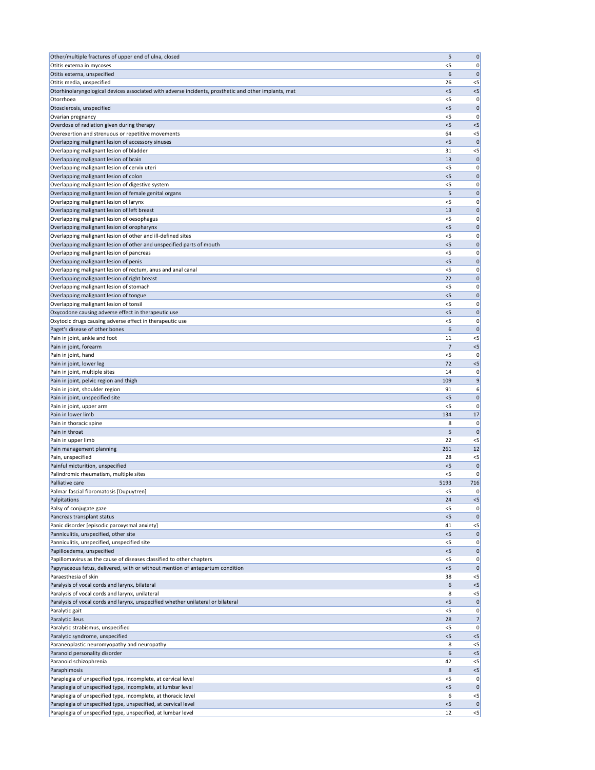| Other/multiple fractures of upper end of ulna, closed                                                | 5              | $\mathbf 0$          |
|------------------------------------------------------------------------------------------------------|----------------|----------------------|
| Otitis externa in mycoses                                                                            | $<$ 5          | 0                    |
| Otitis externa, unspecified                                                                          | 6              | $\mathbf 0$          |
| Otitis media, unspecified                                                                            | 26             | $<$ 5                |
| Otorhinolaryngological devices associated with adverse incidents, prosthetic and other implants, mat | $<$ 5          | $<$ 5                |
| Otorrhoea                                                                                            | < 5            | 0                    |
| Otosclerosis, unspecified                                                                            | < 5            | $\mathbf 0$          |
| Ovarian pregnancy                                                                                    | $<$ 5          | 0                    |
| Overdose of radiation given during therapy                                                           | $<$ 5<br>64    | $< 5$                |
| Overexertion and strenuous or repetitive movements                                                   | < 5            | $<$ 5<br>$\mathbf 0$ |
| Overlapping malignant lesion of accessory sinuses<br>Overlapping malignant lesion of bladder         | 31             | $<$ 5                |
| Overlapping malignant lesion of brain                                                                | 13             | 0                    |
| Overlapping malignant lesion of cervix uteri                                                         | < 5            | 0                    |
| Overlapping malignant lesion of colon                                                                | $<$ 5          | $\mathbf 0$          |
| Overlapping malignant lesion of digestive system                                                     | < 5            | 0                    |
| Overlapping malignant lesion of female genital organs                                                | 5              | $\mathbf 0$          |
| Overlapping malignant lesion of larynx                                                               | $<$ 5          | 0                    |
| Overlapping malignant lesion of left breast                                                          | 13             | $\mathbf 0$          |
| Overlapping malignant lesion of oesophagus                                                           | < 5            | 0                    |
| Overlapping malignant lesion of oropharynx                                                           | $<$ 5          | $\mathbf 0$          |
| Overlapping malignant lesion of other and ill-defined sites                                          | <5             | 0                    |
| Overlapping malignant lesion of other and unspecified parts of mouth                                 | $<$ 5          | $\mathbf 0$          |
| Overlapping malignant lesion of pancreas                                                             | < 5            | 0                    |
| Overlapping malignant lesion of penis                                                                | $<$ 5          | $\mathbf 0$          |
| Overlapping malignant lesion of rectum, anus and anal canal                                          | $<$ 5          | 0                    |
| Overlapping malignant lesion of right breast                                                         | 22             | $\mathbf 0$          |
| Overlapping malignant lesion of stomach                                                              | $<$ 5          | 0                    |
| Overlapping malignant lesion of tongue                                                               | < 5            | $\mathbf 0$          |
| Overlapping malignant lesion of tonsil                                                               | <5             | 0                    |
| Oxycodone causing adverse effect in therapeutic use                                                  | $<$ 5          | 0                    |
| Oxytocic drugs causing adverse effect in therapeutic use                                             | $<$ 5          | 0                    |
| Paget's disease of other bones                                                                       | 6              | $\mathbf 0$          |
| Pain in joint, ankle and foot                                                                        | 11             | $<$ 5                |
| Pain in joint, forearm                                                                               | 7              | $< 5$                |
| Pain in joint, hand                                                                                  | <5             | 0                    |
| Pain in joint, lower leg                                                                             | 72             | < 5                  |
| Pain in joint, multiple sites                                                                        | 14             | 0                    |
| Pain in joint, pelvic region and thigh                                                               | 109            | 9                    |
| Pain in joint, shoulder region                                                                       | 91             | 6                    |
| Pain in joint, unspecified site<br>Pain in joint, upper arm                                          | $<$ 5<br>< 5   | $\mathbf 0$<br>0     |
| Pain in lower limb                                                                                   | 134            | 17                   |
| Pain in thoracic spine                                                                               | 8              | 0                    |
| Pain in throat                                                                                       | 5              | $\mathbf{0}$         |
| Pain in upper limb                                                                                   | 22             | $<$ 5                |
| Pain management planning                                                                             | 261            | 12                   |
| Pain, unspecified                                                                                    | 28             | $<$ 5                |
| Painful micturition, unspecified                                                                     | $<$ 5          | $\mathbf 0$          |
| Palindromic rheumatism, multiple sites                                                               | $<$ 5          | 0                    |
| Palliative care                                                                                      | 5193           | 716                  |
| Palmar fascial fibromatosis [Dupuytren]                                                              | <5             | 0                    |
| Palpitations                                                                                         | 24             | $< 5$                |
| Palsy of conjugate gaze                                                                              | <5             | 0                    |
| Pancreas transplant status                                                                           | < 5            | $\mathbf{0}$         |
| Panic disorder [episodic paroxysmal anxiety]                                                         | 41             | $< 5$                |
| Panniculitis, unspecified, other site                                                                | < 5            | $\mathbf 0$          |
| Panniculitis, unspecified, unspecified site                                                          | <5             | 0                    |
| Papilloedema, unspecified                                                                            | $<$ 5          | $\mathbf 0$          |
| Papillomavirus as the cause of diseases classified to other chapters                                 | < 5            | 0                    |
| Papyraceous fetus, delivered, with or without mention of antepartum condition                        | $<$ 5          | $\mathbf 0$          |
| Paraesthesia of skin                                                                                 | 38             | $<$ 5                |
| Paralysis of vocal cords and larynx, bilateral                                                       | b              | $< 5$                |
| Paralysis of vocal cords and larynx, unilateral                                                      | 8              | $<$ 5                |
| Paralysis of vocal cords and larynx, unspecified whether unilateral or bilateral                     | $<$ 5<br>$<$ 5 | 0 <br> 0             |
| Paralytic gait<br>Paralytic ileus                                                                    | 28             | 7                    |
| Paralytic strabismus, unspecified                                                                    | $<$ 5          | 0                    |
| Paralytic syndrome, unspecified                                                                      | $<$ 5          | $< 5$                |
| Paraneoplastic neuromyopathy and neuropathy                                                          | 8              | $<$ 5                |
| Paranoid personality disorder                                                                        | 6              | $<$ 5                |
| Paranoid schizophrenia                                                                               | 42             | $<$ 5                |
| Paraphimosis                                                                                         | 8              | $< 5$                |
| Paraplegia of unspecified type, incomplete, at cervical level                                        | $<$ 5          | 0                    |
| Paraplegia of unspecified type, incomplete, at lumbar level                                          | < 5            | 0                    |
| Paraplegia of unspecified type, incomplete, at thoracic level                                        | 6              | $<$ 5                |
| Paraplegia of unspecified type, unspecified, at cervical level                                       | < 5            | 0                    |
| Paraplegia of unspecified type, unspecified, at lumbar level                                         | 12             | $\leq$               |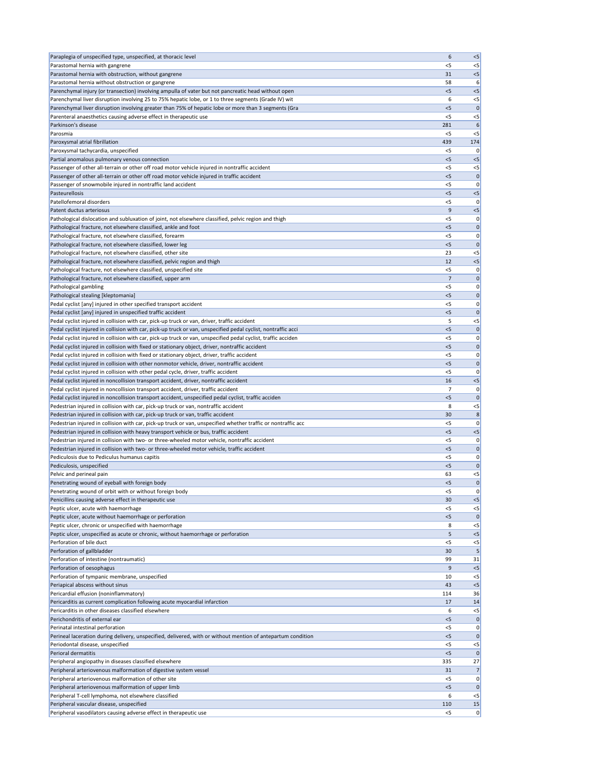| Paraplegia of unspecified type, unspecified, at thoracic level                                                                                                                                  | 6              | $< 5$             |
|-------------------------------------------------------------------------------------------------------------------------------------------------------------------------------------------------|----------------|-------------------|
| Parastomal hernia with gangrene                                                                                                                                                                 | $<$ 5          | $<$ 5             |
| Parastomal hernia with obstruction, without gangrene                                                                                                                                            | 31             | < 5               |
| Parastomal hernia without obstruction or gangrene                                                                                                                                               | 58             | 6                 |
| Parenchymal injury (or transection) involving ampulla of vater but not pancreatic head without open                                                                                             | $<$ 5          | $<$ 5             |
| Parenchymal liver disruption involving 25 to 75% hepatic lobe, or 1 to three segments (Grade IV) wit                                                                                            | 6              | $<$ 5             |
| Parenchymal liver disruption involving greater than 75% of hepatic lobe or more than 3 segments (Gra                                                                                            | $<$ 5          | $\mathbf 0$       |
| Parenteral anaesthetics causing adverse effect in therapeutic use<br>Parkinson's disease                                                                                                        | $<$ 5<br>281   | $<$ 5<br>6        |
| Parosmia                                                                                                                                                                                        | $<$ 5          | $<$ 5             |
| Paroxysmal atrial fibrillation                                                                                                                                                                  | 439            | 174               |
| Paroxysmal tachycardia, unspecified                                                                                                                                                             | <5             | 0                 |
| Partial anomalous pulmonary venous connection                                                                                                                                                   | < 5            | $<$ 5             |
| Passenger of other all-terrain or other off road motor vehicle injured in nontraffic accident                                                                                                   | < 5            | $<$ 5             |
| Passenger of other all-terrain or other off road motor vehicle injured in traffic accident                                                                                                      | $<$ 5          | $\mathbf 0$       |
| Passenger of snowmobile injured in nontraffic land accident                                                                                                                                     | $<$ 5          | 0                 |
| Pasteurellosis                                                                                                                                                                                  | < 5            | $< 5$             |
| Patellofemoral disorders                                                                                                                                                                        | $<$ 5          | 0                 |
| Patent ductus arteriosus                                                                                                                                                                        | 9              | $< 5$             |
| Pathological dislocation and subluxation of joint, not elsewhere classified, pelvic region and thigh                                                                                            | $<$ 5          | 0                 |
| Pathological fracture, not elsewhere classified, ankle and foot                                                                                                                                 | $<$ 5          | $\mathbf 0$       |
| Pathological fracture, not elsewhere classified, forearm                                                                                                                                        | <5             | 0                 |
| Pathological fracture, not elsewhere classified, lower leg                                                                                                                                      | < 5            | $\mathbf 0$       |
| Pathological fracture, not elsewhere classified, other site                                                                                                                                     | 23             | $<$ 5             |
| Pathological fracture, not elsewhere classified, pelvic region and thigh                                                                                                                        | 12             | $< 5$             |
| Pathological fracture, not elsewhere classified, unspecified site                                                                                                                               | $<$ 5          | 0                 |
| Pathological fracture, not elsewhere classified, upper arm                                                                                                                                      | 7              | $\mathbf 0$       |
| Pathological gambling                                                                                                                                                                           | $<$ 5          | 0                 |
| Pathological stealing [kleptomania]                                                                                                                                                             | < 5            | $\mathbf 0$       |
| Pedal cyclist [any] injured in other specified transport accident                                                                                                                               | <5             | 0                 |
| Pedal cyclist [any] injured in unspecified traffic accident                                                                                                                                     | $<$ 5          | 0                 |
| Pedal cyclist injured in collision with car, pick-up truck or van, driver, traffic accident                                                                                                     | 5              | $<$ 5             |
| Pedal cyclist injured in collision with car, pick-up truck or van, unspecified pedal cyclist, nontraffic acci                                                                                   | < 5            | $\mathbf 0$       |
| Pedal cyclist injured in collision with car, pick-up truck or van, unspecified pedal cyclist, traffic acciden                                                                                   | $<$ 5          | 0                 |
| Pedal cyclist injured in collision with fixed or stationary object, driver, nontraffic accident<br>Pedal cyclist injured in collision with fixed or stationary object, driver, traffic accident | $<$ 5<br>$<$ 5 | $\mathbf 0$       |
| Pedal cyclist injured in collision with other nonmotor vehicle, driver, nontraffic accident                                                                                                     | < 5            | 0 <br>$\mathbf 0$ |
| Pedal cyclist injured in collision with other pedal cycle, driver, traffic accident                                                                                                             | <5             | 0                 |
| Pedal cyclist injured in noncollision transport accident, driver, nontraffic accident                                                                                                           | 16             | $< 5$             |
| Pedal cyclist injured in noncollision transport accident, driver, traffic accident                                                                                                              | 7              | 0                 |
| Pedal cyclist injured in noncollision transport accident, unspecified pedal cyclist, traffic acciden                                                                                            | < 5            | $\mathbf 0$       |
| Pedestrian injured in collision with car, pick-up truck or van, nontraffic accident                                                                                                             | 8              | $<$ 5             |
| Pedestrian injured in collision with car, pick-up truck or van, traffic accident                                                                                                                | 30             | 8                 |
| Pedestrian injured in collision with car, pick-up truck or van, unspecified whether traffic or nontraffic acc                                                                                   | < 5            | 0                 |
| Pedestrian injured in collision with heavy transport vehicle or bus, traffic accident                                                                                                           | < 5            | $<$ 5             |
| Pedestrian injured in collision with two- or three-wheeled motor vehicle, nontraffic accident                                                                                                   | $<$ 5          | 0                 |
| Pedestrian injured in collision with two- or three-wheeled motor vehicle, traffic accident                                                                                                      | < 5            | $\mathbf 0$       |
| Pediculosis due to Pediculus humanus capitis                                                                                                                                                    | <5             | 0                 |
| Pediculosis, unspecified                                                                                                                                                                        | $<$ 5          | $\mathbf 0$       |
| Pelvic and perineal pain                                                                                                                                                                        | 63             | $<$ 5             |
| Penetrating wound of eyeball with foreign body                                                                                                                                                  | < 5            | $\mathbf 0$       |
| Penetrating wound of orbit with or without foreign body                                                                                                                                         | <5             | 0                 |
| Penicillins causing adverse effect in therapeutic use                                                                                                                                           | 30             | $< 5$             |
| Peptic ulcer, acute with haemorrhage                                                                                                                                                            | $<$ 5          | $<$ 5             |
| Peptic ulcer, acute without haemorrhage or perforation                                                                                                                                          | < 5            | $\mathbf{0}$      |
| Peptic ulcer, chronic or unspecified with haemorrhage                                                                                                                                           | 8              | $<$ 5             |
| Peptic ulcer, unspecified as acute or chronic, without haemorrhage or perforation                                                                                                               | 5              | < 5               |
| Perforation of bile duct                                                                                                                                                                        | $<$ 5          | $< 5$             |
| Perforation of gallbladder                                                                                                                                                                      | 30<br>99       | 5<br>31           |
| Perforation of intestine (nontraumatic)<br>Perforation of oesophagus                                                                                                                            | 9              | $<$ 5             |
| Perforation of tympanic membrane, unspecified                                                                                                                                                   | 10             | $<$ 5             |
| Periapical abscess without sinus                                                                                                                                                                | 43             | < 5               |
| Pericardial effusion (noninflammatory)                                                                                                                                                          | 114            | 36                |
| Pericarditis as current complication following acute myocardial infarction                                                                                                                      | 17             | 14                |
| Pericarditis in other diseases classified elsewhere                                                                                                                                             | 6              | $<$ 5             |
| Perichondritis of external ear                                                                                                                                                                  | < 5            | $\mathbf 0$       |
| Perinatal intestinal perforation                                                                                                                                                                | $<$ 5          | 0                 |
| Perineal laceration during delivery, unspecified, delivered, with or without mention of antepartum condition                                                                                    | < 5            | $\mathbf 0$       |
| Periodontal disease, unspecified                                                                                                                                                                | $<$ 5          | $<$ 5             |
| Perioral dermatitis                                                                                                                                                                             | < 5            | $\mathbf 0$       |
| Peripheral angiopathy in diseases classified elsewhere                                                                                                                                          | 335            | 27                |
| Peripheral arteriovenous malformation of digestive system vessel                                                                                                                                | 31             | 7                 |
| Peripheral arteriovenous malformation of other site                                                                                                                                             | $<$ 5          | 0                 |
| Peripheral arteriovenous malformation of upper limb                                                                                                                                             | $<$ 5          | 0                 |
| Peripheral T-cell lymphoma, not elsewhere classified                                                                                                                                            | 6              | $<$ 5             |
| Peripheral vascular disease, unspecified                                                                                                                                                        | 110            | 15                |
| Peripheral vasodilators causing adverse effect in therapeutic use                                                                                                                               | $<$ 5          | 0                 |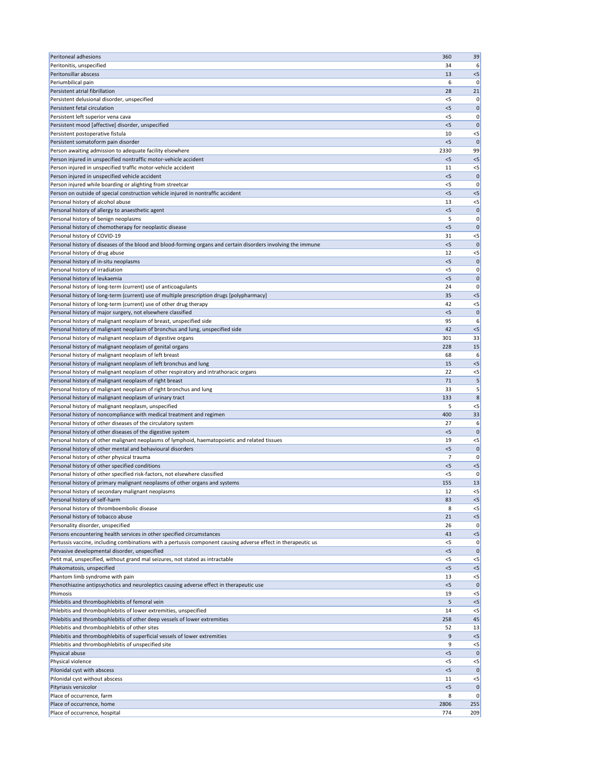| <b>Peritoneal adhesions</b>                                                                                                | 360         | 39                   |
|----------------------------------------------------------------------------------------------------------------------------|-------------|----------------------|
| Peritonitis, unspecified                                                                                                   | 34          | 6                    |
| Peritonsillar abscess                                                                                                      | 13          | $<$ 5                |
| Periumbilical pain                                                                                                         | 6           | 0                    |
| Persistent atrial fibrillation<br>Persistent delusional disorder, unspecified                                              | 28<br><5    | 21<br>0              |
| Persistent fetal circulation                                                                                               | < 5         | $\mathbf 0$          |
| Persistent left superior vena cava                                                                                         | $<$ 5       | 0                    |
| Persistent mood [affective] disorder, unspecified                                                                          | $<$ 5       | $\mathbf 0$          |
| Persistent postoperative fistula                                                                                           | 10          | $<$ 5                |
| Persistent somatoform pain disorder                                                                                        | < 5         | $\mathbf{0}$         |
| Person awaiting admission to adequate facility elsewhere                                                                   | 2330        | 99                   |
| Person injured in unspecified nontraffic motor-vehicle accident                                                            | $<$ 5       | < 5                  |
| Person injured in unspecified traffic motor-vehicle accident<br>Person injured in unspecified vehicle accident             | 11<br>$<$ 5 | $<$ 5<br>$\mathbf 0$ |
| Person injured while boarding or alighting from streetcar                                                                  | $<$ 5       | 0                    |
| Person on outside of special construction vehicle injured in nontraffic accident                                           | $<$ 5       | $<$ 5                |
| Personal history of alcohol abuse                                                                                          | 13          | $<$ 5                |
| Personal history of allergy to anaesthetic agent                                                                           | < 5         | $\mathbf{0}$         |
| Personal history of benign neoplasms                                                                                       | 5           | 0                    |
| Personal history of chemotherapy for neoplastic disease                                                                    | < 5         | $\mathbf 0$          |
| Personal history of COVID-19                                                                                               | 31          | $<$ 5                |
| Personal history of diseases of the blood and blood-forming organs and certain disorders involving the immune              | < 5         | $\mathbf 0$          |
| Personal history of drug abuse<br>Personal history of in-situ neoplasms                                                    | 12<br>$<$ 5 | $<$ 5<br>$\mathbf 0$ |
| Personal history of irradiation                                                                                            | <5          | 0                    |
| Personal history of leukaemia                                                                                              | $<$ 5       | $\mathbf 0$          |
| Personal history of long-term (current) use of anticoagulants                                                              | 24          | 0                    |
| Personal history of long-term (current) use of multiple prescription drugs [polypharmacy]                                  | 35          | $< 5$                |
| Personal history of long-term (current) use of other drug therapy                                                          | 42          | $< 5$                |
| Personal history of major surgery, not elsewhere classified                                                                | $<$ 5       | $\mathbf{0}$         |
| Personal history of malignant neoplasm of breast, unspecified side                                                         | 95          | 6                    |
| Personal history of malignant neoplasm of bronchus and lung, unspecified side                                              | 42          | < 5                  |
| Personal history of malignant neoplasm of digestive organs<br>Personal history of malignant neoplasm of genital organs     | 301<br>228  | 33                   |
| Personal history of malignant neoplasm of left breast                                                                      | 68          | 15<br>6              |
| Personal history of malignant neoplasm of left bronchus and lung                                                           | 15          | < 5                  |
| Personal history of malignant neoplasm of other respiratory and intrathoracic organs                                       | 22          | $<$ 5                |
| Personal history of malignant neoplasm of right breast                                                                     | 71          | 5                    |
| Personal history of malignant neoplasm of right bronchus and lung                                                          | 33          | 5                    |
| Personal history of malignant neoplasm of urinary tract                                                                    | 133         | 8                    |
| Personal history of malignant neoplasm, unspecified                                                                        | 5           | $<$ 5                |
| Personal history of noncompliance with medical treatment and regimen                                                       | 400         | 33                   |
| Personal history of other diseases of the circulatory system<br>Personal history of other diseases of the digestive system | 27<br>< 5   | 6<br>$\mathbf 0$     |
| Personal history of other malignant neoplasms of lymphoid, haematopoietic and related tissues                              | 19          | $<$ 5                |
| Personal history of other mental and behavioural disorders                                                                 | < 5         | $\mathbf 0$          |
| Personal history of other physical trauma                                                                                  | 7           | 0                    |
| Personal history of other specified conditions                                                                             | < 5         | $<$ 5                |
| Personal history of other specified risk-factors, not elsewhere classified                                                 | $<$ 5       | 0                    |
| Personal history of primary malignant neoplasms of other organs and systems                                                | 155         | 13                   |
| Personal history of secondary malignant neoplasms                                                                          | 12          | $<$ 5                |
| Personal history of self-harm                                                                                              | 83<br>8     | < 5<br>$< 5$         |
| Personal history of thromboembolic disease<br>Personal history of tobacco abuse                                            | 21          | $< 5$                |
| Personality disorder, unspecified                                                                                          | 26          | 0                    |
| Persons encountering health services in other specified circumstances                                                      | 43          | $< 5$                |
| Pertussis vaccine, including combinations with a pertussis component causing adverse effect in therapeutic us              | $<$ 5       | 0                    |
| Pervasive developmental disorder, unspecified                                                                              | < 5         | $\mathbf 0$          |
| Petit mal, unspecified, without grand mal seizures, not stated as intractable                                              | <5          | $<$ 5                |
| Phakomatosis, unspecified                                                                                                  | < 5         | $< 5$                |
| Phantom limb syndrome with pain                                                                                            | 13          | $<$ 5                |
| Phenothiazine antipsychotics and neuroleptics causing adverse effect in therapeutic use<br>Phimosis                        | < 5<br>19   | 0 <br>$<$ 5          |
| Phlebitis and thrombophlebitis of femoral vein                                                                             | 5           | $<$ 5                |
| Phlebitis and thrombophlebitis of lower extremities, unspecified                                                           | 14          | $<$ 5                |
| Phlebitis and thrombophlebitis of other deep vessels of lower extremities                                                  | 258         | 45                   |
| Phlebitis and thrombophlebitis of other sites                                                                              | 52          | 13                   |
| Phlebitis and thrombophlebitis of superficial vessels of lower extremities                                                 | 9           | $<$ 5                |
| Phlebitis and thrombophlebitis of unspecified site                                                                         | 9           | $<$ 5                |
| Physical abuse                                                                                                             | < 5         | 0                    |
| Physical violence<br>Pilonidal cyst with abscess                                                                           | <5<br>$<$ 5 | $<$ 5<br> 0          |
| Pilonidal cyst without abscess                                                                                             | 11          | $<$ 5                |
| Pityriasis versicolor                                                                                                      | < 5         | $\mathbf{0}$         |
| Place of occurrence, farm                                                                                                  | 8           | 0                    |
| Place of occurrence, home                                                                                                  | 2806        | 255                  |
| Place of occurrence, hospital                                                                                              | 774         | 209                  |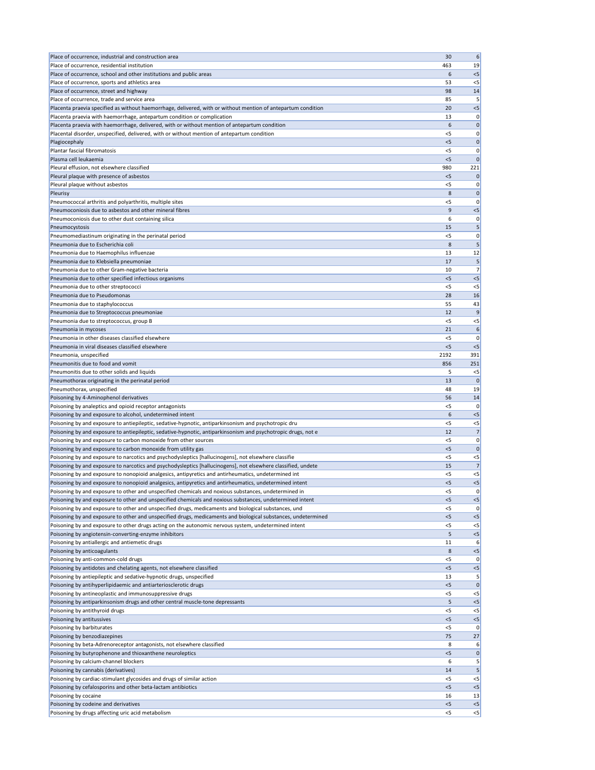| Place of occurrence, industrial and construction area                                                                                                                                                                 | 30           | 6                                                                                            |
|-----------------------------------------------------------------------------------------------------------------------------------------------------------------------------------------------------------------------|--------------|----------------------------------------------------------------------------------------------|
| Place of occurrence, residential institution                                                                                                                                                                          | 463          | 19                                                                                           |
| Place of occurrence, school and other institutions and public areas                                                                                                                                                   | 6            | $< 5$                                                                                        |
| Place of occurrence, sports and athletics area                                                                                                                                                                        | 53           | $<$ 5                                                                                        |
| Place of occurrence, street and highway                                                                                                                                                                               | 98           | 14                                                                                           |
| Place of occurrence, trade and service area                                                                                                                                                                           | 85           | 5                                                                                            |
| Placenta praevia specified as without haemorrhage, delivered, with or without mention of antepartum condition                                                                                                         | 20           | $<$ 5                                                                                        |
| Placenta praevia with haemorrhage, antepartum condition or complication                                                                                                                                               | 13           | 0                                                                                            |
| Placenta praevia with haemorrhage, delivered, with or without mention of antepartum condition                                                                                                                         | 6            | $\overline{0}$                                                                               |
| Placental disorder, unspecified, delivered, with or without mention of antepartum condition                                                                                                                           | <5           | $\overline{0}$                                                                               |
| Plagiocephaly                                                                                                                                                                                                         | $<$ 5        | $\overline{0}$                                                                               |
| Plantar fascial fibromatosis<br>Plasma cell leukaemia                                                                                                                                                                 | $<$ 5        | $\overline{0}$                                                                               |
| Pleural effusion, not elsewhere classified                                                                                                                                                                            | $<$ 5<br>980 | $\overline{0}$<br>221                                                                        |
| Pleural plaque with presence of asbestos                                                                                                                                                                              | $<$ 5        | $\mathbf 0$                                                                                  |
| Pleural plaque without asbestos                                                                                                                                                                                       | $<$ 5        | $\overline{0}$                                                                               |
| Pleurisy                                                                                                                                                                                                              | 8            | $\overline{0}$                                                                               |
| Pneumococcal arthritis and polyarthritis, multiple sites                                                                                                                                                              | $<$ 5        | $\overline{0}$                                                                               |
| Pneumoconiosis due to asbestos and other mineral fibres                                                                                                                                                               | 9            | $<$ 5                                                                                        |
| Pneumoconiosis due to other dust containing silica                                                                                                                                                                    | 6            | $\overline{0}$                                                                               |
| Pneumocystosis                                                                                                                                                                                                        | 15           | 5                                                                                            |
| Pneumomediastinum originating in the perinatal period                                                                                                                                                                 | $<$ 5        | $\overline{0}$                                                                               |
| Pneumonia due to Escherichia coli                                                                                                                                                                                     | 8            | 5                                                                                            |
| Pneumonia due to Haemophilus influenzae                                                                                                                                                                               | 13           | 12                                                                                           |
| Pneumonia due to Klebsiella pneumoniae                                                                                                                                                                                | 17           | 5                                                                                            |
| Pneumonia due to other Gram-negative bacteria                                                                                                                                                                         | 10           | $\overline{7}$                                                                               |
| Pneumonia due to other specified infectious organisms                                                                                                                                                                 | < 5          | $< 5$                                                                                        |
| Pneumonia due to other streptococci                                                                                                                                                                                   | $<$ 5        | $<$ 5                                                                                        |
| Pneumonia due to Pseudomonas                                                                                                                                                                                          | 28           | 16                                                                                           |
| Pneumonia due to staphylococcus                                                                                                                                                                                       | 55           | 43                                                                                           |
| Pneumonia due to Streptococcus pneumoniae                                                                                                                                                                             | 12           | 9                                                                                            |
| Pneumonia due to streptococcus, group B                                                                                                                                                                               | $<$ 5        | $< 5$                                                                                        |
| Pneumonia in mycoses                                                                                                                                                                                                  | 21           | 6                                                                                            |
| Pneumonia in other diseases classified elsewhere                                                                                                                                                                      | < 5          | 0                                                                                            |
| Pneumonia in viral diseases classified elsewhere                                                                                                                                                                      | < 5          | $<$ 5                                                                                        |
| Pneumonia, unspecified                                                                                                                                                                                                | 2192         | 391                                                                                          |
| Pneumonitis due to food and vomit                                                                                                                                                                                     | 856          | 251                                                                                          |
| Pneumonitis due to other solids and liquids                                                                                                                                                                           | 5            | $<$ 5                                                                                        |
|                                                                                                                                                                                                                       |              |                                                                                              |
| Pneumothorax originating in the perinatal period                                                                                                                                                                      | 13           |                                                                                              |
| Pneumothorax, unspecified                                                                                                                                                                                             | 48           | 19                                                                                           |
| Poisoning by 4-Aminophenol derivatives                                                                                                                                                                                | 56           | $\overline{0}$<br>14                                                                         |
| Poisoning by analeptics and opioid receptor antagonists                                                                                                                                                               | $<$ 5        |                                                                                              |
| Poisoning by and exposure to alcohol, undetermined intent                                                                                                                                                             | 6            | $< 5$                                                                                        |
| Poisoning by and exposure to antiepileptic, sedative-hypnotic, antiparkinsonism and psychotropic dru                                                                                                                  | $<$ 5        | $< 5$                                                                                        |
| Poisoning by and exposure to antiepileptic, sedative-hypnotic, antiparkinsonism and psychotropic drugs, not e                                                                                                         | 12           |                                                                                              |
| Poisoning by and exposure to carbon monoxide from other sources                                                                                                                                                       | $<$ 5        |                                                                                              |
| Poisoning by and exposure to carbon monoxide from utility gas                                                                                                                                                         | < 5<br>$<$ 5 |                                                                                              |
| Poisoning by and exposure to narcotics and psychodysleptics [hallucinogens], not elsewhere classifie                                                                                                                  | 15           | $< 5$                                                                                        |
| Poisoning by and exposure to narcotics and psychodysleptics [hallucinogens], not elsewhere classified, undete<br>Poisoning by and exposure to nonopioid analgesics, antipyretics and antirheumatics, undetermined int | $<$ 5        | $<$ 5                                                                                        |
| Poisoning by and exposure to nonopioid analgesics, antipyretics and antirheumatics, undetermined intent                                                                                                               | $<$ 5        | $< 5$                                                                                        |
| Poisoning by and exposure to other and unspecified chemicals and noxious substances, undetermined in                                                                                                                  | $<$ 5        |                                                                                              |
| Poisoning by and exposure to other and unspecified chemicals and noxious substances, undetermined intent                                                                                                              | < 5          | $< 5$                                                                                        |
| Poisoning by and exposure to other and unspecified drugs, medicaments and biological substances, und                                                                                                                  | $<$ 5        |                                                                                              |
| Poisoning by and exposure to other and unspecified drugs, medicaments and biological substances, undetermined                                                                                                         | $<$ 5        | $<$ 5                                                                                        |
| Poisoning by and exposure to other drugs acting on the autonomic nervous system, undetermined intent                                                                                                                  | $<$ 5        | $<$ 5                                                                                        |
| Poisoning by angiotensin-converting-enzyme inhibitors                                                                                                                                                                 | 5            | $< 5$                                                                                        |
| Poisoning by antiallergic and antiemetic drugs                                                                                                                                                                        | 11           | 6                                                                                            |
| Poisoning by anticoagulants                                                                                                                                                                                           | 8            | 0 <br>$\overline{7}$<br> 0 <br>$\overline{0}$<br>$\overline{7}$<br> 0 <br> 0 <br>$<$ 5       |
| Poisoning by anti-common-cold drugs                                                                                                                                                                                   | $<$ 5        | 0                                                                                            |
| Poisoning by antidotes and chelating agents, not elsewhere classified                                                                                                                                                 | < 5          | $< 5$                                                                                        |
| Poisoning by antiepileptic and sedative-hypnotic drugs, unspecified                                                                                                                                                   | 13           |                                                                                              |
| Poisoning by antihyperlipidaemic and antiarteriosclerotic drugs                                                                                                                                                       | <5           |                                                                                              |
| Poisoning by antineoplastic and immunosuppressive drugs                                                                                                                                                               | $<$ 5        | $<$ 5                                                                                        |
| Poisoning by antiparkinsonism drugs and other central muscle-tone depressants                                                                                                                                         | 5            | $< 5$                                                                                        |
| Poisoning by antithyroid drugs                                                                                                                                                                                        | $<$ 5        | $<$ 5                                                                                        |
| Poisoning by antitussives                                                                                                                                                                                             | $<$ 5        | $< 5$                                                                                        |
| Poisoning by barbiturates                                                                                                                                                                                             | $<$ 5        |                                                                                              |
| Poisoning by benzodiazepines                                                                                                                                                                                          | 75<br>8      |                                                                                              |
| Poisoning by beta-Adrenoreceptor antagonists, not elsewhere classified                                                                                                                                                | $<$ 5        |                                                                                              |
| Poisoning by butyrophenone and thioxanthene neuroleptics                                                                                                                                                              | 6            | 5                                                                                            |
| Poisoning by calcium-channel blockers<br>Poisoning by cannabis (derivatives)                                                                                                                                          | 14           | 5                                                                                            |
| Poisoning by cardiac-stimulant glycosides and drugs of similar action                                                                                                                                                 | $<$ 5        | $<$ 5                                                                                        |
| Poisoning by cefalosporins and other beta-lactam antibiotics                                                                                                                                                          | $<$ 5        | $<$ 5                                                                                        |
| Poisoning by cocaine                                                                                                                                                                                                  | 16           |                                                                                              |
| Poisoning by codeine and derivatives                                                                                                                                                                                  | $<$ 5        | 5 <sup>1</sup><br>$\overline{0}$<br> 0 <br>27<br>$6 \mid$<br>$\overline{0}$<br> 13 <br>$< 5$ |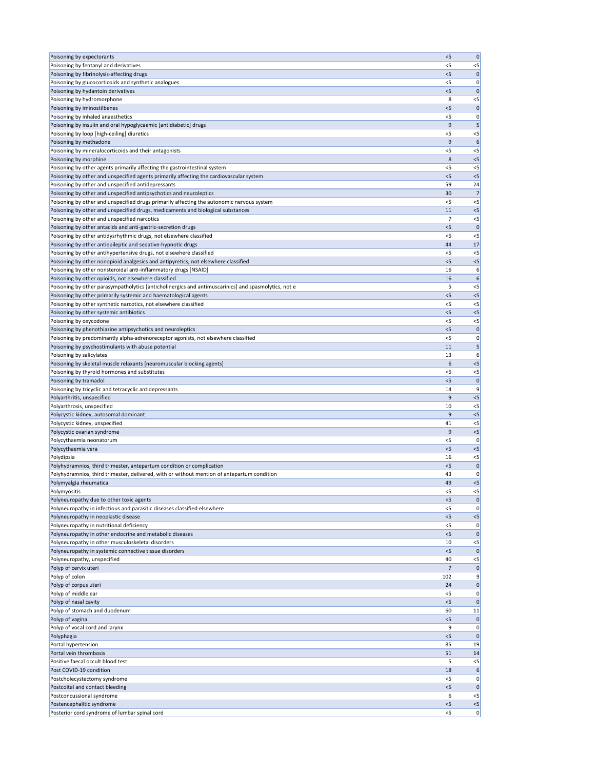| Poisoning by expectorants                                                                            | < 5     | 0            |
|------------------------------------------------------------------------------------------------------|---------|--------------|
| Poisoning by fentanyl and derivatives                                                                | $<$ 5   | $< 5$        |
| Poisoning by fibrinolysis-affecting drugs                                                            | < 5     | 0            |
| Poisoning by glucocorticoids and synthetic analogues                                                 | $<$ 5   | 0            |
| Poisoning by hydantoin derivatives                                                                   | $<$ 5   | 0            |
| Poisoning by hydromorphone                                                                           | 8       | $< 5$        |
| Poisoning by iminostilbenes                                                                          | $<$ 5   | 0            |
| Poisoning by inhaled anaesthetics                                                                    | $<$ 5   | 0            |
| Poisoning by insulin and oral hypoglycaemic [antidiabetic] drugs                                     | 9       | 5            |
| Poisoning by loop [high-ceiling] diuretics                                                           | $<$ 5   | $<$ 5        |
| Poisoning by methadone                                                                               | 9       | 6            |
| Poisoning by mineralocorticoids and their antagonists                                                | $<$ 5   | $<$ 5        |
| Poisoning by morphine                                                                                | 8       | $<$ 5        |
| Poisoning by other agents primarily affecting the gastrointestinal system                            | $<$ 5   | $<$ 5        |
| Poisoning by other and unspecified agents primarily affecting the cardiovascular system              | $<$ 5   | < 5          |
| Poisoning by other and unspecified antidepressants                                                   | 59      | 24           |
| Poisoning by other and unspecified antipsychotics and neuroleptics                                   | 30      | 7            |
| Poisoning by other and unspecified drugs primarily affecting the autonomic nervous system            | $<$ 5   | $< 5$        |
| Poisoning by other and unspecified drugs, medicaments and biological substances                      | 11      | $<$ 5        |
| Poisoning by other and unspecified narcotics                                                         | 7       | $< 5$        |
| Poisoning by other antacids and anti-gastric-secretion drugs                                         | $<$ 5   | $\mathbf 0$  |
| Poisoning by other antidysrhythmic drugs, not elsewhere classified                                   | $<$ 5   | $< 5$        |
| Poisoning by other antiepileptic and sedative-hypnotic drugs                                         | 44      | 17           |
| Poisoning by other antihypertensive drugs, not elsewhere classified                                  | $<$ 5   | $<$ 5        |
| Poisoning by other nonopioid analgesics and antipyretics, not elsewhere classified                   | < 5     | $<5$         |
| Poisoning by other nonsteroidal anti-inflammatory drugs [NSAID]                                      | 16      | 6            |
| Poisoning by other opioids, not elsewhere classified                                                 | 16      | 6            |
| Poisoning by other parasympatholytics [anticholinergics and antimuscarinics] and spasmolytics, not e | 5       | $<$ 5        |
| Poisoning by other primarily systemic and haematological agents                                      | < 5     | $<$ 5        |
| Poisoning by other synthetic narcotics, not elsewhere classified                                     | $<$ 5   | $< 5$        |
| Poisoning by other systemic antibiotics                                                              | $<$ 5   | $< 5$        |
| Poisoning by oxycodone                                                                               | $<$ 5   | $<$ 5        |
| Poisoning by phenothiazine antipsychotics and neuroleptics                                           | $<$ 5   | 0            |
| Poisoning by predominantly alpha-adrenoreceptor agonists, not elsewhere classified                   | $<$ 5   | 0            |
| Poisoning by psychostimulants with abuse potential                                                   | 11      | 5            |
| Poisoning by salicylates<br>Poisoning by skeletal muscle relaxants [neuromuscular blocking agents]   | 13<br>6 | 6<br>$<$ 5   |
|                                                                                                      | <5      |              |
| Poisoning by thyroid hormones and substitutes<br>Poisoning by tramadol                               | < 5     | $<$ 5<br>0   |
| Poisoning by tricyclic and tetracyclic antidepressants                                               | 14      | 9            |
| Polyarthritis, unspecified                                                                           | 9       | $<$ 5        |
| Polyarthrosis, unspecified                                                                           | 10      | $< 5$        |
| Polycystic kidney, autosomal dominant                                                                | 9       | < 5          |
| Polycystic kidney, unspecified                                                                       | 41      | $< 5$        |
| Polycystic ovarian syndrome                                                                          | 9       | $< 5$        |
| Polycythaemia neonatorum                                                                             | $<$ 5   | 0            |
| Polycythaemia vera                                                                                   | < 5     | $<$ 5        |
| Polydipsia                                                                                           | 16      | $<$ 5        |
| Polyhydramnios, third trimester, antepartum condition or complication                                | $<$ 5   | 0            |
| Polyhydramnios, third trimester, delivered, with or without mention of antepartum condition          | 43      | 0            |
| Polymyalgia rheumatica                                                                               | 49      | $<$ 5        |
| Polymyositis                                                                                         | <5      | $<$ 5        |
| Polyneuropathy due to other toxic agents                                                             | $<$ 5   | $\mathbf 0$  |
| Polyneuropathy in infectious and parasitic diseases classified elsewhere                             | $<$ 5   | 0            |
| Polyneuropathy in neoplastic disease                                                                 | < 5     | $< 5$        |
| Polyneuropathy in nutritional deficiency                                                             | $<$ 5   | 0            |
| Polyneuropathy in other endocrine and metabolic diseases                                             | < 5     | 0            |
| Polyneuropathy in other musculoskeletal disorders                                                    | 10      | $< 5$        |
| Polyneuropathy in systemic connective tissue disorders                                               | $<$ 5   | 0            |
| Polyneuropathy, unspecified                                                                          | 40      | $<$ 5        |
| Polyp of cervix uteri                                                                                | 7       | 0            |
| Polyp of colon                                                                                       | 102     | 9            |
| Polyp of corpus uteri                                                                                | 24      | 0            |
| Polyp of middle ear                                                                                  | $<$ 5   | 0            |
| Polyp of nasal cavity                                                                                | < 5     | $\mathbf{0}$ |
| Polyp of stomach and duodenum                                                                        | 60      | 11           |
| Polyp of vagina                                                                                      | $<$ 5   | $\mathbf 0$  |
| Polyp of vocal cord and larynx                                                                       | 9       | 0            |
| Polyphagia                                                                                           | < 5     | 0            |
| Portal hypertension                                                                                  | 85      | 19           |
| Portal vein thrombosis                                                                               | 51      | 14           |
| Positive faecal occult blood test                                                                    | 5       | $<$ 5        |
| Post COVID-19 condition                                                                              | 18      | 6            |
| Postcholecystectomy syndrome                                                                         | $<$ 5   | 0            |
| Postcoital and contact bleeding                                                                      | < 5     | $\mathbf 0$  |
| Postconcussional syndrome                                                                            | 6       | $<$ 5        |
| Postencephalitic syndrome                                                                            | $<$ 5   | $< 5$        |
| Posterior cord syndrome of lumbar spinal cord                                                        | $<$ 5   | 0            |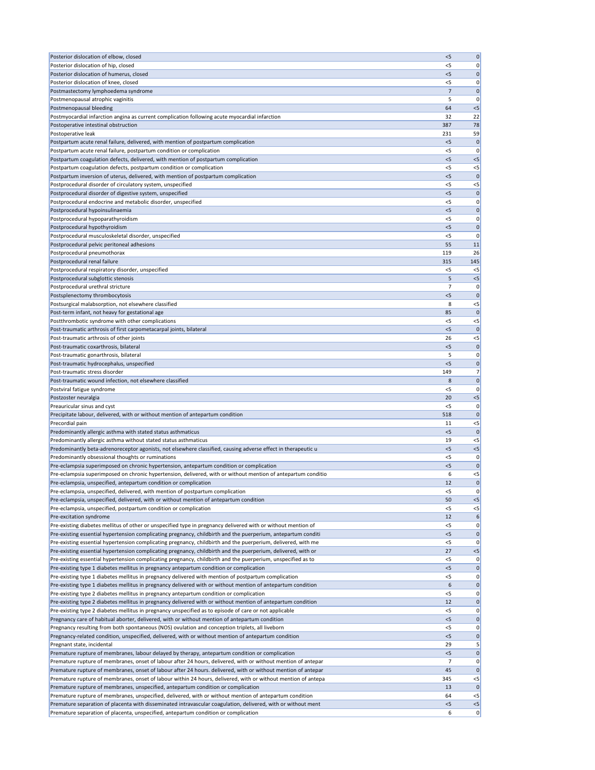| Posterior dislocation of elbow, closed                                                                                                                                                             | < 5       | 0                    |
|----------------------------------------------------------------------------------------------------------------------------------------------------------------------------------------------------|-----------|----------------------|
| Posterior dislocation of hip, closed                                                                                                                                                               | <5        | 0                    |
| Posterior dislocation of humerus, closed                                                                                                                                                           | $<$ 5     | $\mathbf 0$          |
| Posterior dislocation of knee, closed                                                                                                                                                              | $<$ 5     | 0                    |
| Postmastectomy lymphoedema syndrome                                                                                                                                                                | 7         | $\mathbf 0$          |
| Postmenopausal atrophic vaginitis                                                                                                                                                                  | 5         | 0                    |
| Postmenopausal bleeding                                                                                                                                                                            | 64        | $< 5$                |
| Postmyocardial infarction angina as current complication following acute myocardial infarction                                                                                                     | 32        | 22                   |
| Postoperative intestinal obstruction                                                                                                                                                               | 387       | 78                   |
| Postoperative leak                                                                                                                                                                                 | 231       | 59                   |
| Postpartum acute renal failure, delivered, with mention of postpartum complication                                                                                                                 | < 5       | $\mathbf 0$          |
| Postpartum acute renal failure, postpartum condition or complication                                                                                                                               | <5        | 0                    |
| Postpartum coagulation defects, delivered, with mention of postpartum complication                                                                                                                 | $<$ 5     | < 5                  |
| Postpartum coagulation defects, postpartum condition or complication                                                                                                                               | < 5       | $<$ 5                |
| Postpartum inversion of uterus, delivered, with mention of postpartum complication                                                                                                                 | 5<br>< 5  | $\mathbf 0$<br>$<$ 5 |
| Postprocedural disorder of circulatory system, unspecified<br>Postprocedural disorder of digestive system, unspecified                                                                             | < 5       | $\mathbf 0$          |
| Postprocedural endocrine and metabolic disorder, unspecified                                                                                                                                       | $<$ 5     | 0                    |
| Postprocedural hypoinsulinaemia                                                                                                                                                                    | < 5       | $\mathbf 0$          |
| Postprocedural hypoparathyroidism                                                                                                                                                                  | <5        | 0                    |
| Postprocedural hypothyroidism                                                                                                                                                                      | $<$ 5     | $\mathbf 0$          |
| Postprocedural musculoskeletal disorder, unspecified                                                                                                                                               | <5        | 0                    |
| Postprocedural pelvic peritoneal adhesions                                                                                                                                                         | 55        | 11                   |
| Postprocedural pneumothorax                                                                                                                                                                        | 119       | 26                   |
| Postprocedural renal failure                                                                                                                                                                       | 315       | 145                  |
| Postprocedural respiratory disorder, unspecified                                                                                                                                                   | $<$ 5     | $<$ 5                |
| Postprocedural subglottic stenosis                                                                                                                                                                 | 5         | < 5                  |
| Postprocedural urethral stricture                                                                                                                                                                  | 7         | 0                    |
| Postsplenectomy thrombocytosis                                                                                                                                                                     | < 5       | $\mathbf 0$          |
| Postsurgical malabsorption, not elsewhere classified                                                                                                                                               | 8         | $< 5$                |
| Post-term infant, not heavy for gestational age                                                                                                                                                    | 85        | $\mathbf 0$          |
| Postthrombotic syndrome with other complications                                                                                                                                                   | < 5       | $<$ 5                |
| Post-traumatic arthrosis of first carpometacarpal joints, bilateral                                                                                                                                | 5         | 0                    |
| Post-traumatic arthrosis of other joints                                                                                                                                                           | 26        | $<$ 5                |
| Post-traumatic coxarthrosis, bilateral                                                                                                                                                             | < 5       | $\mathbf 0$          |
| Post-traumatic gonarthrosis, bilateral                                                                                                                                                             | 5         | 0                    |
| Post-traumatic hydrocephalus, unspecified                                                                                                                                                          | < 5       | $\mathbf 0$          |
| Post-traumatic stress disorder                                                                                                                                                                     | 149       | 7 <sup>1</sup>       |
| Post-traumatic wound infection, not elsewhere classified                                                                                                                                           | 8         | 0                    |
| Postviral fatigue syndrome                                                                                                                                                                         | <5        | 0                    |
| Postzoster neuralgia                                                                                                                                                                               | 20        | $< 5$                |
| Preauricular sinus and cyst                                                                                                                                                                        | <5        | 0                    |
| Precipitate labour, delivered, with or without mention of antepartum condition                                                                                                                     | 518       | $\mathbf 0$          |
| Precordial pain                                                                                                                                                                                    | 11        | $<$ 5                |
| Predominantly allergic asthma with stated status asthmaticus                                                                                                                                       | $<$ 5     | $\mathbf{0}$         |
| Predominantly allergic asthma without stated status asthmaticus<br>Predominantly beta-adrenoreceptor agonists, not elsewhere classified, causing adverse effect in therapeutic u                   | 19<br>< 5 | $<$ 5<br>$< 5$       |
| Predominantly obsessional thoughts or ruminations                                                                                                                                                  | <5        | 0                    |
| Pre-eclampsia superimposed on chronic hypertension, antepartum condition or complication                                                                                                           | < 5       | $\mathbf 0$          |
| Pre-eclampsia superimposed on chronic hypertension, delivered, with or without mention of antepartum conditio                                                                                      | 6         | $<$ 5                |
| Pre-eclampsia, unspecified, antepartum condition or complication                                                                                                                                   | 12        | $\mathbf 0$          |
| Pre-eclampsia, unspecified, delivered, with mention of postpartum complication                                                                                                                     | <5        | 0                    |
| Pre-eclampsia, unspecified, delivered, with or without mention of antepartum condition                                                                                                             | 50        | < 5                  |
| Pre-eclampsia, unspecified, postpartum condition or complication                                                                                                                                   | < 5       | $< 5$                |
| Pre-excitation syndrome                                                                                                                                                                            | 12        | 6                    |
| Pre-existing diabetes mellitus of other or unspecified type in pregnancy delivered with or without mention of                                                                                      | $<$ 5     | 0                    |
| Pre-existing essential hypertension complicating pregnancy, childbirth and the puerperium, antepartum conditi                                                                                      | < 5       | $\mathbf 0$          |
| Pre-existing essential hypertension complicating pregnancy, childbirth and the puerperium, delivered, with me                                                                                      | <5        | 0                    |
| Pre-existing essential hypertension complicating pregnancy, childbirth and the puerperium, delivered, with or                                                                                      | 27        | $< 5$                |
| Pre-existing essential hypertension complicating pregnancy, childbirth and the puerperium, unspecified as to                                                                                       | <5        | 0                    |
| Pre-existing type 1 diabetes mellitus in pregnancy antepartum condition or complication                                                                                                            | $<$ 5     | 0                    |
| Pre-existing type 1 diabetes mellitus in pregnancy delivered with mention of postpartum complication                                                                                               | $<$ 5     | 0                    |
| Pre-existing type 1 diabetes mellitus in pregnancy delivered with or without mention of antepartum condition                                                                                       | 6         | 0                    |
| Pre-existing type 2 diabetes mellitus in pregnancy antepartum condition or complication                                                                                                            | $<$ 5     | 0                    |
| Pre-existing type 2 diabetes mellitus in pregnancy delivered with or without mention of antepartum condition                                                                                       | 12        | 0                    |
| Pre-existing type 2 diabetes mellitus in pregnancy unspecified as to episode of care or not applicable                                                                                             | $<$ 5     | 0                    |
| Pregnancy care of habitual aborter, delivered, with or without mention of antepartum condition                                                                                                     | < 5       | 0                    |
| Pregnancy resulting from both spontaneous (NOS) ovulation and conception triplets, all liveborn                                                                                                    | $<$ 5     | 0                    |
| Pregnancy-related condition, unspecified, delivered, with or without mention of antepartum condition                                                                                               | $<$ 5     | 0                    |
| Pregnant state, incidental                                                                                                                                                                         | 29        | $5\vert$             |
| Premature rupture of membranes, labour delayed by therapy, antepartum condition or complication                                                                                                    | $<$ 5     | 0                    |
| Premature rupture of membranes, onset of labour after 24 hours, delivered, with or without mention of antepar                                                                                      | 7         | 0                    |
| Premature rupture of membranes, onset of labour after 24 hours. delivered, with or without mention of antepar                                                                                      | 45        | 0                    |
| Premature rupture of membranes, onset of labour within 24 hours, delivered, with or without mention of antepa<br>Premature rupture of membranes, unspecified, antepartum condition or complication | 345<br>13 | $<$ 5<br> 0          |
| Premature rupture of membranes, unspecified, delivered, with or without mention of antepartum condition                                                                                            | 64        | $<$ 5                |
| Premature separation of placenta with disseminated intravascular coagulation, delivered, with or without ment                                                                                      | < 5       | $<$ 5                |
| Premature separation of placenta, unspecified, antepartum condition or complication                                                                                                                | 6         | 0                    |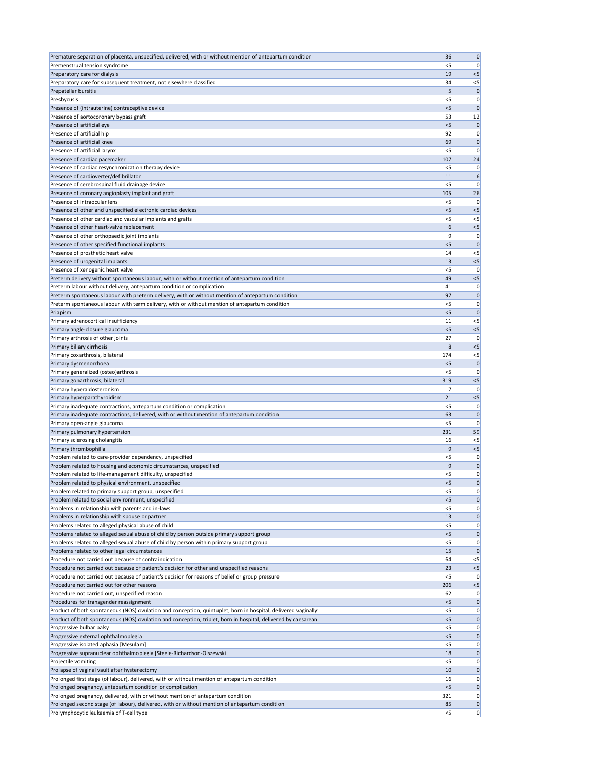| Premature separation of placenta, unspecified, delivered, with or without mention of antepartum condition                                 | 36             | 0                 |
|-------------------------------------------------------------------------------------------------------------------------------------------|----------------|-------------------|
| Premenstrual tension syndrome                                                                                                             | <5             | 0                 |
| Preparatory care for dialysis                                                                                                             | 19             | $<$ 5             |
| Preparatory care for subsequent treatment, not elsewhere classified                                                                       | 34             | $<$ 5             |
| Prepatellar bursitis                                                                                                                      | 5              | $\Omega$          |
| Presbycusis                                                                                                                               | $<$ 5          | 0                 |
| Presence of (intrauterine) contraceptive device<br>Presence of aortocoronary bypass graft                                                 | $<$ 5<br>53    | $\mathbf 0$<br>12 |
| Presence of artificial eye                                                                                                                | < 5            | $\mathbf 0$       |
| Presence of artificial hip                                                                                                                | 92             | 0                 |
| Presence of artificial knee                                                                                                               | 69             | $\mathbf 0$       |
| Presence of artificial larynx                                                                                                             | <5             | 0                 |
| Presence of cardiac pacemaker                                                                                                             | 107            | 24                |
| Presence of cardiac resynchronization therapy device                                                                                      | $<$ 5          | 0                 |
| Presence of cardioverter/defibrillator                                                                                                    | 11             | 6                 |
| Presence of cerebrospinal fluid drainage device                                                                                           | $<$ 5          | 0                 |
| Presence of coronary angioplasty implant and graft                                                                                        | 105            | 26                |
| Presence of intraocular lens                                                                                                              | $<$ 5          | 0                 |
| Presence of other and unspecified electronic cardiac devices                                                                              | $<$ 5          | $<$ 5             |
| Presence of other cardiac and vascular implants and grafts                                                                                | $<$ 5          | $<$ 5             |
| Presence of other heart-valve replacement                                                                                                 | 6              | $<$ 5             |
| Presence of other orthopaedic joint implants                                                                                              | 9              | 0                 |
| Presence of other specified functional implants<br>Presence of prosthetic heart valve                                                     | $<$ 5<br>14    | $\Omega$<br>$<$ 5 |
| Presence of urogenital implants                                                                                                           | 13             | $<$ 5             |
| Presence of xenogenic heart valve                                                                                                         | <5             | 0                 |
| Preterm delivery without spontaneous labour, with or without mention of antepartum condition                                              | 49             | $<$ 5             |
| Preterm labour without delivery, antepartum condition or complication                                                                     | 41             | 0                 |
| Preterm spontaneous labour with preterm delivery, with or without mention of antepartum condition                                         | 97             | $\mathbf 0$       |
| Preterm spontaneous labour with term delivery, with or without mention of antepartum condition                                            | <5             | 0                 |
| Priapism                                                                                                                                  | $<$ 5          | 0                 |
| Primary adrenocortical insufficiency                                                                                                      | 11             | $<$ 5             |
| Primary angle-closure glaucoma                                                                                                            | $<$ 5          | $<$ 5             |
| Primary arthrosis of other joints                                                                                                         | 27             | 0                 |
| Primary biliary cirrhosis                                                                                                                 | 8              | $<$ 5             |
| Primary coxarthrosis, bilateral                                                                                                           | 174            | $<$ 5             |
| Primary dysmenorrhoea                                                                                                                     | < 5            | $\Omega$          |
| Primary generalized (osteo) arthrosis<br>Primary gonarthrosis, bilateral                                                                  | <5<br>319      | O<br>$<$ 5        |
| Primary hyperaldosteronism                                                                                                                | 7              | 0                 |
| Primary hyperparathyroidism                                                                                                               | 21             | $<$ 5             |
| Primary inadequate contractions, antepartum condition or complication                                                                     | $<$ 5          | 0                 |
| Primary inadequate contractions, delivered, with or without mention of antepartum condition                                               | 63             | $\Omega$          |
| Primary open-angle glaucoma                                                                                                               | $<$ 5          | 0                 |
| Primary pulmonary hypertension                                                                                                            | 231            | 59                |
| Primary sclerosing cholangitis                                                                                                            | 16             | $<$ 5             |
| Primary thrombophilia                                                                                                                     | 9              | $<$ 5             |
| Problem related to care-provider dependency, unspecified                                                                                  | $<$ 5          | 0                 |
| Problem related to housing and economic circumstances, unspecified                                                                        | 9              | $\mathbf 0$       |
| Problem related to life-management difficulty, unspecified                                                                                | $<$ 5          | 0                 |
| Problem related to physical environment, unspecified                                                                                      | $<$ 5<br>$<$ 5 | $\mathbf 0$<br>0  |
| Problem related to primary support group, unspecified<br>Problem related to social environment, unspecified                               | < 5            | $\Omega$          |
| Problems in relationship with parents and in-laws                                                                                         | $<$ 5          | 0                 |
| Problems in relationship with spouse or partner                                                                                           | 13             | $\mathbf 0$       |
| Problems related to alleged physical abuse of child                                                                                       | $<$ 5          | 0                 |
| Problems related to alleged sexual abuse of child by person outside primary support group                                                 | < 5            | $\mathbf 0$       |
| Problems related to alleged sexual abuse of child by person within primary support group                                                  | <5             | 0                 |
| Problems related to other legal circumstances                                                                                             | 15             | 0                 |
| Procedure not carried out because of contraindication                                                                                     | 64             | $<$ 5             |
| Procedure not carried out because of patient's decision for other and unspecified reasons                                                 | 23             | $<$ 5             |
| Procedure not carried out because of patient's decision for reasons of belief or group pressure                                           | $<$ 5          | 0                 |
| Procedure not carried out for other reasons                                                                                               | 206            | $<$ 5             |
| Procedure not carried out, unspecified reason                                                                                             | 62             | 0                 |
| Procedures for transgender reassignment                                                                                                   | < 5            | $\mathbf 0$       |
| Product of both spontaneous (NOS) ovulation and conception, quintuplet, born in hospital, delivered vaginally                             | <5             | 0                 |
| Product of both spontaneous (NOS) ovulation and conception, triplet, born in hospital, delivered by caesarean<br>Progressive bulbar palsy | < 5<br>$<$ 5   | $\mathbf 0$<br>0  |
| Progressive external ophthalmoplegia                                                                                                      | < 5            | 0                 |
| Progressive isolated aphasia [Mesulam]                                                                                                    | $<$ 5          | 0                 |
| Progressive supranuclear ophthalmoplegia [Steele-Richardson-Olszewski]                                                                    | 18             |                   |
| Projectile vomiting                                                                                                                       | $<$ 5          | 0                 |
| Prolapse of vaginal vault after hysterectomy                                                                                              | 10             | 0                 |
| Prolonged first stage (of labour), delivered, with or without mention of antepartum condition                                             | 16             | 0                 |
| Prolonged pregnancy, antepartum condition or complication                                                                                 | $<$ 5          | $\mathbf 0$       |
| Prolonged pregnancy, delivered, with or without mention of antepartum condition                                                           | 321            | 0                 |
| Prolonged second stage (of labour), delivered, with or without mention of antepartum condition                                            | 85             | 0                 |
| Prolymphocytic leukaemia of T-cell type                                                                                                   | $<$ 5          | 0                 |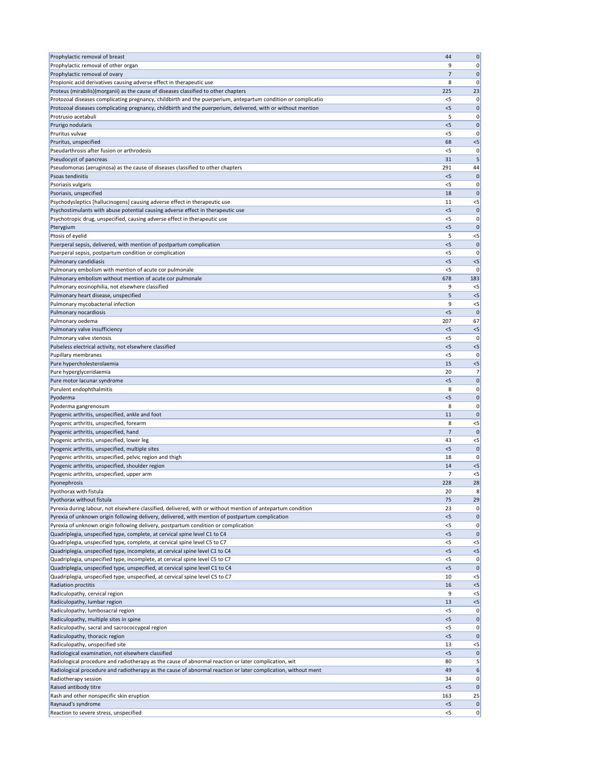| Prophylactic removal of breast                                                                                                                                 | 44             | 0                 |
|----------------------------------------------------------------------------------------------------------------------------------------------------------------|----------------|-------------------|
| Prophylactic removal of other organ                                                                                                                            | 9              | 0                 |
| Prophylactic removal of ovary                                                                                                                                  | 7              | $\mathbf 0$       |
| Propionic acid derivatives causing adverse effect in therapeutic use                                                                                           | 8              | 0                 |
| Proteus (mirabilis) (morganii) as the cause of diseases classified to other chapters                                                                           | 225            | 23                |
| Protozoal diseases complicating pregnancy, childbirth and the puerperium, antepartum condition or complicatio                                                  | $<$ 5          | 0                 |
| Protozoal diseases complicating pregnancy, childbirth and the puerperium, delivered, with or without mention                                                   | < 5            | $\mathbf 0$       |
| Protrusio acetabuli                                                                                                                                            | 5              | 0                 |
| Prurigo nodularis                                                                                                                                              | < 5            | $\mathbf 0$       |
| Pruritus vulvae                                                                                                                                                | <5             | 0                 |
| Pruritus, unspecified                                                                                                                                          | 68<br>< 5      | $< 5$             |
| Pseudarthrosis after fusion or arthrodesis<br>Pseudocyst of pancreas                                                                                           | 31             | 0<br>5            |
| Pseudomonas (aeruginosa) as the cause of diseases classified to other chapters                                                                                 | 291            | 44                |
| <b>Psoas tendinitis</b>                                                                                                                                        | $<$ 5          | $\mathbf 0$       |
| Psoriasis vulgaris                                                                                                                                             | $<$ 5          | 0                 |
| Psoriasis, unspecified                                                                                                                                         | 18             | $\mathbf 0$       |
| Psychodysleptics [hallucinogens] causing adverse effect in therapeutic use                                                                                     | 11             | $<$ 5             |
| Psychostimulants with abuse potential causing adverse effect in therapeutic use                                                                                | < 5            | $\mathbf 0$       |
| Psychotropic drug, unspecified, causing adverse effect in therapeutic use                                                                                      | <5             | 0                 |
| Pterygium                                                                                                                                                      | $<$ 5          | $\mathbf 0$       |
| Ptosis of eyelid                                                                                                                                               | 5              | $<$ 5             |
| Puerperal sepsis, delivered, with mention of postpartum complication                                                                                           | < 5            | $\mathbf 0$       |
| Puerperal sepsis, postpartum condition or complication                                                                                                         | $<$ 5          | 0                 |
| Pulmonary candidiasis                                                                                                                                          | $<$ 5          | $< 5$             |
| Pulmonary embolism with mention of acute cor pulmonale                                                                                                         | $<$ 5          | 0                 |
| Pulmonary embolism without mention of acute cor pulmonale                                                                                                      | 678            | 183               |
| Pulmonary eosinophilia, not elsewhere classified                                                                                                               | 9              | $<$ 5             |
| Pulmonary heart disease, unspecified                                                                                                                           | 5              | $< 5$             |
| Pulmonary mycobacterial infection                                                                                                                              | 9              | $< 5$             |
| Pulmonary nocardiosis                                                                                                                                          | $<$ 5          | 0                 |
| Pulmonary oedema                                                                                                                                               | 207            | 67                |
| Pulmonary valve insufficiency                                                                                                                                  | < 5            | $< 5$             |
| Pulmonary valve stenosis                                                                                                                                       | < 5            | 0                 |
| Pulseless electrical activity, not elsewhere classified                                                                                                        | < 5            | $<$ 5             |
| Pupillary membranes                                                                                                                                            | $<$ 5          | 0                 |
| Pure hypercholesterolaemia                                                                                                                                     | 15             | $< 5$             |
| Pure hyperglyceridaemia                                                                                                                                        | 20             | 7 <sup>1</sup>    |
| Pure motor lacunar syndrome<br>Purulent endophthalmitis                                                                                                        | $<$ 5<br>8     | 0                 |
| Pyoderma                                                                                                                                                       | < 5            | 0                 |
| Pyoderma gangrenosum                                                                                                                                           | 8              | 0 <br>0           |
| Pyogenic arthritis, unspecified, ankle and foot                                                                                                                | 11             | $\mathbf 0$       |
| Pyogenic arthritis, unspecified, forearm                                                                                                                       | 8              | $<$ 5             |
| Pyogenic arthritis, unspecified, hand                                                                                                                          | 7              | $\mathbf 0$       |
| Pyogenic arthritis, unspecified, lower leg                                                                                                                     | 43             | $<$ 5             |
| Pyogenic arthritis, unspecified, multiple sites                                                                                                                | < 5            | $\mathbf 0$       |
| Pyogenic arthritis, unspecified, pelvic region and thigh                                                                                                       | 18             | 0                 |
| Pyogenic arthritis, unspecified, shoulder region                                                                                                               | 14             | < 5               |
| Pyogenic arthritis, unspecified, upper arm                                                                                                                     | $\overline{7}$ | $<$ 5             |
| Pyonephrosis                                                                                                                                                   | 228            | 28                |
| Pyothorax with fistula                                                                                                                                         | 20             | 8                 |
| Pyothorax without fistula                                                                                                                                      | 75             | 29                |
| Pyrexia during labour, not elsewhere classified, delivered, with or without mention of antepartum condition                                                    | 23             | 0                 |
| Pyrexia of unknown origin following delivery, delivered, with mention of postpartum complication                                                               | < 5            | 0                 |
| Pyrexia of unknown origin following delivery, postpartum condition or complication                                                                             | $<$ 5          | 0                 |
| Quadriplegia, unspecified type, complete, at cervical spine level C1 to C4                                                                                     | < 5            | $\mathbf 0$       |
| Quadriplegia, unspecified type, complete, at cervical spine level C5 to C7                                                                                     | $<$ 5          | $<$ 5             |
| Quadriplegia, unspecified type, incomplete, at cervical spine level C1 to C4                                                                                   | $<$ 5          | $< 5$             |
| Quadriplegia, unspecified type, incomplete, at cervical spine level C5 to C7                                                                                   | <5<br>$<$ 5    | 0 <br>$\mathbf 0$ |
| Quadriplegia, unspecified type, unspecified, at cervical spine level C1 to C4<br>Quadriplegia, unspecified type, unspecified, at cervical spine level C5 to C7 | 10             | $<$ 5             |
| Radiation proctitis                                                                                                                                            | 16             | < 5               |
| Radiculopathy, cervical region                                                                                                                                 | 9              | $<$ 5             |
| Radiculopathy, lumbar region                                                                                                                                   | 13             | $<$ 5             |
| Radiculopathy, lumbosacral region                                                                                                                              | $<$ 5          | 0                 |
| Radiculopathy, multiple sites in spine                                                                                                                         | < 5            | 0                 |
| Radiculopathy, sacral and sacrococcygeal region                                                                                                                | $<$ 5          | 0                 |
| Radiculopathy, thoracic region                                                                                                                                 | $<$ 5          | 0                 |
| Radiculopathy, unspecified site                                                                                                                                | 13             | $<$ 5             |
| Radiological examination, not elsewhere classified                                                                                                             | < 5            | $\mathbf{0}$      |
| Radiological procedure and radiotherapy as the cause of abnormal reaction or later complication, wit                                                           | 80             | 5                 |
| Radiological procedure and radiotherapy as the cause of abnormal reaction or later complication, without ment                                                  | 49             | 6                 |
| Radiotherapy session                                                                                                                                           | 34             | 0                 |
| Raised antibody titre                                                                                                                                          | < 5            | $\mathbf 0$       |
| Rash and other nonspecific skin eruption                                                                                                                       | 163            | 25                |
|                                                                                                                                                                |                |                   |
| Raynaud's syndrome<br>Reaction to severe stress, unspecified                                                                                                   | < 5<br>$<$ 5   | 0 <br> 0          |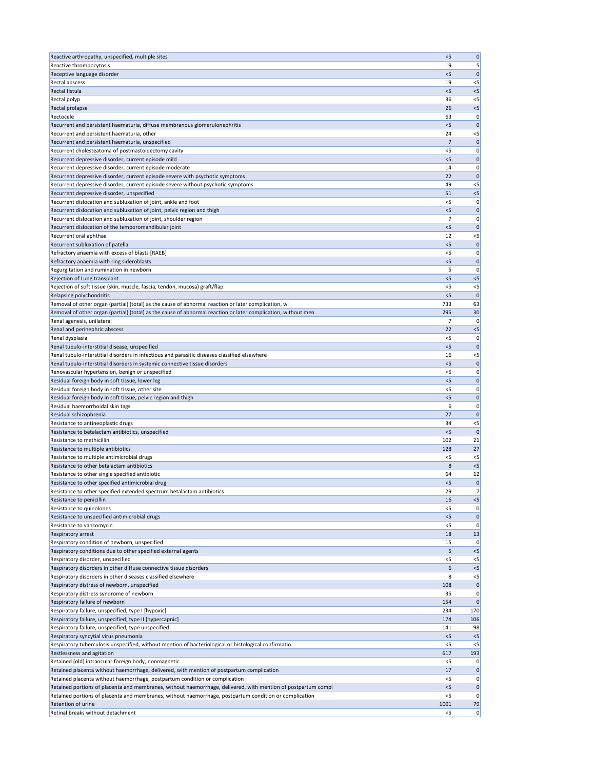| Reactive arthropathy, unspecified, multiple sites                                                             | < 5            | 0           |
|---------------------------------------------------------------------------------------------------------------|----------------|-------------|
| Reactive thrombocytosis                                                                                       | 19             | 5           |
| Receptive language disorder                                                                                   | $<$ 5          | 0           |
| Rectal abscess                                                                                                | 19             | $<$ 5       |
| Rectal fistula                                                                                                | $<$ 5          | $<$ 5       |
| Rectal polyp                                                                                                  | 36             | $<$ 5       |
| Rectal prolapse                                                                                               | 26             | $<$ 5       |
| Rectocele                                                                                                     | 63             | 0           |
| Recurrent and persistent haematuria, diffuse membranous glomerulonephritis                                    | < 5            | $\mathbf 0$ |
| Recurrent and persistent haematuria, other                                                                    | 24             | $<$ 5       |
| Recurrent and persistent haematuria, unspecified                                                              | 7              | $\mathbf 0$ |
| Recurrent cholesteatoma of postmastoidectomy cavity                                                           | $<$ 5          | 0           |
| Recurrent depressive disorder, current episode mild                                                           | < 5            | 0           |
| Recurrent depressive disorder, current episode moderate                                                       | 14             | 0           |
| Recurrent depressive disorder, current episode severe with psychotic symptoms                                 | 22             | O           |
| Recurrent depressive disorder, current episode severe without psychotic symptoms                              | 49             | $<$ 5       |
| Recurrent depressive disorder, unspecified                                                                    | 51             | $<$ 5       |
| Recurrent dislocation and subluxation of joint, ankle and foot                                                | $<$ 5          | 0           |
| Recurrent dislocation and subluxation of joint, pelvic region and thigh                                       | $<$ 5          | $\mathbf 0$ |
| Recurrent dislocation and subluxation of joint, shoulder region                                               | 7              | 0           |
| Recurrent dislocation of the temporomandibular joint                                                          | < 5            | $\mathbf 0$ |
| Recurrent oral aphthae                                                                                        | 12             | $<$ 5       |
| Recurrent subluxation of patella                                                                              | < 5            | $\mathbf 0$ |
| Refractory anaemia with excess of blasts [RAEB]                                                               | $<$ 5          | 0           |
| Refractory anaemia with ring sideroblasts                                                                     | $<$ 5          | 0           |
| Regurgitation and rumination in newborn                                                                       | 5              | 0           |
| Rejection of Lung transplant                                                                                  | $<$ 5          | $<$ 5       |
| Rejection of soft tissue (skin, muscle, fascia, tendon, mucosa) graft/flap                                    | $<$ 5          | $<$ 5       |
| Relapsing polychondritis                                                                                      | < 5            | $\Omega$    |
| Removal of other organ (partial) (total) as the cause of abnormal reaction or later complication, wi          | 733            | 63          |
| Removal of other organ (partial) (total) as the cause of abnormal reaction or later complication, without men | 295            | 30          |
| Renal agenesis, unilateral                                                                                    | $\overline{7}$ | 0           |
| Renal and perinephric abscess                                                                                 | 22             | $<$ 5       |
| Renal dysplasia                                                                                               | $<$ 5          | 0           |
| Renal tubulo-interstitial disease, unspecified                                                                | $<$ 5          | $\Omega$    |
| Renal tubulo-interstitial disorders in infectious and parasitic diseases classified elsewhere                 | 16             | $<$ 5       |
| Renal tubulo-interstitial disorders in systemic connective tissue disorders                                   | < 5            | $\Omega$    |
| Renovascular hypertension, benign or unspecified                                                              | <5             | 0           |
| Residual foreign body in soft tissue, lower leg                                                               | < 5            | $\mathbf 0$ |
| Residual foreign body in soft tissue, other site                                                              | <5             | 0           |
| Residual foreign body in soft tissue, pelvic region and thigh                                                 | $<$ 5          | 0           |
| Residual haemorrhoidal skin tags                                                                              | 6              | 0           |
| Residual schizophrenia                                                                                        | 27             | O           |
| Resistance to antineoplastic drugs                                                                            | 34             | $<$ 5       |
| Resistance to betalactam antibiotics, unspecified                                                             | $<$ 5          | $\Omega$    |
| Resistance to methicillin                                                                                     | 102            | 21          |
| Resistance to multiple antibiotics                                                                            | 128            | 27          |
| Resistance to multiple antimicrobial drugs                                                                    | <5             | $<$ 5       |
| Resistance to other betalactam antibiotics                                                                    | 8              | $<$ 5       |
| Resistance to other single specified antibiotic                                                               | 64             | 12          |
| Resistance to other specified antimicrobial drug                                                              | < 5            | 0           |
| Resistance to other specified extended spectrum betalactam antibiotics                                        | 29             | 7           |
| Resistance to penicillin                                                                                      | 16             | $<$ 5       |
| Resistance to quinolones                                                                                      | <5             | 0           |
| Resistance to unspecified antimicrobial drugs                                                                 | $<$ 5          | $\mathbf 0$ |
| Resistance to vancomycin                                                                                      | <5             | 0           |
| Respiratory arrest                                                                                            | 18             | 13          |
| Respiratory condition of newborn, unspecified                                                                 | 15             |             |
| Respiratory conditions due to other specified external agents                                                 | 5              | <5          |
| Respiratory disorder, unspecified                                                                             | $<$ 5          | $<$ 5       |
| Respiratory disorders in other diffuse connective tissue disorders                                            | 6              | $<$ 5       |
| Respiratory disorders in other diseases classified elsewhere                                                  | 8              | $<$ 5       |
| Respiratory distress of newborn, unspecified                                                                  | 108            | 0           |
| Respiratory distress syndrome of newborn                                                                      | 35             | 0           |
| Respiratory failure of newborn                                                                                | 154            | $\mathbf 0$ |
| Respiratory failure, unspecified, type I [hypoxic]                                                            | 234            | 170         |
| Respiratory failure, unspecified, type II [hypercapnic]                                                       | 174            | 106         |
| Respiratory failure, unspecified, type unspecified                                                            | 141            | 98          |
| Respiratory syncytial virus pneumonia                                                                         | < 5            | $<$ 5       |
| Respiratory tuberculosis unspecified, without mention of bacteriological or histological confirmatio          | $<$ 5          | $<$ 5       |
| Restlessness and agitation                                                                                    | 617            | 193         |
| Retained (old) intraocular foreign body, nonmagnetic                                                          | $<$ 5          | 0           |
| Retained placenta without haemorrhage, delivered, with mention of postpartum complication                     | 17             | $\mathbf 0$ |
| Retained placenta without haemorrhage, postpartum condition or complication                                   | $<$ 5          | 0           |
| Retained portions of placenta and membranes, without haemorrhage, delivered, with mention of postpartum compl | < 5            | $\mathbf 0$ |
| Retained portions of placenta and membranes, without haemorrhage, postpartum condition or complication        | <5             | 0           |
| Retention of urine                                                                                            | 1001           | 79          |
| Retinal breaks without detachment                                                                             | $<$ 5          | 0           |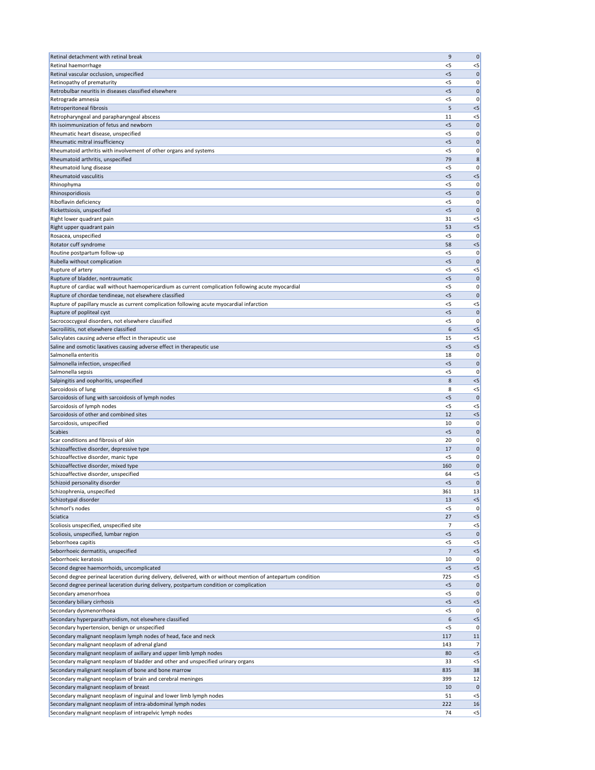| Retinal detachment with retinal break                                                                                                                         | 9          | $\mathbf 0$  |
|---------------------------------------------------------------------------------------------------------------------------------------------------------------|------------|--------------|
| Retinal haemorrhage                                                                                                                                           | $<$ 5      | $<$ 5        |
| Retinal vascular occlusion, unspecified                                                                                                                       | $<$ 5      | 0            |
| Retinopathy of prematurity                                                                                                                                    | $<$ 5      | 0            |
| Retrobulbar neuritis in diseases classified elsewhere                                                                                                         | $<$ 5      | $\mathbf 0$  |
| Retrograde amnesia                                                                                                                                            | $<$ 5      | 0            |
| Retroperitoneal fibrosis                                                                                                                                      | 5          | $<$ 5        |
| Retropharyngeal and parapharyngeal abscess                                                                                                                    | 11         | $<$ 5        |
| Rh isoimmunization of fetus and newborn                                                                                                                       | < 5        | $\mathbf 0$  |
| Rheumatic heart disease, unspecified                                                                                                                          | <5         | 0            |
| Rheumatic mitral insufficiency                                                                                                                                | < 5        | $\mathbf 0$  |
| Rheumatoid arthritis with involvement of other organs and systems                                                                                             | $<$ 5      | 0            |
| Rheumatoid arthritis, unspecified                                                                                                                             | 79         | 8            |
| Rheumatoid lung disease                                                                                                                                       | $<$ 5      | 0            |
| <b>Rheumatoid vasculitis</b>                                                                                                                                  | $<$ 5      | $<$ 5        |
| Rhinophyma                                                                                                                                                    | $<$ 5      | 0            |
| Rhinosporidiosis                                                                                                                                              | < 5        | 0            |
| Riboflavin deficiency                                                                                                                                         | $<$ 5      | 0            |
| Rickettsiosis, unspecified                                                                                                                                    | $<$ 5      | $\mathbf 0$  |
| Right lower quadrant pain                                                                                                                                     | 31         | $<$ 5        |
| Right upper quadrant pain                                                                                                                                     | 53         | $<$ 5        |
| Rosacea, unspecified                                                                                                                                          | $<$ 5      | 0            |
| Rotator cuff syndrome                                                                                                                                         | 58         | $<$ 5        |
| Routine postpartum follow-up                                                                                                                                  | $<$ 5      | 0            |
| Rubella without complication                                                                                                                                  | $<$ 5      | O            |
| Rupture of artery                                                                                                                                             | <5         | $<$ 5        |
| Rupture of bladder, nontraumatic                                                                                                                              | < 5        | $\mathbf 0$  |
| Rupture of cardiac wall without haemopericardium as current complication following acute myocardial<br>Rupture of chordae tendineae, not elsewhere classified | <5         | 0            |
|                                                                                                                                                               | < 5        | $\mathbf 0$  |
| Rupture of papillary muscle as current complication following acute myocardial infarction                                                                     | <5         | $<$ 5        |
| Rupture of popliteal cyst                                                                                                                                     | $<$ 5      | 0            |
| Sacrococcygeal disorders, not elsewhere classified<br>Sacroiliitis, not elsewhere classified                                                                  | $<$ 5<br>6 | 0<br>$<$ 5   |
| Salicylates causing adverse effect in therapeutic use                                                                                                         | 15         | $<$ 5        |
| Saline and osmotic laxatives causing adverse effect in therapeutic use                                                                                        | $<$ 5      | $<$ 5        |
| Salmonella enteritis                                                                                                                                          | 18         | 0            |
| Salmonella infection, unspecified                                                                                                                             | $<$ 5      | $\Omega$     |
| Salmonella sepsis                                                                                                                                             | <5         | O            |
| Salpingitis and oophoritis, unspecified                                                                                                                       | 8          | $<$ 5        |
| Sarcoidosis of lung                                                                                                                                           | 8          | $<$ 5        |
| Sarcoidosis of lung with sarcoidosis of lymph nodes                                                                                                           | $<$ 5      | $\mathbf 0$  |
| Sarcoidosis of lymph nodes                                                                                                                                    | $<$ 5      | $<$ 5        |
| Sarcoidosis of other and combined sites                                                                                                                       | 12         | $<$ 5        |
| Sarcoidosis, unspecified                                                                                                                                      | 10         | 0            |
| Scabies                                                                                                                                                       | $<$ 5      | $\mathbf 0$  |
| Scar conditions and fibrosis of skin                                                                                                                          | 20         | 0            |
| Schizoaffective disorder, depressive type                                                                                                                     | 17         | $\mathbf 0$  |
| Schizoaffective disorder, manic type                                                                                                                          | <5         | 0            |
| Schizoaffective disorder, mixed type                                                                                                                          | 160        | 0            |
| Schizoaffective disorder, unspecified                                                                                                                         | 64         | $<$ 5        |
| Schizoid personality disorder                                                                                                                                 | < 5        | $\Omega$     |
| Schizophrenia, unspecified                                                                                                                                    | 361        | 13           |
| Schizotypal disorder                                                                                                                                          | 13         | $<$ 5        |
| Schmorl's nodes                                                                                                                                               | $<$ 5      | 0            |
| Sciatica                                                                                                                                                      | 27         | $<$ 5        |
| Scoliosis unspecified, unspecified site                                                                                                                       | 7          | $<$ 5        |
| Scoliosis, unspecified, lumbar region                                                                                                                         | < 5        | $\Omega$     |
| Seborrhoea capitis                                                                                                                                            | $<$ 5      | $<$ 5        |
| Seborrhoeic dermatitis, unspecified                                                                                                                           | 7          | $<$ 5        |
| Seborrhoeic keratosis                                                                                                                                         | 10         | 0            |
| Second degree haemorrhoids, uncomplicated                                                                                                                     | $<$ 5      | <5           |
| Second degree perineal laceration during delivery, delivered, with or without mention of antepartum condition                                                 | 725        | $<$ 5        |
| Second degree perineal laceration during delivery, postpartum condition or complication                                                                       | <5         | $\mathbf 0$  |
| Secondary amenorrhoea                                                                                                                                         | $<$ 5      | 0            |
| Secondary biliary cirrhosis                                                                                                                                   | $<$ 5      | $<$ 5        |
| Secondary dysmenorrhoea                                                                                                                                       | <5         | 0            |
| Secondary hyperparathyroidism, not elsewhere classified                                                                                                       | 6          | $<$ 5        |
| Secondary hypertension, benign or unspecified                                                                                                                 | $<$ 5      | 0            |
| Secondary malignant neoplasm lymph nodes of head, face and neck                                                                                               | 117        | 11           |
| Secondary malignant neoplasm of adrenal gland                                                                                                                 | 143        | 7            |
| Secondary malignant neoplasm of axillary and upper limb lymph nodes                                                                                           | 80         | $<$ 5        |
| Secondary malignant neoplasm of bladder and other and unspecified urinary organs                                                                              | 33         | $<$ 5        |
| Secondary malignant neoplasm of bone and bone marrow                                                                                                          | 835        | 38           |
| Secondary malignant neoplasm of brain and cerebral meninges                                                                                                   | 399        | 12           |
| Secondary malignant neoplasm of breast                                                                                                                        | 10         | $\mathbf 0$  |
| Secondary malignant neoplasm of inguinal and lower limb lymph nodes<br>Secondary malignant neoplasm of intra-abdominal lymph nodes                            | 51         | $<$ 5        |
| Secondary malignant neoplasm of intrapelvic lymph nodes                                                                                                       | 222<br>74  | 16<br>$\leq$ |
|                                                                                                                                                               |            |              |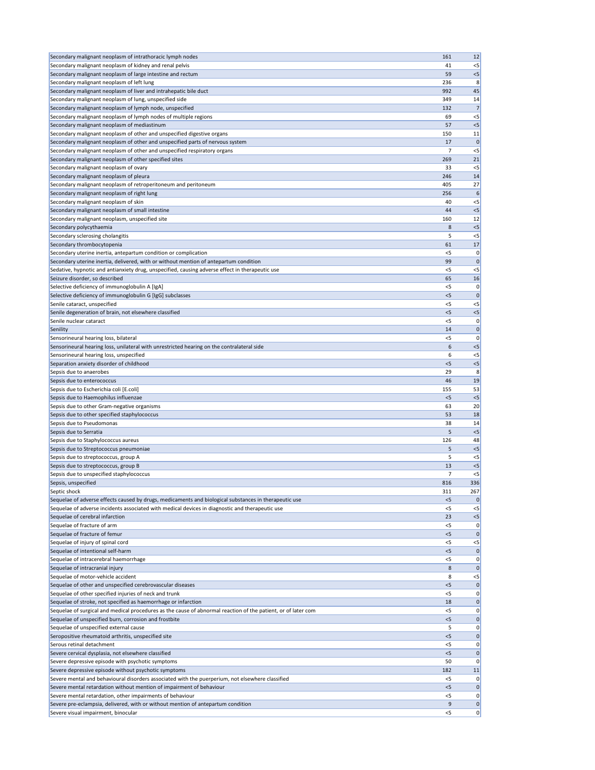| Secondary malignant neoplasm of intrathoracic lymph nodes                                                               | 161        | 12          |
|-------------------------------------------------------------------------------------------------------------------------|------------|-------------|
| Secondary malignant neoplasm of kidney and renal pelvis                                                                 | 41         | $<$ 5       |
| Secondary malignant neoplasm of large intestine and rectum                                                              | 59         | $<$ 5       |
| Secondary malignant neoplasm of left lung                                                                               |            |             |
|                                                                                                                         | 236        | 8           |
| Secondary malignant neoplasm of liver and intrahepatic bile duct                                                        | 992        | 45          |
| Secondary malignant neoplasm of lung, unspecified side                                                                  | 349        | 14          |
| Secondary malignant neoplasm of lymph node, unspecified                                                                 | 132        | 7           |
| Secondary malignant neoplasm of lymph nodes of multiple regions                                                         | 69         | $<$ 5       |
| Secondary malignant neoplasm of mediastinum                                                                             | 57         | $<$ 5       |
| Secondary malignant neoplasm of other and unspecified digestive organs                                                  | 150        | 11          |
| Secondary malignant neoplasm of other and unspecified parts of nervous system                                           | 17         | $\mathbf 0$ |
| Secondary malignant neoplasm of other and unspecified respiratory organs                                                | 7          | $<$ 5       |
| Secondary malignant neoplasm of other specified sites                                                                   | 269        | 21          |
| Secondary malignant neoplasm of ovary                                                                                   | 33         | $<$ 5       |
| Secondary malignant neoplasm of pleura                                                                                  | 246        | 14          |
|                                                                                                                         |            |             |
| Secondary malignant neoplasm of retroperitoneum and peritoneum                                                          | 405        | 27          |
| Secondary malignant neoplasm of right lung                                                                              | 256        | 6           |
| Secondary malignant neoplasm of skin                                                                                    | 40         | $<$ 5       |
| Secondary malignant neoplasm of small intestine                                                                         | 44         | $<$ 5       |
| Secondary malignant neoplasm, unspecified site                                                                          | 160        | 12          |
| Secondary polycythaemia                                                                                                 | 8          | $<$ 5       |
| Secondary sclerosing cholangitis                                                                                        | 5          | $<$ 5       |
| Secondary thrombocytopenia                                                                                              | 61         | 17          |
| Secondary uterine inertia, antepartum condition or complication                                                         | $<$ 5      | 0           |
| Secondary uterine inertia, delivered, with or without mention of antepartum condition                                   | 99         | $\Omega$    |
|                                                                                                                         |            |             |
| Sedative, hypnotic and antianxiety drug, unspecified, causing adverse effect in therapeutic use                         | <5         | $<$ 5       |
| Seizure disorder, so described                                                                                          | 65         | 16          |
| Selective deficiency of immunoglobulin A [IgA]                                                                          | $<$ 5      | 0           |
| Selective deficiency of immunoglobulin G [IgG] subclasses                                                               | < 5        | $\mathbf 0$ |
| Senile cataract, unspecified                                                                                            | $<$ 5      | $<$ 5       |
| Senile degeneration of brain, not elsewhere classified                                                                  | < 5        | $<$ 5       |
| Senile nuclear cataract                                                                                                 | $<$ 5      | 0           |
| Senility                                                                                                                | 14         | $\Omega$    |
| Sensorineural hearing loss, bilateral                                                                                   | $<$ 5      | 0           |
|                                                                                                                         | 6          | $<$ 5       |
| Sensorineural hearing loss, unilateral with unrestricted hearing on the contralateral side                              |            |             |
| Sensorineural hearing loss, unspecified                                                                                 | 6          | $<$ 5       |
| Separation anxiety disorder of childhood                                                                                | < 5        | $<$ 5       |
| Sepsis due to anaerobes                                                                                                 | 29         | 8           |
| Sepsis due to enterococcus                                                                                              | 46         | 19          |
| Sepsis due to Escherichia coli [E.coli]                                                                                 | 155        | 53          |
| Sepsis due to Haemophilus influenzae                                                                                    | $<$ 5      | $<$ 5       |
| Sepsis due to other Gram-negative organisms                                                                             | 63         | 20          |
| Sepsis due to other specified staphylococcus                                                                            | 53         | 18          |
| Sepsis due to Pseudomonas                                                                                               | 38         | 14          |
| Sepsis due to Serratia                                                                                                  | 5          | $<$ 5       |
|                                                                                                                         |            |             |
| Sepsis due to Staphylococcus aureus                                                                                     | 126        | 48          |
| Sepsis due to Streptococcus pneumoniae                                                                                  | 5          | $<$ 5       |
| Sepsis due to streptococcus, group A                                                                                    | 5          | $<$ 5       |
| Sepsis due to streptococcus, group B                                                                                    | 13         | $<$ 5       |
| Sepsis due to unspecified staphylococcus                                                                                | 7          | $<$ 5       |
| Sepsis, unspecified                                                                                                     | 816        | 336         |
| Septic shock                                                                                                            | 311        | 267         |
| Sequelae of adverse effects caused by drugs, medicaments and biological substances in therapeutic use                   | $<$ 5      |             |
| Sequelae of adverse incidents associated with medical devices in diagnostic and therapeutic use                         | <5         | $<$ 5       |
| Sequelae of cerebral infarction                                                                                         | 23         | $<$ 5       |
| Sequelae of fracture of arm                                                                                             | <5         | 0           |
| Sequelae of fracture of femur                                                                                           | < 5        | $\mathbf 0$ |
|                                                                                                                         |            |             |
|                                                                                                                         |            | $<$ 5       |
| Sequelae of injury of spinal cord                                                                                       | <5         | $\mathbf 0$ |
| Sequelae of intentional self-harm                                                                                       | $<$ 5      | 0           |
| Sequelae of intracerebral haemorrhage                                                                                   | $<$ 5      |             |
| Sequelae of intracranial injury                                                                                         | 8          | $\mathbf 0$ |
| Sequelae of motor-vehicle accident                                                                                      | 8          | $<$ 5       |
|                                                                                                                         | <5         | $\mathbf 0$ |
| Sequelae of other and unspecified cerebrovascular diseases                                                              | $<$ 5      | 0           |
| Sequelae of other specified injuries of neck and trunk                                                                  | 18         | 0           |
| Sequelae of stroke, not specified as haemorrhage or infarction                                                          |            |             |
| Sequelae of surgical and medical procedures as the cause of abnormal reaction of the patient, or of later com           | <5         | 0           |
| Sequelae of unspecified burn, corrosion and frostbite                                                                   | < 5        | 0           |
| Sequelae of unspecified external cause                                                                                  | 5          | 0           |
| Seropositive rheumatoid arthritis, unspecified site                                                                     | < 5        | 0           |
| Serous retinal detachment                                                                                               | $<$ 5      | 0           |
| Severe cervical dysplasia, not elsewhere classified                                                                     | $<$ 5      | $\Omega$    |
| Severe depressive episode with psychotic symptoms                                                                       | 50         | 0           |
| Severe depressive episode without psychotic symptoms                                                                    | 182        | 11          |
| Severe mental and behavioural disorders associated with the puerperium, not elsewhere classified                        | $<$ 5      | 0           |
|                                                                                                                         | < 5        | $\mathbf 0$ |
| Severe mental retardation without mention of impairment of behaviour                                                    |            | 0           |
| Severe mental retardation, other impairments of behaviour                                                               | <5         |             |
| Severe pre-eclampsia, delivered, with or without mention of antepartum condition<br>Severe visual impairment, binocular | 9<br>$<$ 5 | 0<br> 0     |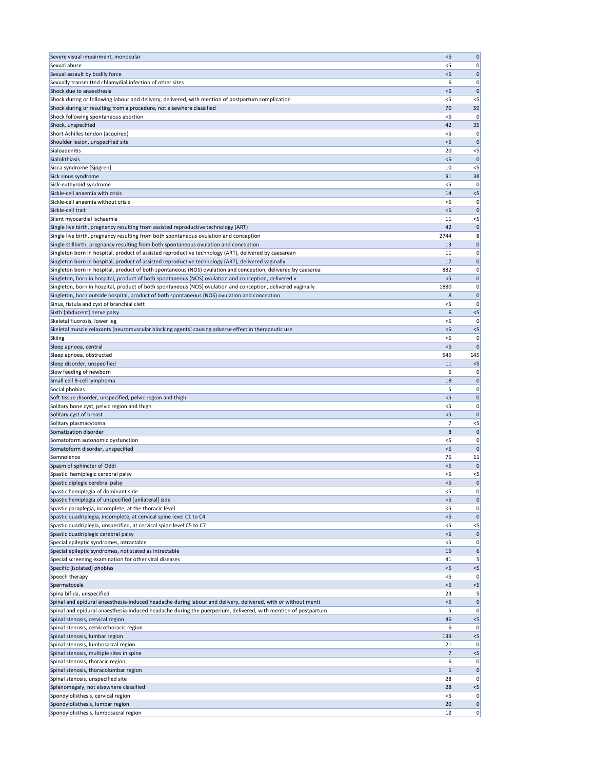| Severe visual impairment, monocular                                                                                                                                                                                            | < 5        | 0           |
|--------------------------------------------------------------------------------------------------------------------------------------------------------------------------------------------------------------------------------|------------|-------------|
| Sexual abuse                                                                                                                                                                                                                   | $<$ 5      | 0           |
| Sexual assault by bodily force                                                                                                                                                                                                 | < 5        | 0           |
| Sexually transmitted chlamydial infection of other sites                                                                                                                                                                       | 6          | 0           |
| Shock due to anaesthesia                                                                                                                                                                                                       | $<$ 5      | $\Omega$    |
| Shock during or following labour and delivery, delivered, with mention of postpartum complication                                                                                                                              | $<$ 5      | $<$ 5       |
| Shock during or resulting from a procedure, not elsewhere classified                                                                                                                                                           | 70         | 59          |
| Shock following spontaneous abortion                                                                                                                                                                                           | $<$ 5      | 0           |
| Shock, unspecified                                                                                                                                                                                                             | 42         | 35          |
| Short Achilles tendon (acquired)                                                                                                                                                                                               | <5         |             |
| Shoulder lesion, unspecified site                                                                                                                                                                                              | $<$ 5      | 0           |
| Sialoadenitis                                                                                                                                                                                                                  | 20         | $<$ 5       |
| Sialolithiasis                                                                                                                                                                                                                 | < 5        | $\Omega$    |
| Sicca syndrome [Sjögren]                                                                                                                                                                                                       | 10         | $<$ 5       |
| Sick sinus syndrome                                                                                                                                                                                                            | 91         | 38          |
| Sick-euthyroid syndrome                                                                                                                                                                                                        | $<$ 5      | 0           |
| Sickle-cell anaemia with crisis                                                                                                                                                                                                | 14         | $<$ 5       |
| Sickle-cell anaemia without crisis                                                                                                                                                                                             | <5         | 0           |
| Sickle-cell trait                                                                                                                                                                                                              | $<$ 5      | $\mathbf 0$ |
| Silent myocardial ischaemia                                                                                                                                                                                                    | 11         | $<$ 5       |
| Single live birth, pregnancy resulting from assisted reproductive technology (ART)                                                                                                                                             | 42         | 0           |
| Single live birth, pregnancy resulting from both spontaneous ovulation and conception<br>Single stillbirth, pregnancy resulting from both spontaneous ovulation and conception                                                 | 2744<br>13 | 8<br>0      |
| Singleton born in hospital, product of assisted reproductive technology (ART), delivered by caesarean                                                                                                                          | 11         | 0           |
| Singleton born in hospital, product of assisted reproductive technology (ART), delivered vaginally                                                                                                                             | 17         | 0           |
| Singleton born in hospital, product of both spontaneous (NOS) ovulation and conception, delivered by caesarea                                                                                                                  | 882        | 0           |
| Singleton, born in hospital, product of both spontaneous (NOS) ovulation and conception, delivered v                                                                                                                           | $<$ 5      | $\mathbf 0$ |
| Singleton, born in hospital, product of both spontaneous (NOS) ovulation and conception, delivered vaginally                                                                                                                   | 1880       | 0           |
| Singleton, born outside hospital, product of both spontaneous (NOS) ovulation and conception                                                                                                                                   | 8          | 0           |
| Sinus, fistula and cyst of branchial cleft                                                                                                                                                                                     | $<$ 5      | 0           |
| Sixth [abducent] nerve palsy                                                                                                                                                                                                   | 6          | $<$ 5       |
| Skeletal fluorosis, lower leg                                                                                                                                                                                                  | $<$ 5      | 0           |
| Skeletal muscle relaxants [neuromuscular blocking agents] causing adverse effect in therapeutic use                                                                                                                            | $<$ 5      | $<$ 5       |
| <b>Skiing</b>                                                                                                                                                                                                                  | $<$ 5      | 0           |
| Sleep apnoea, central                                                                                                                                                                                                          | < 5        | $\Omega$    |
| Sleep apnoea, obstructed                                                                                                                                                                                                       | 545        | 145         |
| Sleep disorder, unspecified                                                                                                                                                                                                    | 11         | $<$ 5       |
| Slow feeding of newborn                                                                                                                                                                                                        | 6          |             |
|                                                                                                                                                                                                                                |            |             |
| Small cell B-cell lymphoma                                                                                                                                                                                                     | 18         | 0           |
| Social phobias                                                                                                                                                                                                                 | 5          | 0           |
| Soft tissue disorder, unspecified, pelvic region and thigh                                                                                                                                                                     | < 5        | $\mathbf 0$ |
| Solitary bone cyst, pelvic region and thigh                                                                                                                                                                                    | $<$ 5      | 0           |
| Solitary cyst of breast                                                                                                                                                                                                        | $<$ 5      |             |
| Solitary plasmacytoma                                                                                                                                                                                                          | 7          | $<$ 5       |
| Somatization disorder                                                                                                                                                                                                          | 8          | $\mathbf 0$ |
| Somatoform autonomic dysfunction                                                                                                                                                                                               | $<$ 5      | 0           |
| Somatoform disorder, unspecified                                                                                                                                                                                               | < 5        | $\mathbf 0$ |
| Somnolence                                                                                                                                                                                                                     | 75         | 11          |
| Spasm of sphincter of Oddi                                                                                                                                                                                                     | $<$ 5      | $\Omega$    |
| Spastic hemiplegic cerebral palsy                                                                                                                                                                                              | <5         | $<$ 5       |
| Spastic diplegic cerebral palsy                                                                                                                                                                                                | < 5        | $\mathbf 0$ |
| Spastic hemiplegia of dominant side                                                                                                                                                                                            | $<$ 5      | 0           |
| Spastic hemiplegia of unspecified [unilateral] side                                                                                                                                                                            | < 5        | $\mathbf 0$ |
| Spastic paraplegia, incomplete, at the thoracic level                                                                                                                                                                          | <5         | 0           |
| Spastic quadriplegia, incomplete, at cervical spine level C1 to C4                                                                                                                                                             | $<$ 5      | $\Omega$    |
| Spastic quadriplegia, unspecified, at cervical spine level C5 to C7                                                                                                                                                            | <5         | $<$ 5       |
| Spastic quadriplegic cerebral palsy                                                                                                                                                                                            | < 5        | 0           |
| Special epileptic syndromes, intractable                                                                                                                                                                                       | <5         | 0           |
| Special epileptic syndromes, not stated as intractable                                                                                                                                                                         | 15         | 6           |
| Special screening examination for other viral diseases                                                                                                                                                                         | 41         |             |
| Specific (isolated) phobias                                                                                                                                                                                                    | $<$ 5      | $<$ 5       |
| Speech therapy                                                                                                                                                                                                                 | $<$ 5      | 0           |
| Spermatocele                                                                                                                                                                                                                   | < 5        | $<$ 5       |
| Spina bifida, unspecified                                                                                                                                                                                                      | 23         | 5<br>0      |
| Spinal and epidural anaesthesia-induced headache during labour and delivery, delivered, with or without menti<br>Spinal and epidural anaesthesia-induced headache during the puerperium, delivered, with mention of postpartum | $<$ 5<br>5 | 0           |
| Spinal stenosis, cervical region                                                                                                                                                                                               | 46         | $<$ 5       |
| Spinal stenosis, cervicothoracic region                                                                                                                                                                                        | 6          |             |
| Spinal stenosis, lumbar region                                                                                                                                                                                                 | 139        | $<$ 5       |
| Spinal stenosis, lumbosacral region                                                                                                                                                                                            | 21         | 0           |
| Spinal stenosis, multiple sites in spine                                                                                                                                                                                       | 7          | $<$ 5       |
| Spinal stenosis, thoracic region                                                                                                                                                                                               | 6          | 0           |
| Spinal stenosis, thoracolumbar region                                                                                                                                                                                          | 5          | $\mathbf 0$ |
| Spinal stenosis, unspecified site                                                                                                                                                                                              | 28         | 0           |
| Splenomegaly, not elsewhere classified                                                                                                                                                                                         | 28         | $<$ 5       |
| Spondylolisthesis, cervical region                                                                                                                                                                                             | $<$ 5      |             |
| Spondylolisthesis, lumbar region                                                                                                                                                                                               | 20         | 0           |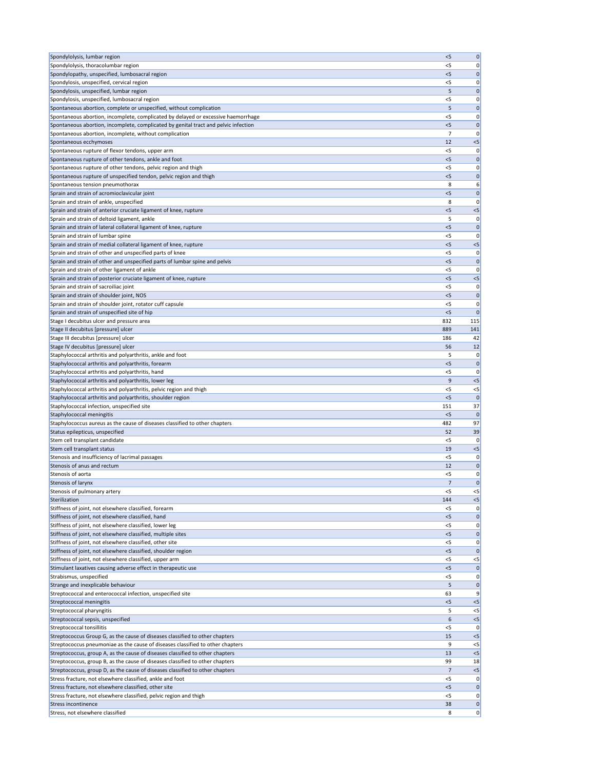| Spondylolysis, lumbar region                                                                                      | < 5     | 0           |
|-------------------------------------------------------------------------------------------------------------------|---------|-------------|
| Spondylolysis, thoracolumbar region                                                                               | <5      | 0           |
| Spondylopathy, unspecified, lumbosacral region                                                                    | $<$ 5   | 0           |
| Spondylosis, unspecified, cervical region                                                                         | < 5     | 0           |
| Spondylosis, unspecified, lumbar region                                                                           | 5       | 0           |
| Spondylosis, unspecified, lumbosacral region                                                                      | $<$ 5   | 0           |
| Spontaneous abortion, complete or unspecified, without complication                                               | 5       | $\mathbf 0$ |
| Spontaneous abortion, incomplete, complicated by delayed or excessive haemorrhage                                 | $<$ 5   | 0           |
| Spontaneous abortion, incomplete, complicated by genital tract and pelvic infection                               | < 5     | 0           |
| Spontaneous abortion, incomplete, without complication                                                            | 7       | 0           |
| Spontaneous ecchymoses                                                                                            | 12      | $<$ 5       |
| Spontaneous rupture of flexor tendons, upper arm                                                                  | $<$ 5   | 0           |
| Spontaneous rupture of other tendons, ankle and foot                                                              | $<$ 5   | 0           |
| Spontaneous rupture of other tendons, pelvic region and thigh                                                     | <5      | 0           |
| Spontaneous rupture of unspecified tendon, pelvic region and thigh                                                | $<$ 5   | 0           |
| Spontaneous tension pneumothorax                                                                                  | 8       | 6           |
| Sprain and strain of acromioclavicular joint                                                                      | $<$ 5   | 0           |
| Sprain and strain of ankle, unspecified                                                                           | 8       | 0           |
| Sprain and strain of anterior cruciate ligament of knee, rupture                                                  | $<$ 5   | $< 5$       |
| Sprain and strain of deltoid ligament, ankle                                                                      | 5       | 0           |
| Sprain and strain of lateral collateral ligament of knee, rupture                                                 | $<$ 5   | 0           |
| Sprain and strain of lumbar spine                                                                                 | $<$ 5   | 0           |
| Sprain and strain of medial collateral ligament of knee, rupture                                                  | < 5     | $< 5$       |
| Sprain and strain of other and unspecified parts of knee                                                          | < 5     | 0           |
| Sprain and strain of other and unspecified parts of lumbar spine and pelvis                                       | $<$ 5   | 0           |
| Sprain and strain of other ligament of ankle                                                                      | $<$ 5   | 0           |
| Sprain and strain of posterior cruciate ligament of knee, rupture                                                 | < 5     | $<5$        |
| Sprain and strain of sacroiliac joint                                                                             | $<$ 5   | 0           |
| Sprain and strain of shoulder joint, NOS                                                                          | < 5     | 0           |
| Sprain and strain of shoulder joint, rotator cuff capsule                                                         | <5      | 0           |
| Sprain and strain of unspecified site of hip                                                                      | $<$ 5   | 0           |
| Stage I decubitus ulcer and pressure area                                                                         | 832     | 115         |
| Stage II decubitus [pressure] ulcer                                                                               | 889     | 141         |
| Stage III decubitus [pressure] ulcer                                                                              | 186     | 42          |
| Stage IV decubitus [pressure] ulcer                                                                               | 56<br>5 | 12          |
| Staphylococcal arthritis and polyarthritis, ankle and foot<br>Staphylococcal arthritis and polyarthritis, forearm | < 5     | 0 <br>0     |
| Staphylococcal arthritis and polyarthritis, hand                                                                  | <5      | 0           |
| Staphylococcal arthritis and polyarthritis, lower leg                                                             | 9       | $< 5$       |
| Staphylococcal arthritis and polyarthritis, pelvic region and thigh                                               | $<$ 5   | $<$ 5       |
| Staphylococcal arthritis and polyarthritis, shoulder region                                                       | < 5     | 0           |
| Staphylococcal infection, unspecified site                                                                        | 151     | 37          |
| Staphylococcal meningitis                                                                                         | $<$ 5   | $\Omega$    |
| Staphylococcus aureus as the cause of diseases classified to other chapters                                       | 482     | 97          |
| Status epilepticus, unspecified                                                                                   | 52      | 39          |
| Stem cell transplant candidate                                                                                    | $<$ 5   | 0           |
| Stem cell transplant status                                                                                       | 19      | $< 5$       |
| Stenosis and insufficiency of lacrimal passages                                                                   | $<$ 5   | 0           |
| Stenosis of anus and rectum                                                                                       | 12      | 0           |
| Stenosis of aorta                                                                                                 | $<$ 5   | 0           |
| Stenosis of larynx                                                                                                | 7       | 0           |
| Stenosis of pulmonary artery                                                                                      | $<$ 5   | $< 5$       |
| Sterilization                                                                                                     | 144     | $< 5$       |
| Stiffness of joint, not elsewhere classified, forearm                                                             | $<$ 5   | 0           |
| Stiffness of joint, not elsewhere classified, hand                                                                | $<$ 5   | 0           |
| Stiffness of joint, not elsewhere classified, lower leg                                                           | $<$ 5   | 0           |
| Stiffness of joint, not elsewhere classified, multiple sites                                                      | $<$ 5   | $\mathbf 0$ |
| Stiffness of joint, not elsewhere classified, other site                                                          | $<$ 5   | 0           |
| Stiffness of joint, not elsewhere classified, shoulder region                                                     | $<$ 5   | 0           |
| Stiffness of joint, not elsewhere classified, upper arm                                                           | <5      | $< 5$       |
| Stimulant laxatives causing adverse effect in therapeutic use                                                     | $<$ 5   | 0           |
| Strabismus, unspecified                                                                                           | $<$ 5   | 0           |
| Strange and inexplicable behaviour                                                                                | 5       | 0           |
| Streptococcal and enterococcal infection, unspecified site                                                        | 63      | 9           |
| Streptococcal meningitis                                                                                          | < 5     | $< 5$       |
| Streptococcal pharyngitis                                                                                         | 5       | $<$ 5       |
| Streptococcal sepsis, unspecified                                                                                 | 6       | $< 5$       |
| Streptococcal tonsillitis                                                                                         | < 5     | 0           |
| Streptococcus Group G, as the cause of diseases classified to other chapters                                      | 15      | $<$ 5       |
| Streptococcus pneumoniae as the cause of diseases classified to other chapters                                    | 9       | $<$ 5       |
| Streptococcus, group A, as the cause of diseases classified to other chapters                                     | 13      | < 5         |
| Streptococcus, group B, as the cause of diseases classified to other chapters                                     | 99      | 18          |
| Streptococcus, group D, as the cause of diseases classified to other chapters                                     | 7       | $< 5$       |
| Stress fracture, not elsewhere classified, ankle and foot                                                         | $<$ 5   | 0           |
| Stress fracture, not elsewhere classified, other site                                                             | < 5     | 0           |
| Stress fracture, not elsewhere classified, pelvic region and thigh                                                | $<$ 5   | 0           |
| Stress incontinence                                                                                               | 38      | 0           |
| Stress, not elsewhere classified                                                                                  | 8       | 0           |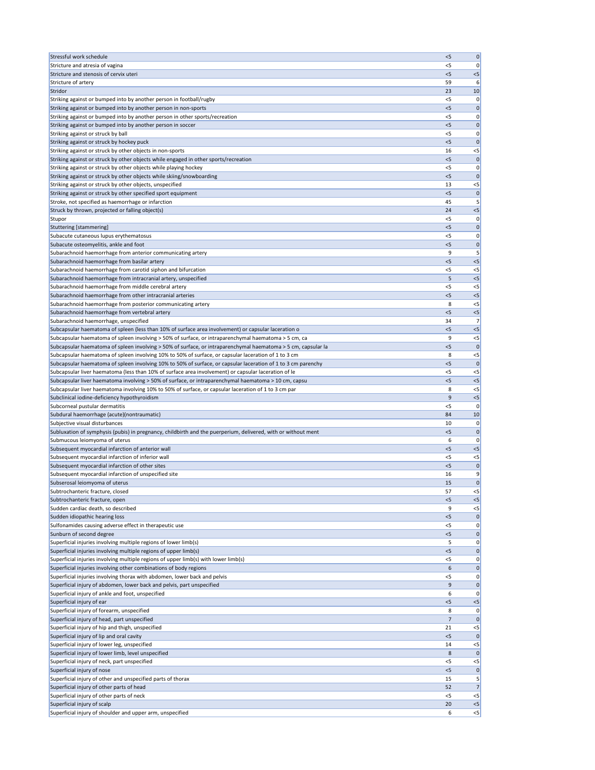| Stressful work schedule                                                                                                     | < 5            | 0              |
|-----------------------------------------------------------------------------------------------------------------------------|----------------|----------------|
| Stricture and atresia of vagina                                                                                             | $<$ 5          | 0              |
|                                                                                                                             |                |                |
| Stricture and stenosis of cervix uteri                                                                                      | $<$ 5          | $<$ 5          |
| Stricture of artery                                                                                                         | 59             | 6              |
| Stridor                                                                                                                     | 23             | 10             |
| Striking against or bumped into by another person in football/rugby                                                         | $<$ 5          | 0              |
| Striking against or bumped into by another person in non-sports                                                             | $<$ 5          | 0              |
| Striking against or bumped into by another person in other sports/recreation                                                | $<$ 5          | 0              |
| Striking against or bumped into by another person in soccer                                                                 | < 5            | 0              |
| Striking against or struck by ball                                                                                          | <5             | 0              |
|                                                                                                                             |                |                |
| Striking against or struck by hockey puck                                                                                   | < 5            | 0              |
| Striking against or struck by other objects in non-sports                                                                   | 16             | $<$ 5          |
| Striking against or struck by other objects while engaged in other sports/recreation                                        | < 5            | 0              |
| Striking against or struck by other objects while playing hockey                                                            | <5             | 0              |
| Striking against or struck by other objects while skiing/snowboarding                                                       | $<$ 5          | O              |
| Striking against or struck by other objects, unspecified                                                                    | 13             | $<$ 5          |
| Striking against or struck by other specified sport equipment                                                               | < 5            | $\mathbf 0$    |
|                                                                                                                             | 45             | 5              |
| Stroke, not specified as haemorrhage or infarction                                                                          |                |                |
| Struck by thrown, projected or falling object(s)                                                                            | 24             | $<$ 5          |
| Stupor                                                                                                                      | <5             |                |
| Stuttering [stammering]                                                                                                     | <5             | 0              |
| Subacute cutaneous lupus erythematosus                                                                                      | <5             | 0              |
| Subacute osteomyelitis, ankle and foot                                                                                      | < 5            | 0              |
| Subarachnoid haemorrhage from anterior communicating artery                                                                 | 9              | 5              |
| Subarachnoid haemorrhage from basilar artery                                                                                | $<$ 5          | $<$ 5          |
|                                                                                                                             |                |                |
| Subarachnoid haemorrhage from carotid siphon and bifurcation                                                                | <5             | $<$ 5          |
| Subarachnoid haemorrhage from intracranial artery, unspecified                                                              | 5              | $<$ 5          |
| Subarachnoid haemorrhage from middle cerebral artery                                                                        | $<$ 5          | $<$ 5          |
| Subarachnoid haemorrhage from other intracranial arteries                                                                   | < 5            | $<$ 5          |
| Subarachnoid haemorrhage from posterior communicating artery                                                                | 8              | $<$ 5          |
| Subarachnoid haemorrhage from vertebral artery                                                                              | $<$ 5          | $<$ 5          |
| Subarachnoid haemorrhage, unspecified                                                                                       | 34             | 7              |
| Subcapsular haematoma of spleen (less than 10% of surface area involvement) or capsular laceration o                        | < 5            | $<$ 5          |
|                                                                                                                             |                |                |
| Subcapsular haematoma of spleen involving > 50% of surface, or intraparenchymal haematoma > 5 cm, ca                        | 9              | $<$ 5          |
| Subcapsular haematoma of spleen involving > 50% of surface, or intraparenchymal haematoma > 5 cm, capsular la               | $<$ 5          |                |
| Subcapsular haematoma of spleen involving 10% to 50% of surface, or capsular laceration of 1 to 3 cm                        | 8              | $<$ 5          |
| Subcapsular haematoma of spleen involving 10% to 50% of surface, or capsular laceration of 1 to 3 cm parenchy               | $<$ 5          | $\Omega$       |
| Subcapsular liver haematoma (less than 10% of surface area involvement) or capsular laceration of le                        | $<$ 5          | <5             |
| Subcapsular liver haematoma involving > 50% of surface, or intraparenchymal haematoma > 10 cm, capsu                        | < 5            | $<$ 5          |
|                                                                                                                             |                |                |
|                                                                                                                             |                |                |
| Subcapsular liver haematoma involving 10% to 50% of surface, or capsular laceration of 1 to 3 cm par                        | 8              | $<$ 5          |
| Subclinical iodine-deficiency hypothyroidism                                                                                | 9              | $<$ 5          |
| Subcorneal pustular dermatitis                                                                                              | $<$ 5          | $\Omega$       |
| Subdural haemorrhage (acute)(nontraumatic)                                                                                  | 84             | 10             |
| Subjective visual disturbances                                                                                              | 10             | 0              |
| Subluxation of symphysis (pubis) in pregnancy, childbirth and the puerperium, delivered, with or without ment               | < 5            | 0              |
| Submucous leiomyoma of uterus                                                                                               | 6              | 0              |
|                                                                                                                             |                |                |
| Subsequent myocardial infarction of anterior wall                                                                           | < 5            | $<$ 5          |
| Subsequent myocardial infarction of inferior wall                                                                           | <5             | <5             |
| Subsequent myocardial infarction of other sites                                                                             | < 5            | 0              |
| Subsequent myocardial infarction of unspecified site                                                                        | 16             |                |
| Subserosal leiomyoma of uterus                                                                                              | 15             | 0              |
| Subtrochanteric fracture, closed                                                                                            | 57             | $<$ 5          |
| Subtrochanteric fracture, open                                                                                              | $<$ 5          | $<$ 5          |
| Sudden cardiac death, so described                                                                                          | 9              | $<$ 5          |
| Sudden idiopathic hearing loss                                                                                              | < 5            | 0              |
|                                                                                                                             | $<$ 5          | 0              |
| Sulfonamides causing adverse effect in therapeutic use                                                                      |                |                |
| Sunburn of second degree                                                                                                    | < 5            | 0              |
| Superficial injuries involving multiple regions of lower limb(s)                                                            | 5              |                |
| Superficial injuries involving multiple regions of upper limb(s)                                                            | < 5            | 0              |
| Superficial injuries involving multiple regions of upper limb(s) with lower limb(s)                                         | $<$ 5          |                |
| Superficial injuries involving other combinations of body regions                                                           | 6              | 0              |
| Superficial injuries involving thorax with abdomen, lower back and pelvis                                                   | $<$ 5          | 0              |
|                                                                                                                             | 9              | 0              |
| Superficial injury of abdomen, lower back and pelvis, part unspecified<br>Superficial injury of ankle and foot, unspecified | 6              | 0              |
|                                                                                                                             |                |                |
| Superficial injury of ear                                                                                                   | $<$ 5          | $< 5$<br>O     |
| Superficial injury of forearm, unspecified                                                                                  | 8              |                |
| Superficial injury of head, part unspecified                                                                                | $\overline{7}$ | 0              |
| Superficial injury of hip and thigh, unspecified                                                                            | 21             | $<$ 5          |
| Superficial injury of lip and oral cavity                                                                                   | < 5            | 0              |
| Superficial injury of lower leg, unspecified                                                                                | 14             | $<$ 5          |
| Superficial injury of lower limb, level unspecified                                                                         | 8              |                |
| Superficial injury of neck, part unspecified                                                                                | $<$ 5          | $<$ 5          |
|                                                                                                                             | < 5            | 0              |
| Superficial injury of nose                                                                                                  |                |                |
| Superficial injury of other and unspecified parts of thorax                                                                 | 15             | 5              |
| Superficial injury of other parts of head                                                                                   | 52             | 7              |
| Superficial injury of other parts of neck                                                                                   | $<$ 5          | <5             |
| Superficial injury of scalp<br>Superficial injury of shoulder and upper arm, unspecified                                    | 20<br>6        | $<$ 5<br>$< 5$ |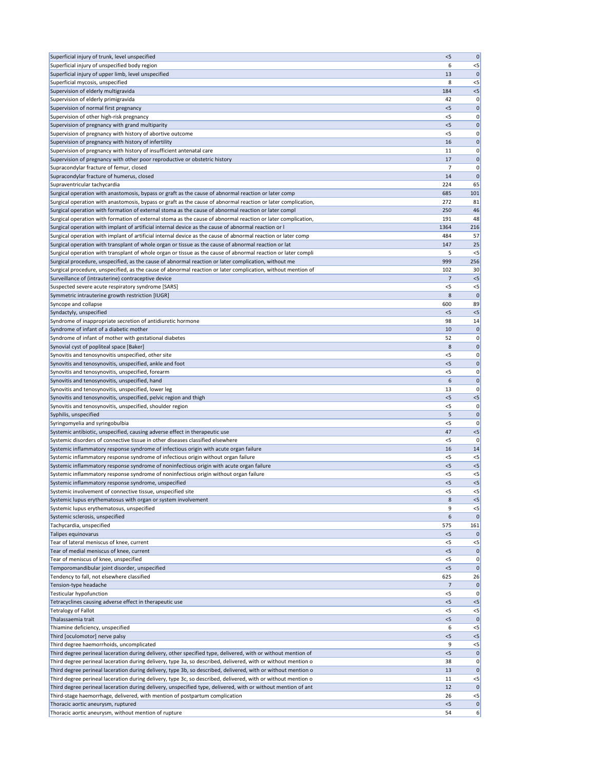| Superficial injury of trunk, level unspecified                                                                                                                                                                                 | < 5          | 0              |
|--------------------------------------------------------------------------------------------------------------------------------------------------------------------------------------------------------------------------------|--------------|----------------|
| Superficial injury of unspecified body region                                                                                                                                                                                  | 6            | $<$ 5          |
| Superficial injury of upper limb, level unspecified                                                                                                                                                                            | 13           | $\mathbf 0$    |
| Superficial mycosis, unspecified                                                                                                                                                                                               | 8            | $<$ 5          |
| Supervision of elderly multigravida                                                                                                                                                                                            | 184          | $<$ 5          |
| Supervision of elderly primigravida                                                                                                                                                                                            | 42           | 0              |
| Supervision of normal first pregnancy                                                                                                                                                                                          | < 5          | 0              |
| Supervision of other high-risk pregnancy                                                                                                                                                                                       | $<$ 5        | 0              |
| Supervision of pregnancy with grand multiparity                                                                                                                                                                                | < 5          | $\mathbf 0$    |
| Supervision of pregnancy with history of abortive outcome                                                                                                                                                                      | $<$ 5        | 0              |
| Supervision of pregnancy with history of infertility                                                                                                                                                                           | 16           | 0              |
| Supervision of pregnancy with history of insufficient antenatal care                                                                                                                                                           | 11           | 0              |
| Supervision of pregnancy with other poor reproductive or obstetric history                                                                                                                                                     | 17           | 0              |
| Supracondylar fracture of femur, closed                                                                                                                                                                                        | 7            | 0              |
| Supracondylar fracture of humerus, closed                                                                                                                                                                                      | 14           | $\mathbf{0}$   |
| Supraventricular tachycardia                                                                                                                                                                                                   | 224          | 65             |
| Surgical operation with anastomosis, bypass or graft as the cause of abnormal reaction or later comp                                                                                                                           | 685          | 101            |
| Surgical operation with anastomosis, bypass or graft as the cause of abnormal reaction or later complication,                                                                                                                  | 272          | 81             |
| Surgical operation with formation of external stoma as the cause of abnormal reaction or later compl                                                                                                                           | 250          | 46             |
| Surgical operation with formation of external stoma as the cause of abnormal reaction or later complication,                                                                                                                   | 191          | 48             |
| Surgical operation with implant of artificial internal device as the cause of abnormal reaction or I                                                                                                                           | 1364         | 216            |
| Surgical operation with implant of artificial internal device as the cause of abnormal reaction or later comp                                                                                                                  | 484          | 57             |
| Surgical operation with transplant of whole organ or tissue as the cause of abnormal reaction or lat                                                                                                                           | 147          | 25             |
| Surgical operation with transplant of whole organ or tissue as the cause of abnormal reaction or later compli                                                                                                                  | 5            | $<$ 5          |
| Surgical procedure, unspecified, as the cause of abnormal reaction or later complication, without me                                                                                                                           | 999          | 256            |
| Surgical procedure, unspecified, as the cause of abnormal reaction or later complication, without mention of                                                                                                                   | 102          | 30             |
| Surveillance of (intrauterine) contraceptive device                                                                                                                                                                            | 7            | $< 5$          |
| Suspected severe acute respiratory syndrome [SARS]                                                                                                                                                                             | $<$ 5        | $<$ 5          |
| Symmetric intrauterine growth restriction [IUGR]                                                                                                                                                                               | 8            | $\mathbf{0}$   |
| Syncope and collapse                                                                                                                                                                                                           | 600          | 89             |
| Syndactyly, unspecified                                                                                                                                                                                                        | $<$ 5        | $< 5$          |
| Syndrome of inappropriate secretion of antidiuretic hormone                                                                                                                                                                    | 98           | 14             |
| Syndrome of infant of a diabetic mother                                                                                                                                                                                        | 10           | 0              |
| Syndrome of infant of mother with gestational diabetes                                                                                                                                                                         | 52           | 0              |
| Synovial cyst of popliteal space [Baker]                                                                                                                                                                                       | 8            | 0              |
| Synovitis and tenosynovitis unspecified, other site                                                                                                                                                                            | $<$ 5        | 0              |
| Synovitis and tenosynovitis, unspecified, ankle and foot                                                                                                                                                                       | < 5          | $\mathbf 0$    |
| Synovitis and tenosynovitis, unspecified, forearm                                                                                                                                                                              | $<$ 5        | 0              |
| Synovitis and tenosynovitis, unspecified, hand                                                                                                                                                                                 | 6            | $\mathbf 0$    |
| Synovitis and tenosynovitis, unspecified, lower leg                                                                                                                                                                            | 13           | 0              |
| Synovitis and tenosynovitis, unspecified, pelvic region and thigh                                                                                                                                                              | < 5          | $< 5$          |
| Synovitis and tenosynovitis, unspecified, shoulder region                                                                                                                                                                      | <5           | 0              |
| Syphilis, unspecified                                                                                                                                                                                                          | 5            | $\mathbf 0$    |
| Syringomyelia and syringobulbia                                                                                                                                                                                                | $<$ 5        | 0              |
| Systemic antibiotic, unspecified, causing adverse effect in therapeutic use                                                                                                                                                    | 47           | $< 5$          |
| Systemic disorders of connective tissue in other diseases classified elsewhere                                                                                                                                                 | $<$ 5        | 0              |
| Systemic inflammatory response syndrome of infectious origin with acute organ failure                                                                                                                                          | 16           | 14             |
| Systemic inflammatory response syndrome of infectious origin without organ failure                                                                                                                                             | $<$ 5        | $<$ 5          |
| Systemic inflammatory response syndrome of noninfectious origin with acute organ failure                                                                                                                                       | < 5          | < 5            |
| Systemic inflammatory response syndrome of noninfectious origin without organ failure                                                                                                                                          | $<$ 5        | $<$ 5          |
| Systemic inflammatory response syndrome, unspecified                                                                                                                                                                           | $<$ 5        | $< 5$          |
| Systemic involvement of connective tissue, unspecified site                                                                                                                                                                    | $<$ 5        | $< 5$          |
| Systemic lupus erythematosus with organ or system involvement                                                                                                                                                                  | 8            | < 5            |
| Systemic lupus erythematosus, unspecified                                                                                                                                                                                      | 9            | $<$ 5          |
| Systemic sclerosis, unspecified                                                                                                                                                                                                | 6            | $\mathbf{0}$   |
| Tachycardia, unspecified                                                                                                                                                                                                       | 575          | 161            |
| Talipes equinovarus                                                                                                                                                                                                            | < 5          | $\mathbf{0}$   |
| Tear of lateral meniscus of knee, current                                                                                                                                                                                      | <5           | $<$ 5          |
| Tear of medial meniscus of knee, current                                                                                                                                                                                       | < 5          | $\mathbf 0$    |
| Tear of meniscus of knee, unspecified                                                                                                                                                                                          | <5           | 0              |
| Temporomandibular joint disorder, unspecified                                                                                                                                                                                  | < 5          | $\mathbf 0$    |
| Tendency to fall, not elsewhere classified                                                                                                                                                                                     | 625          | 26             |
| Tension-type headache                                                                                                                                                                                                          |              | $\mathbf 0$    |
| <b>Testicular hypofunction</b>                                                                                                                                                                                                 | $<$ 5        | 0              |
| Tetracyclines causing adverse effect in therapeutic use                                                                                                                                                                        | < 5<br>$<$ 5 | $<$ 5          |
| <b>Tetralogy of Fallot</b>                                                                                                                                                                                                     |              | $<$ 5          |
| Thalassaemia trait<br>Thiamine deficiency, unspecified                                                                                                                                                                         | $<$ 5        | 0              |
|                                                                                                                                                                                                                                | 6            | $<$ 5          |
| Third [oculomotor] nerve palsy                                                                                                                                                                                                 | < 5<br>9     | $< 5$<br>$<$ 5 |
| Third degree haemorrhoids, uncomplicated                                                                                                                                                                                       |              |                |
| Third degree perineal laceration during delivery, other specified type, delivered, with or without mention of<br>Third degree perineal laceration during delivery, type 3a, so described, delivered, with or without mention o | $<$ 5<br>38  | 0 <br> 0       |
| Third degree perineal laceration during delivery, type 3b, so described, delivered, with or without mention o                                                                                                                  | 13           | $\mathbf 0$    |
| Third degree perineal laceration during delivery, type 3c, so described, delivered, with or without mention o                                                                                                                  | 11           | $<$ 5          |
| Third degree perineal laceration during delivery, unspecified type, delivered, with or without mention of ant                                                                                                                  | 12           | $\mathbf{0}$   |
| Third-stage haemorrhage, delivered, with mention of postpartum complication                                                                                                                                                    | 26           | $<$ 5          |
| Thoracic aortic aneurysm, ruptured                                                                                                                                                                                             | < 5          | 0              |
| Thoracic aortic aneurysm, without mention of rupture                                                                                                                                                                           | 54           | $6\vert$       |
|                                                                                                                                                                                                                                |              |                |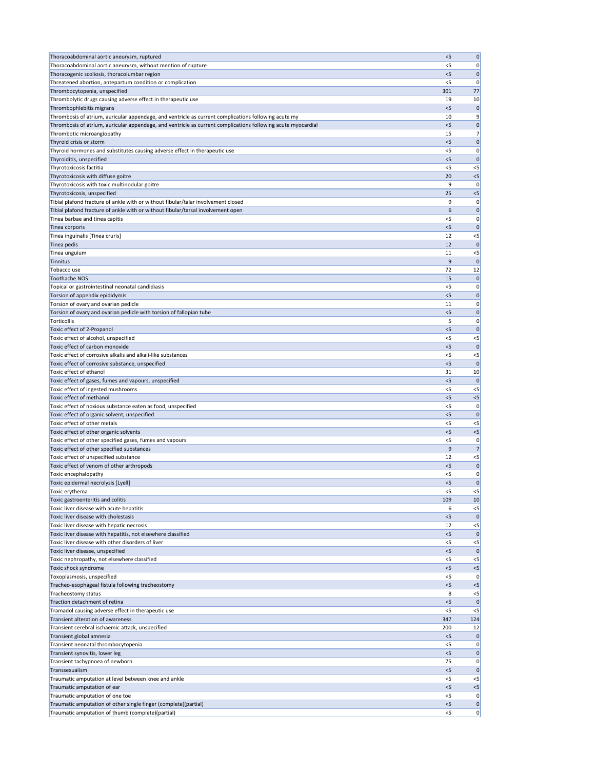| Thoracoabdominal aortic aneurysm, ruptured                                                                   | < 5          | 0              |
|--------------------------------------------------------------------------------------------------------------|--------------|----------------|
| Thoracoabdominal aortic aneurysm, without mention of rupture                                                 | <5           | 0              |
| Thoracogenic scoliosis, thoracolumbar region                                                                 | < 5          | 0              |
| Threatened abortion, antepartum condition or complication                                                    | < 5          | 0              |
| Thrombocytopenia, unspecified                                                                                | 301          | 77             |
| Thrombolytic drugs causing adverse effect in therapeutic use                                                 | 19           | 10             |
| Thrombophlebitis migrans                                                                                     | $<$ 5        | $\mathbf 0$    |
| Thrombosis of atrium, auricular appendage, and ventricle as current complications following acute my         | 10           | 9              |
| Thrombosis of atrium, auricular appendage, and ventricle as current complications following acute myocardial | < 5          | $\mathbf 0$    |
| Thrombotic microangiopathy                                                                                   | 15           | 7 <sup>1</sup> |
| Thyroid crisis or storm                                                                                      | $<$ 5        | 0              |
| Thyroid hormones and substitutes causing adverse effect in therapeutic use                                   | <5           | 0              |
| Thyroiditis, unspecified<br>Thyrotoxicosis factitia                                                          | < 5<br>< 5   | $\mathbf 0$    |
| Thyrotoxicosis with diffuse goitre                                                                           | 20           | $<$ 5<br>$< 5$ |
| Thyrotoxicosis with toxic multinodular goitre                                                                | 9            | 0              |
| Thyrotoxicosis, unspecified                                                                                  | 25           | $< 5$          |
| Tibial plafond fracture of ankle with or without fibular/talar involvement closed                            | 9            | 0              |
| Tibial plafond fracture of ankle with or without fibular/tarsal involvement open                             | 6            | $\mathbf 0$    |
| Tinea barbae and tinea capitis                                                                               | <5           | 0              |
| Tinea corporis                                                                                               | $<$ 5        | $\mathbf 0$    |
| Tinea inguinalis [Tinea cruris]                                                                              | 12           | $<$ 5          |
| Tinea pedis                                                                                                  | 12           | $\mathbf 0$    |
| Tinea unguium                                                                                                | 11           | $< 5$          |
| Tinnitus                                                                                                     | 9            | $\mathbf{0}$   |
| Tobacco use                                                                                                  | 72           | 12             |
| <b>Toothache NOS</b>                                                                                         | 15           | 0              |
| Topical or gastrointestinal neonatal candidiasis                                                             | $<$ 5        | 0              |
| Torsion of appendix epididymis                                                                               | < 5          | $\mathbf 0$    |
| Torsion of ovary and ovarian pedicle                                                                         | 11           | 0              |
| Torsion of ovary and ovarian pedicle with torsion of fallopian tube                                          | $<$ 5        | 0              |
| Torticollis                                                                                                  | 5            | 0              |
| Toxic effect of 2-Propanol                                                                                   | $<$ 5        | $\mathbf{0}$   |
| Toxic effect of alcohol, unspecified                                                                         | < 5          | $<$ 5          |
| Toxic effect of carbon monoxide                                                                              | $<$ 5        | $\mathbf 0$    |
| Toxic effect of corrosive alkalis and alkali-like substances                                                 | $<$ 5        | $<$ 5          |
| Toxic effect of corrosive substance, unspecified                                                             | < 5          | $\mathbf 0$    |
| Toxic effect of ethanol                                                                                      | 31           | 10             |
| Toxic effect of gases, fumes and vapours, unspecified                                                        | $<$ 5        | $\mathbf 0$    |
| Toxic effect of ingested mushrooms                                                                           | <5           | $<$ 5          |
| Toxic effect of methanol<br>Toxic effect of noxious substance eaten as food, unspecified                     | $<$ 5<br>< 5 | $<$ 5<br>0     |
| Toxic effect of organic solvent, unspecified                                                                 | $<$ 5        | $\mathbf 0$    |
| Toxic effect of other metals                                                                                 | $<$ 5        | $<$ 5          |
| Toxic effect of other organic solvents                                                                       | < 5          | $< 5$          |
| Toxic effect of other specified gases, fumes and vapours                                                     | $<$ 5        | 0              |
| Toxic effect of other specified substances                                                                   | 9            | 7              |
| Toxic effect of unspecified substance                                                                        | 12           | $< 5$          |
| Toxic effect of venom of other arthropods                                                                    | $<$ 5        | $\mathbf 0$    |
| Toxic encephalopathy                                                                                         | <5           | 0              |
| Toxic epidermal necrolysis [Lyell]                                                                           | < 5          | $\mathbf 0$    |
| Toxic erythema                                                                                               | $<$ 5        | $<$ 5          |
| Toxic gastroenteritis and colitis                                                                            | 109          | 10             |
| Toxic liver disease with acute hepatitis                                                                     | 6            | $<$ 5          |
| Toxic liver disease with cholestasis                                                                         | < 5          | $\mathbf{0}$   |
| Toxic liver disease with hepatic necrosis                                                                    | 12           | $<$ 5          |
| Toxic liver disease with hepatitis, not elsewhere classified                                                 | < 5          | $\mathbf 0$    |
| Toxic liver disease with other disorders of liver                                                            | <5           | $<$ 5          |
| Toxic liver disease, unspecified                                                                             | $<$ 5        | $\mathbf 0$    |
| Toxic nephropathy, not elsewhere classified                                                                  | < 5          | $<$ 5          |
| Toxic shock syndrome                                                                                         | $<$ 5        | $< 5$          |
| Toxoplasmosis, unspecified                                                                                   | <5           | 0              |
| Tracheo-esophageal fistula following tracheostomy                                                            | $<$ 5        | $< 5$          |
| Tracheostomy status<br>Traction detachment of retina                                                         | 8<br>$<$ 5   | $<$ 5<br> 0    |
| Tramadol causing adverse effect in therapeutic use                                                           | $<$ 5        | $<$ 5          |
| Transient alteration of awareness                                                                            | 347          | 124            |
| Transient cerebral ischaemic attack, unspecified                                                             | 200          | 12             |
| Transient global amnesia                                                                                     | $<$ 5        | 0              |
| Transient neonatal thrombocytopenia                                                                          | $<$ 5        | 0              |
| Transient synovitis, lower leg                                                                               | $<$ 5        | 0              |
| Transient tachypnoea of newborn                                                                              | 75           | 0              |
| Transsexualism                                                                                               | < 5          | $\mathbf 0$    |
| Traumatic amputation at level between knee and ankle                                                         | $<$ 5        | $<$ 5          |
| Traumatic amputation of ear                                                                                  | < 5          | $<$ 5          |
| Traumatic amputation of one toe                                                                              | $<$ 5        | 0              |
| Traumatic amputation of other single finger (complete)(partial)                                              | < 5          | 0              |
| Traumatic amputation of thumb (complete)(partial)                                                            | $<$ 5        | 0              |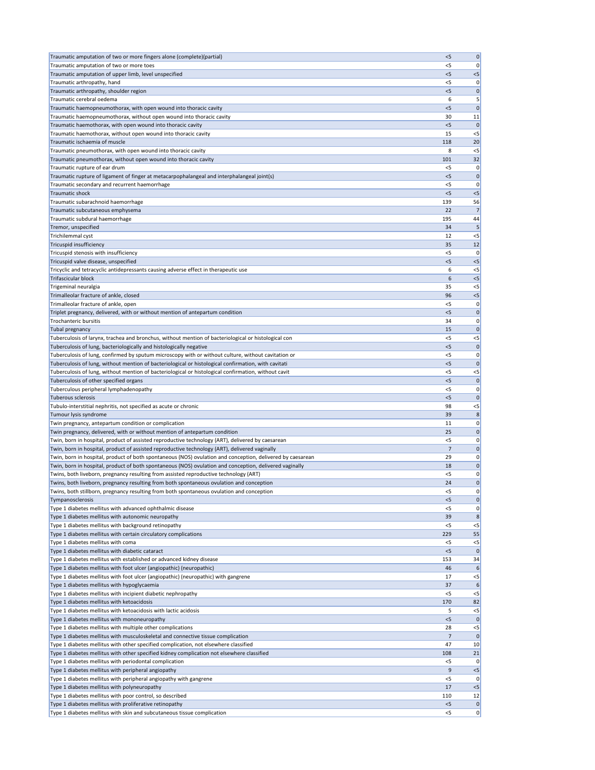| Traumatic amputation of two or more fingers alone (complete)(partial)                                                                                                                               | < 5            | $\mathbf 0$       |
|-----------------------------------------------------------------------------------------------------------------------------------------------------------------------------------------------------|----------------|-------------------|
| Traumatic amputation of two or more toes                                                                                                                                                            | <5             | 0                 |
| Traumatic amputation of upper limb, level unspecified                                                                                                                                               | $<$ 5          | $< 5$             |
| Traumatic arthropathy, hand<br>Traumatic arthropathy, shoulder region                                                                                                                               | <5<br>5        | 0                 |
| Traumatic cerebral oedema                                                                                                                                                                           | 6              | $\mathbf 0$<br>5  |
| Traumatic haemopneumothorax, with open wound into thoracic cavity                                                                                                                                   | $<$ 5          | $\mathbf 0$       |
| Traumatic haemopneumothorax, without open wound into thoracic cavity                                                                                                                                | 30             | 11                |
| Traumatic haemothorax, with open wound into thoracic cavity                                                                                                                                         | < 5            | $\mathbf{0}$      |
| Traumatic haemothorax, without open wound into thoracic cavity                                                                                                                                      | 15             | $<$ 5             |
| Traumatic ischaemia of muscle                                                                                                                                                                       | 118            | 20                |
| Traumatic pneumothorax, with open wound into thoracic cavity                                                                                                                                        | 8              | $<$ 5             |
| Traumatic pneumothorax, without open wound into thoracic cavity                                                                                                                                     | 101            | 32                |
| Traumatic rupture of ear drum<br>Traumatic rupture of ligament of finger at metacarpophalangeal and interphalangeal joint(s)                                                                        | <5<br>$<$ 5    | 0<br>$\mathbf{0}$ |
| Traumatic secondary and recurrent haemorrhage                                                                                                                                                       | <5             | 0                 |
| Traumatic shock                                                                                                                                                                                     | $<$ 5          | < 5               |
| Traumatic subarachnoid haemorrhage                                                                                                                                                                  | 139            | 56                |
| Traumatic subcutaneous emphysema                                                                                                                                                                    | 22             | 7 <sup>1</sup>    |
| Traumatic subdural haemorrhage                                                                                                                                                                      | 195            | 44                |
| Tremor, unspecified                                                                                                                                                                                 | 34             | 5                 |
| Trichilemmal cyst                                                                                                                                                                                   | 12             | $<$ 5             |
| Tricuspid insufficiency                                                                                                                                                                             | 35             | 12                |
| Tricuspid stenosis with insufficiency<br>Tricuspid valve disease, unspecified                                                                                                                       | $<$ 5<br>5     | 0<br>< 5          |
| Tricyclic and tetracyclic antidepressants causing adverse effect in therapeutic use                                                                                                                 | 6              | $<$ 5             |
| <b>Trifascicular block</b>                                                                                                                                                                          | 6              | $< 5$             |
| Trigeminal neuralgia                                                                                                                                                                                | 35             | $<$ 5             |
| Trimalleolar fracture of ankle, closed                                                                                                                                                              | 96             | $<$ 5             |
| Trimalleolar fracture of ankle, open                                                                                                                                                                | <5             | 0                 |
| Triplet pregnancy, delivered, with or without mention of antepartum condition                                                                                                                       | $<$ 5          | 0                 |
| Trochanteric bursitis                                                                                                                                                                               | 34             | 0                 |
| Tubal pregnancy                                                                                                                                                                                     | 15             | 0                 |
| Tuberculosis of larynx, trachea and bronchus, without mention of bacteriological or histological con                                                                                                | $<$ 5          | $<$ 5             |
| Tuberculosis of lung, bacteriologically and histologically negative<br>Tuberculosis of lung, confirmed by sputum microscopy with or without culture, without cavitation or                          | < 5<br>$<$ 5   | $\mathbf 0$       |
| Tuberculosis of lung, without mention of bacteriological or histological confirmation, with cavitati                                                                                                | < 5            | 0 <br>$\mathbf 0$ |
| Tuberculosis of lung, without mention of bacteriological or histological confirmation, without cavit                                                                                                | $<$ 5          | $<$ 5             |
| Tuberculosis of other specified organs                                                                                                                                                              | < 5            | $\mathbf 0$       |
| Tuberculous peripheral lymphadenopathy                                                                                                                                                              | $<$ 5          | 0                 |
| Tuberous sclerosis                                                                                                                                                                                  | $<$ 5          | $\mathbf 0$       |
| Tubulo-interstitial nephritis, not specified as acute or chronic                                                                                                                                    | 98             | $<$ 5             |
| Tumour lysis syndrome                                                                                                                                                                               | 39             | 8                 |
| Twin pregnancy, antepartum condition or complication                                                                                                                                                | 11             | 0                 |
| Twin pregnancy, delivered, with or without mention of antepartum condition                                                                                                                          | 25<br>$<$ 5    | 0                 |
| Twin, born in hospital, product of assisted reproductive technology (ART), delivered by caesarean<br>Twin, born in hospital, product of assisted reproductive technology (ART), delivered vaginally | $\overline{7}$ | 0 <br>$\mathbf 0$ |
| Twin, born in hospital, product of both spontaneous (NOS) ovulation and conception, delivered by caesarean                                                                                          | 29             | 0                 |
| Twin, born in hospital, product of both spontaneous (NOS) ovulation and conception, delivered vaginally                                                                                             | 18             | 0                 |
| Twins, both liveborn, pregnancy resulting from assisted reproductive technology (ART)                                                                                                               | <5             | 0                 |
| Twins, both liveborn, pregnancy resulting from both spontaneous ovulation and conception                                                                                                            | 24             | 0                 |
| Twins, both stillborn, pregnancy resulting from both spontaneous ovulation and conception                                                                                                           | $<$ 5          | 0                 |
| Tympanosclerosis                                                                                                                                                                                    | < 5            | $\mathbf 0$       |
| Type 1 diabetes mellitus with advanced ophthalmic disease                                                                                                                                           | $<$ 5          | 0                 |
| Type 1 diabetes mellitus with autonomic neuropathy<br>Type 1 diabetes mellitus with background retinopathy                                                                                          | 39<br>$<$ 5    | 8                 |
| Type 1 diabetes mellitus with certain circulatory complications                                                                                                                                     | 229            | $<$ 5<br>55       |
| Type 1 diabetes mellitus with coma                                                                                                                                                                  | $<$ 5          | $<$ 5             |
| Type 1 diabetes mellitus with diabetic cataract                                                                                                                                                     | < 5            | $\mathbf 0$       |
| Type 1 diabetes mellitus with established or advanced kidney disease                                                                                                                                | 153            | 34                |
| Type 1 diabetes mellitus with foot ulcer (angiopathic) (neuropathic)                                                                                                                                | 46             | 6                 |
| Type 1 diabetes mellitus with foot ulcer (angiopathic) (neuropathic) with gangrene                                                                                                                  | 17             | $<$ 5             |
| Type 1 diabetes mellitus with hypoglycaemia                                                                                                                                                         | 37             | 6                 |
| Type 1 diabetes mellitus with incipient diabetic nephropathy                                                                                                                                        | $<$ 5          | $<$ 5             |
| Type 1 diabetes mellitus with ketoacidosis<br>Type 1 diabetes mellitus with ketoacidosis with lactic acidosis                                                                                       | 170<br>5       | 82<br>$<$ 5       |
| Type 1 diabetes mellitus with mononeuropathy                                                                                                                                                        | < 5            | 0                 |
| Type 1 diabetes mellitus with multiple other complications                                                                                                                                          | 28             | $<$ 5             |
| Type 1 diabetes mellitus with musculoskeletal and connective tissue complication                                                                                                                    | 7              | $\mathbf 0$       |
| Type 1 diabetes mellitus with other specified complication, not elsewhere classified                                                                                                                | 47             | 10                |
| Type 1 diabetes mellitus with other specified kidney complication not elsewhere classified                                                                                                          | 108            | 21                |
| Type 1 diabetes mellitus with periodontal complication                                                                                                                                              | <5             | 0                 |
| Type 1 diabetes mellitus with peripheral angiopathy                                                                                                                                                 | 9              | $< 5$             |
| Type 1 diabetes mellitus with peripheral angiopathy with gangrene                                                                                                                                   | $<$ 5          | 0                 |
| Type 1 diabetes mellitus with polyneuropathy                                                                                                                                                        | 17             | $<$ 5             |
| Type 1 diabetes mellitus with poor control, so described<br>Type 1 diabetes mellitus with proliferative retinopathy                                                                                 | 110<br>$<$ 5   | 12 <br> 0         |
| Type 1 diabetes mellitus with skin and subcutaneous tissue complication                                                                                                                             | $<$ 5          | 0                 |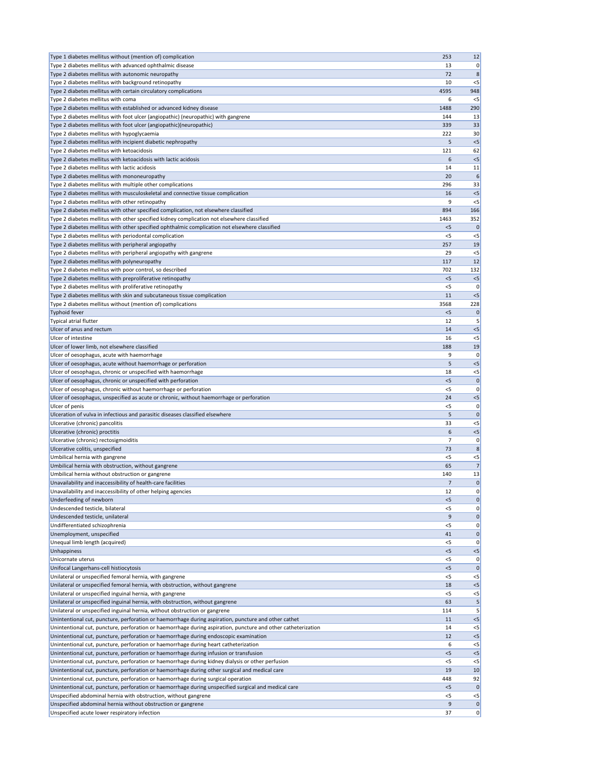| Type 1 diabetes mellitus without (mention of) complication                                                                                                                                                            | 253        | 12             |
|-----------------------------------------------------------------------------------------------------------------------------------------------------------------------------------------------------------------------|------------|----------------|
| Type 2 diabetes mellitus with advanced ophthalmic disease                                                                                                                                                             | 13         | 0              |
| Type 2 diabetes mellitus with autonomic neuropathy                                                                                                                                                                    | 72         | 8              |
| Type 2 diabetes mellitus with background retinopathy                                                                                                                                                                  | 10         | $<$ 5          |
| Type 2 diabetes mellitus with certain circulatory complications                                                                                                                                                       | 4595       | 948            |
| Type 2 diabetes mellitus with coma                                                                                                                                                                                    | 6          | $<$ 5          |
| Type 2 diabetes mellitus with established or advanced kidney disease                                                                                                                                                  | 1488       | 290            |
| Type 2 diabetes mellitus with foot ulcer (angiopathic) (neuropathic) with gangrene                                                                                                                                    | 144        | 13             |
| Type 2 diabetes mellitus with foot ulcer (angiopathic)(neuropathic)                                                                                                                                                   | 339        | 33             |
| Type 2 diabetes mellitus with hypoglycaemia                                                                                                                                                                           | 222        | 30             |
| Type 2 diabetes mellitus with incipient diabetic nephropathy                                                                                                                                                          | 5          | $<$ 5          |
| Type 2 diabetes mellitus with ketoacidosis                                                                                                                                                                            | 121        | 62             |
| Type 2 diabetes mellitus with ketoacidosis with lactic acidosis                                                                                                                                                       | 6          | $<$ 5          |
| Type 2 diabetes mellitus with lactic acidosis                                                                                                                                                                         | 14<br>20   | 11             |
| Type 2 diabetes mellitus with mononeuropathy<br>Type 2 diabetes mellitus with multiple other complications                                                                                                            | 296        | 33             |
| Type 2 diabetes mellitus with musculoskeletal and connective tissue complication                                                                                                                                      | 16         | $<$ 5          |
| Type 2 diabetes mellitus with other retinopathy                                                                                                                                                                       | 9          | $<$ 5          |
| Type 2 diabetes mellitus with other specified complication, not elsewhere classified                                                                                                                                  | 894        | 166            |
| Type 2 diabetes mellitus with other specified kidney complication not elsewhere classified                                                                                                                            | 1463       | 352            |
| Type 2 diabetes mellitus with other specified ophthalmic complication not elsewhere classified                                                                                                                        | < 5        | $\mathbf 0$    |
| Type 2 diabetes mellitus with periodontal complication                                                                                                                                                                | <5         | $<$ 5          |
| Type 2 diabetes mellitus with peripheral angiopathy                                                                                                                                                                   | 257        | 19             |
| Type 2 diabetes mellitus with peripheral angiopathy with gangrene                                                                                                                                                     | 29         | $<$ 5          |
| Type 2 diabetes mellitus with polyneuropathy                                                                                                                                                                          | 117        | 12             |
| Type 2 diabetes mellitus with poor control, so described                                                                                                                                                              | 702        | 132            |
| Type 2 diabetes mellitus with preproliferative retinopathy                                                                                                                                                            | < 5        | $<$ 5          |
| Type 2 diabetes mellitus with proliferative retinopathy                                                                                                                                                               | $<$ 5      | 0              |
| Type 2 diabetes mellitus with skin and subcutaneous tissue complication                                                                                                                                               | 11         | $<$ 5          |
| Type 2 diabetes mellitus without (mention of) complications                                                                                                                                                           | 3568       | 228            |
| <b>Typhoid fever</b>                                                                                                                                                                                                  | $<$ 5      | 0              |
| Typical atrial flutter                                                                                                                                                                                                | 12         | 5              |
| Ulcer of anus and rectum                                                                                                                                                                                              | 14         | <5             |
| Ulcer of intestine                                                                                                                                                                                                    | 16         | $<$ 5          |
| Ulcer of lower limb, not elsewhere classified                                                                                                                                                                         | 188        | 19             |
| Ulcer of oesophagus, acute with haemorrhage                                                                                                                                                                           | 9          | 0              |
| Ulcer of oesophagus, acute without haemorrhage or perforation                                                                                                                                                         | 5          | $<$ 5          |
| Ulcer of oesophagus, chronic or unspecified with haemorrhage                                                                                                                                                          | 18         | $<$ 5          |
| Ulcer of oesophagus, chronic or unspecified with perforation                                                                                                                                                          | < 5        | $\Omega$       |
| Ulcer of oesophagus, chronic without haemorrhage or perforation                                                                                                                                                       | <5         | 0              |
| Ulcer of oesophagus, unspecified as acute or chronic, without haemorrhage or perforation                                                                                                                              | 24         | $<$ 5<br>O     |
| Ulcer of penis<br>Ulceration of vulva in infectious and parasitic diseases classified elsewhere                                                                                                                       | $<$ 5<br>5 |                |
| Ulcerative (chronic) pancolitis                                                                                                                                                                                       | 33         | $<$ 5          |
| Ulcerative (chronic) proctitis                                                                                                                                                                                        | 6          | $<$ 5          |
| Ulcerative (chronic) rectosigmoiditis                                                                                                                                                                                 | 7          | 0              |
| Ulcerative colitis, unspecified                                                                                                                                                                                       | 73         | 8              |
| Umbilical hernia with gangrene                                                                                                                                                                                        | <5         | $<$ 5          |
| Umbilical hernia with obstruction, without gangrene                                                                                                                                                                   | 65         | 7              |
| Umbilical hernia without obstruction or gangrene                                                                                                                                                                      | 140        | 13             |
| Unavailability and inaccessibility of health-care facilities                                                                                                                                                          | 7          | 0              |
| Unavailability and inaccessibility of other helping agencies                                                                                                                                                          | 12         | 0              |
| Underfeeding of newborn                                                                                                                                                                                               | $<$ 5      | 0              |
| Undescended testicle, bilateral                                                                                                                                                                                       | <5         | 0              |
| Undescended testicle, unilateral                                                                                                                                                                                      | 9          | $\mathbf 0$    |
| Undifferentiated schizophrenia                                                                                                                                                                                        | <5         | 0              |
| Unemployment, unspecified                                                                                                                                                                                             | 41         | $\mathbf 0$    |
| Unequal limb length (acquired)                                                                                                                                                                                        | <5         |                |
| Unhappiness                                                                                                                                                                                                           | $<$ 5      | $<$ 5          |
| Unicornate uterus                                                                                                                                                                                                     | $<$ 5      |                |
| Unifocal Langerhans-cell histiocytosis                                                                                                                                                                                | $<$ 5      | $\Omega$       |
| Unilateral or unspecified femoral hernia, with gangrene                                                                                                                                                               | <5         | $<$ 5          |
| Unilateral or unspecified femoral hernia, with obstruction, without gangrene                                                                                                                                          | 18         | $<$ 5          |
| Unilateral or unspecified inguinal hernia, with gangrene                                                                                                                                                              | $<$ 5      | $<$ 5          |
| Unilateral or unspecified inguinal hernia, with obstruction, without gangrene                                                                                                                                         | 63         |                |
| Unilateral or unspecified inguinal hernia, without obstruction or gangrene                                                                                                                                            | 114        |                |
| Unintentional cut, puncture, perforation or haemorrhage during aspiration, puncture and other cathet<br>Unintentional cut, puncture, perforation or haemorrhage during aspiration, puncture and other catheterization | 11<br>14   | $<$ 5<br>$<$ 5 |
| Unintentional cut, puncture, perforation or haemorrhage during endoscopic examination                                                                                                                                 | 12         | $<$ 5          |
| Unintentional cut, puncture, perforation or haemorrhage during heart catheterization                                                                                                                                  | 6          | $<$ 5          |
| Unintentional cut, puncture, perforation or haemorrhage during infusion or transfusion                                                                                                                                | < 5        | $<$ 5          |
| Unintentional cut, puncture, perforation or haemorrhage during kidney dialysis or other perfusion                                                                                                                     | $<$ 5      | $<$ 5          |
| Unintentional cut, puncture, perforation or haemorrhage during other surgical and medical care                                                                                                                        | 19         | 10             |
| Unintentional cut, puncture, perforation or haemorrhage during surgical operation                                                                                                                                     | 448        | 92             |
| Unintentional cut, puncture, perforation or haemorrhage during unspecified surgical and medical care                                                                                                                  | $<$ 5      | $\mathbf 0$    |
| Unspecified abdominal hernia with obstruction, without gangrene                                                                                                                                                       | $<$ 5      | $<$ 5          |
| Unspecified abdominal hernia without obstruction or gangrene                                                                                                                                                          | 9          | $\mathbf 0$    |
| Unspecified acute lower respiratory infection                                                                                                                                                                         | 37         | 0              |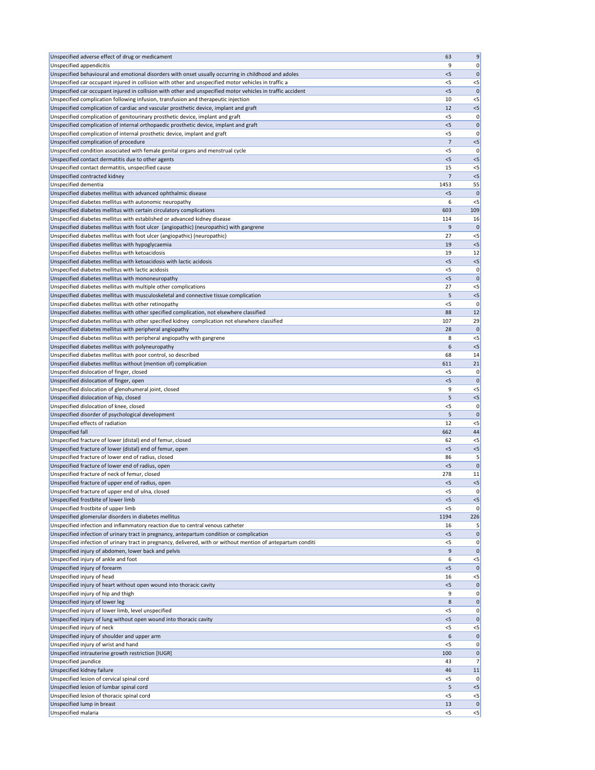| Unspecified adverse effect of drug or medicament                                                                                                                                                             | 63             | 9                    |
|--------------------------------------------------------------------------------------------------------------------------------------------------------------------------------------------------------------|----------------|----------------------|
| Unspecified appendicitis                                                                                                                                                                                     | 9              | 0                    |
| Unspecified behavioural and emotional disorders with onset usually occurring in childhood and adoles<br>Unspecified car occupant injured in collision with other and unspecified motor vehicles in traffic a | < 5<br>$<$ 5   | 0<br>$<$ 5           |
| Unspecified car occupant injured in collision with other and unspecified motor vehicles in traffic accident                                                                                                  | $<$ 5          | $\mathsf{C}$         |
| Unspecified complication following infusion, transfusion and therapeutic injection                                                                                                                           | 10             | $<$ 5                |
| Unspecified complication of cardiac and vascular prosthetic device, implant and graft                                                                                                                        | 12             | $<$ 5                |
| Unspecified complication of genitourinary prosthetic device, implant and graft                                                                                                                               | <5             | 0                    |
| Unspecified complication of internal orthopaedic prosthetic device, implant and graft<br>Unspecified complication of internal prosthetic device, implant and graft                                           | < 5<br><5      | $\mathbf 0$<br>0     |
| Unspecified complication of procedure                                                                                                                                                                        | $\overline{7}$ | $<$ 5                |
| Unspecified condition associated with female genital organs and menstrual cycle                                                                                                                              | $<$ 5          | 0                    |
| Unspecified contact dermatitis due to other agents                                                                                                                                                           | < 5            | $<$ 5                |
| Unspecified contact dermatitis, unspecified cause                                                                                                                                                            | 15             | $<$ 5                |
| Unspecified contracted kidney<br>Unspecified dementia                                                                                                                                                        | 7<br>1453      | $<$ 5<br>55          |
| Unspecified diabetes mellitus with advanced ophthalmic disease                                                                                                                                               | < 5            | 0                    |
| Unspecified diabetes mellitus with autonomic neuropathy                                                                                                                                                      | 6              | $<$ 5                |
| Unspecified diabetes mellitus with certain circulatory complications                                                                                                                                         | 603            | 109                  |
| Unspecified diabetes mellitus with established or advanced kidney disease                                                                                                                                    | 114            | 16                   |
| Unspecified diabetes mellitus with foot ulcer (angiopathic) (neuropathic) with gangrene<br>Unspecified diabetes mellitus with foot ulcer (angiopathic) (neuropathic)                                         | 9<br>27        | $\mathbf 0$<br>$<$ 5 |
| Unspecified diabetes mellitus with hypoglycaemia                                                                                                                                                             | 19             | $<$ 5                |
| Unspecified diabetes mellitus with ketoacidosis                                                                                                                                                              | 19             | 12                   |
| Unspecified diabetes mellitus with ketoacidosis with lactic acidosis                                                                                                                                         | $<$ 5          | $<$ 5                |
| Unspecified diabetes mellitus with lactic acidosis                                                                                                                                                           | $<$ 5          | 0                    |
| Unspecified diabetes mellitus with mononeuropathy<br>Unspecified diabetes mellitus with multiple other complications                                                                                         | $<$ 5<br>27    | $\mathbf 0$<br>$<$ 5 |
| Unspecified diabetes mellitus with musculoskeletal and connective tissue complication                                                                                                                        | 5              | $<$ 5                |
| Unspecified diabetes mellitus with other retinopathy                                                                                                                                                         | <5             | 0                    |
| Unspecified diabetes mellitus with other specified complication, not elsewhere classified                                                                                                                    | 88             | 12                   |
| Unspecified diabetes mellitus with other specified kidney complication not elsewhere classified                                                                                                              | 107            | 29                   |
| Unspecified diabetes mellitus with peripheral angiopathy<br>Unspecified diabetes mellitus with peripheral angiopathy with gangrene                                                                           | 28<br>8        | $<$ 5                |
| Unspecified diabetes mellitus with polyneuropathy                                                                                                                                                            | 6              | $<$ 5                |
| Unspecified diabetes mellitus with poor control, so described                                                                                                                                                | 68             | 14                   |
| Unspecified diabetes mellitus without (mention of) complication                                                                                                                                              | 611            | 21                   |
| Unspecified dislocation of finger, closed                                                                                                                                                                    | <5             | 0                    |
| Unspecified dislocation of finger, open<br>Unspecified dislocation of glenohumeral joint, closed                                                                                                             | < 5<br>9       | 0<br>$<$ 5           |
| Unspecified dislocation of hip, closed                                                                                                                                                                       | 5              | $<$ 5                |
| Unspecified dislocation of knee, closed                                                                                                                                                                      | $<$ 5          | 0                    |
| Unspecified disorder of psychological development                                                                                                                                                            | 5              | C                    |
| Unspecified effects of radiation                                                                                                                                                                             | 12             | $<$ 5                |
| <b>Unspecified fall</b><br>Unspecified fracture of lower (distal) end of femur, closed                                                                                                                       | 662<br>62      | 44<br>$<$ 5          |
| Unspecified fracture of lower (distal) end of femur, open                                                                                                                                                    | < 5            | $<$ 5                |
| Unspecified fracture of lower end of radius, closed                                                                                                                                                          | 86             |                      |
| Unspecified fracture of lower end of radius, open                                                                                                                                                            | < 5            | $\Omega$             |
| Unspecified fracture of neck of femur, closed                                                                                                                                                                | 278            | 11                   |
| Unspecified fracture of upper end of radius, open<br>Unspecified fracture of upper end of ulna, closed                                                                                                       | $<$ 5<br>$<$ 5 | $<$ 5<br>0           |
| Unspecified frostbite of lower limb                                                                                                                                                                          | $<$ 5          | $<$ 5                |
| Unspecified frostbite of upper limb                                                                                                                                                                          | $<$ 5          | $\mathbf 0$          |
| Unspecified glomerular disorders in diabetes mellitus                                                                                                                                                        | 1194           | 226                  |
| Unspecified infection and inflammatory reaction due to central venous catheter<br>Unspecified infection of urinary tract in pregnancy, antepartum condition or complication                                  | 16<br>< 5      | 5<br>0               |
| Unspecified infection of urinary tract in pregnancy, delivered, with or without mention of antepartum conditi                                                                                                | <5             | 0                    |
| Unspecified injury of abdomen, lower back and pelvis                                                                                                                                                         | 9              | 0                    |
| Unspecified injury of ankle and foot                                                                                                                                                                         | 6              | $<$ 5                |
| Unspecified injury of forearm                                                                                                                                                                                | $<$ 5          | C                    |
| Unspecified injury of head<br>Unspecified injury of heart without open wound into thoracic cavity                                                                                                            | 16<br><5       | $<$ 5<br>$\mathbf 0$ |
| Unspecified injury of hip and thigh                                                                                                                                                                          | 9              | 0                    |
| Unspecified injury of lower leg                                                                                                                                                                              | 8              | 0                    |
| Unspecified injury of lower limb, level unspecified                                                                                                                                                          | $<$ 5          | 0                    |
| Unspecified injury of lung without open wound into thoracic cavity<br>Unspecified injury of neck                                                                                                             | < 5<br>$<$ 5   | 0<br>$<$ 5           |
| Unspecified injury of shoulder and upper arm                                                                                                                                                                 | 6              | 0                    |
| Unspecified injury of wrist and hand                                                                                                                                                                         | $<$ 5          | 0                    |
| Unspecified intrauterine growth restriction [IUGR]                                                                                                                                                           | 100            | 0                    |
| Unspecified jaundice                                                                                                                                                                                         | 43             | 7 <sup>1</sup>       |
| Unspecified kidney failure<br>Unspecified lesion of cervical spinal cord                                                                                                                                     | 46<br>$<$ 5    | 11<br>0              |
| Unspecified lesion of lumbar spinal cord                                                                                                                                                                     | 5              | $<$ 5                |
| Unspecified lesion of thoracic spinal cord                                                                                                                                                                   | $<$ 5          | $<$ 5                |
| Unspecified lump in breast                                                                                                                                                                                   | 13             | 0                    |
| Unspecified malaria                                                                                                                                                                                          | $<$ 5          | < 5                  |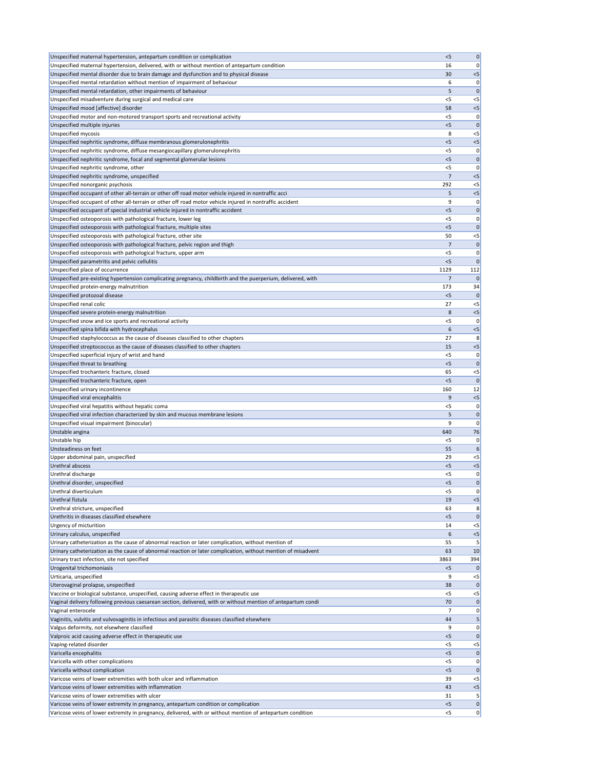| Unspecified maternal hypertension, antepartum condition or complication                                       | < 5   | $\pmb{0}$      |
|---------------------------------------------------------------------------------------------------------------|-------|----------------|
| Unspecified maternal hypertension, delivered, with or without mention of antepartum condition                 | 16    | 0              |
| Unspecified mental disorder due to brain damage and dysfunction and to physical disease                       | 30    | $< 5$          |
|                                                                                                               |       |                |
| Unspecified mental retardation without mention of impairment of behaviour                                     | 6     | 0              |
| Unspecified mental retardation, other impairments of behaviour                                                | 5     | $\mathbf{0}$   |
| Unspecified misadventure during surgical and medical care                                                     | $<$ 5 | $<$ 5          |
| Unspecified mood [affective] disorder                                                                         | 58    | $< 5$          |
| Unspecified motor and non-motored transport sports and recreational activity                                  | $<$ 5 | 0              |
| Unspecified multiple injuries                                                                                 | < 5   | $\mathbf{0}$   |
| Unspecified mycosis                                                                                           | 8     | $<$ 5          |
| Unspecified nephritic syndrome, diffuse membranous glomerulonephritis                                         | < 5   | $< 5$          |
| Unspecified nephritic syndrome, diffuse mesangiocapillary glomerulonephritis                                  | <5    | 0              |
| Unspecified nephritic syndrome, focal and segmental glomerular lesions                                        | 5     | $\mathbf 0$    |
| Unspecified nephritic syndrome, other                                                                         | $<$ 5 | 0              |
|                                                                                                               |       |                |
| Unspecified nephritic syndrome, unspecified                                                                   | 7     | $<$ 5          |
| Unspecified nonorganic psychosis                                                                              | 292   | $< 5$          |
| Unspecified occupant of other all-terrain or other off road motor vehicle injured in nontraffic acci          | 5     | $< 5$          |
| Unspecified occupant of other all-terrain or other off road motor vehicle injured in nontraffic accident      | 9     | 0              |
| Unspecified occupant of special industrial vehicle injured in nontraffic accident                             | < 5   | $\mathbf 0$    |
| Unspecified osteoporosis with pathological fracture, lower leg                                                | <5    | 0              |
| Unspecified osteoporosis with pathological fracture, multiple sites                                           | < 5   | $\mathbf{0}$   |
| Unspecified osteoporosis with pathological fracture, other site                                               | 50    | $<$ 5          |
| Unspecified osteoporosis with pathological fracture, pelvic region and thigh                                  | 7     | 0              |
| Unspecified osteoporosis with pathological fracture, upper arm                                                | $<$ 5 |                |
|                                                                                                               |       | 0              |
| Unspecified parametritis and pelvic cellulitis                                                                | $<$ 5 | $\mathbf{0}$   |
| Unspecified place of occurrence                                                                               | 1129  | 112            |
| Unspecified pre-existing hypertension complicating pregnancy, childbirth and the puerperium, delivered, with  | 7     | $\mathbf{0}$   |
| Unspecified protein-energy malnutrition                                                                       | 173   | 34             |
| Unspecified protozoal disease                                                                                 | < 5   | $\mathbf{0}$   |
| Unspecified renal colic                                                                                       | 27    | $<$ 5          |
| Unspecified severe protein-energy malnutrition                                                                | 8     | < 5            |
| Unspecified snow and ice sports and recreational activity                                                     | $<$ 5 | 0              |
|                                                                                                               |       |                |
| Unspecified spina bifida with hydrocephalus                                                                   | 6     | < 5            |
| Unspecified staphylococcus as the cause of diseases classified to other chapters                              | 27    | 8              |
| Unspecified streptococcus as the cause of diseases classified to other chapters                               | 15    | $< 5$          |
| Unspecified superficial injury of wrist and hand                                                              | <5    | 0              |
| Unspecified threat to breathing                                                                               | < 5   | $\mathbf 0$    |
| Unspecified trochanteric fracture, closed                                                                     | 65    | $<$ 5          |
| Unspecified trochanteric fracture, open                                                                       | $<$ 5 | $\mathbf{0}$   |
| Unspecified urinary incontinence                                                                              | 160   | 12             |
| Unspecified viral encephalitis                                                                                | 9     | < 5            |
| Unspecified viral hepatitis without hepatic coma                                                              | <5    | 0              |
|                                                                                                               |       |                |
| Unspecified viral infection characterized by skin and mucous membrane lesions                                 | 5     | $\mathbf 0$    |
| Unspecified visual impairment (binocular)                                                                     | 9     | 0              |
| Unstable angina                                                                                               | 640   | 76             |
| Unstable hip                                                                                                  | <5    | 0              |
| Unsteadiness on feet                                                                                          | 55    | 6              |
| Upper abdominal pain, unspecified                                                                             | 29    | $<$ 5          |
| Urethral abscess                                                                                              | < 5   | $< 5$          |
| Urethral discharge                                                                                            | <5    | 0              |
| Urethral disorder, unspecified                                                                                | $<$ 5 | $\mathbf 0$    |
| Urethral diverticulum                                                                                         | <5    | 0              |
|                                                                                                               |       |                |
| Urethral fistula                                                                                              | 19    | $<$ 5          |
| Urethral stricture, unspecified                                                                               | 63    | 8              |
| Urethritis in diseases classified elsewhere                                                                   | $<$ 5 | $\mathbf 0$    |
| Urgency of micturition                                                                                        | 14    | $<$ 5          |
| Urinary calculus, unspecified                                                                                 | 6     | $<$ 5          |
| Urinary catheterization as the cause of abnormal reaction or later complication, without mention of           | 55    | 5              |
| Urinary catheterization as the cause of abnormal reaction or later complication, without mention of misadvent | 63    | 10             |
| Urinary tract infection, site not specified                                                                   | 3863  | 394            |
| Urogenital trichomoniasis                                                                                     | $<$ 5 | 0              |
| Urticaria, unspecified                                                                                        | 9     | $<$ 5          |
| Uterovaginal prolapse, unspecified                                                                            |       | $\mathbf 0$    |
|                                                                                                               | 38    |                |
| Vaccine or biological substance, unspecified, causing adverse effect in therapeutic use                       | $<$ 5 | $<$ 5          |
| Vaginal delivery following previous caesarean section, delivered, with or without mention of antepartum condi | 70    | 0              |
| Vaginal enterocele                                                                                            | 7     | 0              |
| Vaginitis, vulvitis and vulvovaginitis in infectious and parasitic diseases classified elsewhere              | 44    | 5              |
| Valgus deformity, not elsewhere classified                                                                    | 9     | 0              |
| Valproic acid causing adverse effect in therapeutic use                                                       | < 5   | 0              |
| Vaping-related disorder                                                                                       | $<$ 5 | $<$ 5          |
| Varicella encephalitis                                                                                        | $<$ 5 | 0              |
| Varicella with other complications                                                                            | <5    | 0              |
|                                                                                                               |       |                |
| Varicella without complication                                                                                | < 5   | $\mathbf 0$    |
| Varicose veins of lower extremities with both ulcer and inflammation                                          | 39    | $<$ 5          |
| Varicose veins of lower extremities with inflammation                                                         | 43    | $<$ 5          |
| Varicose veins of lower extremities with ulcer                                                                | 31    | 5 <sup>1</sup> |
| Varicose veins of lower extremity in pregnancy, antepartum condition or complication                          | 5     | 0              |
| Varicose veins of lower extremity in pregnancy, delivered, with or without mention of antepartum condition    | $<$ 5 | 0              |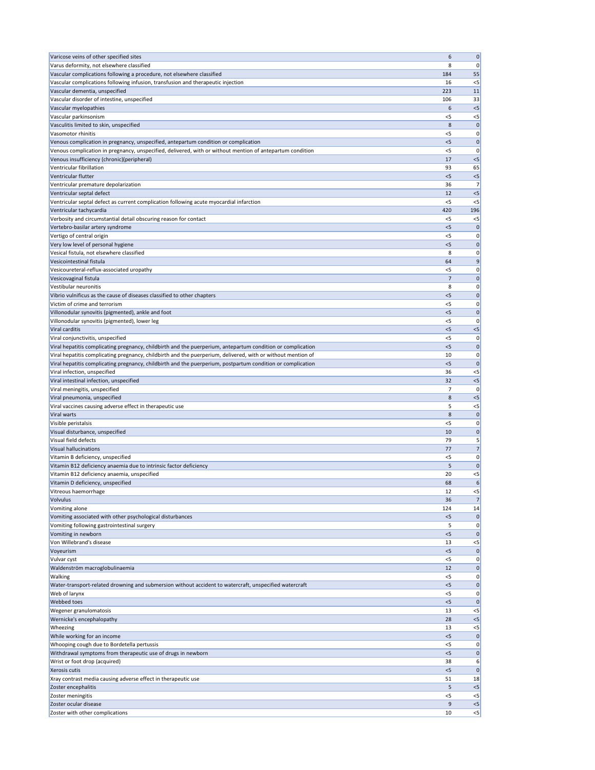| Varicose veins of other specified sites                                                                      | 6          | $\mathbf 0$          |
|--------------------------------------------------------------------------------------------------------------|------------|----------------------|
| Varus deformity, not elsewhere classified                                                                    | 8          | 0                    |
| Vascular complications following a procedure, not elsewhere classified                                       | 184        | 55                   |
| Vascular complications following infusion, transfusion and therapeutic injection                             | 16         | $<$ 5                |
| Vascular dementia, unspecified                                                                               | 223        | 11                   |
| Vascular disorder of intestine, unspecified                                                                  | 106        | 33                   |
| Vascular myelopathies                                                                                        | 6          | $<$ 5                |
| Vascular parkinsonism<br>Vasculitis limited to skin, unspecified                                             | $<$ 5<br>8 | $<$ 5<br>$\mathbf 0$ |
| Vasomotor rhinitis                                                                                           | $<$ 5      | 0                    |
| Venous complication in pregnancy, unspecified, antepartum condition or complication                          | $<$ 5      | 0                    |
| Venous complication in pregnancy, unspecified, delivered, with or without mention of antepartum condition    | $<$ 5      | 0                    |
| Venous insufficiency (chronic)(peripheral)                                                                   | 17         | $<$ 5                |
| Ventricular fibrillation                                                                                     | 93         | 65                   |
| Ventricular flutter                                                                                          | < 5        | $<$ 5                |
| Ventricular premature depolarization                                                                         | 36         | 7                    |
| Ventricular septal defect                                                                                    | 12         | $<$ 5                |
| Ventricular septal defect as current complication following acute myocardial infarction                      | <5         | $<$ 5                |
| Ventricular tachycardia                                                                                      | 420        | 196                  |
| Verbosity and circumstantial detail obscuring reason for contact                                             | <5         | $<$ 5                |
| Vertebro-basilar artery syndrome                                                                             | $<$ 5      | 0                    |
| Vertigo of central origin                                                                                    | $<$ 5      | 0                    |
| Very low level of personal hygiene<br>Vesical fistula, not elsewhere classified                              | < 5<br>8   | 0<br>0               |
| Vesicointestinal fistula                                                                                     | 64         | 9                    |
| Vesicoureteral-reflux-associated uropathy                                                                    | $<$ 5      | 0                    |
| Vesicovaginal fistula                                                                                        | 7          | $\mathbf 0$          |
| Vestibular neuronitis                                                                                        | 8          | 0                    |
| Vibrio vulnificus as the cause of diseases classified to other chapters                                      | $<$ 5      | $\mathbf 0$          |
| Victim of crime and terrorism                                                                                | <5         | 0                    |
| Villonodular synovitis (pigmented), ankle and foot                                                           | $<$ 5      | $\mathbf 0$          |
| Villonodular synovitis (pigmented), lower leg                                                                | $<$ 5      | 0                    |
| Viral carditis                                                                                               | $<$ 5      | $<$ 5                |
| Viral conjunctivitis, unspecified                                                                            | $<$ 5      | 0                    |
| Viral hepatitis complicating pregnancy, childbirth and the puerperium, antepartum condition or complication  | < 5        | 0                    |
| Viral hepatitis complicating pregnancy, childbirth and the puerperium, delivered, with or without mention of | 10         | 0                    |
| Viral hepatitis complicating pregnancy, childbirth and the puerperium, postpartum condition or complication  | $<$ 5      | 0                    |
| Viral infection, unspecified                                                                                 | 36         | $<$ 5                |
| Viral intestinal infection, unspecified                                                                      | 32         | $<$ 5                |
| Viral meningitis, unspecified                                                                                | 7          | C                    |
| Viral pneumonia, unspecified                                                                                 | 8<br>5     | $<$ 5                |
| Viral vaccines causing adverse effect in therapeutic use<br>Viral warts                                      | 8          | $<$ 5<br>0           |
| Visible peristalsis                                                                                          | $<$ 5      | 0                    |
| Visual disturbance, unspecified                                                                              | 10         | 0                    |
| Visual field defects                                                                                         | 79         | 5                    |
| <b>Visual hallucinations</b>                                                                                 | 77         | 7                    |
| Vitamin B deficiency, unspecified                                                                            | $<$ 5      | 0                    |
| Vitamin B12 deficiency anaemia due to intrinsic factor deficiency                                            | 5          | 0                    |
| Vitamin B12 deficiency anaemia, unspecified                                                                  | 20         | $<$ 5                |
| Vitamin D deficiency, unspecified                                                                            | 68         | 6                    |
| Vitreous haemorrhage                                                                                         | 12         | $<$ 5                |
| Volvulus                                                                                                     | 36         | 7                    |
| Vomiting alone                                                                                               | 124        | 14                   |
| Vomiting associated with other psychological disturbances                                                    | $<$ 5      | 0                    |
| Vomiting following gastrointestinal surgery                                                                  | 5          | 0                    |
| Vomiting in newborn                                                                                          | $<$ 5      | 0                    |
| Von Willebrand's disease<br>Voyeurism                                                                        | 13<br>< 5  | $<$ 5<br>0           |
| Vulvar cyst                                                                                                  | <5         | 0                    |
| Waldenström macroglobulinaemia                                                                               | 12         | 0                    |
| <b>Walking</b>                                                                                               | $<$ 5      | 0                    |
| Water-transport-related drowning and submersion without accident to watercraft, unspecified watercraft       | $5$        | $\mathbf 0$          |
| Web of larynx                                                                                                | $<$ 5      | 0                    |
| Webbed toes                                                                                                  | < 5        | $\mathbf 0$          |
| Wegener granulomatosis                                                                                       | 13         | $<$ 5                |
| Wernicke's encephalopathy                                                                                    | 28         | $<$ 5                |
| Wheezing                                                                                                     | 13         | $<$ 5                |
| While working for an income                                                                                  | < 5        | $\mathbf 0$          |
| Whooping cough due to Bordetella pertussis                                                                   | $<$ 5      | 0                    |
| Withdrawal symptoms from therapeutic use of drugs in newborn                                                 | $<$ 5      | 0                    |
| Wrist or foot drop (acquired)                                                                                | 38         | 6                    |
| Xerosis cutis                                                                                                | < 5        | 0                    |
| Xray contrast media causing adverse effect in therapeutic use<br>Zoster encephalitis                         | 51<br>5    | 18<br>< 5            |
| Zoster meningitis                                                                                            | $<$ 5      | $<$ 5                |
| Zoster ocular disease                                                                                        | 9          | $<$ 5                |
| Zoster with other complications                                                                              | 10         | $\leq$ 5             |